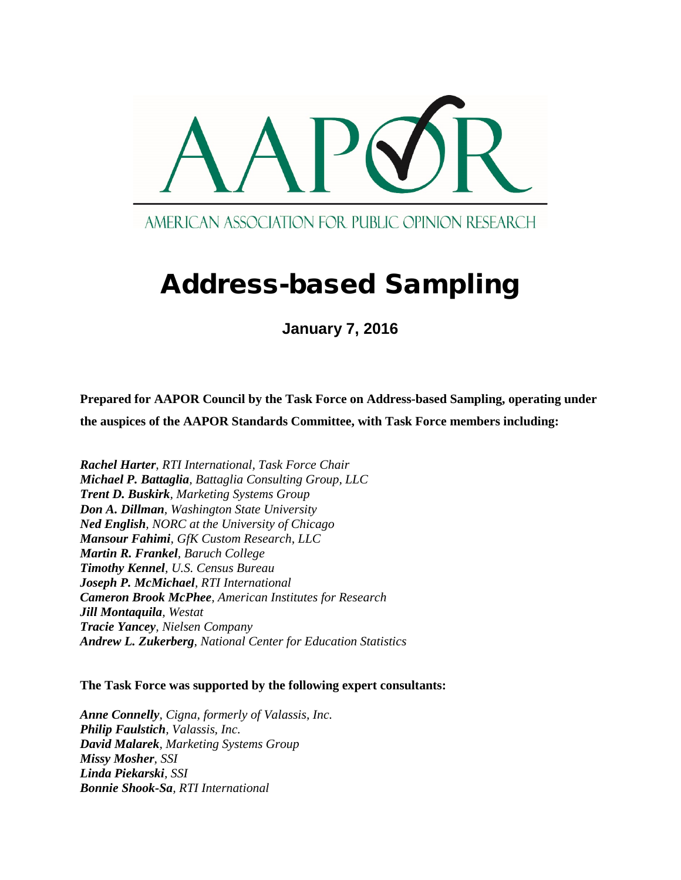

# Address-based Sampling

**January 7, 2016**

**Prepared for AAPOR Council by the Task Force on Address-based Sampling, operating under the auspices of the AAPOR Standards Committee, with Task Force members including:** 

*Rachel Harter, RTI International, Task Force Chair Michael P. Battaglia, Battaglia Consulting Group, LLC Trent D. Buskirk, Marketing Systems Group Don A. Dillman, Washington State University Ned English, NORC at the University of Chicago Mansour Fahimi, GfK Custom Research, LLC Martin R. Frankel, Baruch College Timothy Kennel, U.S. Census Bureau Joseph P. McMichael, RTI International Cameron Brook McPhee, American Institutes for Research Jill Montaquila, Westat Tracie Yancey, Nielsen Company Andrew L. Zukerberg, National Center for Education Statistics*

**The Task Force was supported by the following expert consultants:**

*Anne Connelly, Cigna, formerly of Valassis, Inc. Philip Faulstich, Valassis, Inc. David Malarek, Marketing Systems Group Missy Mosher, SSI Linda Piekarski, SSI Bonnie Shook-Sa, RTI International*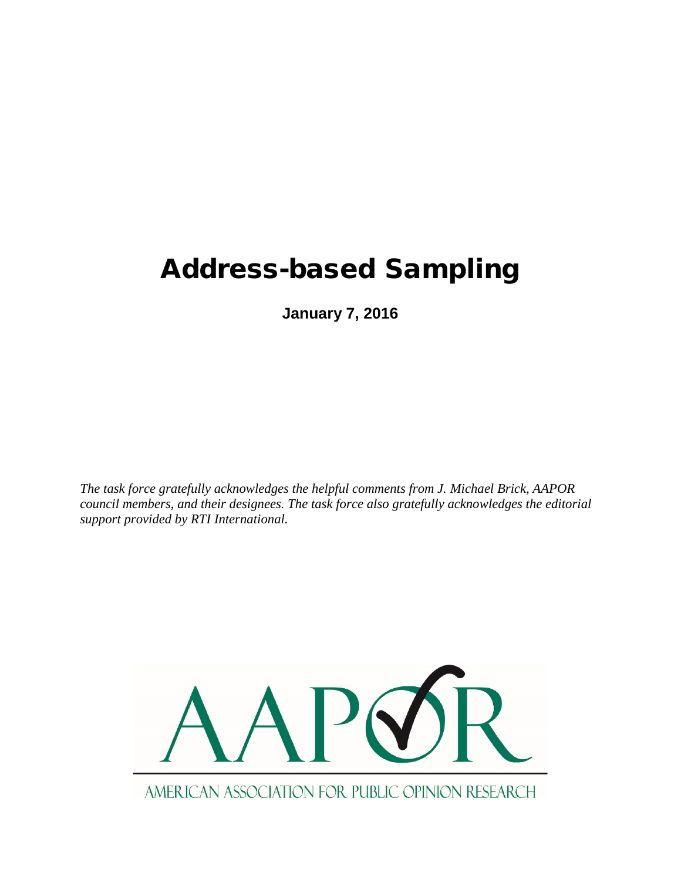# Address-based Sampling

**January 7, 2016**

*The task force gratefully acknowledges the helpful comments from J. Michael Brick, AAPOR council members, and their designees. The task force also gratefully acknowledges the editorial support provided by RTI International.*

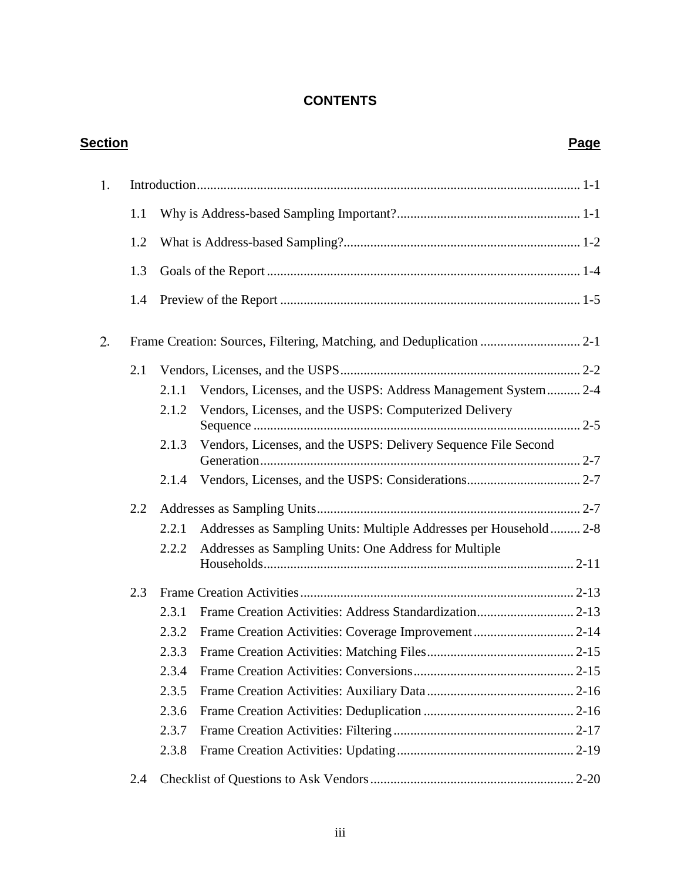## **CONTENTS**

| <b>Section</b> | Page |       |                                                                   |  |  |
|----------------|------|-------|-------------------------------------------------------------------|--|--|
| 1.             |      |       |                                                                   |  |  |
|                | 1.1  |       |                                                                   |  |  |
|                | 1.2  |       |                                                                   |  |  |
|                | 1.3  |       |                                                                   |  |  |
|                | 1.4  |       |                                                                   |  |  |
| 2.             |      |       |                                                                   |  |  |
|                | 2.1  |       |                                                                   |  |  |
|                |      | 2.1.1 | Vendors, Licenses, and the USPS: Address Management System 2-4    |  |  |
|                |      | 2.1.2 | Vendors, Licenses, and the USPS: Computerized Delivery            |  |  |
|                |      | 2.1.3 | Vendors, Licenses, and the USPS: Delivery Sequence File Second    |  |  |
|                |      | 2.1.4 |                                                                   |  |  |
|                | 2.2  |       |                                                                   |  |  |
|                |      | 2.2.1 | Addresses as Sampling Units: Multiple Addresses per Household 2-8 |  |  |
|                |      | 2.2.2 | Addresses as Sampling Units: One Address for Multiple             |  |  |
|                | 2.3  |       |                                                                   |  |  |
|                |      | 2.3.1 |                                                                   |  |  |
|                |      |       |                                                                   |  |  |
|                |      | 2.3.3 |                                                                   |  |  |
|                |      | 2.3.4 |                                                                   |  |  |
|                |      | 2.3.5 |                                                                   |  |  |
|                |      | 2.3.6 |                                                                   |  |  |
|                |      | 2.3.7 |                                                                   |  |  |
|                |      | 2.3.8 |                                                                   |  |  |
|                | 2.4  |       |                                                                   |  |  |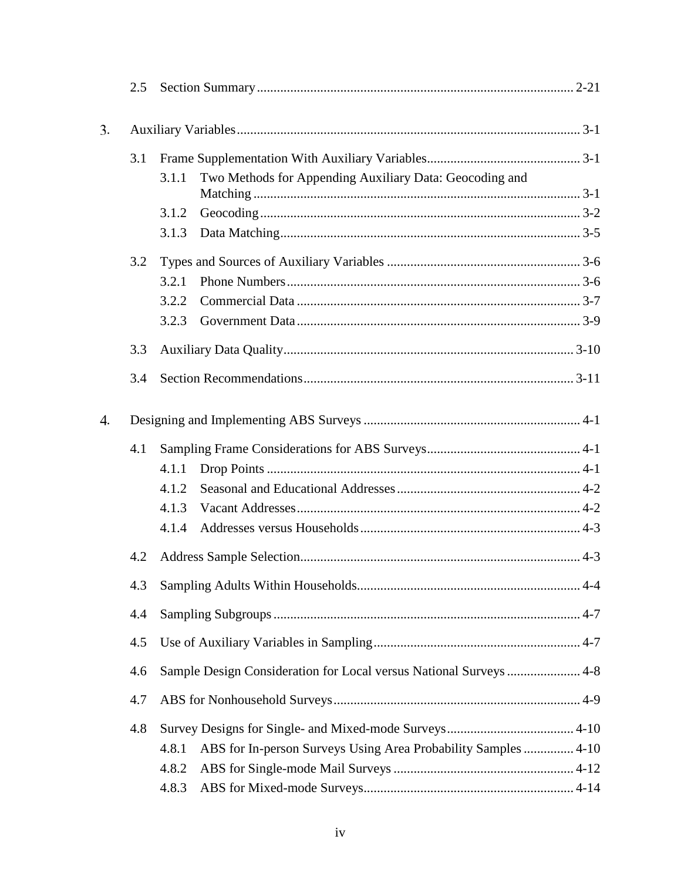|    | 2.5 |       |                                                                    |  |  |  |
|----|-----|-------|--------------------------------------------------------------------|--|--|--|
| 3. |     |       |                                                                    |  |  |  |
|    | 3.1 |       |                                                                    |  |  |  |
|    |     | 3.1.1 | Two Methods for Appending Auxiliary Data: Geocoding and            |  |  |  |
|    |     |       |                                                                    |  |  |  |
|    |     | 3.1.2 |                                                                    |  |  |  |
|    |     | 3.1.3 |                                                                    |  |  |  |
|    | 3.2 |       |                                                                    |  |  |  |
|    |     | 3.2.1 |                                                                    |  |  |  |
|    |     | 3.2.2 |                                                                    |  |  |  |
|    |     | 3.2.3 |                                                                    |  |  |  |
|    | 3.3 |       |                                                                    |  |  |  |
|    | 3.4 |       |                                                                    |  |  |  |
| 4. |     |       |                                                                    |  |  |  |
|    | 4.1 |       |                                                                    |  |  |  |
|    |     | 4.1.1 |                                                                    |  |  |  |
|    |     | 4.1.2 |                                                                    |  |  |  |
|    |     | 4.1.3 |                                                                    |  |  |  |
|    |     | 4.1.4 |                                                                    |  |  |  |
|    | 4.2 |       |                                                                    |  |  |  |
|    | 4.3 |       |                                                                    |  |  |  |
|    | 4.4 |       |                                                                    |  |  |  |
|    | 4.5 |       |                                                                    |  |  |  |
|    | 4.6 |       | Sample Design Consideration for Local versus National Surveys  4-8 |  |  |  |
|    | 4.7 |       |                                                                    |  |  |  |
|    | 4.8 |       |                                                                    |  |  |  |
|    |     | 4.8.1 | ABS for In-person Surveys Using Area Probability Samples  4-10     |  |  |  |
|    |     | 4.8.2 |                                                                    |  |  |  |
|    |     | 4.8.3 |                                                                    |  |  |  |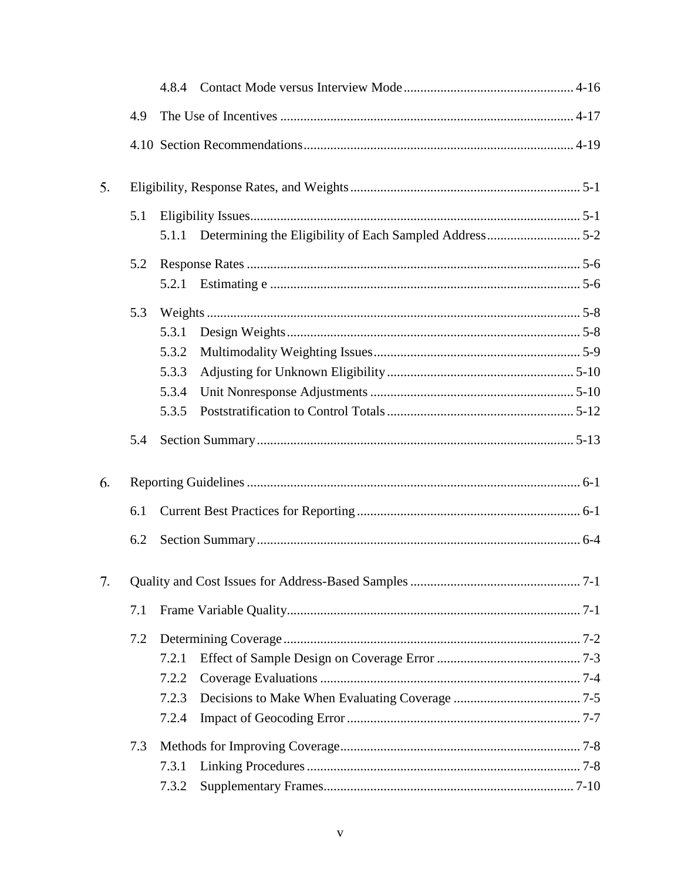|    |     | 4.8.4 |  |  |  |
|----|-----|-------|--|--|--|
|    | 4.9 |       |  |  |  |
|    |     |       |  |  |  |
| 5. |     |       |  |  |  |
|    | 5.1 |       |  |  |  |
|    |     | 5.1.1 |  |  |  |
|    | 5.2 |       |  |  |  |
|    |     | 5.2.1 |  |  |  |
|    | 5.3 |       |  |  |  |
|    |     | 5.3.1 |  |  |  |
|    |     | 5.3.2 |  |  |  |
|    |     | 5.3.3 |  |  |  |
|    |     | 5.3.4 |  |  |  |
|    |     | 5.3.5 |  |  |  |
|    | 5.4 |       |  |  |  |
| 6. |     |       |  |  |  |
|    | 6.1 |       |  |  |  |
|    | 6.2 |       |  |  |  |
| 7. |     |       |  |  |  |
|    | 7.1 |       |  |  |  |
|    | 7.2 |       |  |  |  |
|    |     | 7.2.1 |  |  |  |
|    |     | 7.2.2 |  |  |  |
|    |     | 7.2.3 |  |  |  |
|    |     | 7.2.4 |  |  |  |
|    | 7.3 |       |  |  |  |
|    |     | 7.3.1 |  |  |  |
|    |     | 7.3.2 |  |  |  |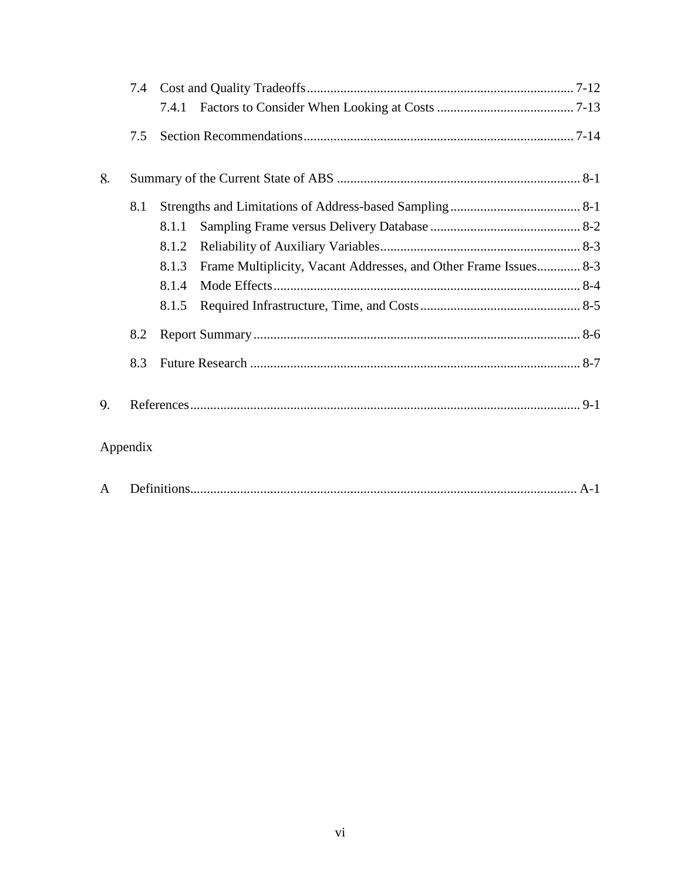|    | 7.4      |       |                                                                  |  |  |  |
|----|----------|-------|------------------------------------------------------------------|--|--|--|
|    |          | 7.4.1 |                                                                  |  |  |  |
|    | 7.5      |       |                                                                  |  |  |  |
| 8. |          |       |                                                                  |  |  |  |
|    | 8.1      |       |                                                                  |  |  |  |
|    |          | 8.1.1 |                                                                  |  |  |  |
|    |          | 8.1.2 |                                                                  |  |  |  |
|    |          | 8.1.3 | Frame Multiplicity, Vacant Addresses, and Other Frame Issues 8-3 |  |  |  |
|    |          | 8.1.4 |                                                                  |  |  |  |
|    |          | 8.1.5 |                                                                  |  |  |  |
|    | 8.2      |       |                                                                  |  |  |  |
|    | 8.3      |       |                                                                  |  |  |  |
| 9. |          |       |                                                                  |  |  |  |
|    | Appendix |       |                                                                  |  |  |  |

#### $\mathbf{A}$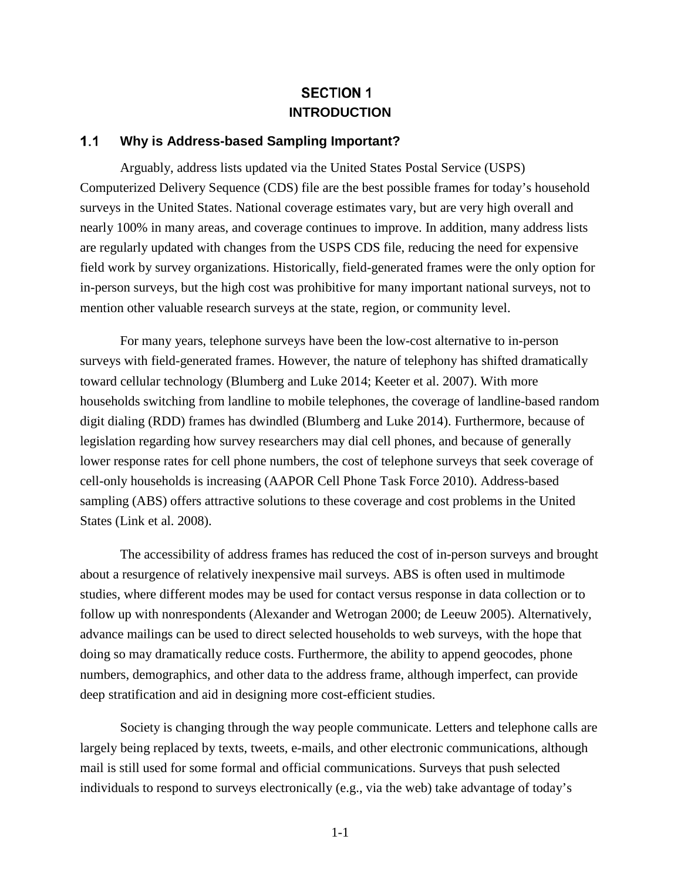### **SECTION 1 INTRODUCTION**

#### $1.1$ **Why is Address-based Sampling Important?**

Arguably, address lists updated via the United States Postal Service (USPS) Computerized Delivery Sequence (CDS) file are the best possible frames for today's household surveys in the United States. National coverage estimates vary, but are very high overall and nearly 100% in many areas, and coverage continues to improve. In addition, many address lists are regularly updated with changes from the USPS CDS file, reducing the need for expensive field work by survey organizations. Historically, field-generated frames were the only option for in-person surveys, but the high cost was prohibitive for many important national surveys, not to mention other valuable research surveys at the state, region, or community level.

For many years, telephone surveys have been the low-cost alternative to in-person surveys with field-generated frames. However, the nature of telephony has shifted dramatically toward cellular technology (Blumberg and Luke 2014; Keeter et al. 2007). With more households switching from landline to mobile telephones, the coverage of landline-based random digit dialing (RDD) frames has dwindled (Blumberg and Luke 2014). Furthermore, because of legislation regarding how survey researchers may dial cell phones, and because of generally lower response rates for cell phone numbers, the cost of telephone surveys that seek coverage of cell-only households is increasing (AAPOR Cell Phone Task Force 2010). Address-based sampling (ABS) offers attractive solutions to these coverage and cost problems in the United States (Link et al. 2008).

The accessibility of address frames has reduced the cost of in-person surveys and brought about a resurgence of relatively inexpensive mail surveys. ABS is often used in multimode studies, where different modes may be used for contact versus response in data collection or to follow up with nonrespondents (Alexander and Wetrogan 2000; de Leeuw 2005). Alternatively, advance mailings can be used to direct selected households to web surveys, with the hope that doing so may dramatically reduce costs. Furthermore, the ability to append geocodes, phone numbers, demographics, and other data to the address frame, although imperfect, can provide deep stratification and aid in designing more cost-efficient studies.

Society is changing through the way people communicate. Letters and telephone calls are largely being replaced by texts, tweets, e-mails, and other electronic communications, although mail is still used for some formal and official communications. Surveys that push selected individuals to respond to surveys electronically (e.g., via the web) take advantage of today's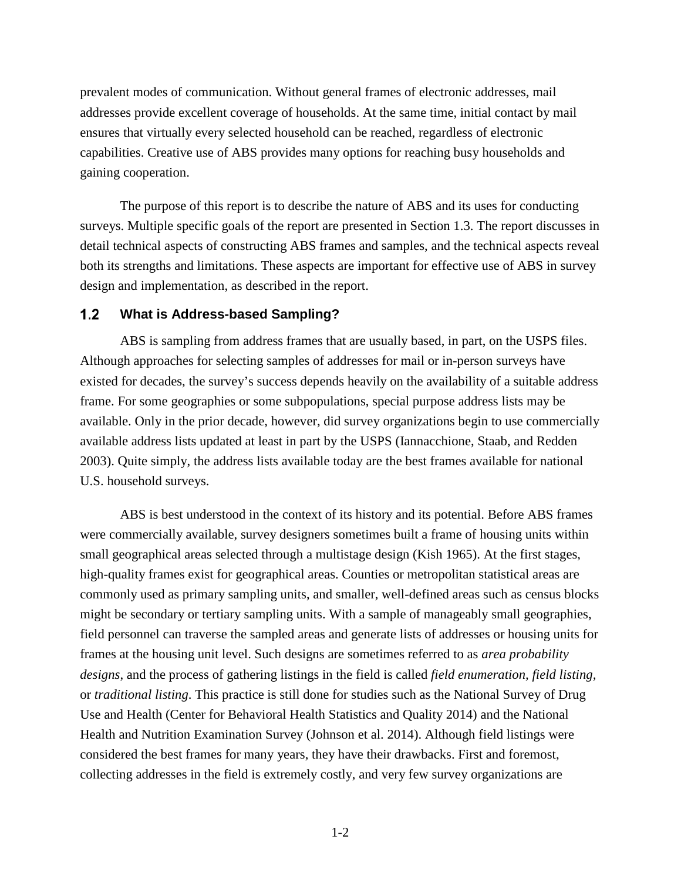prevalent modes of communication. Without general frames of electronic addresses, mail addresses provide excellent coverage of households. At the same time, initial contact by mail ensures that virtually every selected household can be reached, regardless of electronic capabilities. Creative use of ABS provides many options for reaching busy households and gaining cooperation.

The purpose of this report is to describe the nature of ABS and its uses for conducting surveys. Multiple specific goals of the report are presented in Section 1.3. The report discusses in detail technical aspects of constructing ABS frames and samples, and the technical aspects reveal both its strengths and limitations. These aspects are important for effective use of ABS in survey design and implementation, as described in the report.

#### $1.2$ **What is Address-based Sampling?**

ABS is sampling from address frames that are usually based, in part, on the USPS files. Although approaches for selecting samples of addresses for mail or in-person surveys have existed for decades, the survey's success depends heavily on the availability of a suitable address frame. For some geographies or some subpopulations, special purpose address lists may be available. Only in the prior decade, however, did survey organizations begin to use commercially available address lists updated at least in part by the USPS (Iannacchione, Staab, and Redden 2003). Quite simply, the address lists available today are the best frames available for national U.S. household surveys.

ABS is best understood in the context of its history and its potential. Before ABS frames were commercially available, survey designers sometimes built a frame of housing units within small geographical areas selected through a multistage design (Kish 1965). At the first stages, high-quality frames exist for geographical areas. Counties or metropolitan statistical areas are commonly used as primary sampling units, and smaller, well-defined areas such as census blocks might be secondary or tertiary sampling units. With a sample of manageably small geographies, field personnel can traverse the sampled areas and generate lists of addresses or housing units for frames at the housing unit level. Such designs are sometimes referred to as *area probability designs*, and the process of gathering listings in the field is called *field enumeration, field listing,*  or *traditional listing*. This practice is still done for studies such as the National Survey of Drug Use and Health (Center for Behavioral Health Statistics and Quality 2014) and the National Health and Nutrition Examination Survey (Johnson et al. 2014). Although field listings were considered the best frames for many years, they have their drawbacks. First and foremost, collecting addresses in the field is extremely costly, and very few survey organizations are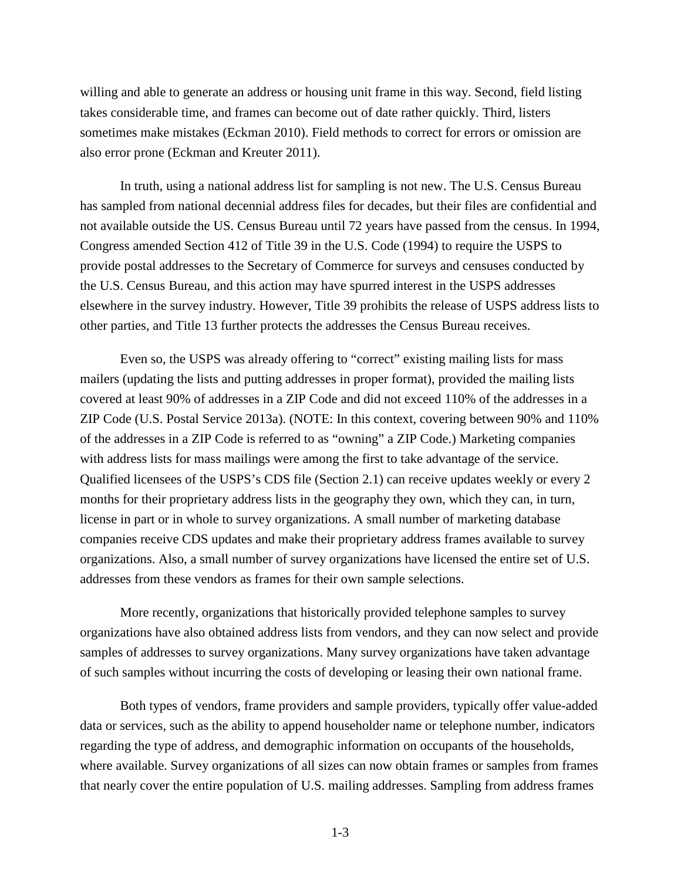willing and able to generate an address or housing unit frame in this way. Second, field listing takes considerable time, and frames can become out of date rather quickly. Third, listers sometimes make mistakes (Eckman 2010). Field methods to correct for errors or omission are also error prone (Eckman and Kreuter 2011).

In truth, using a national address list for sampling is not new. The U.S. Census Bureau has sampled from national decennial address files for decades, but their files are confidential and not available outside the US. Census Bureau until 72 years have passed from the census. In 1994, Congress amended Section 412 of Title 39 in the U.S. Code (1994) to require the USPS to provide postal addresses to the Secretary of Commerce for surveys and censuses conducted by the U.S. Census Bureau, and this action may have spurred interest in the USPS addresses elsewhere in the survey industry. However, Title 39 prohibits the release of USPS address lists to other parties, and Title 13 further protects the addresses the Census Bureau receives.

Even so, the USPS was already offering to "correct" existing mailing lists for mass mailers (updating the lists and putting addresses in proper format), provided the mailing lists covered at least 90% of addresses in a ZIP Code and did not exceed 110% of the addresses in a ZIP Code (U.S. Postal Service 2013a). (NOTE: In this context, covering between 90% and 110% of the addresses in a ZIP Code is referred to as "owning" a ZIP Code.) Marketing companies with address lists for mass mailings were among the first to take advantage of the service. Qualified licensees of the USPS's CDS file (Section 2.1) can receive updates weekly or every 2 months for their proprietary address lists in the geography they own, which they can, in turn, license in part or in whole to survey organizations. A small number of marketing database companies receive CDS updates and make their proprietary address frames available to survey organizations. Also, a small number of survey organizations have licensed the entire set of U.S. addresses from these vendors as frames for their own sample selections.

More recently, organizations that historically provided telephone samples to survey organizations have also obtained address lists from vendors, and they can now select and provide samples of addresses to survey organizations. Many survey organizations have taken advantage of such samples without incurring the costs of developing or leasing their own national frame.

Both types of vendors, frame providers and sample providers, typically offer value-added data or services, such as the ability to append householder name or telephone number, indicators regarding the type of address, and demographic information on occupants of the households, where available. Survey organizations of all sizes can now obtain frames or samples from frames that nearly cover the entire population of U.S. mailing addresses. Sampling from address frames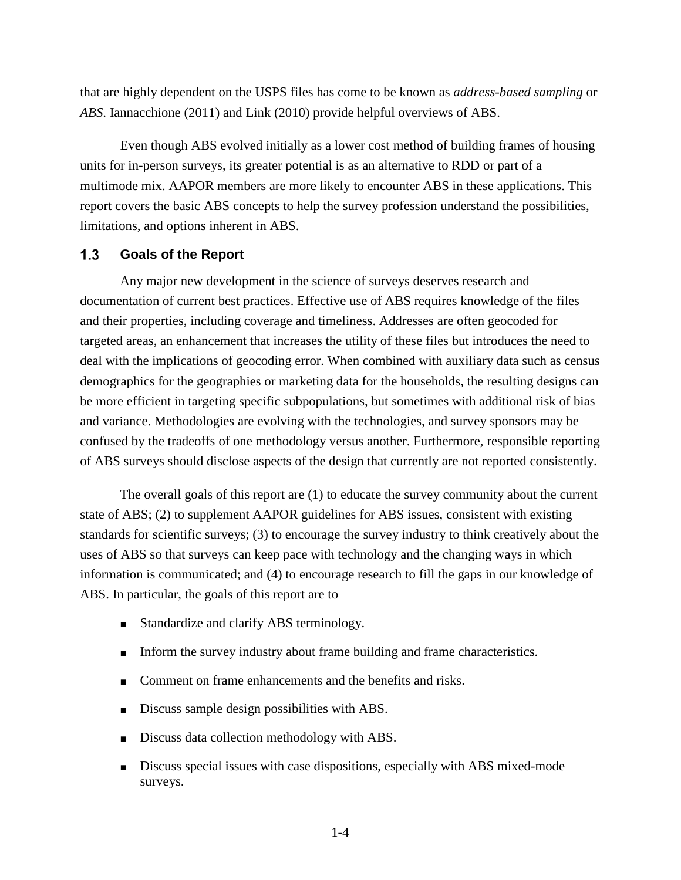that are highly dependent on the USPS files has come to be known as *address-based sampling* or *ABS*. Iannacchione (2011) and Link (2010) provide helpful overviews of ABS.

Even though ABS evolved initially as a lower cost method of building frames of housing units for in-person surveys, its greater potential is as an alternative to RDD or part of a multimode mix. AAPOR members are more likely to encounter ABS in these applications. This report covers the basic ABS concepts to help the survey profession understand the possibilities, limitations, and options inherent in ABS.

#### $1.3$ **Goals of the Report**

Any major new development in the science of surveys deserves research and documentation of current best practices. Effective use of ABS requires knowledge of the files and their properties, including coverage and timeliness. Addresses are often geocoded for targeted areas, an enhancement that increases the utility of these files but introduces the need to deal with the implications of geocoding error. When combined with auxiliary data such as census demographics for the geographies or marketing data for the households, the resulting designs can be more efficient in targeting specific subpopulations, but sometimes with additional risk of bias and variance. Methodologies are evolving with the technologies, and survey sponsors may be confused by the tradeoffs of one methodology versus another. Furthermore, responsible reporting of ABS surveys should disclose aspects of the design that currently are not reported consistently.

The overall goals of this report are (1) to educate the survey community about the current state of ABS; (2) to supplement AAPOR guidelines for ABS issues, consistent with existing standards for scientific surveys; (3) to encourage the survey industry to think creatively about the uses of ABS so that surveys can keep pace with technology and the changing ways in which information is communicated; and (4) to encourage research to fill the gaps in our knowledge of ABS. In particular, the goals of this report are to

- Standardize and clarify ABS terminology.
- Inform the survey industry about frame building and frame characteristics.
- Comment on frame enhancements and the benefits and risks.
- Discuss sample design possibilities with ABS.
- Discuss data collection methodology with ABS.
- Discuss special issues with case dispositions, especially with ABS mixed-mode surveys.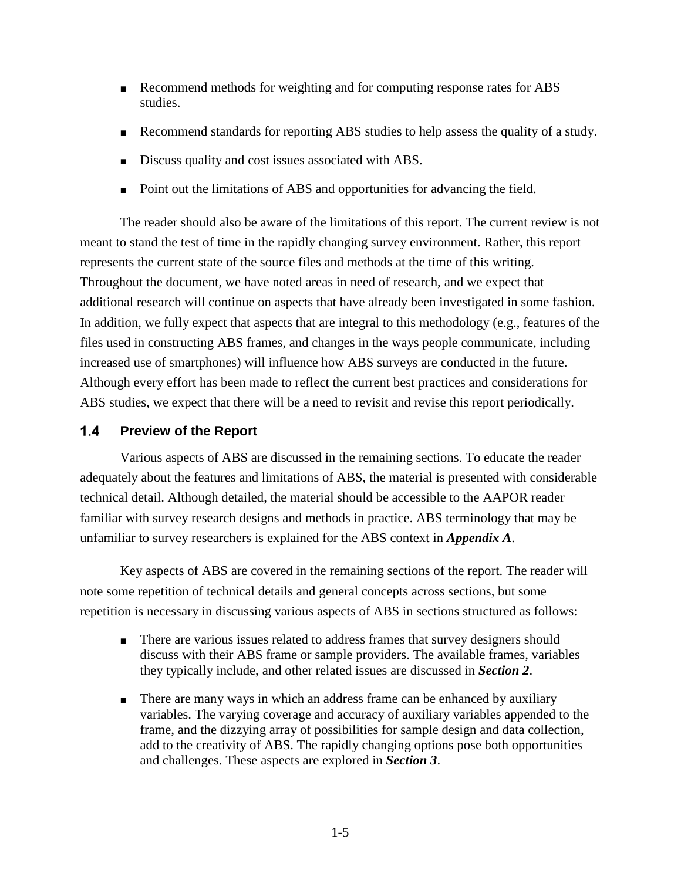- Recommend methods for weighting and for computing response rates for ABS studies.
- Recommend standards for reporting ABS studies to help assess the quality of a study.
- Discuss quality and cost issues associated with ABS.
- Point out the limitations of ABS and opportunities for advancing the field.

The reader should also be aware of the limitations of this report. The current review is not meant to stand the test of time in the rapidly changing survey environment. Rather, this report represents the current state of the source files and methods at the time of this writing. Throughout the document, we have noted areas in need of research, and we expect that additional research will continue on aspects that have already been investigated in some fashion. In addition, we fully expect that aspects that are integral to this methodology (e.g., features of the files used in constructing ABS frames, and changes in the ways people communicate, including increased use of smartphones) will influence how ABS surveys are conducted in the future. Although every effort has been made to reflect the current best practices and considerations for ABS studies, we expect that there will be a need to revisit and revise this report periodically.

#### $1.4$ **Preview of the Report**

Various aspects of ABS are discussed in the remaining sections. To educate the reader adequately about the features and limitations of ABS, the material is presented with considerable technical detail. Although detailed, the material should be accessible to the AAPOR reader familiar with survey research designs and methods in practice. ABS terminology that may be unfamiliar to survey researchers is explained for the ABS context in *Appendix A*.

Key aspects of ABS are covered in the remaining sections of the report. The reader will note some repetition of technical details and general concepts across sections, but some repetition is necessary in discussing various aspects of ABS in sections structured as follows:

- There are various issues related to address frames that survey designers should discuss with their ABS frame or sample providers. The available frames, variables they typically include, and other related issues are discussed in *Section 2*.
- There are many ways in which an address frame can be enhanced by auxiliary variables. The varying coverage and accuracy of auxiliary variables appended to the frame, and the dizzying array of possibilities for sample design and data collection, add to the creativity of ABS. The rapidly changing options pose both opportunities and challenges. These aspects are explored in *Section 3*.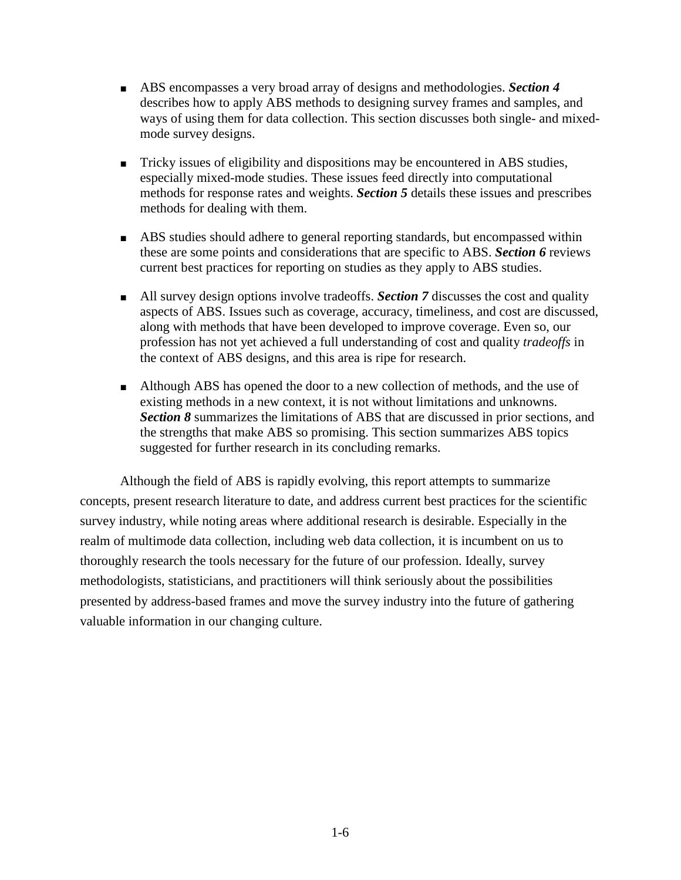- ABS encompasses a very broad array of designs and methodologies. *Section 4* describes how to apply ABS methods to designing survey frames and samples, and ways of using them for data collection. This section discusses both single- and mixedmode survey designs.
- Tricky issues of eligibility and dispositions may be encountered in ABS studies, especially mixed-mode studies. These issues feed directly into computational methods for response rates and weights. *Section 5* details these issues and prescribes methods for dealing with them.
- ABS studies should adhere to general reporting standards, but encompassed within these are some points and considerations that are specific to ABS. *Section 6* reviews current best practices for reporting on studies as they apply to ABS studies.
- All survey design options involve tradeoffs. *Section* 7 discusses the cost and quality aspects of ABS. Issues such as coverage, accuracy, timeliness, and cost are discussed, along with methods that have been developed to improve coverage. Even so, our profession has not yet achieved a full understanding of cost and quality *tradeoffs* in the context of ABS designs, and this area is ripe for research.
- Although ABS has opened the door to a new collection of methods, and the use of existing methods in a new context, it is not without limitations and unknowns. *Section 8* summarizes the limitations of ABS that are discussed in prior sections, and the strengths that make ABS so promising. This section summarizes ABS topics suggested for further research in its concluding remarks.

Although the field of ABS is rapidly evolving, this report attempts to summarize concepts, present research literature to date, and address current best practices for the scientific survey industry, while noting areas where additional research is desirable. Especially in the realm of multimode data collection, including web data collection, it is incumbent on us to thoroughly research the tools necessary for the future of our profession. Ideally, survey methodologists, statisticians, and practitioners will think seriously about the possibilities presented by address-based frames and move the survey industry into the future of gathering valuable information in our changing culture.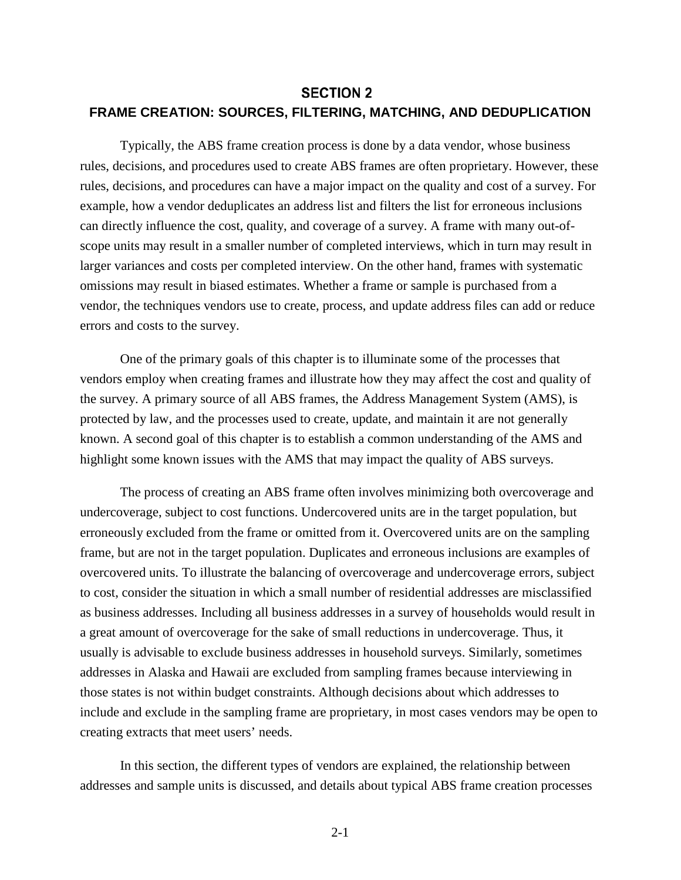### **SECTION 2 FRAME CREATION: SOURCES, FILTERING, MATCHING, AND DEDUPLICATION**

Typically, the ABS frame creation process is done by a data vendor, whose business rules, decisions, and procedures used to create ABS frames are often proprietary. However, these rules, decisions, and procedures can have a major impact on the quality and cost of a survey. For example, how a vendor deduplicates an address list and filters the list for erroneous inclusions can directly influence the cost, quality, and coverage of a survey. A frame with many out-ofscope units may result in a smaller number of completed interviews, which in turn may result in larger variances and costs per completed interview. On the other hand, frames with systematic omissions may result in biased estimates. Whether a frame or sample is purchased from a vendor, the techniques vendors use to create, process, and update address files can add or reduce errors and costs to the survey.

One of the primary goals of this chapter is to illuminate some of the processes that vendors employ when creating frames and illustrate how they may affect the cost and quality of the survey. A primary source of all ABS frames, the Address Management System (AMS), is protected by law, and the processes used to create, update, and maintain it are not generally known. A second goal of this chapter is to establish a common understanding of the AMS and highlight some known issues with the AMS that may impact the quality of ABS surveys.

The process of creating an ABS frame often involves minimizing both overcoverage and undercoverage, subject to cost functions. Undercovered units are in the target population, but erroneously excluded from the frame or omitted from it. Overcovered units are on the sampling frame, but are not in the target population. Duplicates and erroneous inclusions are examples of overcovered units. To illustrate the balancing of overcoverage and undercoverage errors, subject to cost, consider the situation in which a small number of residential addresses are misclassified as business addresses. Including all business addresses in a survey of households would result in a great amount of overcoverage for the sake of small reductions in undercoverage. Thus, it usually is advisable to exclude business addresses in household surveys. Similarly, sometimes addresses in Alaska and Hawaii are excluded from sampling frames because interviewing in those states is not within budget constraints. Although decisions about which addresses to include and exclude in the sampling frame are proprietary, in most cases vendors may be open to creating extracts that meet users' needs.

In this section, the different types of vendors are explained, the relationship between addresses and sample units is discussed, and details about typical ABS frame creation processes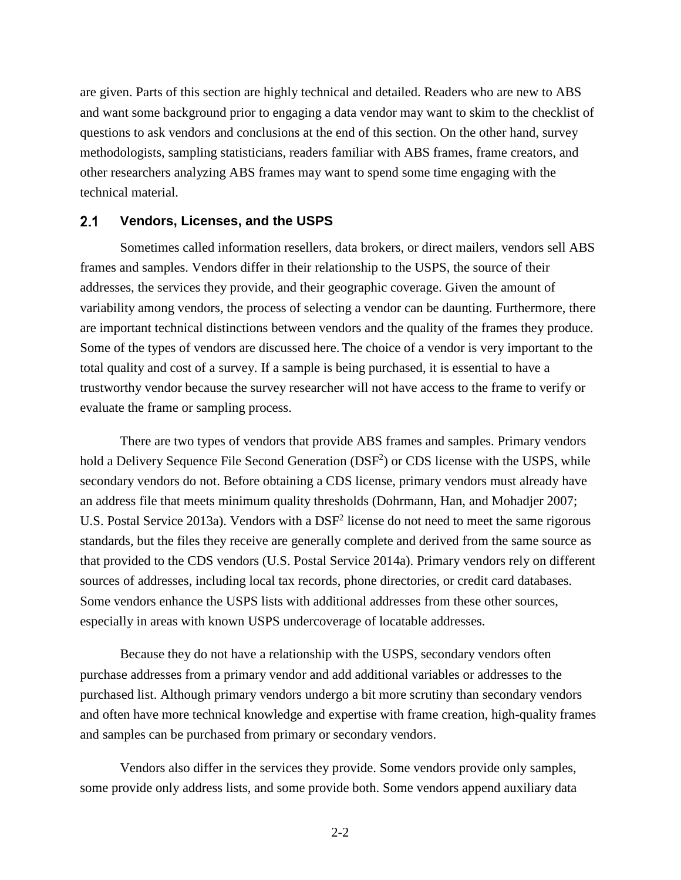are given. Parts of this section are highly technical and detailed. Readers who are new to ABS and want some background prior to engaging a data vendor may want to skim to the checklist of questions to ask vendors and conclusions at the end of this section. On the other hand, survey methodologists, sampling statisticians, readers familiar with ABS frames, frame creators, and other researchers analyzing ABS frames may want to spend some time engaging with the technical material.

#### $2.1$ **Vendors, Licenses, and the USPS**

Sometimes called information resellers, data brokers, or direct mailers, vendors sell ABS frames and samples. Vendors differ in their relationship to the USPS, the source of their addresses, the services they provide, and their geographic coverage. Given the amount of variability among vendors, the process of selecting a vendor can be daunting. Furthermore, there are important technical distinctions between vendors and the quality of the frames they produce. Some of the types of vendors are discussed here. The choice of a vendor is very important to the total quality and cost of a survey. If a sample is being purchased, it is essential to have a trustworthy vendor because the survey researcher will not have access to the frame to verify or evaluate the frame or sampling process.

There are two types of vendors that provide ABS frames and samples. Primary vendors hold a Delivery Sequence File Second Generation (DSF<sup>2</sup>) or CDS license with the USPS, while secondary vendors do not. Before obtaining a CDS license, primary vendors must already have an address file that meets minimum quality thresholds (Dohrmann, Han, and Mohadjer 2007; U.S. Postal Service 2013a). Vendors with a DSF<sup>2</sup> license do not need to meet the same rigorous standards, but the files they receive are generally complete and derived from the same source as that provided to the CDS vendors (U.S. Postal Service 2014a). Primary vendors rely on different sources of addresses, including local tax records, phone directories, or credit card databases. Some vendors enhance the USPS lists with additional addresses from these other sources, especially in areas with known USPS undercoverage of locatable addresses.

Because they do not have a relationship with the USPS, secondary vendors often purchase addresses from a primary vendor and add additional variables or addresses to the purchased list. Although primary vendors undergo a bit more scrutiny than secondary vendors and often have more technical knowledge and expertise with frame creation, high-quality frames and samples can be purchased from primary or secondary vendors.

Vendors also differ in the services they provide. Some vendors provide only samples, some provide only address lists, and some provide both. Some vendors append auxiliary data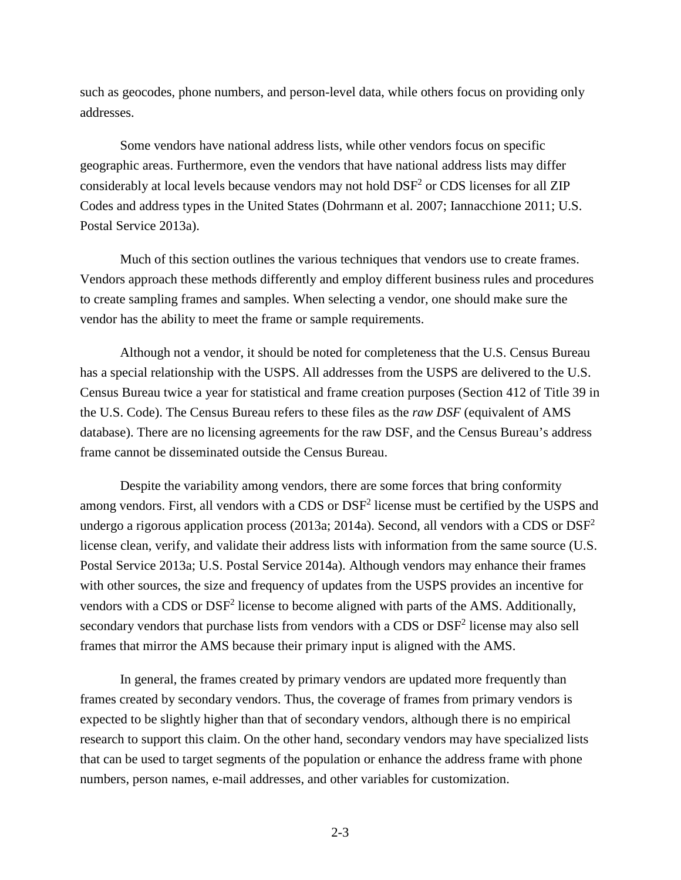such as geocodes, phone numbers, and person-level data, while others focus on providing only addresses.

Some vendors have national address lists, while other vendors focus on specific geographic areas. Furthermore, even the vendors that have national address lists may differ considerably at local levels because vendors may not hold DSF<sup>2</sup> or CDS licenses for all ZIP Codes and address types in the United States (Dohrmann et al. 2007; Iannacchione 2011; U.S. Postal Service 2013a).

Much of this section outlines the various techniques that vendors use to create frames. Vendors approach these methods differently and employ different business rules and procedures to create sampling frames and samples. When selecting a vendor, one should make sure the vendor has the ability to meet the frame or sample requirements.

Although not a vendor, it should be noted for completeness that the U.S. Census Bureau has a special relationship with the USPS. All addresses from the USPS are delivered to the U.S. Census Bureau twice a year for statistical and frame creation purposes (Section 412 of Title 39 in the U.S. Code). The Census Bureau refers to these files as the *raw DSF* (equivalent of AMS database). There are no licensing agreements for the raw DSF, and the Census Bureau's address frame cannot be disseminated outside the Census Bureau.

Despite the variability among vendors, there are some forces that bring conformity among vendors. First, all vendors with a CDS or DSF<sup>2</sup> license must be certified by the USPS and undergo a rigorous application process (2013a; 2014a). Second, all vendors with a CDS or  $DSF<sup>2</sup>$ license clean, verify, and validate their address lists with information from the same source (U.S. Postal Service 2013a; U.S. Postal Service 2014a). Although vendors may enhance their frames with other sources, the size and frequency of updates from the USPS provides an incentive for vendors with a CDS or DSF2 license to become aligned with parts of the AMS. Additionally, secondary vendors that purchase lists from vendors with a CDS or DSF<sup>2</sup> license may also sell frames that mirror the AMS because their primary input is aligned with the AMS.

In general, the frames created by primary vendors are updated more frequently than frames created by secondary vendors. Thus, the coverage of frames from primary vendors is expected to be slightly higher than that of secondary vendors, although there is no empirical research to support this claim. On the other hand, secondary vendors may have specialized lists that can be used to target segments of the population or enhance the address frame with phone numbers, person names, e-mail addresses, and other variables for customization.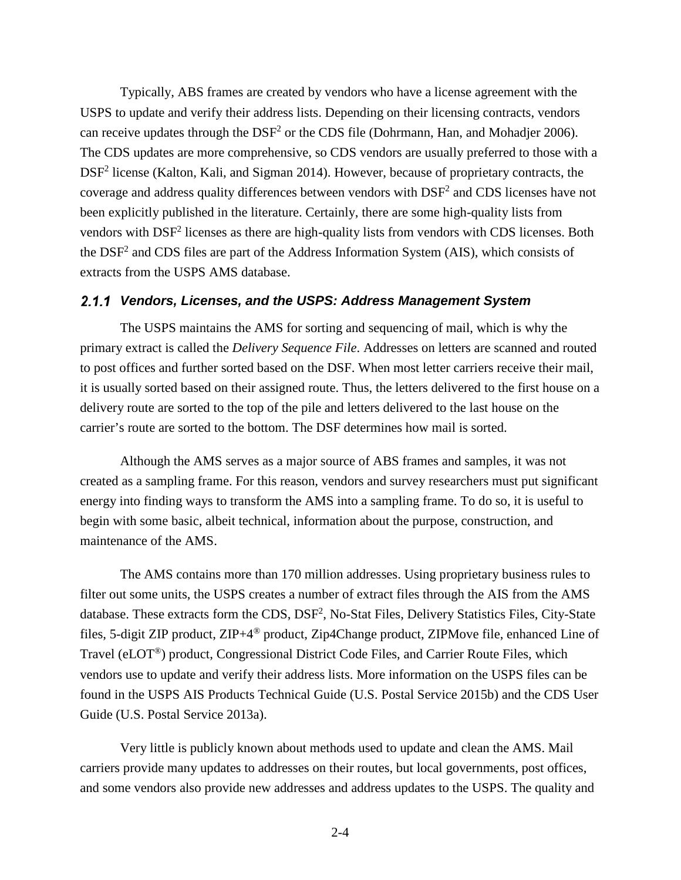Typically, ABS frames are created by vendors who have a license agreement with the USPS to update and verify their address lists. Depending on their licensing contracts, vendors can receive updates through the  $DSF<sup>2</sup>$  or the CDS file (Dohrmann, Han, and Mohadjer 2006). The CDS updates are more comprehensive, so CDS vendors are usually preferred to those with a DSF<sup>2</sup> license (Kalton, Kali, and Sigman 2014). However, because of proprietary contracts, the coverage and address quality differences between vendors with DSF2 and CDS licenses have not been explicitly published in the literature. Certainly, there are some high-quality lists from vendors with DSF<sup>2</sup> licenses as there are high-quality lists from vendors with CDS licenses. Both the DSF2 and CDS files are part of the Address Information System (AIS), which consists of extracts from the USPS AMS database.

#### *Vendors, Licenses, and the USPS: Address Management System*

The USPS maintains the AMS for sorting and sequencing of mail, which is why the primary extract is called the *Delivery Sequence File*. Addresses on letters are scanned and routed to post offices and further sorted based on the DSF. When most letter carriers receive their mail, it is usually sorted based on their assigned route. Thus, the letters delivered to the first house on a delivery route are sorted to the top of the pile and letters delivered to the last house on the carrier's route are sorted to the bottom. The DSF determines how mail is sorted.

Although the AMS serves as a major source of ABS frames and samples, it was not created as a sampling frame. For this reason, vendors and survey researchers must put significant energy into finding ways to transform the AMS into a sampling frame. To do so, it is useful to begin with some basic, albeit technical, information about the purpose, construction, and maintenance of the AMS.

The AMS contains more than 170 million addresses. Using proprietary business rules to filter out some units, the USPS creates a number of extract files through the AIS from the AMS database. These extracts form the CDS, DSF<sup>2</sup>, No-Stat Files, Delivery Statistics Files, City-State files, 5-digit ZIP product, ZIP+4® product, Zip4Change product, ZIPMove file, enhanced Line of Travel (eLOT®) product, Congressional District Code Files, and Carrier Route Files, which vendors use to update and verify their address lists. More information on the USPS files can be found in the USPS AIS Products Technical Guide (U.S. Postal Service 2015b) and the CDS User Guide (U.S. Postal Service 2013a).

Very little is publicly known about methods used to update and clean the AMS. Mail carriers provide many updates to addresses on their routes, but local governments, post offices, and some vendors also provide new addresses and address updates to the USPS. The quality and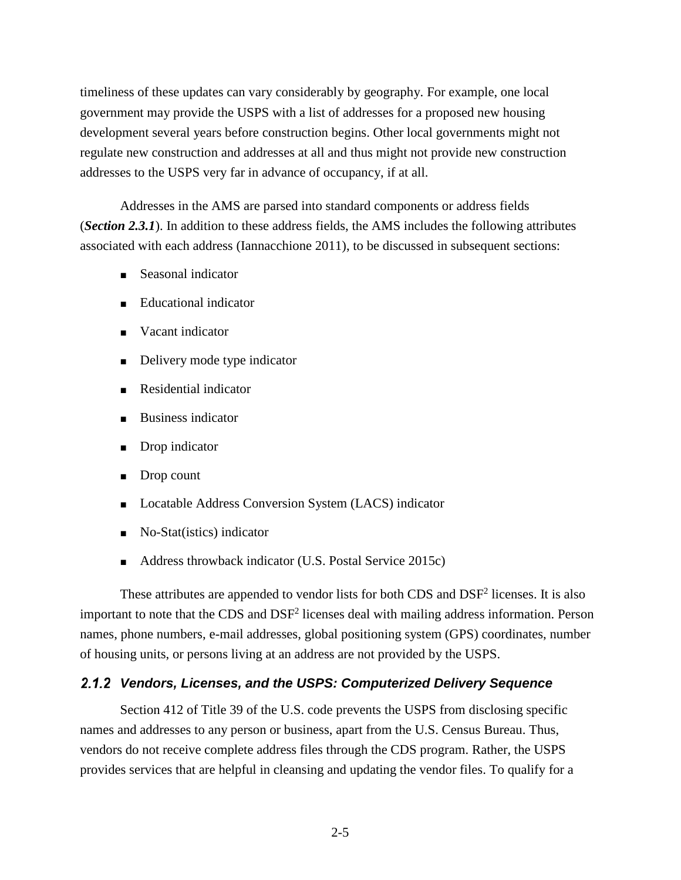timeliness of these updates can vary considerably by geography. For example, one local government may provide the USPS with a list of addresses for a proposed new housing development several years before construction begins. Other local governments might not regulate new construction and addresses at all and thus might not provide new construction addresses to the USPS very far in advance of occupancy, if at all.

Addresses in the AMS are parsed into standard components or address fields (*Section 2.3.1*). In addition to these address fields, the AMS includes the following attributes associated with each address (Iannacchione 2011), to be discussed in subsequent sections:

- Seasonal indicator
- Educational indicator
- Vacant indicator
- Delivery mode type indicator
- Residential indicator
- Business indicator
- Drop indicator
- Drop count
- Locatable Address Conversion System (LACS) indicator
- No-Stat(istics) indicator
- Address throwback indicator (U.S. Postal Service 2015c)

These attributes are appended to vendor lists for both CDS and  $DSF<sup>2</sup>$  licenses. It is also important to note that the CDS and DSF<sup>2</sup> licenses deal with mailing address information. Person names, phone numbers, e-mail addresses, global positioning system (GPS) coordinates, number of housing units, or persons living at an address are not provided by the USPS.

### *Vendors, Licenses, and the USPS: Computerized Delivery Sequence*

Section 412 of Title 39 of the U.S. code prevents the USPS from disclosing specific names and addresses to any person or business, apart from the U.S. Census Bureau. Thus, vendors do not receive complete address files through the CDS program. Rather, the USPS provides services that are helpful in cleansing and updating the vendor files. To qualify for a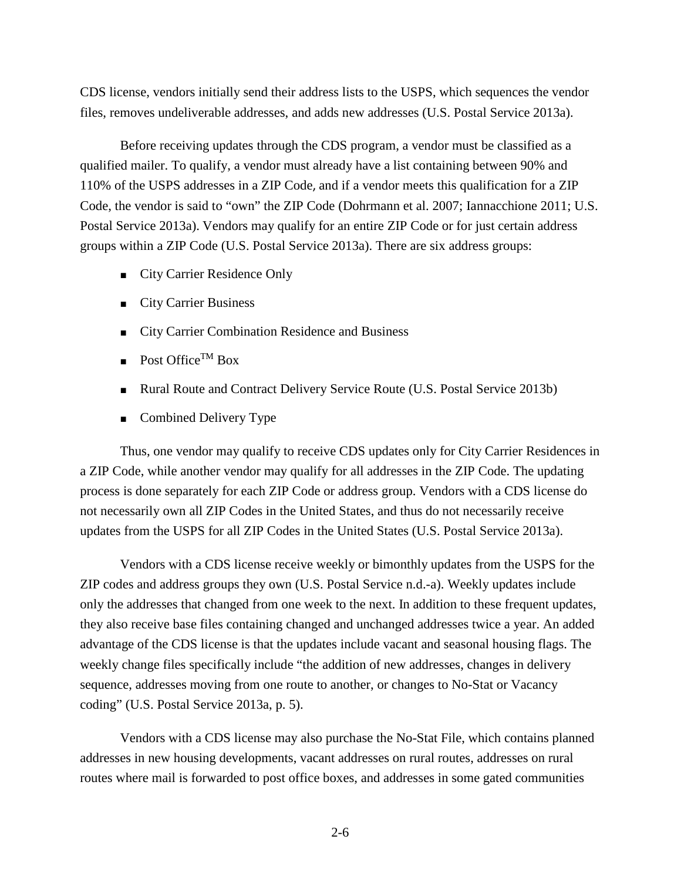CDS license, vendors initially send their address lists to the USPS, which sequences the vendor files, removes undeliverable addresses, and adds new addresses (U.S. Postal Service 2013a).

Before receiving updates through the CDS program, a vendor must be classified as a qualified mailer. To qualify, a vendor must already have a list containing between 90% and 110% of the USPS addresses in a ZIP Code, and if a vendor meets this qualification for a ZIP Code, the vendor is said to "own" the ZIP Code (Dohrmann et al. 2007; Iannacchione 2011; U.S. Postal Service 2013a). Vendors may qualify for an entire ZIP Code or for just certain address groups within a ZIP Code (U.S. Postal Service 2013a). There are six address groups:

- City Carrier Residence Only
- City Carrier Business
- City Carrier Combination Residence and Business
- $\blacksquare$  Post Office<sup>TM</sup> Box
- Rural Route and Contract Delivery Service Route (U.S. Postal Service 2013b)
- Combined Delivery Type

Thus, one vendor may qualify to receive CDS updates only for City Carrier Residences in a ZIP Code, while another vendor may qualify for all addresses in the ZIP Code. The updating process is done separately for each ZIP Code or address group. Vendors with a CDS license do not necessarily own all ZIP Codes in the United States, and thus do not necessarily receive updates from the USPS for all ZIP Codes in the United States (U.S. Postal Service 2013a).

Vendors with a CDS license receive weekly or bimonthly updates from the USPS for the ZIP codes and address groups they own (U.S. Postal Service n.d.-a). Weekly updates include only the addresses that changed from one week to the next. In addition to these frequent updates, they also receive base files containing changed and unchanged addresses twice a year. An added advantage of the CDS license is that the updates include vacant and seasonal housing flags. The weekly change files specifically include "the addition of new addresses, changes in delivery sequence, addresses moving from one route to another, or changes to No-Stat or Vacancy coding" (U.S. Postal Service 2013a, p. 5).

Vendors with a CDS license may also purchase the No-Stat File, which contains planned addresses in new housing developments, vacant addresses on rural routes, addresses on rural routes where mail is forwarded to post office boxes, and addresses in some gated communities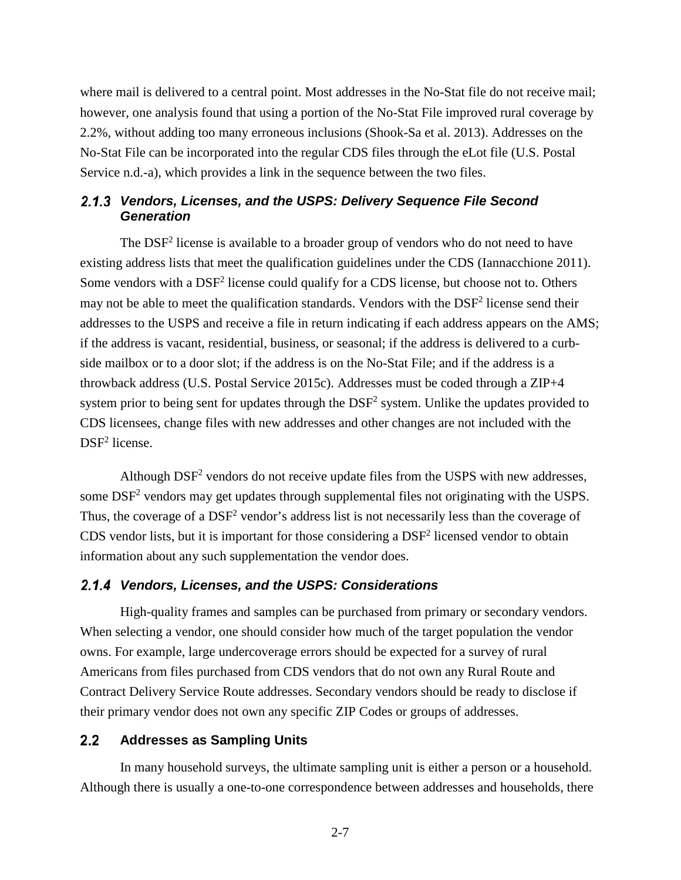where mail is delivered to a central point. Most addresses in the No-Stat file do not receive mail; however, one analysis found that using a portion of the No-Stat File improved rural coverage by 2.2%, without adding too many erroneous inclusions (Shook-Sa et al. 2013). Addresses on the No-Stat File can be incorporated into the regular CDS files through the eLot file (U.S. Postal Service n.d.-a), which provides a link in the sequence between the two files.

### *Vendors, Licenses, and the USPS: Delivery Sequence File Second Generation*

The  $DSF<sup>2</sup>$  license is available to a broader group of vendors who do not need to have existing address lists that meet the qualification guidelines under the CDS (Iannacchione 2011). Some vendors with a  $DSF<sup>2</sup>$  license could qualify for a CDS license, but choose not to. Others may not be able to meet the qualification standards. Vendors with the  $DSF<sup>2</sup>$  license send their addresses to the USPS and receive a file in return indicating if each address appears on the AMS; if the address is vacant, residential, business, or seasonal; if the address is delivered to a curbside mailbox or to a door slot; if the address is on the No-Stat File; and if the address is a throwback address (U.S. Postal Service 2015c). Addresses must be coded through a ZIP+4 system prior to being sent for updates through the  $DSF<sup>2</sup>$  system. Unlike the updates provided to CDS licensees, change files with new addresses and other changes are not included with the DSF<sup>2</sup> license.

Although  $DSF<sup>2</sup>$  vendors do not receive update files from the USPS with new addresses, some DSF<sup>2</sup> vendors may get updates through supplemental files not originating with the USPS. Thus, the coverage of a  $DSF<sup>2</sup>$  vendor's address list is not necessarily less than the coverage of CDS vendor lists, but it is important for those considering a  $DSF<sup>2</sup>$  licensed vendor to obtain information about any such supplementation the vendor does.

### *Vendors, Licenses, and the USPS: Considerations*

High-quality frames and samples can be purchased from primary or secondary vendors. When selecting a vendor, one should consider how much of the target population the vendor owns. For example, large undercoverage errors should be expected for a survey of rural Americans from files purchased from CDS vendors that do not own any Rural Route and Contract Delivery Service Route addresses. Secondary vendors should be ready to disclose if their primary vendor does not own any specific ZIP Codes or groups of addresses.

#### $2.2$ **Addresses as Sampling Units**

In many household surveys, the ultimate sampling unit is either a person or a household. Although there is usually a one-to-one correspondence between addresses and households, there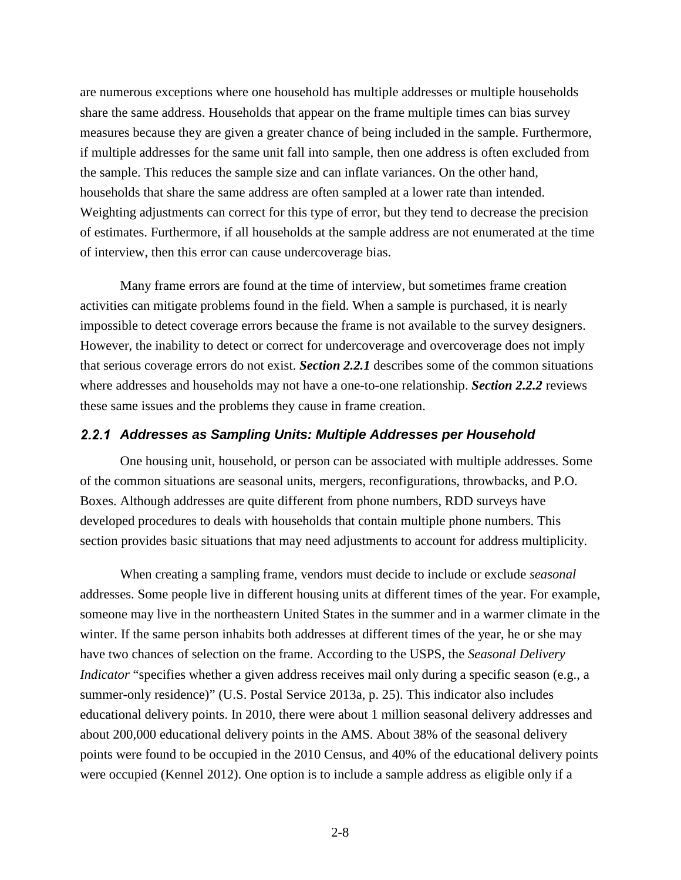are numerous exceptions where one household has multiple addresses or multiple households share the same address. Households that appear on the frame multiple times can bias survey measures because they are given a greater chance of being included in the sample. Furthermore, if multiple addresses for the same unit fall into sample, then one address is often excluded from the sample. This reduces the sample size and can inflate variances. On the other hand, households that share the same address are often sampled at a lower rate than intended. Weighting adjustments can correct for this type of error, but they tend to decrease the precision of estimates. Furthermore, if all households at the sample address are not enumerated at the time of interview, then this error can cause undercoverage bias.

Many frame errors are found at the time of interview, but sometimes frame creation activities can mitigate problems found in the field. When a sample is purchased, it is nearly impossible to detect coverage errors because the frame is not available to the survey designers. However, the inability to detect or correct for undercoverage and overcoverage does not imply that serious coverage errors do not exist. *Section 2.2.1* describes some of the common situations where addresses and households may not have a one-to-one relationship. *Section 2.2.2* reviews these same issues and the problems they cause in frame creation.

#### *Addresses as Sampling Units: Multiple Addresses per Household*

One housing unit, household, or person can be associated with multiple addresses. Some of the common situations are seasonal units, mergers, reconfigurations, throwbacks, and P.O. Boxes. Although addresses are quite different from phone numbers, RDD surveys have developed procedures to deals with households that contain multiple phone numbers. This section provides basic situations that may need adjustments to account for address multiplicity.

When creating a sampling frame, vendors must decide to include or exclude *seasonal* addresses. Some people live in different housing units at different times of the year. For example, someone may live in the northeastern United States in the summer and in a warmer climate in the winter. If the same person inhabits both addresses at different times of the year, he or she may have two chances of selection on the frame. According to the USPS, the *Seasonal Delivery Indicator* "specifies whether a given address receives mail only during a specific season (e.g., a summer-only residence)" (U.S. Postal Service 2013a, p. 25). This indicator also includes educational delivery points. In 2010, there were about 1 million seasonal delivery addresses and about 200,000 educational delivery points in the AMS. About 38% of the seasonal delivery points were found to be occupied in the 2010 Census, and 40% of the educational delivery points were occupied (Kennel 2012). One option is to include a sample address as eligible only if a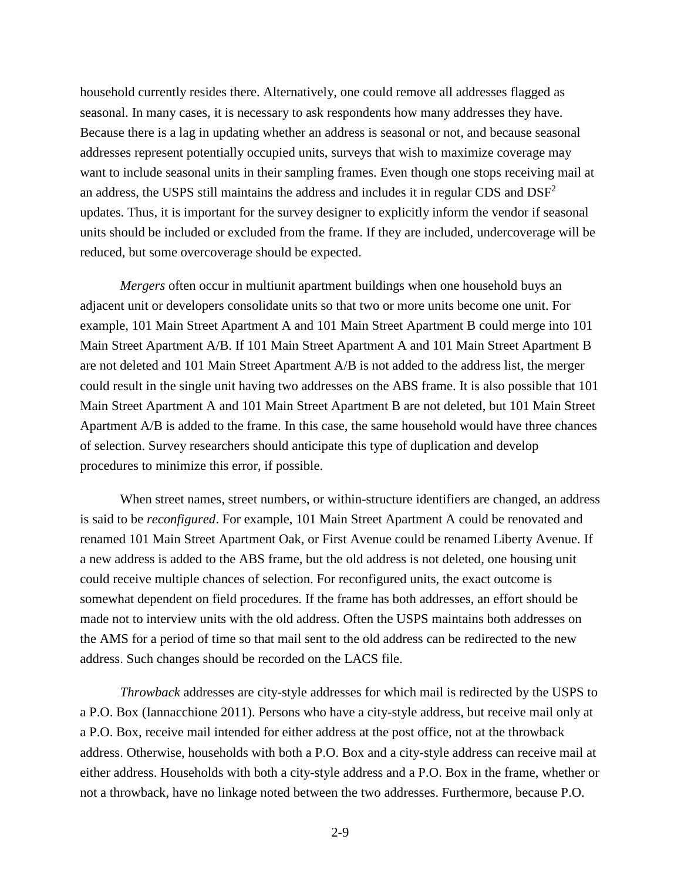household currently resides there. Alternatively, one could remove all addresses flagged as seasonal. In many cases, it is necessary to ask respondents how many addresses they have. Because there is a lag in updating whether an address is seasonal or not, and because seasonal addresses represent potentially occupied units, surveys that wish to maximize coverage may want to include seasonal units in their sampling frames. Even though one stops receiving mail at an address, the USPS still maintains the address and includes it in regular CDS and  $DSF<sup>2</sup>$ updates. Thus, it is important for the survey designer to explicitly inform the vendor if seasonal units should be included or excluded from the frame. If they are included, undercoverage will be reduced, but some overcoverage should be expected.

*Mergers* often occur in multiunit apartment buildings when one household buys an adjacent unit or developers consolidate units so that two or more units become one unit. For example, 101 Main Street Apartment A and 101 Main Street Apartment B could merge into 101 Main Street Apartment A/B. If 101 Main Street Apartment A and 101 Main Street Apartment B are not deleted and 101 Main Street Apartment A/B is not added to the address list, the merger could result in the single unit having two addresses on the ABS frame. It is also possible that 101 Main Street Apartment A and 101 Main Street Apartment B are not deleted, but 101 Main Street Apartment A/B is added to the frame. In this case, the same household would have three chances of selection. Survey researchers should anticipate this type of duplication and develop procedures to minimize this error, if possible.

When street names, street numbers, or within-structure identifiers are changed, an address is said to be *reconfigured*. For example, 101 Main Street Apartment A could be renovated and renamed 101 Main Street Apartment Oak, or First Avenue could be renamed Liberty Avenue. If a new address is added to the ABS frame, but the old address is not deleted, one housing unit could receive multiple chances of selection. For reconfigured units, the exact outcome is somewhat dependent on field procedures. If the frame has both addresses, an effort should be made not to interview units with the old address. Often the USPS maintains both addresses on the AMS for a period of time so that mail sent to the old address can be redirected to the new address. Such changes should be recorded on the LACS file.

*Throwback* addresses are city-style addresses for which mail is redirected by the USPS to a P.O. Box (Iannacchione 2011). Persons who have a city-style address, but receive mail only at a P.O. Box, receive mail intended for either address at the post office, not at the throwback address. Otherwise, households with both a P.O. Box and a city-style address can receive mail at either address. Households with both a city-style address and a P.O. Box in the frame, whether or not a throwback, have no linkage noted between the two addresses. Furthermore, because P.O.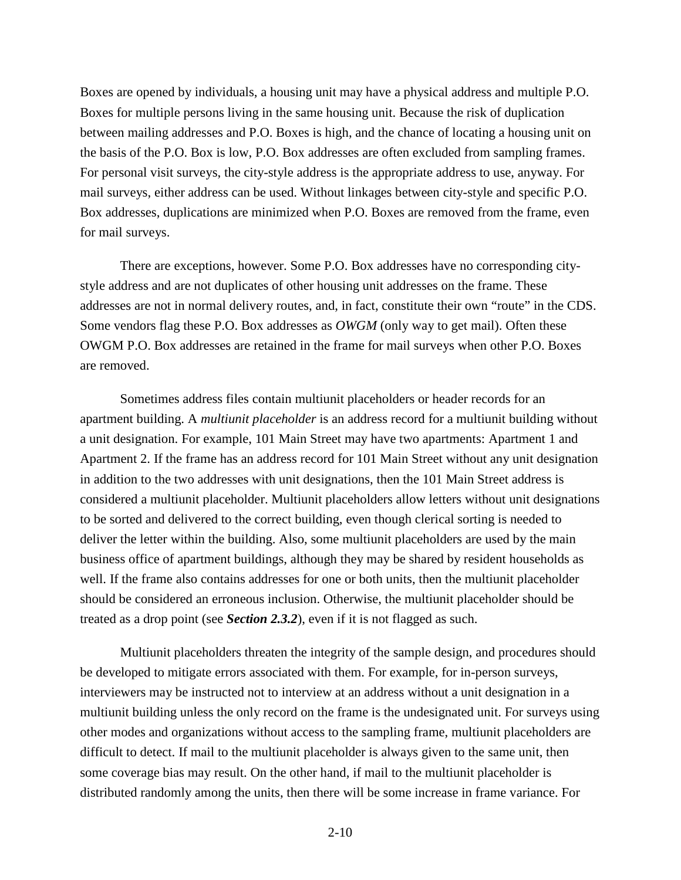Boxes are opened by individuals, a housing unit may have a physical address and multiple P.O. Boxes for multiple persons living in the same housing unit. Because the risk of duplication between mailing addresses and P.O. Boxes is high, and the chance of locating a housing unit on the basis of the P.O. Box is low, P.O. Box addresses are often excluded from sampling frames. For personal visit surveys, the city-style address is the appropriate address to use, anyway. For mail surveys, either address can be used. Without linkages between city-style and specific P.O. Box addresses, duplications are minimized when P.O. Boxes are removed from the frame, even for mail surveys.

There are exceptions, however. Some P.O. Box addresses have no corresponding citystyle address and are not duplicates of other housing unit addresses on the frame. These addresses are not in normal delivery routes, and, in fact, constitute their own "route" in the CDS. Some vendors flag these P.O. Box addresses as *OWGM* (only way to get mail). Often these OWGM P.O. Box addresses are retained in the frame for mail surveys when other P.O. Boxes are removed.

Sometimes address files contain multiunit placeholders or header records for an apartment building. A *multiunit placeholder* is an address record for a multiunit building without a unit designation. For example, 101 Main Street may have two apartments: Apartment 1 and Apartment 2. If the frame has an address record for 101 Main Street without any unit designation in addition to the two addresses with unit designations, then the 101 Main Street address is considered a multiunit placeholder. Multiunit placeholders allow letters without unit designations to be sorted and delivered to the correct building, even though clerical sorting is needed to deliver the letter within the building. Also, some multiunit placeholders are used by the main business office of apartment buildings, although they may be shared by resident households as well. If the frame also contains addresses for one or both units, then the multiunit placeholder should be considered an erroneous inclusion. Otherwise, the multiunit placeholder should be treated as a drop point (see *Section 2.3.2*), even if it is not flagged as such.

Multiunit placeholders threaten the integrity of the sample design, and procedures should be developed to mitigate errors associated with them. For example, for in-person surveys, interviewers may be instructed not to interview at an address without a unit designation in a multiunit building unless the only record on the frame is the undesignated unit. For surveys using other modes and organizations without access to the sampling frame, multiunit placeholders are difficult to detect. If mail to the multiunit placeholder is always given to the same unit, then some coverage bias may result. On the other hand, if mail to the multiunit placeholder is distributed randomly among the units, then there will be some increase in frame variance. For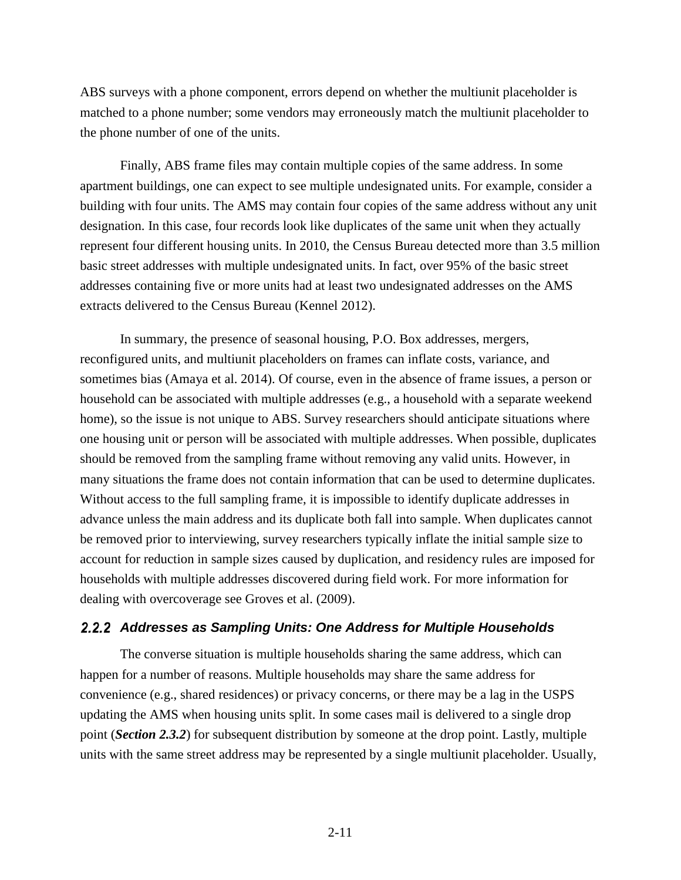ABS surveys with a phone component, errors depend on whether the multiunit placeholder is matched to a phone number; some vendors may erroneously match the multiunit placeholder to the phone number of one of the units.

Finally, ABS frame files may contain multiple copies of the same address. In some apartment buildings, one can expect to see multiple undesignated units. For example, consider a building with four units. The AMS may contain four copies of the same address without any unit designation. In this case, four records look like duplicates of the same unit when they actually represent four different housing units. In 2010, the Census Bureau detected more than 3.5 million basic street addresses with multiple undesignated units. In fact, over 95% of the basic street addresses containing five or more units had at least two undesignated addresses on the AMS extracts delivered to the Census Bureau (Kennel 2012).

In summary, the presence of seasonal housing, P.O. Box addresses, mergers, reconfigured units, and multiunit placeholders on frames can inflate costs, variance, and sometimes bias (Amaya et al. 2014). Of course, even in the absence of frame issues, a person or household can be associated with multiple addresses (e.g., a household with a separate weekend home), so the issue is not unique to ABS. Survey researchers should anticipate situations where one housing unit or person will be associated with multiple addresses. When possible, duplicates should be removed from the sampling frame without removing any valid units. However, in many situations the frame does not contain information that can be used to determine duplicates. Without access to the full sampling frame, it is impossible to identify duplicate addresses in advance unless the main address and its duplicate both fall into sample. When duplicates cannot be removed prior to interviewing, survey researchers typically inflate the initial sample size to account for reduction in sample sizes caused by duplication, and residency rules are imposed for households with multiple addresses discovered during field work. For more information for dealing with overcoverage see Groves et al. (2009).

### *Addresses as Sampling Units: One Address for Multiple Households*

The converse situation is multiple households sharing the same address, which can happen for a number of reasons. Multiple households may share the same address for convenience (e.g., shared residences) or privacy concerns, or there may be a lag in the USPS updating the AMS when housing units split. In some cases mail is delivered to a single drop point (*Section 2.3.2*) for subsequent distribution by someone at the drop point. Lastly, multiple units with the same street address may be represented by a single multiunit placeholder. Usually,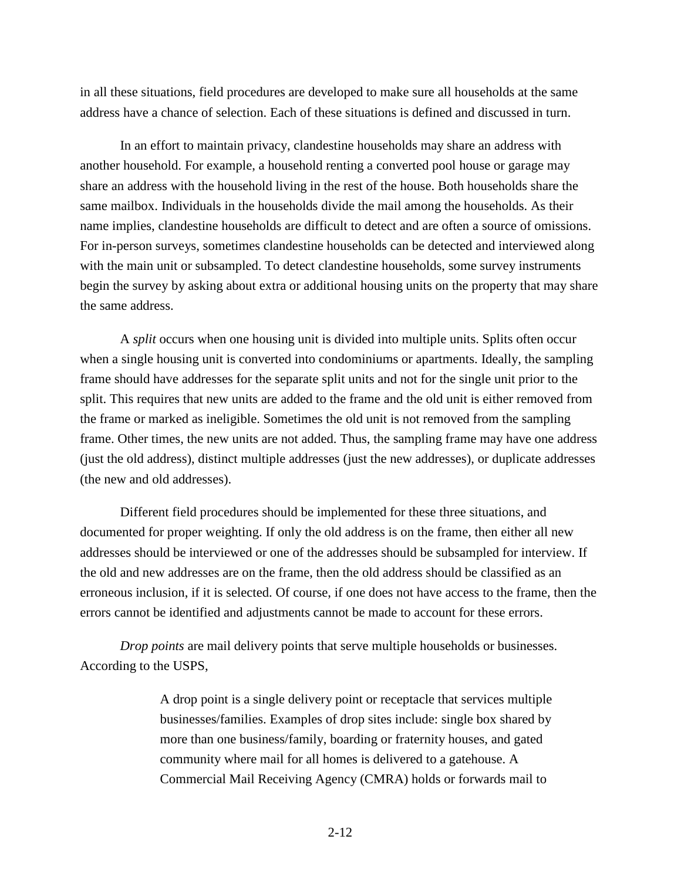in all these situations, field procedures are developed to make sure all households at the same address have a chance of selection. Each of these situations is defined and discussed in turn.

In an effort to maintain privacy, clandestine households may share an address with another household. For example, a household renting a converted pool house or garage may share an address with the household living in the rest of the house. Both households share the same mailbox. Individuals in the households divide the mail among the households. As their name implies, clandestine households are difficult to detect and are often a source of omissions. For in-person surveys, sometimes clandestine households can be detected and interviewed along with the main unit or subsampled. To detect clandestine households, some survey instruments begin the survey by asking about extra or additional housing units on the property that may share the same address.

A *split* occurs when one housing unit is divided into multiple units. Splits often occur when a single housing unit is converted into condominiums or apartments. Ideally, the sampling frame should have addresses for the separate split units and not for the single unit prior to the split. This requires that new units are added to the frame and the old unit is either removed from the frame or marked as ineligible. Sometimes the old unit is not removed from the sampling frame. Other times, the new units are not added. Thus, the sampling frame may have one address (just the old address), distinct multiple addresses (just the new addresses), or duplicate addresses (the new and old addresses).

Different field procedures should be implemented for these three situations, and documented for proper weighting. If only the old address is on the frame, then either all new addresses should be interviewed or one of the addresses should be subsampled for interview. If the old and new addresses are on the frame, then the old address should be classified as an erroneous inclusion, if it is selected. Of course, if one does not have access to the frame, then the errors cannot be identified and adjustments cannot be made to account for these errors.

*Drop points* are mail delivery points that serve multiple households or businesses. According to the USPS,

> A drop point is a single delivery point or receptacle that services multiple businesses/families. Examples of drop sites include: single box shared by more than one business/family, boarding or fraternity houses, and gated community where mail for all homes is delivered to a gatehouse. A Commercial Mail Receiving Agency (CMRA) holds or forwards mail to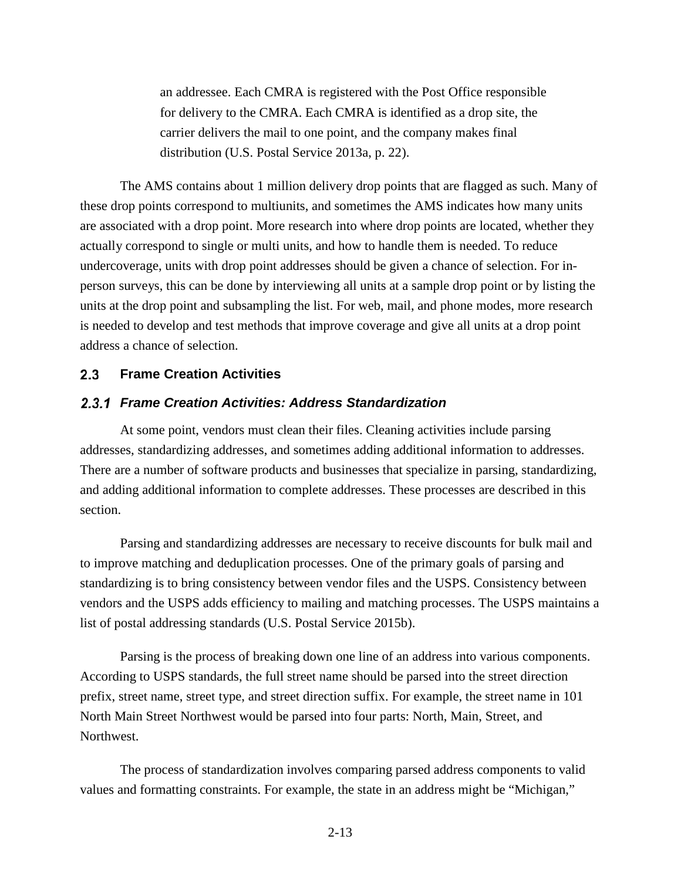an addressee. Each CMRA is registered with the Post Office responsible for delivery to the CMRA. Each CMRA is identified as a drop site, the carrier delivers the mail to one point, and the company makes final distribution (U.S. Postal Service 2013a, p. 22).

The AMS contains about 1 million delivery drop points that are flagged as such. Many of these drop points correspond to multiunits, and sometimes the AMS indicates how many units are associated with a drop point. More research into where drop points are located, whether they actually correspond to single or multi units, and how to handle them is needed. To reduce undercoverage, units with drop point addresses should be given a chance of selection. For inperson surveys, this can be done by interviewing all units at a sample drop point or by listing the units at the drop point and subsampling the list. For web, mail, and phone modes, more research is needed to develop and test methods that improve coverage and give all units at a drop point address a chance of selection.

#### $2.3$ **Frame Creation Activities**

#### *Frame Creation Activities: Address Standardization*

At some point, vendors must clean their files. Cleaning activities include parsing addresses, standardizing addresses, and sometimes adding additional information to addresses. There are a number of software products and businesses that specialize in parsing, standardizing, and adding additional information to complete addresses. These processes are described in this section.

Parsing and standardizing addresses are necessary to receive discounts for bulk mail and to improve matching and deduplication processes. One of the primary goals of parsing and standardizing is to bring consistency between vendor files and the USPS. Consistency between vendors and the USPS adds efficiency to mailing and matching processes. The USPS maintains a list of postal addressing standards (U.S. Postal Service 2015b).

Parsing is the process of breaking down one line of an address into various components. According to USPS standards, the full street name should be parsed into the street direction prefix, street name, street type, and street direction suffix. For example, the street name in 101 North Main Street Northwest would be parsed into four parts: North, Main, Street, and Northwest.

The process of standardization involves comparing parsed address components to valid values and formatting constraints. For example, the state in an address might be "Michigan,"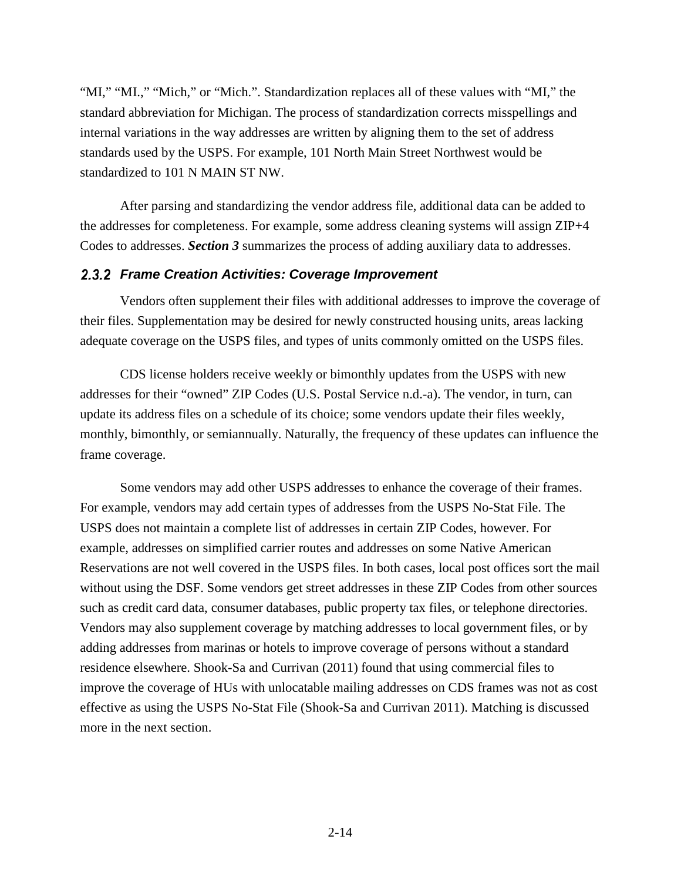"MI," "MI.," "Mich," or "Mich.". Standardization replaces all of these values with "MI," the standard abbreviation for Michigan. The process of standardization corrects misspellings and internal variations in the way addresses are written by aligning them to the set of address standards used by the USPS. For example, 101 North Main Street Northwest would be standardized to 101 N MAIN ST NW.

After parsing and standardizing the vendor address file, additional data can be added to the addresses for completeness. For example, some address cleaning systems will assign ZIP+4 Codes to addresses. *Section 3* summarizes the process of adding auxiliary data to addresses.

#### *Frame Creation Activities: Coverage Improvement*

Vendors often supplement their files with additional addresses to improve the coverage of their files. Supplementation may be desired for newly constructed housing units, areas lacking adequate coverage on the USPS files, and types of units commonly omitted on the USPS files.

CDS license holders receive weekly or bimonthly updates from the USPS with new addresses for their "owned" ZIP Codes (U.S. Postal Service n.d.-a). The vendor, in turn, can update its address files on a schedule of its choice; some vendors update their files weekly, monthly, bimonthly, or semiannually. Naturally, the frequency of these updates can influence the frame coverage.

Some vendors may add other USPS addresses to enhance the coverage of their frames. For example, vendors may add certain types of addresses from the USPS No-Stat File. The USPS does not maintain a complete list of addresses in certain ZIP Codes, however. For example, addresses on simplified carrier routes and addresses on some Native American Reservations are not well covered in the USPS files. In both cases, local post offices sort the mail without using the DSF. Some vendors get street addresses in these ZIP Codes from other sources such as credit card data, consumer databases, public property tax files, or telephone directories. Vendors may also supplement coverage by matching addresses to local government files, or by adding addresses from marinas or hotels to improve coverage of persons without a standard residence elsewhere. Shook-Sa and Currivan (2011) found that using commercial files to improve the coverage of HUs with unlocatable mailing addresses on CDS frames was not as cost effective as using the USPS No-Stat File (Shook-Sa and Currivan 2011). Matching is discussed more in the next section.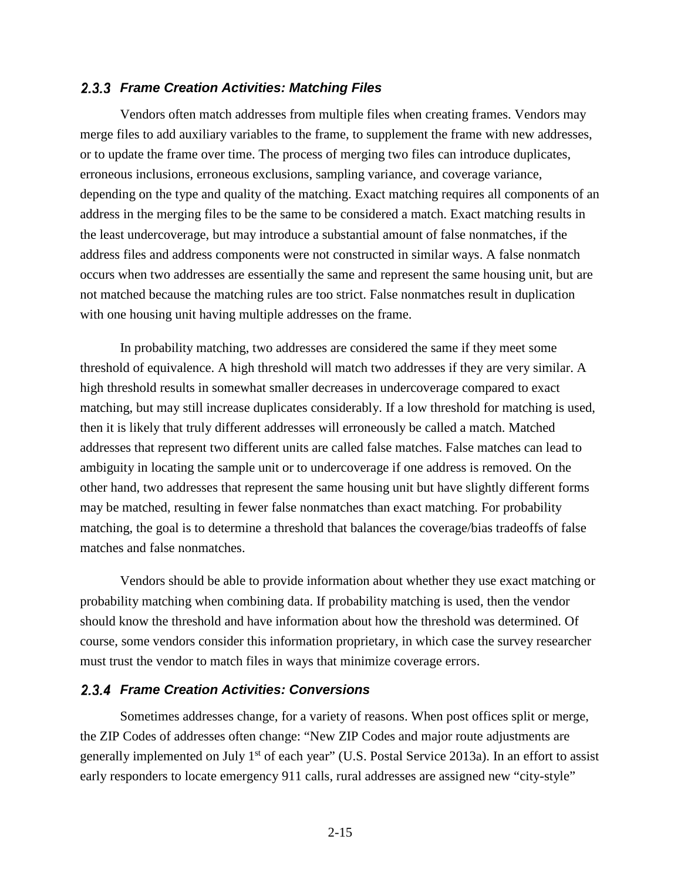#### *Frame Creation Activities: Matching Files*

Vendors often match addresses from multiple files when creating frames. Vendors may merge files to add auxiliary variables to the frame, to supplement the frame with new addresses, or to update the frame over time. The process of merging two files can introduce duplicates, erroneous inclusions, erroneous exclusions, sampling variance, and coverage variance, depending on the type and quality of the matching. Exact matching requires all components of an address in the merging files to be the same to be considered a match. Exact matching results in the least undercoverage, but may introduce a substantial amount of false nonmatches, if the address files and address components were not constructed in similar ways. A false nonmatch occurs when two addresses are essentially the same and represent the same housing unit, but are not matched because the matching rules are too strict. False nonmatches result in duplication with one housing unit having multiple addresses on the frame.

In probability matching, two addresses are considered the same if they meet some threshold of equivalence. A high threshold will match two addresses if they are very similar. A high threshold results in somewhat smaller decreases in undercoverage compared to exact matching, but may still increase duplicates considerably. If a low threshold for matching is used, then it is likely that truly different addresses will erroneously be called a match. Matched addresses that represent two different units are called false matches. False matches can lead to ambiguity in locating the sample unit or to undercoverage if one address is removed. On the other hand, two addresses that represent the same housing unit but have slightly different forms may be matched, resulting in fewer false nonmatches than exact matching. For probability matching, the goal is to determine a threshold that balances the coverage/bias tradeoffs of false matches and false nonmatches.

Vendors should be able to provide information about whether they use exact matching or probability matching when combining data. If probability matching is used, then the vendor should know the threshold and have information about how the threshold was determined. Of course, some vendors consider this information proprietary, in which case the survey researcher must trust the vendor to match files in ways that minimize coverage errors.

#### *Frame Creation Activities: Conversions*

Sometimes addresses change, for a variety of reasons. When post offices split or merge, the ZIP Codes of addresses often change: "New ZIP Codes and major route adjustments are generally implemented on July 1<sup>st</sup> of each year" (U.S. Postal Service 2013a). In an effort to assist early responders to locate emergency 911 calls, rural addresses are assigned new "city-style"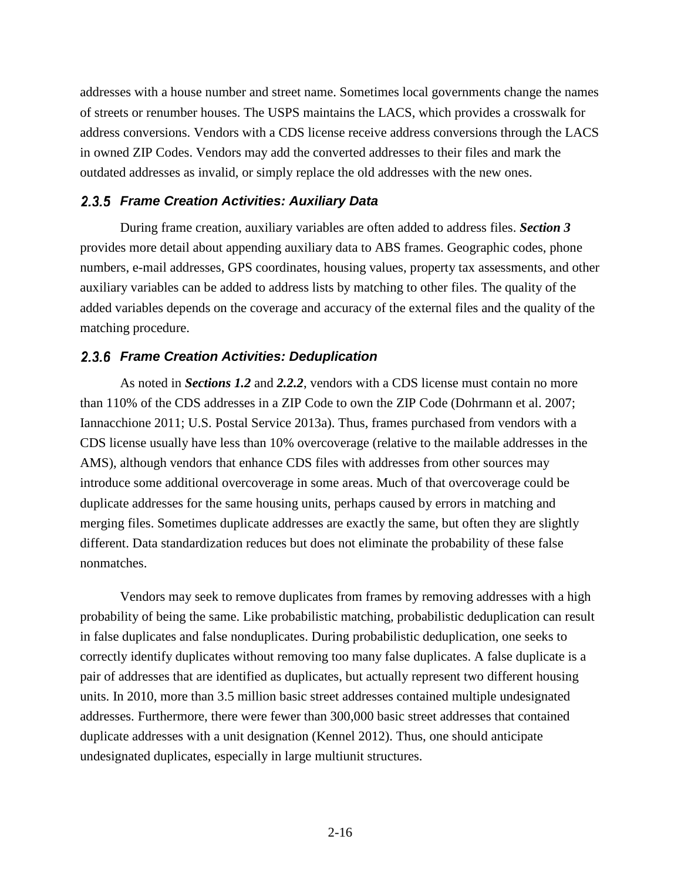addresses with a house number and street name. Sometimes local governments change the names of streets or renumber houses. The USPS maintains the LACS, which provides a crosswalk for address conversions. Vendors with a CDS license receive address conversions through the LACS in owned ZIP Codes. Vendors may add the converted addresses to their files and mark the outdated addresses as invalid, or simply replace the old addresses with the new ones.

### *Frame Creation Activities: Auxiliary Data*

During frame creation, auxiliary variables are often added to address files. *Section 3* provides more detail about appending auxiliary data to ABS frames. Geographic codes, phone numbers, e-mail addresses, GPS coordinates, housing values, property tax assessments, and other auxiliary variables can be added to address lists by matching to other files. The quality of the added variables depends on the coverage and accuracy of the external files and the quality of the matching procedure.

### *Frame Creation Activities: Deduplication*

As noted in *Sections 1.2* and *2.2.2*, vendors with a CDS license must contain no more than 110% of the CDS addresses in a ZIP Code to own the ZIP Code (Dohrmann et al. 2007; Iannacchione 2011; U.S. Postal Service 2013a). Thus, frames purchased from vendors with a CDS license usually have less than 10% overcoverage (relative to the mailable addresses in the AMS), although vendors that enhance CDS files with addresses from other sources may introduce some additional overcoverage in some areas. Much of that overcoverage could be duplicate addresses for the same housing units, perhaps caused by errors in matching and merging files. Sometimes duplicate addresses are exactly the same, but often they are slightly different. Data standardization reduces but does not eliminate the probability of these false nonmatches.

Vendors may seek to remove duplicates from frames by removing addresses with a high probability of being the same. Like probabilistic matching, probabilistic deduplication can result in false duplicates and false nonduplicates. During probabilistic deduplication, one seeks to correctly identify duplicates without removing too many false duplicates. A false duplicate is a pair of addresses that are identified as duplicates, but actually represent two different housing units. In 2010, more than 3.5 million basic street addresses contained multiple undesignated addresses. Furthermore, there were fewer than 300,000 basic street addresses that contained duplicate addresses with a unit designation (Kennel 2012). Thus, one should anticipate undesignated duplicates, especially in large multiunit structures.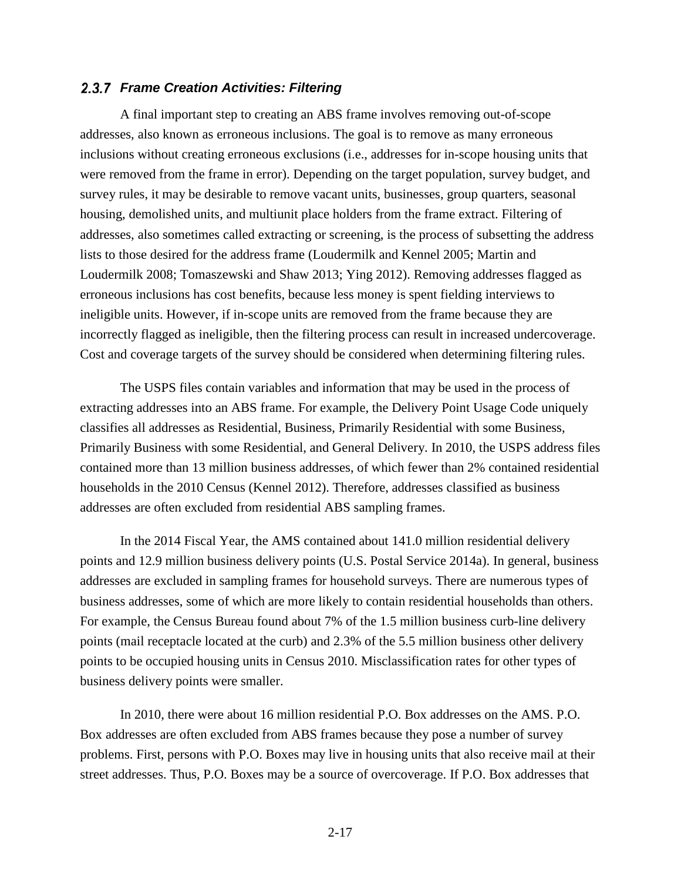#### *Frame Creation Activities: Filtering*

A final important step to creating an ABS frame involves removing out-of-scope addresses, also known as erroneous inclusions. The goal is to remove as many erroneous inclusions without creating erroneous exclusions (i.e., addresses for in-scope housing units that were removed from the frame in error). Depending on the target population, survey budget, and survey rules, it may be desirable to remove vacant units, businesses, group quarters, seasonal housing, demolished units, and multiunit place holders from the frame extract. Filtering of addresses, also sometimes called extracting or screening, is the process of subsetting the address lists to those desired for the address frame (Loudermilk and Kennel 2005; Martin and Loudermilk 2008; Tomaszewski and Shaw 2013; Ying 2012). Removing addresses flagged as erroneous inclusions has cost benefits, because less money is spent fielding interviews to ineligible units. However, if in-scope units are removed from the frame because they are incorrectly flagged as ineligible, then the filtering process can result in increased undercoverage. Cost and coverage targets of the survey should be considered when determining filtering rules.

The USPS files contain variables and information that may be used in the process of extracting addresses into an ABS frame. For example, the Delivery Point Usage Code uniquely classifies all addresses as Residential, Business, Primarily Residential with some Business, Primarily Business with some Residential, and General Delivery. In 2010, the USPS address files contained more than 13 million business addresses, of which fewer than 2% contained residential households in the 2010 Census (Kennel 2012). Therefore, addresses classified as business addresses are often excluded from residential ABS sampling frames.

In the 2014 Fiscal Year, the AMS contained about 141.0 million residential delivery points and 12.9 million business delivery points (U.S. Postal Service 2014a). In general, business addresses are excluded in sampling frames for household surveys. There are numerous types of business addresses, some of which are more likely to contain residential households than others. For example, the Census Bureau found about 7% of the 1.5 million business curb-line delivery points (mail receptacle located at the curb) and 2.3% of the 5.5 million business other delivery points to be occupied housing units in Census 2010. Misclassification rates for other types of business delivery points were smaller.

In 2010, there were about 16 million residential P.O. Box addresses on the AMS. P.O. Box addresses are often excluded from ABS frames because they pose a number of survey problems. First, persons with P.O. Boxes may live in housing units that also receive mail at their street addresses. Thus, P.O. Boxes may be a source of overcoverage. If P.O. Box addresses that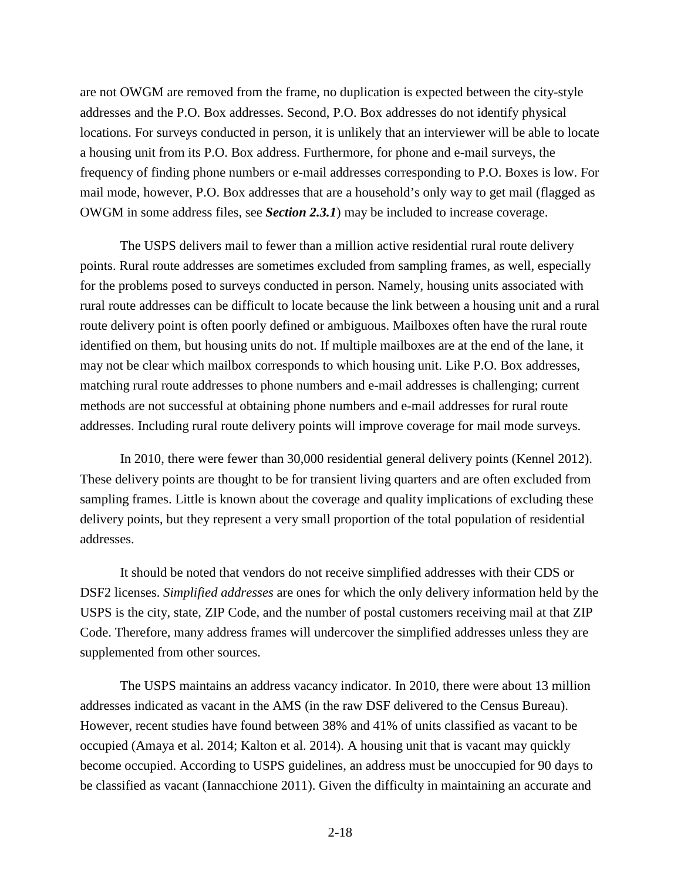are not OWGM are removed from the frame, no duplication is expected between the city-style addresses and the P.O. Box addresses. Second, P.O. Box addresses do not identify physical locations. For surveys conducted in person, it is unlikely that an interviewer will be able to locate a housing unit from its P.O. Box address. Furthermore, for phone and e-mail surveys, the frequency of finding phone numbers or e-mail addresses corresponding to P.O. Boxes is low. For mail mode, however, P.O. Box addresses that are a household's only way to get mail (flagged as OWGM in some address files, see *Section 2.3.1*) may be included to increase coverage.

The USPS delivers mail to fewer than a million active residential rural route delivery points. Rural route addresses are sometimes excluded from sampling frames, as well, especially for the problems posed to surveys conducted in person. Namely, housing units associated with rural route addresses can be difficult to locate because the link between a housing unit and a rural route delivery point is often poorly defined or ambiguous. Mailboxes often have the rural route identified on them, but housing units do not. If multiple mailboxes are at the end of the lane, it may not be clear which mailbox corresponds to which housing unit. Like P.O. Box addresses, matching rural route addresses to phone numbers and e-mail addresses is challenging; current methods are not successful at obtaining phone numbers and e-mail addresses for rural route addresses. Including rural route delivery points will improve coverage for mail mode surveys.

In 2010, there were fewer than 30,000 residential general delivery points (Kennel 2012). These delivery points are thought to be for transient living quarters and are often excluded from sampling frames. Little is known about the coverage and quality implications of excluding these delivery points, but they represent a very small proportion of the total population of residential addresses.

It should be noted that vendors do not receive simplified addresses with their CDS or DSF2 licenses. *Simplified addresses* are ones for which the only delivery information held by the USPS is the city, state, ZIP Code, and the number of postal customers receiving mail at that ZIP Code. Therefore, many address frames will undercover the simplified addresses unless they are supplemented from other sources.

The USPS maintains an address vacancy indicator. In 2010, there were about 13 million addresses indicated as vacant in the AMS (in the raw DSF delivered to the Census Bureau). However, recent studies have found between 38% and 41% of units classified as vacant to be occupied (Amaya et al. 2014; Kalton et al. 2014). A housing unit that is vacant may quickly become occupied. According to USPS guidelines, an address must be unoccupied for 90 days to be classified as vacant (Iannacchione 2011). Given the difficulty in maintaining an accurate and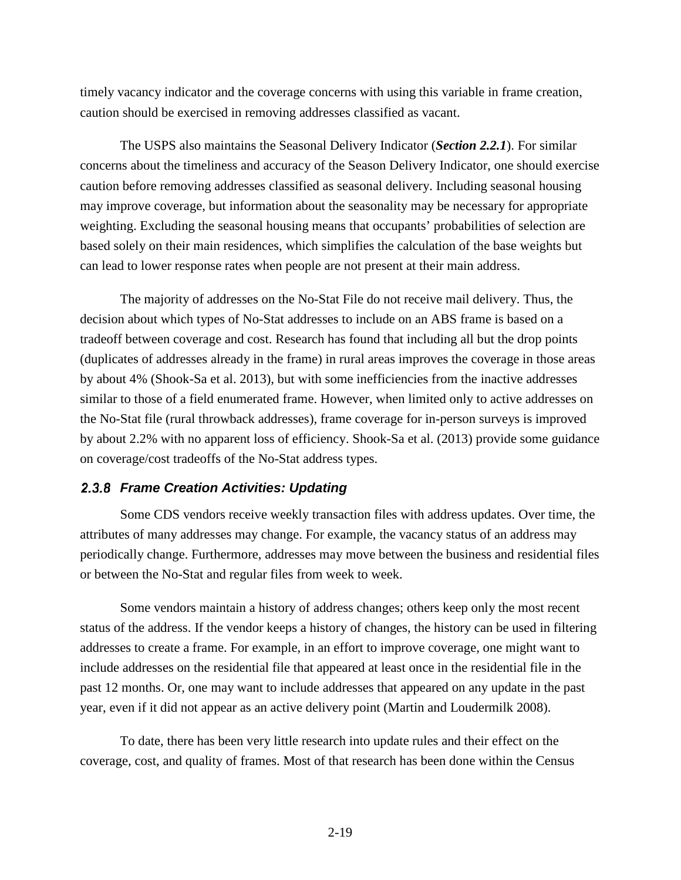timely vacancy indicator and the coverage concerns with using this variable in frame creation, caution should be exercised in removing addresses classified as vacant.

The USPS also maintains the Seasonal Delivery Indicator (*Section 2.2.1*). For similar concerns about the timeliness and accuracy of the Season Delivery Indicator, one should exercise caution before removing addresses classified as seasonal delivery. Including seasonal housing may improve coverage, but information about the seasonality may be necessary for appropriate weighting. Excluding the seasonal housing means that occupants' probabilities of selection are based solely on their main residences, which simplifies the calculation of the base weights but can lead to lower response rates when people are not present at their main address.

The majority of addresses on the No-Stat File do not receive mail delivery. Thus, the decision about which types of No-Stat addresses to include on an ABS frame is based on a tradeoff between coverage and cost. Research has found that including all but the drop points (duplicates of addresses already in the frame) in rural areas improves the coverage in those areas by about 4% (Shook-Sa et al. 2013), but with some inefficiencies from the inactive addresses similar to those of a field enumerated frame. However, when limited only to active addresses on the No-Stat file (rural throwback addresses), frame coverage for in-person surveys is improved by about 2.2% with no apparent loss of efficiency. Shook-Sa et al. (2013) provide some guidance on coverage/cost tradeoffs of the No-Stat address types.

### *Frame Creation Activities: Updating*

Some CDS vendors receive weekly transaction files with address updates. Over time, the attributes of many addresses may change. For example, the vacancy status of an address may periodically change. Furthermore, addresses may move between the business and residential files or between the No-Stat and regular files from week to week.

Some vendors maintain a history of address changes; others keep only the most recent status of the address. If the vendor keeps a history of changes, the history can be used in filtering addresses to create a frame. For example, in an effort to improve coverage, one might want to include addresses on the residential file that appeared at least once in the residential file in the past 12 months. Or, one may want to include addresses that appeared on any update in the past year, even if it did not appear as an active delivery point (Martin and Loudermilk 2008).

To date, there has been very little research into update rules and their effect on the coverage, cost, and quality of frames. Most of that research has been done within the Census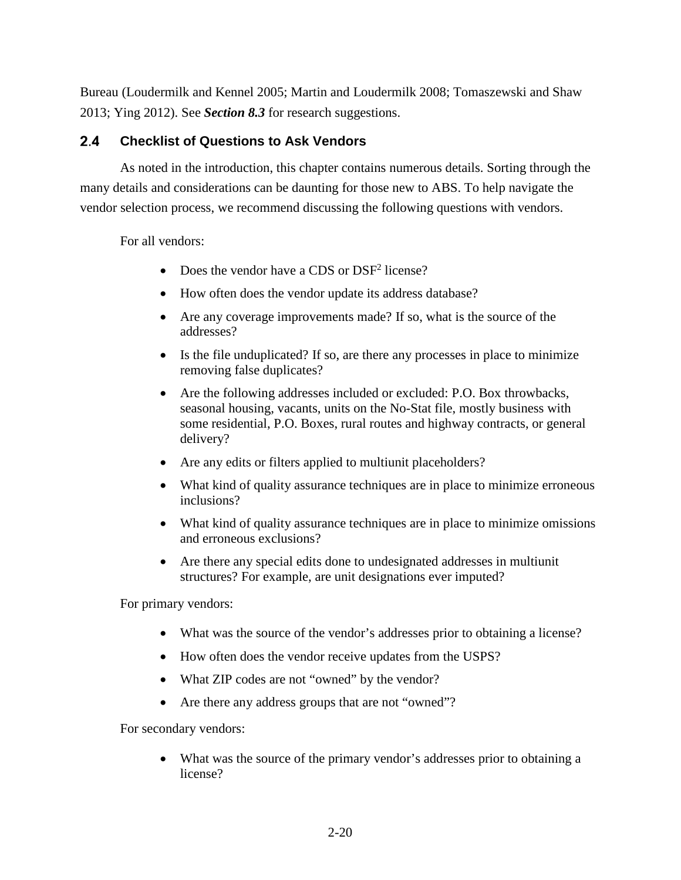Bureau (Loudermilk and Kennel 2005; Martin and Loudermilk 2008; Tomaszewski and Shaw 2013; Ying 2012). See *Section 8.3* for research suggestions.

#### $2.4$ **Checklist of Questions to Ask Vendors**

As noted in the introduction, this chapter contains numerous details. Sorting through the many details and considerations can be daunting for those new to ABS. To help navigate the vendor selection process, we recommend discussing the following questions with vendors.

For all vendors:

- Does the vendor have a CDS or DSF<sup>2</sup> license?
- How often does the vendor update its address database?
- Are any coverage improvements made? If so, what is the source of the addresses?
- Is the file unduplicated? If so, are there any processes in place to minimize removing false duplicates?
- Are the following addresses included or excluded: P.O. Box throwbacks, seasonal housing, vacants, units on the No-Stat file, mostly business with some residential, P.O. Boxes, rural routes and highway contracts, or general delivery?
- Are any edits or filters applied to multiunit placeholders?
- What kind of quality assurance techniques are in place to minimize erroneous inclusions?
- What kind of quality assurance techniques are in place to minimize omissions and erroneous exclusions?
- Are there any special edits done to undesignated addresses in multiunit structures? For example, are unit designations ever imputed?

For primary vendors:

- What was the source of the vendor's addresses prior to obtaining a license?
- How often does the vendor receive updates from the USPS?
- What ZIP codes are not "owned" by the vendor?
- Are there any address groups that are not "owned"?

For secondary vendors:

• What was the source of the primary vendor's addresses prior to obtaining a license?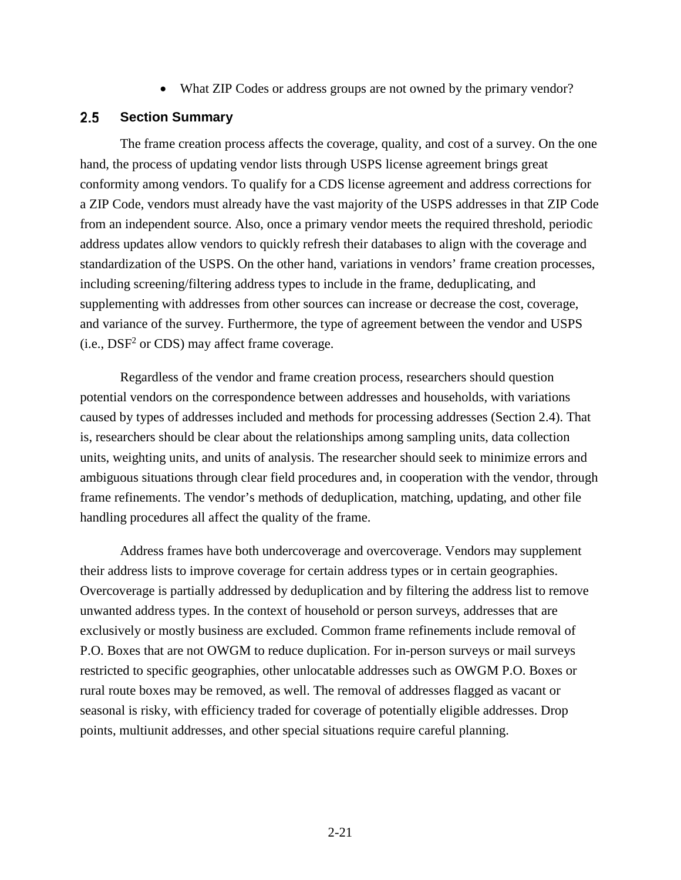• What ZIP Codes or address groups are not owned by the primary vendor?

#### $2.5$ **Section Summary**

The frame creation process affects the coverage, quality, and cost of a survey. On the one hand, the process of updating vendor lists through USPS license agreement brings great conformity among vendors. To qualify for a CDS license agreement and address corrections for a ZIP Code, vendors must already have the vast majority of the USPS addresses in that ZIP Code from an independent source. Also, once a primary vendor meets the required threshold, periodic address updates allow vendors to quickly refresh their databases to align with the coverage and standardization of the USPS. On the other hand, variations in vendors' frame creation processes, including screening/filtering address types to include in the frame, deduplicating, and supplementing with addresses from other sources can increase or decrease the cost, coverage, and variance of the survey. Furthermore, the type of agreement between the vendor and USPS  $(i.e., DSF<sup>2</sup> or CDS)$  may affect frame coverage.

Regardless of the vendor and frame creation process, researchers should question potential vendors on the correspondence between addresses and households, with variations caused by types of addresses included and methods for processing addresses (Section 2.4). That is, researchers should be clear about the relationships among sampling units, data collection units, weighting units, and units of analysis. The researcher should seek to minimize errors and ambiguous situations through clear field procedures and, in cooperation with the vendor, through frame refinements. The vendor's methods of deduplication, matching, updating, and other file handling procedures all affect the quality of the frame.

Address frames have both undercoverage and overcoverage. Vendors may supplement their address lists to improve coverage for certain address types or in certain geographies. Overcoverage is partially addressed by deduplication and by filtering the address list to remove unwanted address types. In the context of household or person surveys, addresses that are exclusively or mostly business are excluded. Common frame refinements include removal of P.O. Boxes that are not OWGM to reduce duplication. For in-person surveys or mail surveys restricted to specific geographies, other unlocatable addresses such as OWGM P.O. Boxes or rural route boxes may be removed, as well. The removal of addresses flagged as vacant or seasonal is risky, with efficiency traded for coverage of potentially eligible addresses. Drop points, multiunit addresses, and other special situations require careful planning.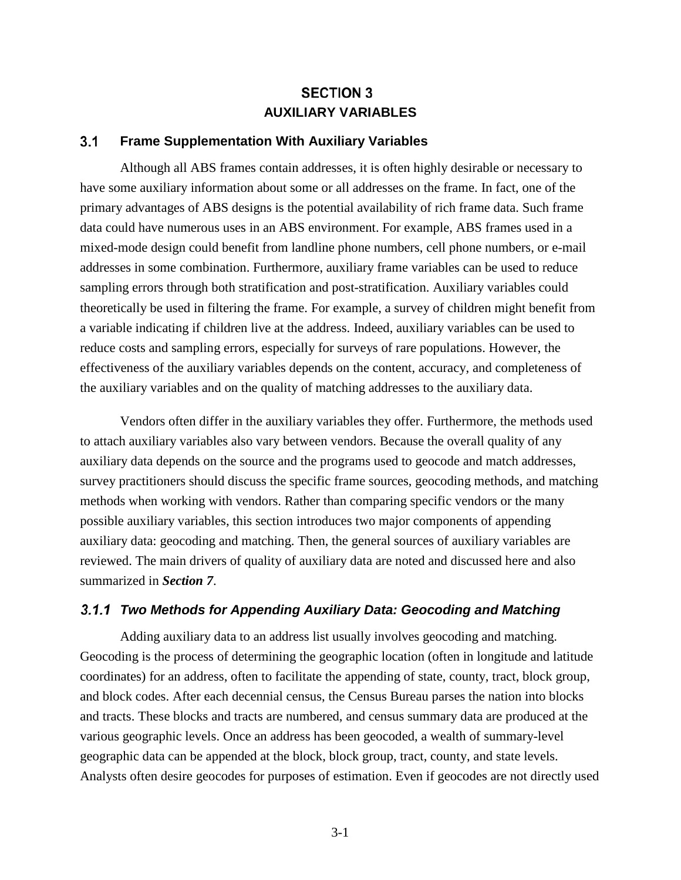### **SECTION 3 AUXILIARY VARIABLES**

#### $3.1$ **Frame Supplementation With Auxiliary Variables**

Although all ABS frames contain addresses, it is often highly desirable or necessary to have some auxiliary information about some or all addresses on the frame. In fact, one of the primary advantages of ABS designs is the potential availability of rich frame data. Such frame data could have numerous uses in an ABS environment. For example, ABS frames used in a mixed-mode design could benefit from landline phone numbers, cell phone numbers, or e-mail addresses in some combination. Furthermore, auxiliary frame variables can be used to reduce sampling errors through both stratification and post-stratification. Auxiliary variables could theoretically be used in filtering the frame. For example, a survey of children might benefit from a variable indicating if children live at the address. Indeed, auxiliary variables can be used to reduce costs and sampling errors, especially for surveys of rare populations. However, the effectiveness of the auxiliary variables depends on the content, accuracy, and completeness of the auxiliary variables and on the quality of matching addresses to the auxiliary data.

Vendors often differ in the auxiliary variables they offer. Furthermore, the methods used to attach auxiliary variables also vary between vendors. Because the overall quality of any auxiliary data depends on the source and the programs used to geocode and match addresses, survey practitioners should discuss the specific frame sources, geocoding methods, and matching methods when working with vendors. Rather than comparing specific vendors or the many possible auxiliary variables, this section introduces two major components of appending auxiliary data: geocoding and matching. Then, the general sources of auxiliary variables are reviewed. The main drivers of quality of auxiliary data are noted and discussed here and also summarized in *Section 7*.

### *Two Methods for Appending Auxiliary Data: Geocoding and Matching*

Adding auxiliary data to an address list usually involves geocoding and matching. Geocoding is the process of determining the geographic location (often in longitude and latitude coordinates) for an address, often to facilitate the appending of state, county, tract, block group, and block codes. After each decennial census, the Census Bureau parses the nation into blocks and tracts. These blocks and tracts are numbered, and census summary data are produced at the various geographic levels. Once an address has been geocoded, a wealth of summary-level geographic data can be appended at the block, block group, tract, county, and state levels. Analysts often desire geocodes for purposes of estimation. Even if geocodes are not directly used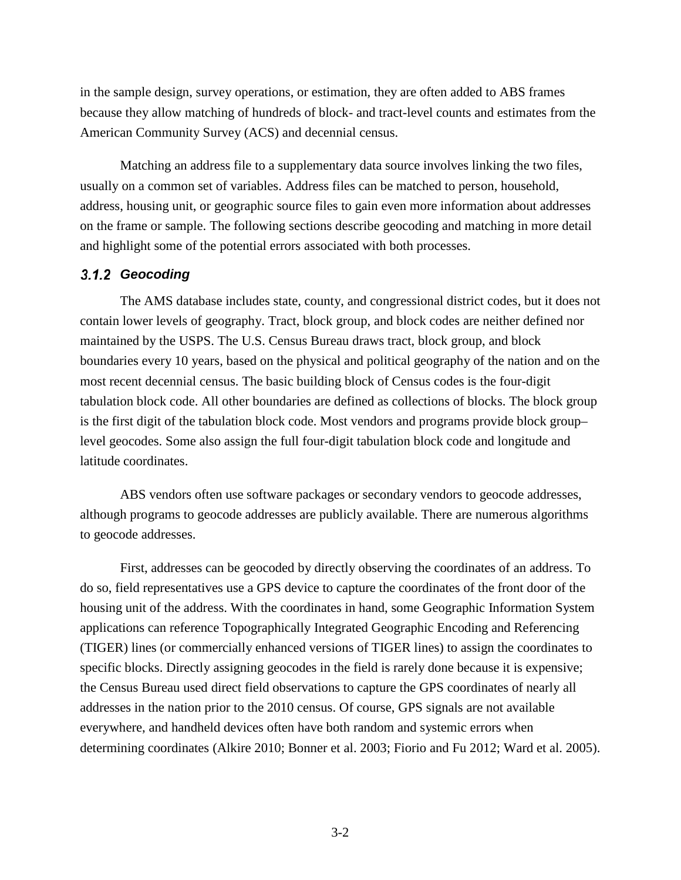in the sample design, survey operations, or estimation, they are often added to ABS frames because they allow matching of hundreds of block- and tract-level counts and estimates from the American Community Survey (ACS) and decennial census.

Matching an address file to a supplementary data source involves linking the two files, usually on a common set of variables. Address files can be matched to person, household, address, housing unit, or geographic source files to gain even more information about addresses on the frame or sample. The following sections describe geocoding and matching in more detail and highlight some of the potential errors associated with both processes.

### *Geocoding*

The AMS database includes state, county, and congressional district codes, but it does not contain lower levels of geography. Tract, block group, and block codes are neither defined nor maintained by the USPS. The U.S. Census Bureau draws tract, block group, and block boundaries every 10 years, based on the physical and political geography of the nation and on the most recent decennial census. The basic building block of Census codes is the four-digit tabulation block code. All other boundaries are defined as collections of blocks. The block group is the first digit of the tabulation block code. Most vendors and programs provide block group– level geocodes. Some also assign the full four-digit tabulation block code and longitude and latitude coordinates.

ABS vendors often use software packages or secondary vendors to geocode addresses, although programs to geocode addresses are publicly available. There are numerous algorithms to geocode addresses.

First, addresses can be geocoded by directly observing the coordinates of an address. To do so, field representatives use a GPS device to capture the coordinates of the front door of the housing unit of the address. With the coordinates in hand, some Geographic Information System applications can reference Topographically Integrated Geographic Encoding and Referencing (TIGER) lines (or commercially enhanced versions of TIGER lines) to assign the coordinates to specific blocks. Directly assigning geocodes in the field is rarely done because it is expensive; the Census Bureau used direct field observations to capture the GPS coordinates of nearly all addresses in the nation prior to the 2010 census. Of course, GPS signals are not available everywhere, and handheld devices often have both random and systemic errors when determining coordinates (Alkire 2010; Bonner et al. 2003; Fiorio and Fu 2012; Ward et al. 2005).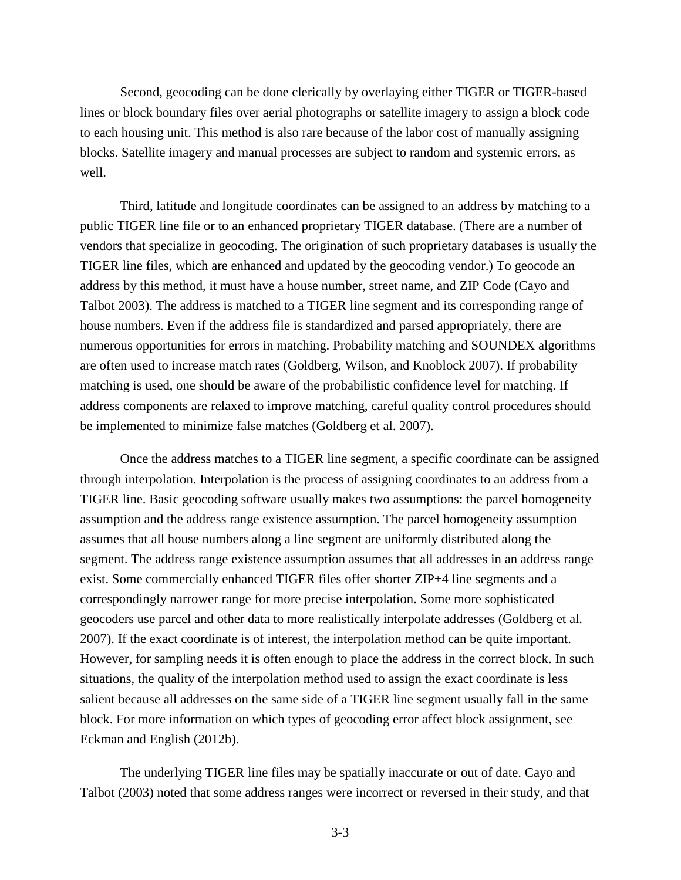Second, geocoding can be done clerically by overlaying either TIGER or TIGER-based lines or block boundary files over aerial photographs or satellite imagery to assign a block code to each housing unit. This method is also rare because of the labor cost of manually assigning blocks. Satellite imagery and manual processes are subject to random and systemic errors, as well.

Third, latitude and longitude coordinates can be assigned to an address by matching to a public TIGER line file or to an enhanced proprietary TIGER database. (There are a number of vendors that specialize in geocoding. The origination of such proprietary databases is usually the TIGER line files, which are enhanced and updated by the geocoding vendor.) To geocode an address by this method, it must have a house number, street name, and ZIP Code (Cayo and Talbot 2003). The address is matched to a TIGER line segment and its corresponding range of house numbers. Even if the address file is standardized and parsed appropriately, there are numerous opportunities for errors in matching. Probability matching and SOUNDEX algorithms are often used to increase match rates (Goldberg, Wilson, and Knoblock 2007). If probability matching is used, one should be aware of the probabilistic confidence level for matching. If address components are relaxed to improve matching, careful quality control procedures should be implemented to minimize false matches (Goldberg et al. 2007).

Once the address matches to a TIGER line segment, a specific coordinate can be assigned through interpolation. Interpolation is the process of assigning coordinates to an address from a TIGER line. Basic geocoding software usually makes two assumptions: the parcel homogeneity assumption and the address range existence assumption. The parcel homogeneity assumption assumes that all house numbers along a line segment are uniformly distributed along the segment. The address range existence assumption assumes that all addresses in an address range exist. Some commercially enhanced TIGER files offer shorter ZIP+4 line segments and a correspondingly narrower range for more precise interpolation. Some more sophisticated geocoders use parcel and other data to more realistically interpolate addresses (Goldberg et al. 2007). If the exact coordinate is of interest, the interpolation method can be quite important. However, for sampling needs it is often enough to place the address in the correct block. In such situations, the quality of the interpolation method used to assign the exact coordinate is less salient because all addresses on the same side of a TIGER line segment usually fall in the same block. For more information on which types of geocoding error affect block assignment, see Eckman and English (2012b).

The underlying TIGER line files may be spatially inaccurate or out of date. Cayo and Talbot (2003) noted that some address ranges were incorrect or reversed in their study, and that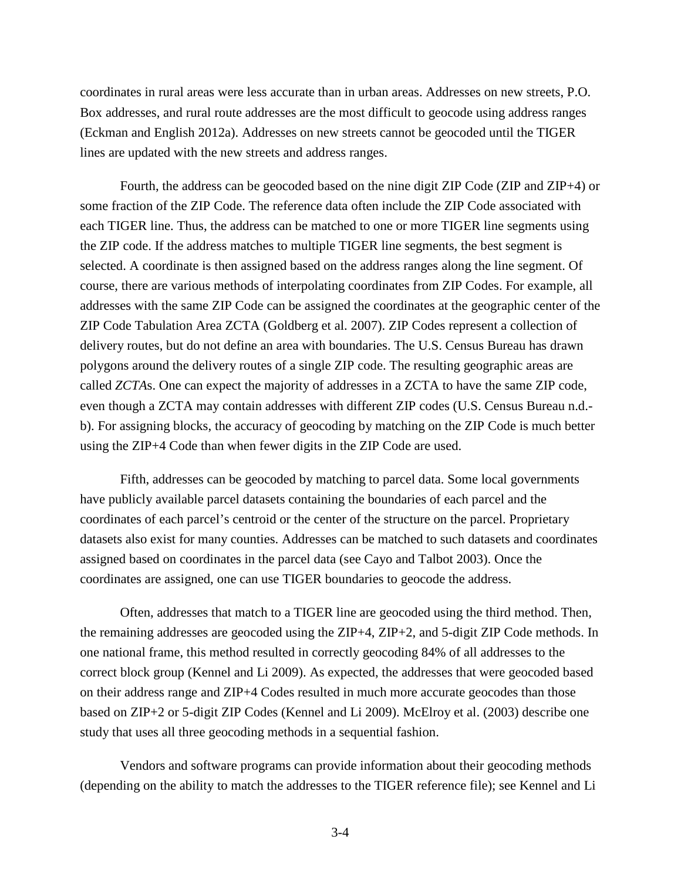coordinates in rural areas were less accurate than in urban areas. Addresses on new streets, P.O. Box addresses, and rural route addresses are the most difficult to geocode using address ranges (Eckman and English 2012a). Addresses on new streets cannot be geocoded until the TIGER lines are updated with the new streets and address ranges.

Fourth, the address can be geocoded based on the nine digit ZIP Code (ZIP and ZIP+4) or some fraction of the ZIP Code. The reference data often include the ZIP Code associated with each TIGER line. Thus, the address can be matched to one or more TIGER line segments using the ZIP code. If the address matches to multiple TIGER line segments, the best segment is selected. A coordinate is then assigned based on the address ranges along the line segment. Of course, there are various methods of interpolating coordinates from ZIP Codes. For example, all addresses with the same ZIP Code can be assigned the coordinates at the geographic center of the ZIP Code Tabulation Area ZCTA (Goldberg et al. 2007). ZIP Codes represent a collection of delivery routes, but do not define an area with boundaries. The U.S. Census Bureau has drawn polygons around the delivery routes of a single ZIP code. The resulting geographic areas are called *ZCTA*s. One can expect the majority of addresses in a ZCTA to have the same ZIP code, even though a ZCTA may contain addresses with different ZIP codes (U.S. Census Bureau n.d. b). For assigning blocks, the accuracy of geocoding by matching on the ZIP Code is much better using the ZIP+4 Code than when fewer digits in the ZIP Code are used.

Fifth, addresses can be geocoded by matching to parcel data. Some local governments have publicly available parcel datasets containing the boundaries of each parcel and the coordinates of each parcel's centroid or the center of the structure on the parcel. Proprietary datasets also exist for many counties. Addresses can be matched to such datasets and coordinates assigned based on coordinates in the parcel data (see Cayo and Talbot 2003). Once the coordinates are assigned, one can use TIGER boundaries to geocode the address.

Often, addresses that match to a TIGER line are geocoded using the third method. Then, the remaining addresses are geocoded using the ZIP+4, ZIP+2, and 5-digit ZIP Code methods. In one national frame, this method resulted in correctly geocoding 84% of all addresses to the correct block group (Kennel and Li 2009). As expected, the addresses that were geocoded based on their address range and ZIP+4 Codes resulted in much more accurate geocodes than those based on ZIP+2 or 5-digit ZIP Codes (Kennel and Li 2009). McElroy et al. (2003) describe one study that uses all three geocoding methods in a sequential fashion.

Vendors and software programs can provide information about their geocoding methods (depending on the ability to match the addresses to the TIGER reference file); see Kennel and Li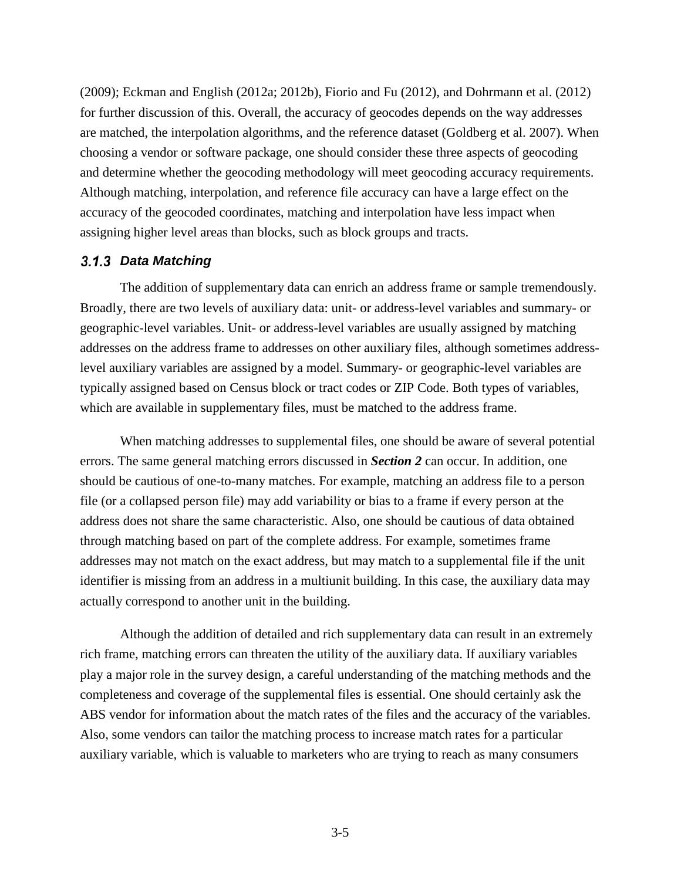(2009); Eckman and English (2012a; 2012b), Fiorio and Fu (2012), and Dohrmann et al. (2012) for further discussion of this. Overall, the accuracy of geocodes depends on the way addresses are matched, the interpolation algorithms, and the reference dataset (Goldberg et al. 2007). When choosing a vendor or software package, one should consider these three aspects of geocoding and determine whether the geocoding methodology will meet geocoding accuracy requirements. Although matching, interpolation, and reference file accuracy can have a large effect on the accuracy of the geocoded coordinates, matching and interpolation have less impact when assigning higher level areas than blocks, such as block groups and tracts.

# *Data Matching*

The addition of supplementary data can enrich an address frame or sample tremendously. Broadly, there are two levels of auxiliary data: unit- or address-level variables and summary- or geographic-level variables. Unit- or address-level variables are usually assigned by matching addresses on the address frame to addresses on other auxiliary files, although sometimes addresslevel auxiliary variables are assigned by a model. Summary- or geographic-level variables are typically assigned based on Census block or tract codes or ZIP Code. Both types of variables, which are available in supplementary files, must be matched to the address frame.

When matching addresses to supplemental files, one should be aware of several potential errors. The same general matching errors discussed in *Section 2* can occur. In addition, one should be cautious of one-to-many matches. For example, matching an address file to a person file (or a collapsed person file) may add variability or bias to a frame if every person at the address does not share the same characteristic. Also, one should be cautious of data obtained through matching based on part of the complete address. For example, sometimes frame addresses may not match on the exact address, but may match to a supplemental file if the unit identifier is missing from an address in a multiunit building. In this case, the auxiliary data may actually correspond to another unit in the building.

Although the addition of detailed and rich supplementary data can result in an extremely rich frame, matching errors can threaten the utility of the auxiliary data. If auxiliary variables play a major role in the survey design, a careful understanding of the matching methods and the completeness and coverage of the supplemental files is essential. One should certainly ask the ABS vendor for information about the match rates of the files and the accuracy of the variables. Also, some vendors can tailor the matching process to increase match rates for a particular auxiliary variable, which is valuable to marketers who are trying to reach as many consumers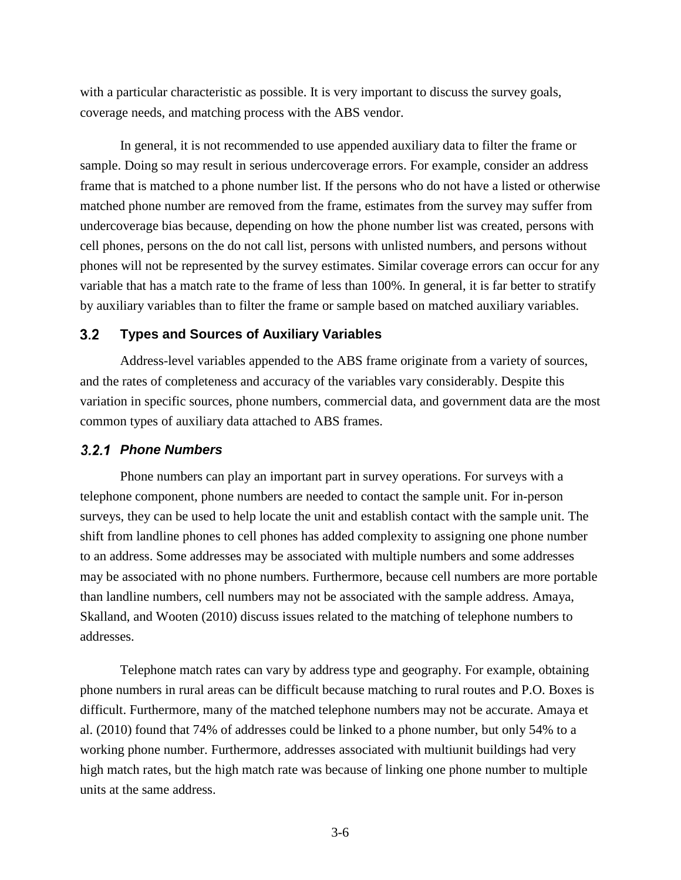with a particular characteristic as possible. It is very important to discuss the survey goals, coverage needs, and matching process with the ABS vendor.

In general, it is not recommended to use appended auxiliary data to filter the frame or sample. Doing so may result in serious undercoverage errors. For example, consider an address frame that is matched to a phone number list. If the persons who do not have a listed or otherwise matched phone number are removed from the frame, estimates from the survey may suffer from undercoverage bias because, depending on how the phone number list was created, persons with cell phones, persons on the do not call list, persons with unlisted numbers, and persons without phones will not be represented by the survey estimates. Similar coverage errors can occur for any variable that has a match rate to the frame of less than 100%. In general, it is far better to stratify by auxiliary variables than to filter the frame or sample based on matched auxiliary variables.

#### $3.2$ **Types and Sources of Auxiliary Variables**

Address-level variables appended to the ABS frame originate from a variety of sources, and the rates of completeness and accuracy of the variables vary considerably. Despite this variation in specific sources, phone numbers, commercial data, and government data are the most common types of auxiliary data attached to ABS frames.

### *Phone Numbers*

Phone numbers can play an important part in survey operations. For surveys with a telephone component, phone numbers are needed to contact the sample unit. For in-person surveys, they can be used to help locate the unit and establish contact with the sample unit. The shift from landline phones to cell phones has added complexity to assigning one phone number to an address. Some addresses may be associated with multiple numbers and some addresses may be associated with no phone numbers. Furthermore, because cell numbers are more portable than landline numbers, cell numbers may not be associated with the sample address. Amaya, Skalland, and Wooten (2010) discuss issues related to the matching of telephone numbers to addresses.

Telephone match rates can vary by address type and geography. For example, obtaining phone numbers in rural areas can be difficult because matching to rural routes and P.O. Boxes is difficult. Furthermore, many of the matched telephone numbers may not be accurate. Amaya et al. (2010) found that 74% of addresses could be linked to a phone number, but only 54% to a working phone number. Furthermore, addresses associated with multiunit buildings had very high match rates, but the high match rate was because of linking one phone number to multiple units at the same address.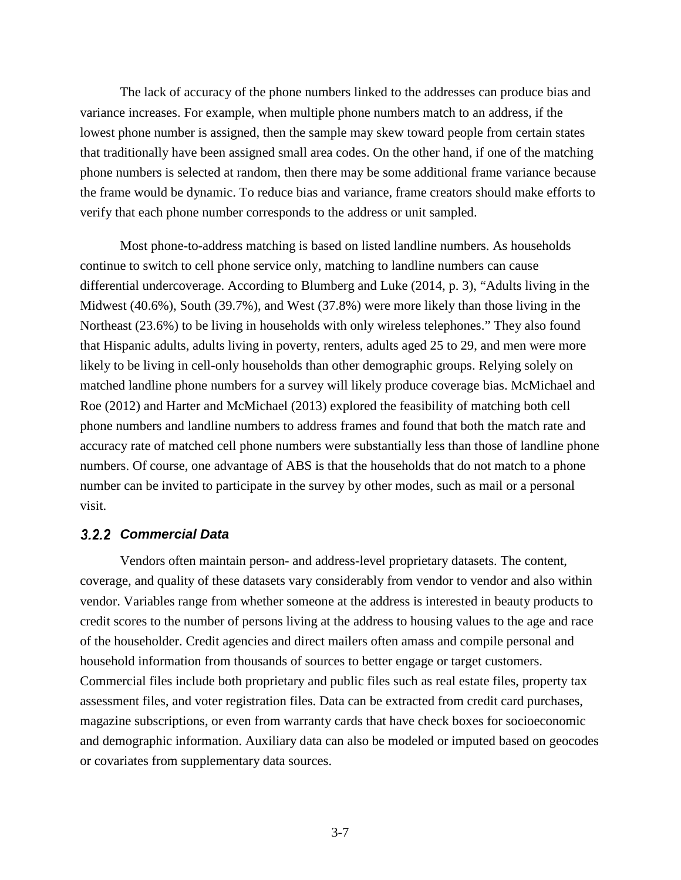The lack of accuracy of the phone numbers linked to the addresses can produce bias and variance increases. For example, when multiple phone numbers match to an address, if the lowest phone number is assigned, then the sample may skew toward people from certain states that traditionally have been assigned small area codes. On the other hand, if one of the matching phone numbers is selected at random, then there may be some additional frame variance because the frame would be dynamic. To reduce bias and variance, frame creators should make efforts to verify that each phone number corresponds to the address or unit sampled.

Most phone-to-address matching is based on listed landline numbers. As households continue to switch to cell phone service only, matching to landline numbers can cause differential undercoverage. According to Blumberg and Luke (2014, p. 3), "Adults living in the Midwest (40.6%), South (39.7%), and West (37.8%) were more likely than those living in the Northeast (23.6%) to be living in households with only wireless telephones." They also found that Hispanic adults, adults living in poverty, renters, adults aged 25 to 29, and men were more likely to be living in cell-only households than other demographic groups. Relying solely on matched landline phone numbers for a survey will likely produce coverage bias. McMichael and Roe (2012) and Harter and McMichael (2013) explored the feasibility of matching both cell phone numbers and landline numbers to address frames and found that both the match rate and accuracy rate of matched cell phone numbers were substantially less than those of landline phone numbers. Of course, one advantage of ABS is that the households that do not match to a phone number can be invited to participate in the survey by other modes, such as mail or a personal visit.

# *Commercial Data*

Vendors often maintain person- and address-level proprietary datasets. The content, coverage, and quality of these datasets vary considerably from vendor to vendor and also within vendor. Variables range from whether someone at the address is interested in beauty products to credit scores to the number of persons living at the address to housing values to the age and race of the householder. Credit agencies and direct mailers often amass and compile personal and household information from thousands of sources to better engage or target customers. Commercial files include both proprietary and public files such as real estate files, property tax assessment files, and voter registration files. Data can be extracted from credit card purchases, magazine subscriptions, or even from warranty cards that have check boxes for socioeconomic and demographic information. Auxiliary data can also be modeled or imputed based on geocodes or covariates from supplementary data sources.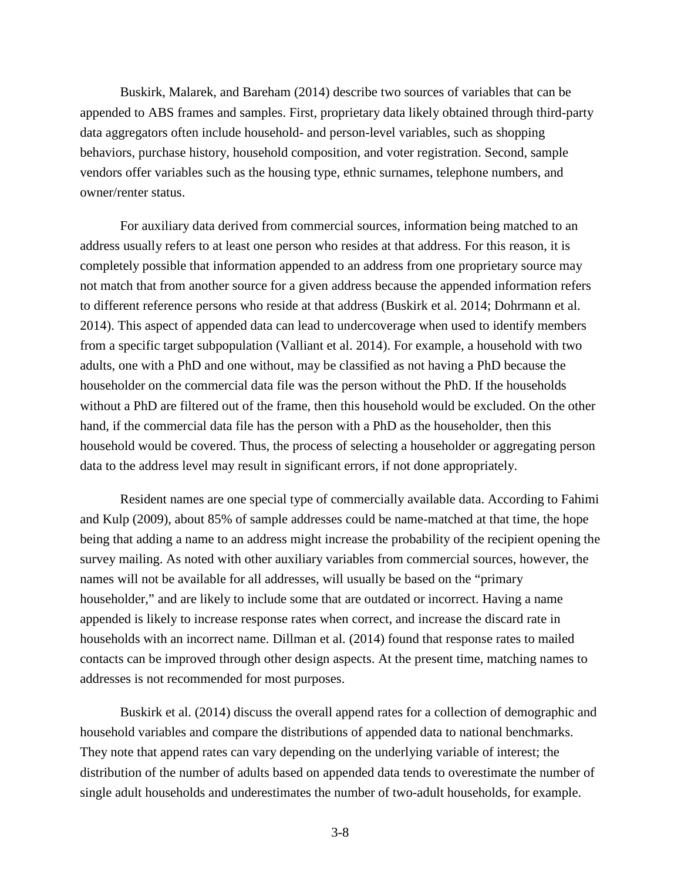Buskirk, Malarek, and Bareham (2014) describe two sources of variables that can be appended to ABS frames and samples. First, proprietary data likely obtained through third-party data aggregators often include household- and person-level variables, such as shopping behaviors, purchase history, household composition, and voter registration. Second, sample vendors offer variables such as the housing type, ethnic surnames, telephone numbers, and owner/renter status.

For auxiliary data derived from commercial sources, information being matched to an address usually refers to at least one person who resides at that address. For this reason, it is completely possible that information appended to an address from one proprietary source may not match that from another source for a given address because the appended information refers to different reference persons who reside at that address (Buskirk et al. 2014; Dohrmann et al. 2014). This aspect of appended data can lead to undercoverage when used to identify members from a specific target subpopulation (Valliant et al. 2014). For example, a household with two adults, one with a PhD and one without, may be classified as not having a PhD because the householder on the commercial data file was the person without the PhD. If the households without a PhD are filtered out of the frame, then this household would be excluded. On the other hand, if the commercial data file has the person with a PhD as the householder, then this household would be covered. Thus, the process of selecting a householder or aggregating person data to the address level may result in significant errors, if not done appropriately.

Resident names are one special type of commercially available data. According to Fahimi and Kulp (2009), about 85% of sample addresses could be name-matched at that time, the hope being that adding a name to an address might increase the probability of the recipient opening the survey mailing. As noted with other auxiliary variables from commercial sources, however, the names will not be available for all addresses, will usually be based on the "primary householder," and are likely to include some that are outdated or incorrect. Having a name appended is likely to increase response rates when correct, and increase the discard rate in households with an incorrect name. Dillman et al. (2014) found that response rates to mailed contacts can be improved through other design aspects. At the present time, matching names to addresses is not recommended for most purposes.

Buskirk et al. (2014) discuss the overall append rates for a collection of demographic and household variables and compare the distributions of appended data to national benchmarks. They note that append rates can vary depending on the underlying variable of interest; the distribution of the number of adults based on appended data tends to overestimate the number of single adult households and underestimates the number of two-adult households, for example.

3-8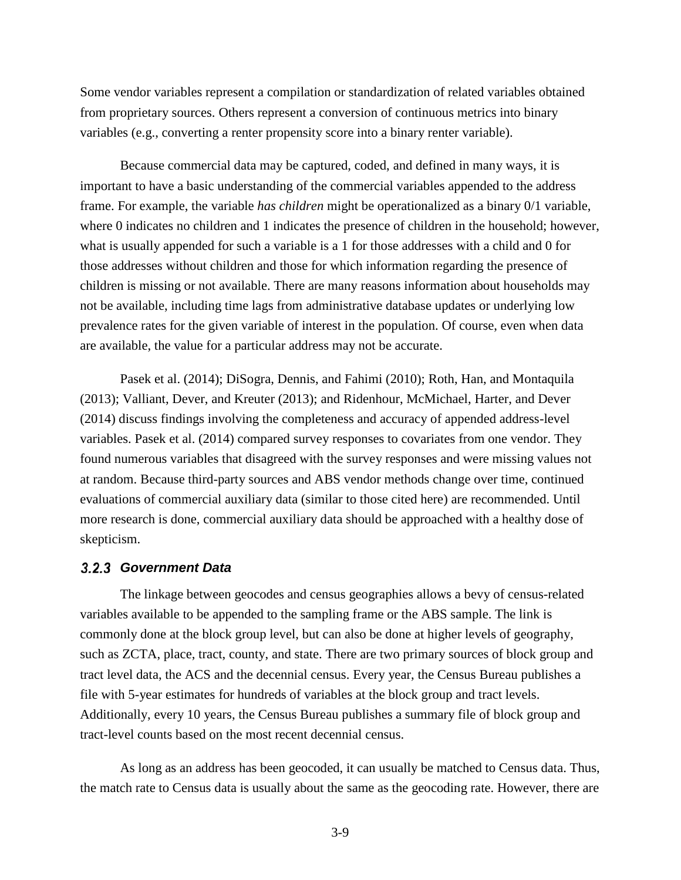Some vendor variables represent a compilation or standardization of related variables obtained from proprietary sources. Others represent a conversion of continuous metrics into binary variables (e.g., converting a renter propensity score into a binary renter variable).

Because commercial data may be captured, coded, and defined in many ways, it is important to have a basic understanding of the commercial variables appended to the address frame. For example, the variable *has children* might be operationalized as a binary 0/1 variable, where 0 indicates no children and 1 indicates the presence of children in the household; however, what is usually appended for such a variable is a 1 for those addresses with a child and 0 for those addresses without children and those for which information regarding the presence of children is missing or not available. There are many reasons information about households may not be available, including time lags from administrative database updates or underlying low prevalence rates for the given variable of interest in the population. Of course, even when data are available, the value for a particular address may not be accurate.

Pasek et al. (2014); DiSogra, Dennis, and Fahimi (2010); Roth, Han, and Montaquila (2013); Valliant, Dever, and Kreuter (2013); and Ridenhour, McMichael, Harter, and Dever (2014) discuss findings involving the completeness and accuracy of appended address-level variables. Pasek et al. (2014) compared survey responses to covariates from one vendor. They found numerous variables that disagreed with the survey responses and were missing values not at random. Because third-party sources and ABS vendor methods change over time, continued evaluations of commercial auxiliary data (similar to those cited here) are recommended. Until more research is done, commercial auxiliary data should be approached with a healthy dose of skepticism.

# *Government Data*

The linkage between geocodes and census geographies allows a bevy of census-related variables available to be appended to the sampling frame or the ABS sample. The link is commonly done at the block group level, but can also be done at higher levels of geography, such as ZCTA, place, tract, county, and state. There are two primary sources of block group and tract level data, the ACS and the decennial census. Every year, the Census Bureau publishes a file with 5-year estimates for hundreds of variables at the block group and tract levels. Additionally, every 10 years, the Census Bureau publishes a summary file of block group and tract-level counts based on the most recent decennial census.

As long as an address has been geocoded, it can usually be matched to Census data. Thus, the match rate to Census data is usually about the same as the geocoding rate. However, there are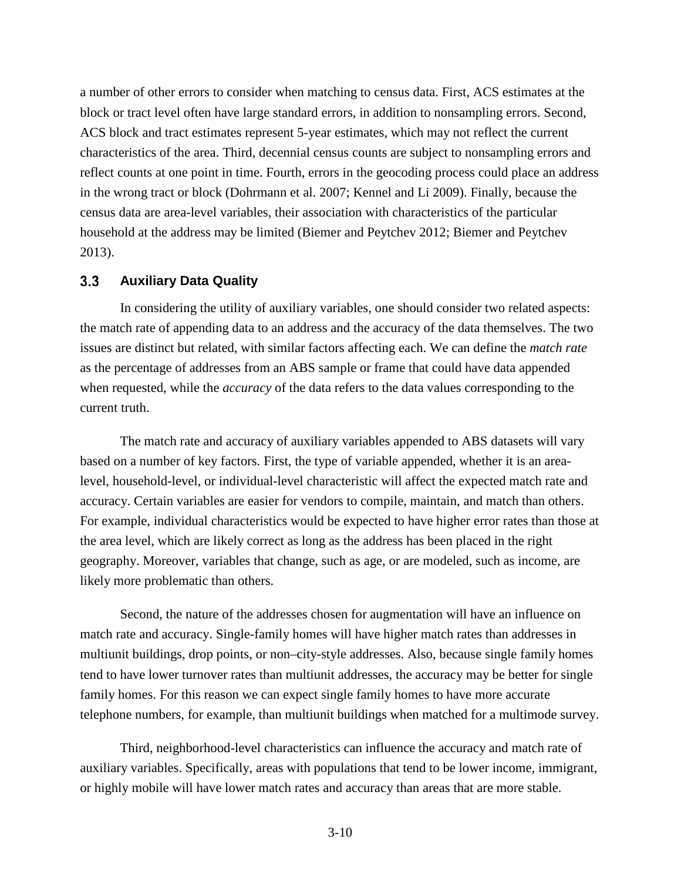a number of other errors to consider when matching to census data. First, ACS estimates at the block or tract level often have large standard errors, in addition to nonsampling errors. Second, ACS block and tract estimates represent 5-year estimates, which may not reflect the current characteristics of the area. Third, decennial census counts are subject to nonsampling errors and reflect counts at one point in time. Fourth, errors in the geocoding process could place an address in the wrong tract or block (Dohrmann et al. 2007; Kennel and Li 2009). Finally, because the census data are area-level variables, their association with characteristics of the particular household at the address may be limited (Biemer and Peytchev 2012; Biemer and Peytchev 2013).

#### $3.3$ **Auxiliary Data Quality**

In considering the utility of auxiliary variables, one should consider two related aspects: the match rate of appending data to an address and the accuracy of the data themselves. The two issues are distinct but related, with similar factors affecting each. We can define the *match rate* as the percentage of addresses from an ABS sample or frame that could have data appended when requested, while the *accuracy* of the data refers to the data values corresponding to the current truth.

The match rate and accuracy of auxiliary variables appended to ABS datasets will vary based on a number of key factors. First, the type of variable appended, whether it is an arealevel, household-level, or individual-level characteristic will affect the expected match rate and accuracy. Certain variables are easier for vendors to compile, maintain, and match than others. For example, individual characteristics would be expected to have higher error rates than those at the area level, which are likely correct as long as the address has been placed in the right geography. Moreover, variables that change, such as age, or are modeled, such as income, are likely more problematic than others.

Second, the nature of the addresses chosen for augmentation will have an influence on match rate and accuracy. Single-family homes will have higher match rates than addresses in multiunit buildings, drop points, or non–city-style addresses. Also, because single family homes tend to have lower turnover rates than multiunit addresses, the accuracy may be better for single family homes. For this reason we can expect single family homes to have more accurate telephone numbers, for example, than multiunit buildings when matched for a multimode survey.

Third, neighborhood-level characteristics can influence the accuracy and match rate of auxiliary variables. Specifically, areas with populations that tend to be lower income, immigrant, or highly mobile will have lower match rates and accuracy than areas that are more stable.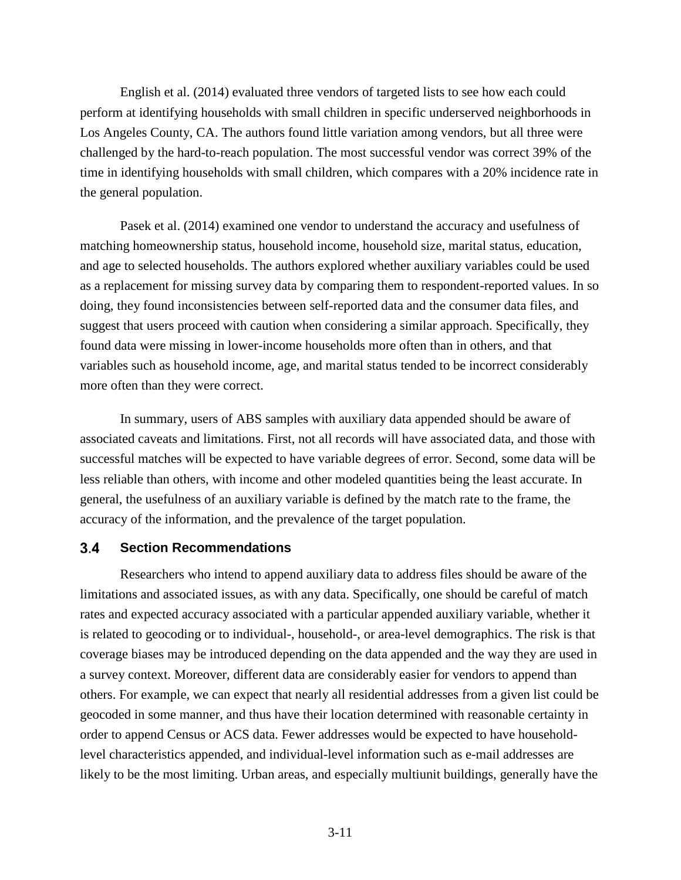English et al. (2014) evaluated three vendors of targeted lists to see how each could perform at identifying households with small children in specific underserved neighborhoods in Los Angeles County, CA. The authors found little variation among vendors, but all three were challenged by the hard-to-reach population. The most successful vendor was correct 39% of the time in identifying households with small children, which compares with a 20% incidence rate in the general population.

Pasek et al. (2014) examined one vendor to understand the accuracy and usefulness of matching homeownership status, household income, household size, marital status, education, and age to selected households. The authors explored whether auxiliary variables could be used as a replacement for missing survey data by comparing them to respondent-reported values. In so doing, they found inconsistencies between self-reported data and the consumer data files, and suggest that users proceed with caution when considering a similar approach. Specifically, they found data were missing in lower-income households more often than in others, and that variables such as household income, age, and marital status tended to be incorrect considerably more often than they were correct.

In summary, users of ABS samples with auxiliary data appended should be aware of associated caveats and limitations. First, not all records will have associated data, and those with successful matches will be expected to have variable degrees of error. Second, some data will be less reliable than others, with income and other modeled quantities being the least accurate. In general, the usefulness of an auxiliary variable is defined by the match rate to the frame, the accuracy of the information, and the prevalence of the target population.

#### $3.4$ **Section Recommendations**

Researchers who intend to append auxiliary data to address files should be aware of the limitations and associated issues, as with any data. Specifically, one should be careful of match rates and expected accuracy associated with a particular appended auxiliary variable, whether it is related to geocoding or to individual-, household-, or area-level demographics. The risk is that coverage biases may be introduced depending on the data appended and the way they are used in a survey context. Moreover, different data are considerably easier for vendors to append than others. For example, we can expect that nearly all residential addresses from a given list could be geocoded in some manner, and thus have their location determined with reasonable certainty in order to append Census or ACS data. Fewer addresses would be expected to have householdlevel characteristics appended, and individual-level information such as e-mail addresses are likely to be the most limiting. Urban areas, and especially multiunit buildings, generally have the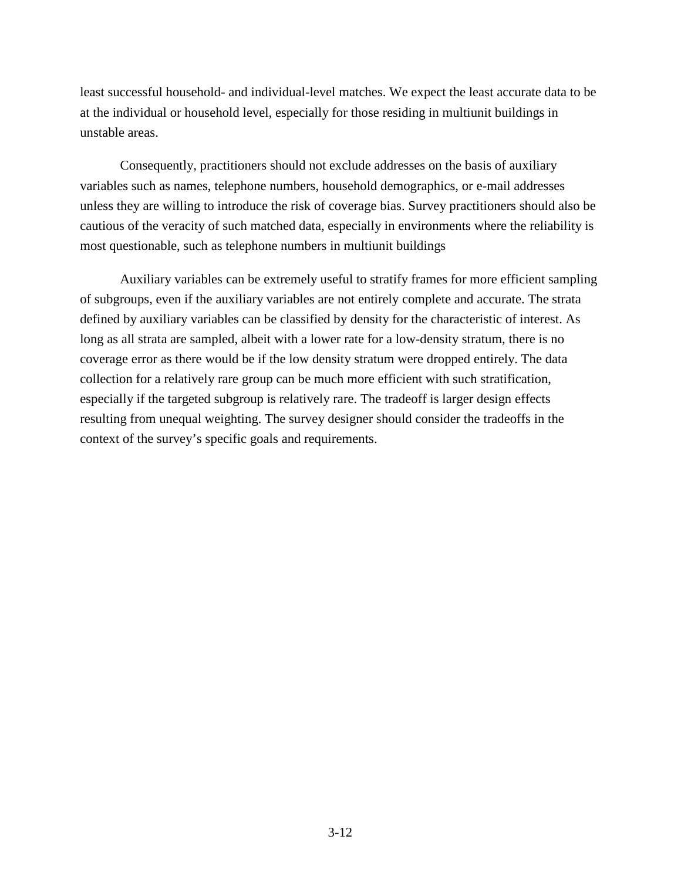least successful household- and individual-level matches. We expect the least accurate data to be at the individual or household level, especially for those residing in multiunit buildings in unstable areas.

Consequently, practitioners should not exclude addresses on the basis of auxiliary variables such as names, telephone numbers, household demographics, or e-mail addresses unless they are willing to introduce the risk of coverage bias. Survey practitioners should also be cautious of the veracity of such matched data, especially in environments where the reliability is most questionable, such as telephone numbers in multiunit buildings

Auxiliary variables can be extremely useful to stratify frames for more efficient sampling of subgroups, even if the auxiliary variables are not entirely complete and accurate. The strata defined by auxiliary variables can be classified by density for the characteristic of interest. As long as all strata are sampled, albeit with a lower rate for a low-density stratum, there is no coverage error as there would be if the low density stratum were dropped entirely. The data collection for a relatively rare group can be much more efficient with such stratification, especially if the targeted subgroup is relatively rare. The tradeoff is larger design effects resulting from unequal weighting. The survey designer should consider the tradeoffs in the context of the survey's specific goals and requirements.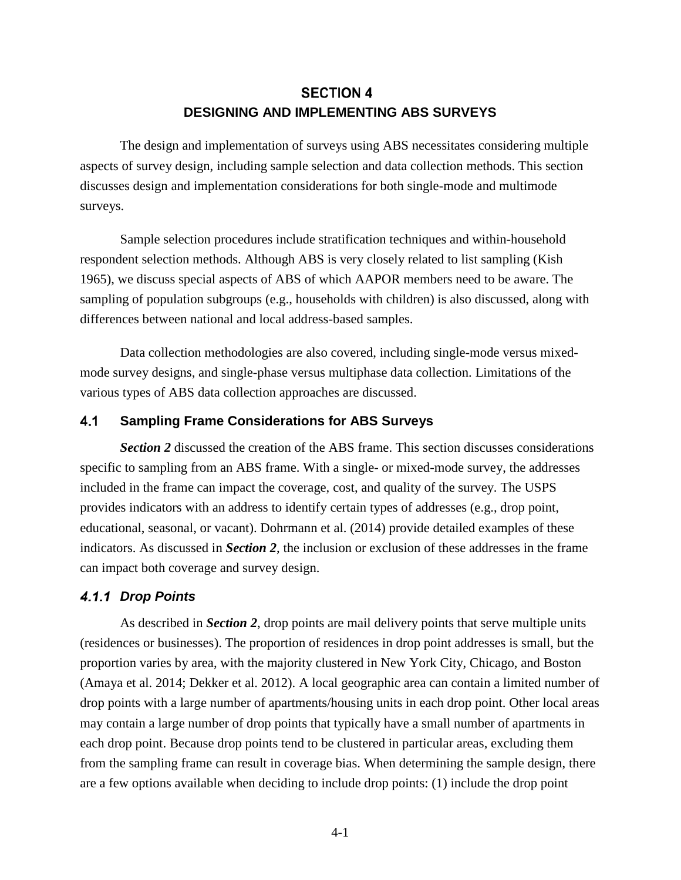# **SECTION 4 DESIGNING AND IMPLEMENTING ABS SURVEYS**

The design and implementation of surveys using ABS necessitates considering multiple aspects of survey design, including sample selection and data collection methods. This section discusses design and implementation considerations for both single-mode and multimode surveys.

Sample selection procedures include stratification techniques and within-household respondent selection methods. Although ABS is very closely related to list sampling (Kish 1965), we discuss special aspects of ABS of which AAPOR members need to be aware. The sampling of population subgroups (e.g., households with children) is also discussed, along with differences between national and local address-based samples.

Data collection methodologies are also covered, including single-mode versus mixedmode survey designs, and single-phase versus multiphase data collection. Limitations of the various types of ABS data collection approaches are discussed.

#### 4.1 **Sampling Frame Considerations for ABS Surveys**

*Section 2* discussed the creation of the ABS frame. This section discusses considerations specific to sampling from an ABS frame. With a single- or mixed-mode survey, the addresses included in the frame can impact the coverage, cost, and quality of the survey. The USPS provides indicators with an address to identify certain types of addresses (e.g., drop point, educational, seasonal, or vacant). Dohrmann et al. (2014) provide detailed examples of these indicators. As discussed in *Section 2*, the inclusion or exclusion of these addresses in the frame can impact both coverage and survey design.

# 4.1.1 Drop Points

As described in *Section 2*, drop points are mail delivery points that serve multiple units (residences or businesses). The proportion of residences in drop point addresses is small, but the proportion varies by area, with the majority clustered in New York City, Chicago, and Boston (Amaya et al. 2014; Dekker et al. 2012). A local geographic area can contain a limited number of drop points with a large number of apartments/housing units in each drop point. Other local areas may contain a large number of drop points that typically have a small number of apartments in each drop point. Because drop points tend to be clustered in particular areas, excluding them from the sampling frame can result in coverage bias. When determining the sample design, there are a few options available when deciding to include drop points: (1) include the drop point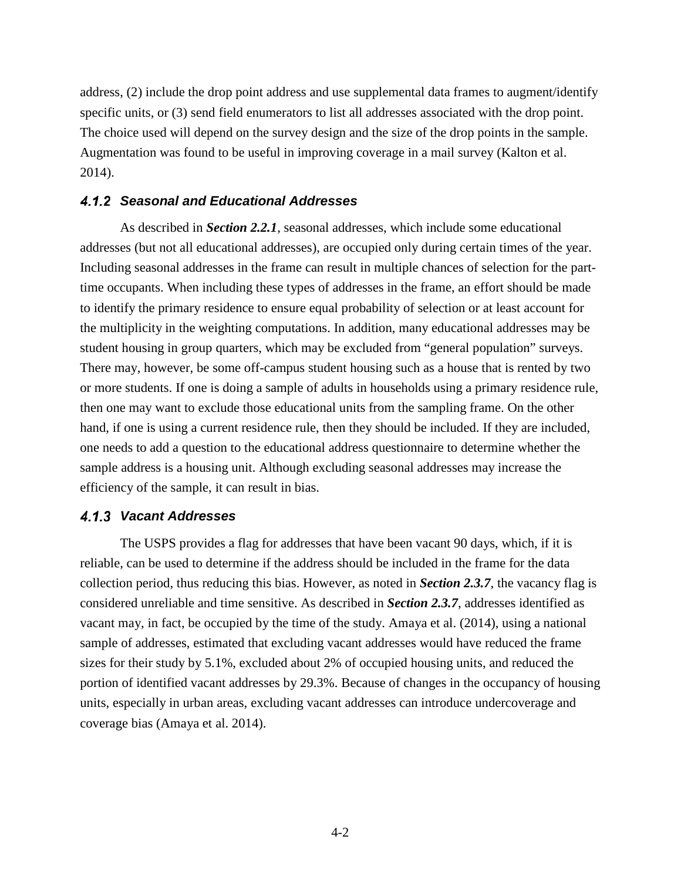address, (2) include the drop point address and use supplemental data frames to augment/identify specific units, or (3) send field enumerators to list all addresses associated with the drop point. The choice used will depend on the survey design and the size of the drop points in the sample. Augmentation was found to be useful in improving coverage in a mail survey (Kalton et al. 2014).

# *Seasonal and Educational Addresses*

As described in *Section 2.2.1*, seasonal addresses, which include some educational addresses (but not all educational addresses), are occupied only during certain times of the year. Including seasonal addresses in the frame can result in multiple chances of selection for the parttime occupants. When including these types of addresses in the frame, an effort should be made to identify the primary residence to ensure equal probability of selection or at least account for the multiplicity in the weighting computations. In addition, many educational addresses may be student housing in group quarters, which may be excluded from "general population" surveys. There may, however, be some off-campus student housing such as a house that is rented by two or more students. If one is doing a sample of adults in households using a primary residence rule, then one may want to exclude those educational units from the sampling frame. On the other hand, if one is using a current residence rule, then they should be included. If they are included, one needs to add a question to the educational address questionnaire to determine whether the sample address is a housing unit. Although excluding seasonal addresses may increase the efficiency of the sample, it can result in bias.

### *Vacant Addresses*

The USPS provides a flag for addresses that have been vacant 90 days, which, if it is reliable, can be used to determine if the address should be included in the frame for the data collection period, thus reducing this bias. However, as noted in *Section 2.3.7*, the vacancy flag is considered unreliable and time sensitive. As described in *Section 2.3.7*, addresses identified as vacant may, in fact, be occupied by the time of the study. Amaya et al. (2014), using a national sample of addresses, estimated that excluding vacant addresses would have reduced the frame sizes for their study by 5.1%, excluded about 2% of occupied housing units, and reduced the portion of identified vacant addresses by 29.3%. Because of changes in the occupancy of housing units, especially in urban areas, excluding vacant addresses can introduce undercoverage and coverage bias (Amaya et al. 2014).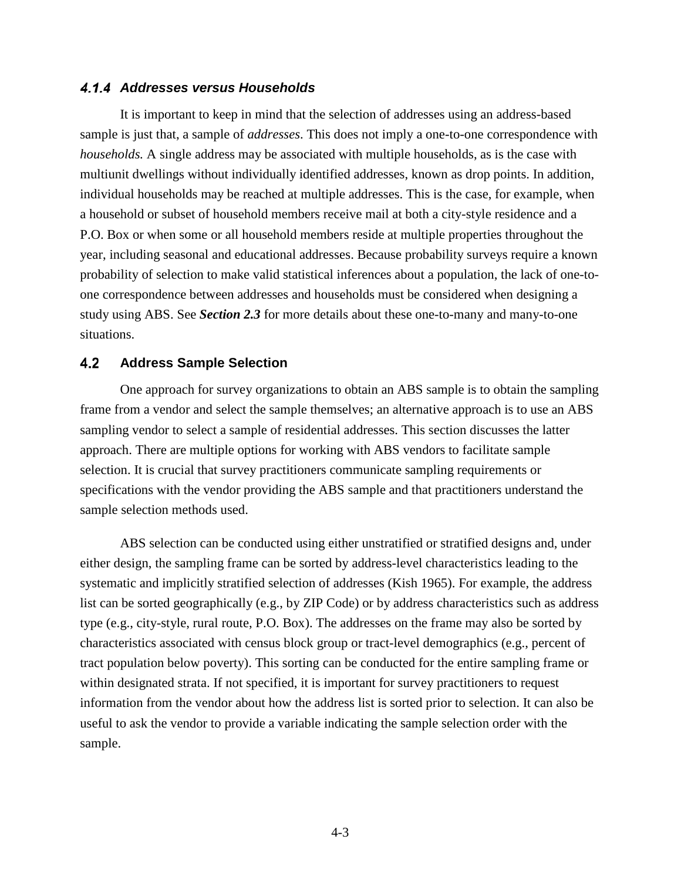# *Addresses versus Households*

It is important to keep in mind that the selection of addresses using an address-based sample is just that, a sample of *addresses*. This does not imply a one-to-one correspondence with *households.* A single address may be associated with multiple households, as is the case with multiunit dwellings without individually identified addresses, known as drop points. In addition, individual households may be reached at multiple addresses. This is the case, for example, when a household or subset of household members receive mail at both a city-style residence and a P.O. Box or when some or all household members reside at multiple properties throughout the year, including seasonal and educational addresses. Because probability surveys require a known probability of selection to make valid statistical inferences about a population, the lack of one-toone correspondence between addresses and households must be considered when designing a study using ABS. See *Section 2.3* for more details about these one-to-many and many-to-one situations.

#### $4.2$ **Address Sample Selection**

One approach for survey organizations to obtain an ABS sample is to obtain the sampling frame from a vendor and select the sample themselves; an alternative approach is to use an ABS sampling vendor to select a sample of residential addresses. This section discusses the latter approach. There are multiple options for working with ABS vendors to facilitate sample selection. It is crucial that survey practitioners communicate sampling requirements or specifications with the vendor providing the ABS sample and that practitioners understand the sample selection methods used.

ABS selection can be conducted using either unstratified or stratified designs and, under either design, the sampling frame can be sorted by address-level characteristics leading to the systematic and implicitly stratified selection of addresses (Kish 1965). For example, the address list can be sorted geographically (e.g., by ZIP Code) or by address characteristics such as address type (e.g., city-style, rural route, P.O. Box). The addresses on the frame may also be sorted by characteristics associated with census block group or tract-level demographics (e.g., percent of tract population below poverty). This sorting can be conducted for the entire sampling frame or within designated strata. If not specified, it is important for survey practitioners to request information from the vendor about how the address list is sorted prior to selection. It can also be useful to ask the vendor to provide a variable indicating the sample selection order with the sample.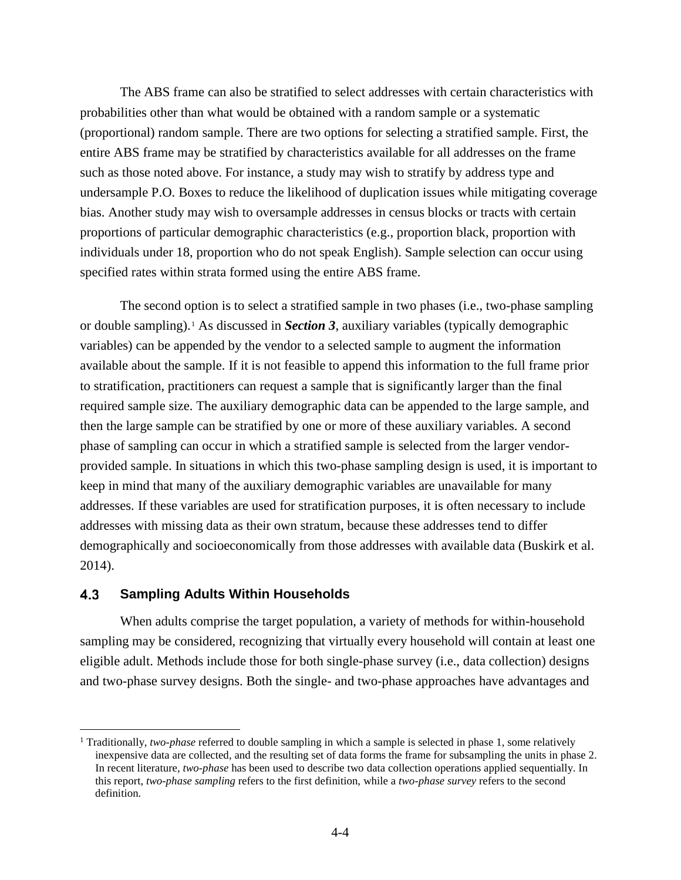The ABS frame can also be stratified to select addresses with certain characteristics with probabilities other than what would be obtained with a random sample or a systematic (proportional) random sample. There are two options for selecting a stratified sample. First, the entire ABS frame may be stratified by characteristics available for all addresses on the frame such as those noted above. For instance, a study may wish to stratify by address type and undersample P.O. Boxes to reduce the likelihood of duplication issues while mitigating coverage bias. Another study may wish to oversample addresses in census blocks or tracts with certain proportions of particular demographic characteristics (e.g., proportion black, proportion with individuals under 18, proportion who do not speak English). Sample selection can occur using specified rates within strata formed using the entire ABS frame.

The second option is to select a stratified sample in two phases (i.e., two-phase sampling or double sampling).[1](#page-48-0) As discussed in *Section 3*, auxiliary variables (typically demographic variables) can be appended by the vendor to a selected sample to augment the information available about the sample. If it is not feasible to append this information to the full frame prior to stratification, practitioners can request a sample that is significantly larger than the final required sample size. The auxiliary demographic data can be appended to the large sample, and then the large sample can be stratified by one or more of these auxiliary variables. A second phase of sampling can occur in which a stratified sample is selected from the larger vendorprovided sample. In situations in which this two-phase sampling design is used, it is important to keep in mind that many of the auxiliary demographic variables are unavailable for many addresses. If these variables are used for stratification purposes, it is often necessary to include addresses with missing data as their own stratum, because these addresses tend to differ demographically and socioeconomically from those addresses with available data (Buskirk et al. 2014).

#### $4.3$ **Sampling Adults Within Households**

When adults comprise the target population, a variety of methods for within-household sampling may be considered, recognizing that virtually every household will contain at least one eligible adult. Methods include those for both single-phase survey (i.e., data collection) designs and two-phase survey designs. Both the single- and two-phase approaches have advantages and

<span id="page-48-0"></span><sup>&</sup>lt;sup>1</sup> Traditionally, *two-phase* referred to double sampling in which a sample is selected in phase 1, some relatively inexpensive data are collected, and the resulting set of data forms the frame for subsampling the units in phase 2. In recent literature, *two-phase* has been used to describe two data collection operations applied sequentially. In this report, *two-phase sampling* refers to the first definition, while a *two-phase survey* refers to the second definition.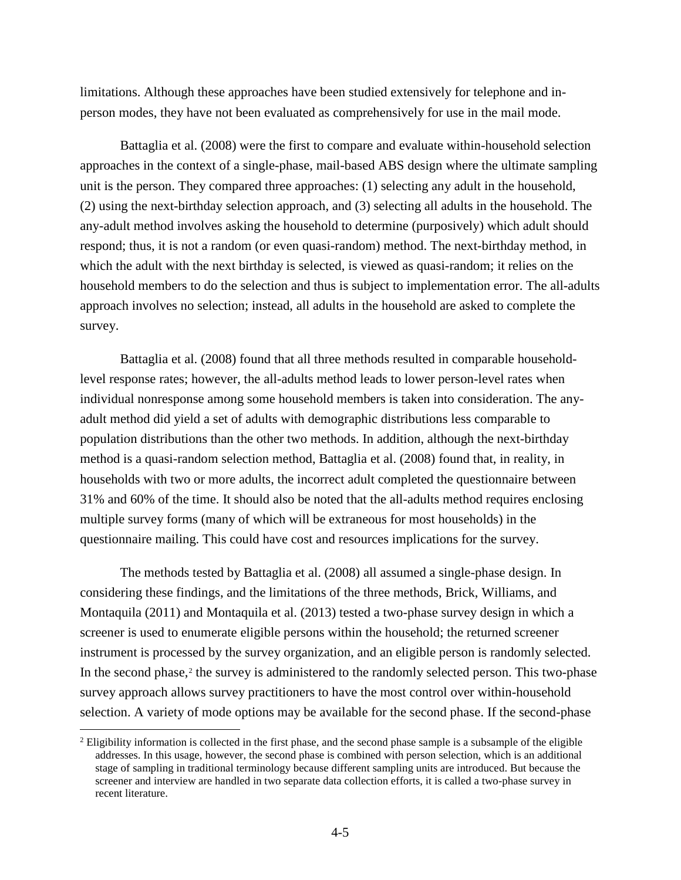limitations. Although these approaches have been studied extensively for telephone and inperson modes, they have not been evaluated as comprehensively for use in the mail mode.

Battaglia et al. (2008) were the first to compare and evaluate within-household selection approaches in the context of a single-phase, mail-based ABS design where the ultimate sampling unit is the person. They compared three approaches: (1) selecting any adult in the household, (2) using the next-birthday selection approach, and (3) selecting all adults in the household. The any-adult method involves asking the household to determine (purposively) which adult should respond; thus, it is not a random (or even quasi-random) method. The next-birthday method, in which the adult with the next birthday is selected, is viewed as quasi-random; it relies on the household members to do the selection and thus is subject to implementation error. The all-adults approach involves no selection; instead, all adults in the household are asked to complete the survey.

Battaglia et al. (2008) found that all three methods resulted in comparable householdlevel response rates; however, the all-adults method leads to lower person-level rates when individual nonresponse among some household members is taken into consideration. The anyadult method did yield a set of adults with demographic distributions less comparable to population distributions than the other two methods. In addition, although the next-birthday method is a quasi-random selection method, Battaglia et al. (2008) found that, in reality, in households with two or more adults, the incorrect adult completed the questionnaire between 31% and 60% of the time. It should also be noted that the all-adults method requires enclosing multiple survey forms (many of which will be extraneous for most households) in the questionnaire mailing. This could have cost and resources implications for the survey.

The methods tested by Battaglia et al. (2008) all assumed a single-phase design. In considering these findings, and the limitations of the three methods, Brick, Williams, and Montaquila (2011) and Montaquila et al. (2013) tested a two-phase survey design in which a screener is used to enumerate eligible persons within the household; the returned screener instrument is processed by the survey organization, and an eligible person is randomly selected. In the second phase,<sup>[2](#page-49-0)</sup> the survey is administered to the randomly selected person. This two-phase survey approach allows survey practitioners to have the most control over within-household selection. A variety of mode options may be available for the second phase. If the second-phase

<span id="page-49-0"></span> $2$  Eligibility information is collected in the first phase, and the second phase sample is a subsample of the eligible addresses. In this usage, however, the second phase is combined with person selection, which is an additional stage of sampling in traditional terminology because different sampling units are introduced. But because the screener and interview are handled in two separate data collection efforts, it is called a two-phase survey in recent literature.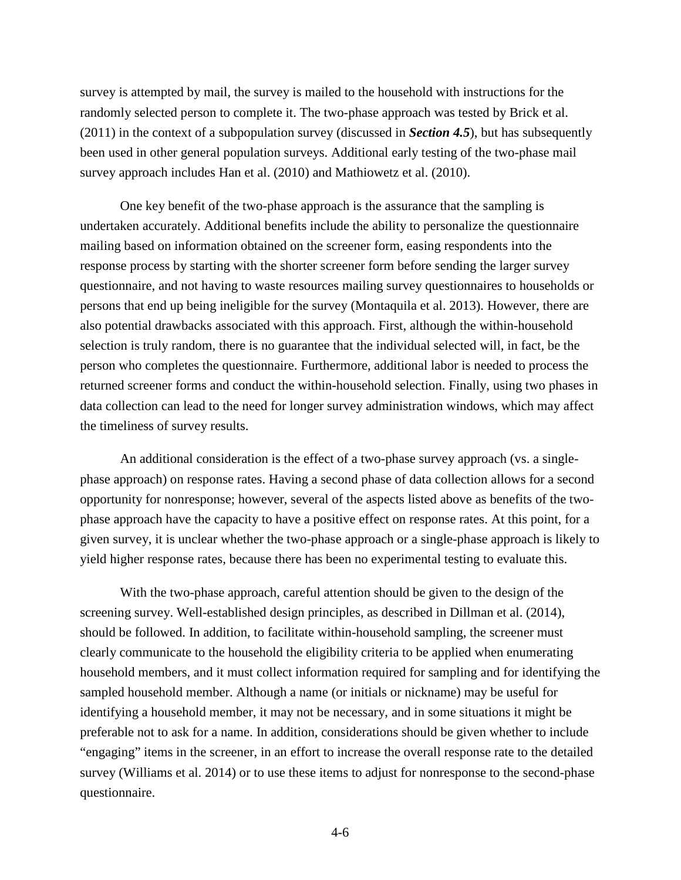survey is attempted by mail, the survey is mailed to the household with instructions for the randomly selected person to complete it. The two-phase approach was tested by Brick et al. (2011) in the context of a subpopulation survey (discussed in *Section 4.5*), but has subsequently been used in other general population surveys. Additional early testing of the two-phase mail survey approach includes Han et al. (2010) and Mathiowetz et al. (2010).

One key benefit of the two-phase approach is the assurance that the sampling is undertaken accurately. Additional benefits include the ability to personalize the questionnaire mailing based on information obtained on the screener form, easing respondents into the response process by starting with the shorter screener form before sending the larger survey questionnaire, and not having to waste resources mailing survey questionnaires to households or persons that end up being ineligible for the survey (Montaquila et al. 2013). However, there are also potential drawbacks associated with this approach. First, although the within-household selection is truly random, there is no guarantee that the individual selected will, in fact, be the person who completes the questionnaire. Furthermore, additional labor is needed to process the returned screener forms and conduct the within-household selection. Finally, using two phases in data collection can lead to the need for longer survey administration windows, which may affect the timeliness of survey results.

An additional consideration is the effect of a two-phase survey approach (vs. a singlephase approach) on response rates. Having a second phase of data collection allows for a second opportunity for nonresponse; however, several of the aspects listed above as benefits of the twophase approach have the capacity to have a positive effect on response rates. At this point, for a given survey, it is unclear whether the two-phase approach or a single-phase approach is likely to yield higher response rates, because there has been no experimental testing to evaluate this.

With the two-phase approach, careful attention should be given to the design of the screening survey. Well-established design principles, as described in Dillman et al. (2014), should be followed. In addition, to facilitate within-household sampling, the screener must clearly communicate to the household the eligibility criteria to be applied when enumerating household members, and it must collect information required for sampling and for identifying the sampled household member. Although a name (or initials or nickname) may be useful for identifying a household member, it may not be necessary, and in some situations it might be preferable not to ask for a name. In addition, considerations should be given whether to include "engaging" items in the screener, in an effort to increase the overall response rate to the detailed survey (Williams et al. 2014) or to use these items to adjust for nonresponse to the second-phase questionnaire.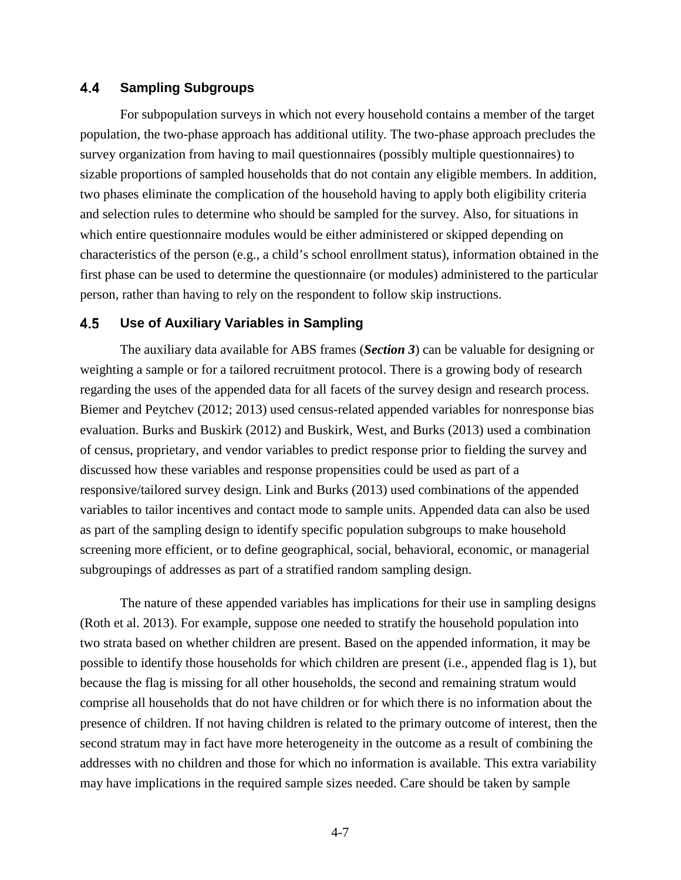#### $4.4$ **Sampling Subgroups**

For subpopulation surveys in which not every household contains a member of the target population, the two-phase approach has additional utility. The two-phase approach precludes the survey organization from having to mail questionnaires (possibly multiple questionnaires) to sizable proportions of sampled households that do not contain any eligible members. In addition, two phases eliminate the complication of the household having to apply both eligibility criteria and selection rules to determine who should be sampled for the survey. Also, for situations in which entire questionnaire modules would be either administered or skipped depending on characteristics of the person (e.g., a child's school enrollment status), information obtained in the first phase can be used to determine the questionnaire (or modules) administered to the particular person, rather than having to rely on the respondent to follow skip instructions.

#### 4.5 **Use of Auxiliary Variables in Sampling**

The auxiliary data available for ABS frames (*Section 3*) can be valuable for designing or weighting a sample or for a tailored recruitment protocol. There is a growing body of research regarding the uses of the appended data for all facets of the survey design and research process. Biemer and Peytchev (2012; 2013) used census-related appended variables for nonresponse bias evaluation. Burks and Buskirk (2012) and Buskirk, West, and Burks (2013) used a combination of census, proprietary, and vendor variables to predict response prior to fielding the survey and discussed how these variables and response propensities could be used as part of a responsive/tailored survey design. Link and Burks (2013) used combinations of the appended variables to tailor incentives and contact mode to sample units. Appended data can also be used as part of the sampling design to identify specific population subgroups to make household screening more efficient, or to define geographical, social, behavioral, economic, or managerial subgroupings of addresses as part of a stratified random sampling design.

The nature of these appended variables has implications for their use in sampling designs (Roth et al. 2013). For example, suppose one needed to stratify the household population into two strata based on whether children are present. Based on the appended information, it may be possible to identify those households for which children are present (i.e., appended flag is 1), but because the flag is missing for all other households, the second and remaining stratum would comprise all households that do not have children or for which there is no information about the presence of children. If not having children is related to the primary outcome of interest, then the second stratum may in fact have more heterogeneity in the outcome as a result of combining the addresses with no children and those for which no information is available. This extra variability may have implications in the required sample sizes needed. Care should be taken by sample

4-7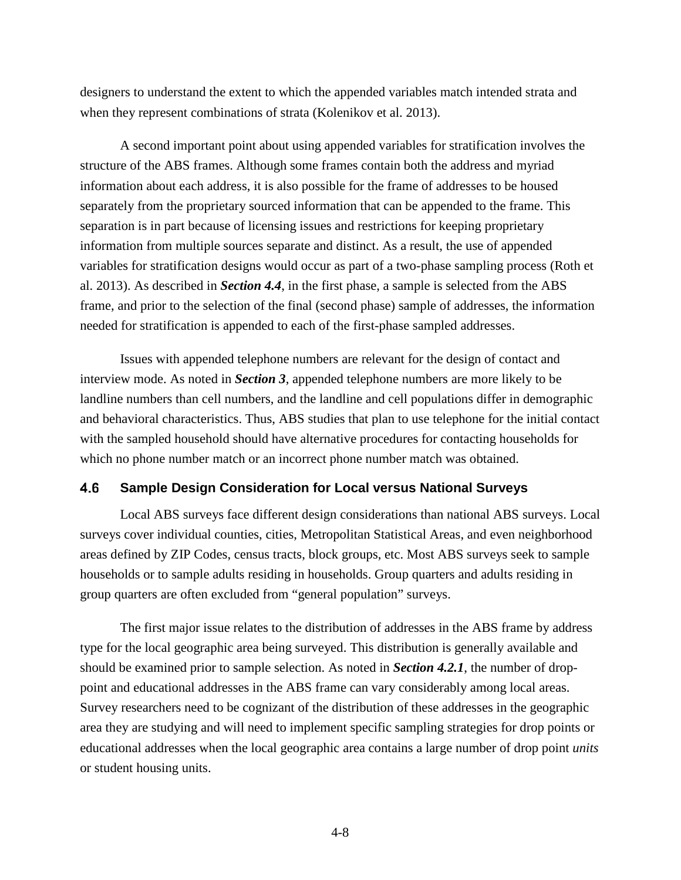designers to understand the extent to which the appended variables match intended strata and when they represent combinations of strata (Kolenikov et al. 2013).

A second important point about using appended variables for stratification involves the structure of the ABS frames. Although some frames contain both the address and myriad information about each address, it is also possible for the frame of addresses to be housed separately from the proprietary sourced information that can be appended to the frame. This separation is in part because of licensing issues and restrictions for keeping proprietary information from multiple sources separate and distinct. As a result, the use of appended variables for stratification designs would occur as part of a two-phase sampling process (Roth et al. 2013). As described in *Section 4.4*, in the first phase, a sample is selected from the ABS frame, and prior to the selection of the final (second phase) sample of addresses, the information needed for stratification is appended to each of the first-phase sampled addresses.

Issues with appended telephone numbers are relevant for the design of contact and interview mode. As noted in *Section 3*, appended telephone numbers are more likely to be landline numbers than cell numbers, and the landline and cell populations differ in demographic and behavioral characteristics. Thus, ABS studies that plan to use telephone for the initial contact with the sampled household should have alternative procedures for contacting households for which no phone number match or an incorrect phone number match was obtained.

#### 4.6 **Sample Design Consideration for Local versus National Surveys**

Local ABS surveys face different design considerations than national ABS surveys. Local surveys cover individual counties, cities, Metropolitan Statistical Areas, and even neighborhood areas defined by ZIP Codes, census tracts, block groups, etc. Most ABS surveys seek to sample households or to sample adults residing in households. Group quarters and adults residing in group quarters are often excluded from "general population" surveys.

The first major issue relates to the distribution of addresses in the ABS frame by address type for the local geographic area being surveyed. This distribution is generally available and should be examined prior to sample selection. As noted in *Section 4.2.1*, the number of droppoint and educational addresses in the ABS frame can vary considerably among local areas. Survey researchers need to be cognizant of the distribution of these addresses in the geographic area they are studying and will need to implement specific sampling strategies for drop points or educational addresses when the local geographic area contains a large number of drop point *units*  or student housing units.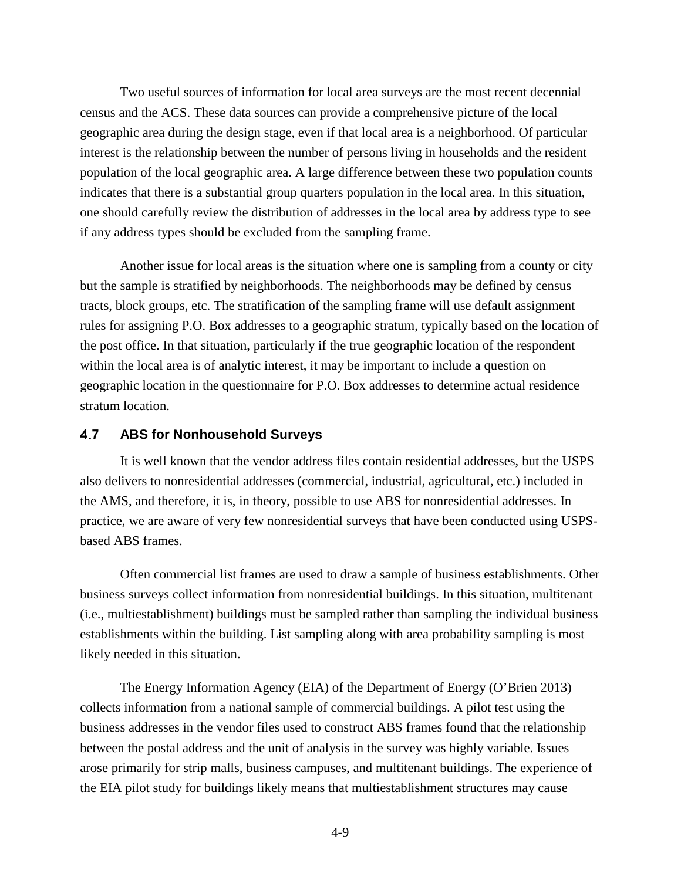Two useful sources of information for local area surveys are the most recent decennial census and the ACS. These data sources can provide a comprehensive picture of the local geographic area during the design stage, even if that local area is a neighborhood. Of particular interest is the relationship between the number of persons living in households and the resident population of the local geographic area. A large difference between these two population counts indicates that there is a substantial group quarters population in the local area. In this situation, one should carefully review the distribution of addresses in the local area by address type to see if any address types should be excluded from the sampling frame.

Another issue for local areas is the situation where one is sampling from a county or city but the sample is stratified by neighborhoods. The neighborhoods may be defined by census tracts, block groups, etc. The stratification of the sampling frame will use default assignment rules for assigning P.O. Box addresses to a geographic stratum, typically based on the location of the post office. In that situation, particularly if the true geographic location of the respondent within the local area is of analytic interest, it may be important to include a question on geographic location in the questionnaire for P.O. Box addresses to determine actual residence stratum location.

#### 4.7 **ABS for Nonhousehold Surveys**

It is well known that the vendor address files contain residential addresses, but the USPS also delivers to nonresidential addresses (commercial, industrial, agricultural, etc.) included in the AMS, and therefore, it is, in theory, possible to use ABS for nonresidential addresses. In practice, we are aware of very few nonresidential surveys that have been conducted using USPSbased ABS frames.

Often commercial list frames are used to draw a sample of business establishments. Other business surveys collect information from nonresidential buildings. In this situation, multitenant (i.e., multiestablishment) buildings must be sampled rather than sampling the individual business establishments within the building. List sampling along with area probability sampling is most likely needed in this situation.

The Energy Information Agency (EIA) of the Department of Energy (O'Brien 2013) collects information from a national sample of commercial buildings. A pilot test using the business addresses in the vendor files used to construct ABS frames found that the relationship between the postal address and the unit of analysis in the survey was highly variable. Issues arose primarily for strip malls, business campuses, and multitenant buildings. The experience of the EIA pilot study for buildings likely means that multiestablishment structures may cause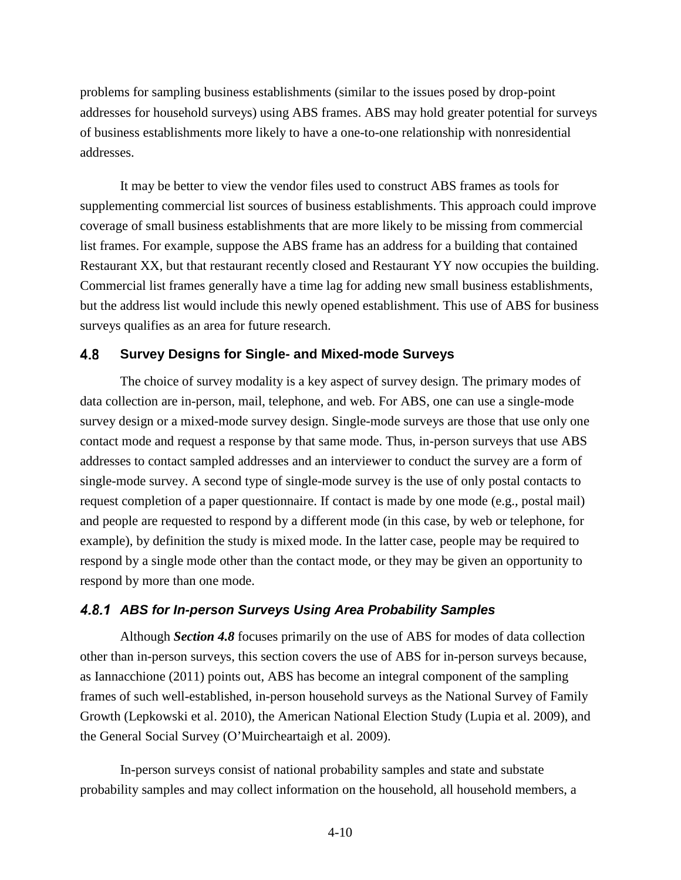problems for sampling business establishments (similar to the issues posed by drop-point addresses for household surveys) using ABS frames. ABS may hold greater potential for surveys of business establishments more likely to have a one-to-one relationship with nonresidential addresses.

It may be better to view the vendor files used to construct ABS frames as tools for supplementing commercial list sources of business establishments. This approach could improve coverage of small business establishments that are more likely to be missing from commercial list frames. For example, suppose the ABS frame has an address for a building that contained Restaurant XX, but that restaurant recently closed and Restaurant YY now occupies the building. Commercial list frames generally have a time lag for adding new small business establishments, but the address list would include this newly opened establishment. This use of ABS for business surveys qualifies as an area for future research.

#### 4.8 **Survey Designs for Single- and Mixed-mode Surveys**

The choice of survey modality is a key aspect of survey design. The primary modes of data collection are in-person, mail, telephone, and web. For ABS, one can use a single-mode survey design or a mixed-mode survey design. Single-mode surveys are those that use only one contact mode and request a response by that same mode. Thus, in-person surveys that use ABS addresses to contact sampled addresses and an interviewer to conduct the survey are a form of single-mode survey. A second type of single-mode survey is the use of only postal contacts to request completion of a paper questionnaire. If contact is made by one mode (e.g., postal mail) and people are requested to respond by a different mode (in this case, by web or telephone, for example), by definition the study is mixed mode. In the latter case, people may be required to respond by a single mode other than the contact mode, or they may be given an opportunity to respond by more than one mode.

### *ABS for In-person Surveys Using Area Probability Samples*

Although *Section 4.8* focuses primarily on the use of ABS for modes of data collection other than in-person surveys, this section covers the use of ABS for in-person surveys because, as Iannacchione (2011) points out, ABS has become an integral component of the sampling frames of such well-established, in-person household surveys as the National Survey of Family Growth (Lepkowski et al. 2010), the American National Election Study (Lupia et al. 2009), and the General Social Survey (O'Muircheartaigh et al. 2009).

In-person surveys consist of national probability samples and state and substate probability samples and may collect information on the household, all household members, a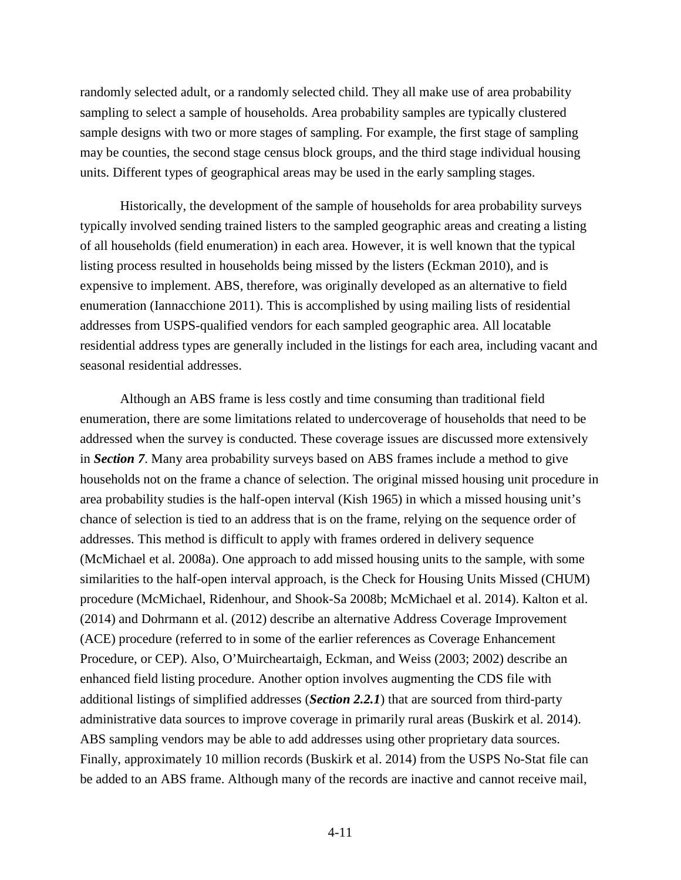randomly selected adult, or a randomly selected child. They all make use of area probability sampling to select a sample of households. Area probability samples are typically clustered sample designs with two or more stages of sampling. For example, the first stage of sampling may be counties, the second stage census block groups, and the third stage individual housing units. Different types of geographical areas may be used in the early sampling stages.

Historically, the development of the sample of households for area probability surveys typically involved sending trained listers to the sampled geographic areas and creating a listing of all households (field enumeration) in each area. However, it is well known that the typical listing process resulted in households being missed by the listers (Eckman 2010), and is expensive to implement. ABS, therefore, was originally developed as an alternative to field enumeration (Iannacchione 2011). This is accomplished by using mailing lists of residential addresses from USPS-qualified vendors for each sampled geographic area. All locatable residential address types are generally included in the listings for each area, including vacant and seasonal residential addresses.

Although an ABS frame is less costly and time consuming than traditional field enumeration, there are some limitations related to undercoverage of households that need to be addressed when the survey is conducted. These coverage issues are discussed more extensively in *Section 7*. Many area probability surveys based on ABS frames include a method to give households not on the frame a chance of selection. The original missed housing unit procedure in area probability studies is the half-open interval (Kish 1965) in which a missed housing unit's chance of selection is tied to an address that is on the frame, relying on the sequence order of addresses. This method is difficult to apply with frames ordered in delivery sequence (McMichael et al. 2008a). One approach to add missed housing units to the sample, with some similarities to the half-open interval approach, is the Check for Housing Units Missed (CHUM) procedure (McMichael, Ridenhour, and Shook-Sa 2008b; McMichael et al. 2014). Kalton et al. (2014) and Dohrmann et al. (2012) describe an alternative Address Coverage Improvement (ACE) procedure (referred to in some of the earlier references as Coverage Enhancement Procedure, or CEP). Also, O'Muircheartaigh, Eckman, and Weiss (2003; 2002) describe an enhanced field listing procedure. Another option involves augmenting the CDS file with additional listings of simplified addresses (*Section 2.2.1*) that are sourced from third-party administrative data sources to improve coverage in primarily rural areas (Buskirk et al. 2014). ABS sampling vendors may be able to add addresses using other proprietary data sources. Finally, approximately 10 million records (Buskirk et al. 2014) from the USPS No-Stat file can be added to an ABS frame. Although many of the records are inactive and cannot receive mail,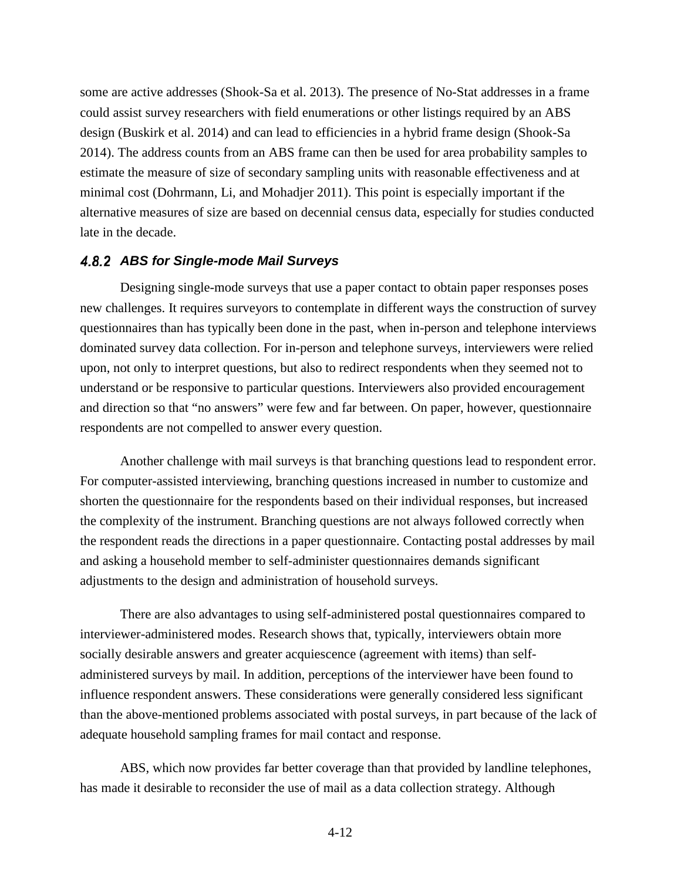some are active addresses (Shook-Sa et al. 2013). The presence of No-Stat addresses in a frame could assist survey researchers with field enumerations or other listings required by an ABS design (Buskirk et al. 2014) and can lead to efficiencies in a hybrid frame design (Shook-Sa 2014). The address counts from an ABS frame can then be used for area probability samples to estimate the measure of size of secondary sampling units with reasonable effectiveness and at minimal cost (Dohrmann, Li, and Mohadjer 2011). This point is especially important if the alternative measures of size are based on decennial census data, especially for studies conducted late in the decade.

### *ABS for Single-mode Mail Surveys*

Designing single-mode surveys that use a paper contact to obtain paper responses poses new challenges. It requires surveyors to contemplate in different ways the construction of survey questionnaires than has typically been done in the past, when in-person and telephone interviews dominated survey data collection. For in-person and telephone surveys, interviewers were relied upon, not only to interpret questions, but also to redirect respondents when they seemed not to understand or be responsive to particular questions. Interviewers also provided encouragement and direction so that "no answers" were few and far between. On paper, however, questionnaire respondents are not compelled to answer every question.

Another challenge with mail surveys is that branching questions lead to respondent error. For computer-assisted interviewing, branching questions increased in number to customize and shorten the questionnaire for the respondents based on their individual responses, but increased the complexity of the instrument. Branching questions are not always followed correctly when the respondent reads the directions in a paper questionnaire. Contacting postal addresses by mail and asking a household member to self-administer questionnaires demands significant adjustments to the design and administration of household surveys.

There are also advantages to using self-administered postal questionnaires compared to interviewer-administered modes. Research shows that, typically, interviewers obtain more socially desirable answers and greater acquiescence (agreement with items) than selfadministered surveys by mail. In addition, perceptions of the interviewer have been found to influence respondent answers. These considerations were generally considered less significant than the above-mentioned problems associated with postal surveys, in part because of the lack of adequate household sampling frames for mail contact and response.

ABS, which now provides far better coverage than that provided by landline telephones, has made it desirable to reconsider the use of mail as a data collection strategy. Although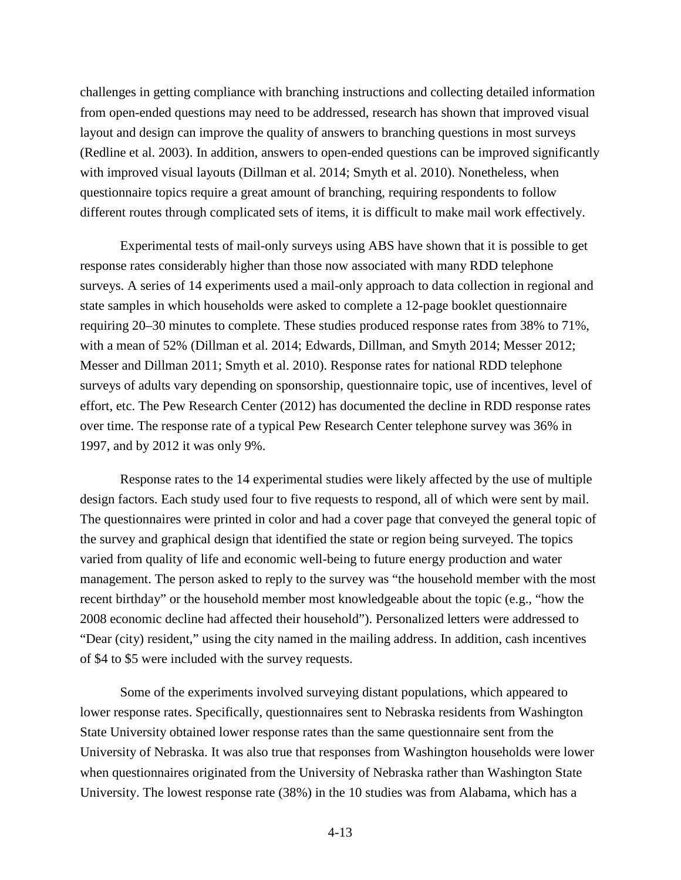challenges in getting compliance with branching instructions and collecting detailed information from open-ended questions may need to be addressed, research has shown that improved visual layout and design can improve the quality of answers to branching questions in most surveys (Redline et al. 2003). In addition, answers to open-ended questions can be improved significantly with improved visual layouts (Dillman et al. 2014; Smyth et al. 2010). Nonetheless, when questionnaire topics require a great amount of branching, requiring respondents to follow different routes through complicated sets of items, it is difficult to make mail work effectively.

Experimental tests of mail-only surveys using ABS have shown that it is possible to get response rates considerably higher than those now associated with many RDD telephone surveys. A series of 14 experiments used a mail-only approach to data collection in regional and state samples in which households were asked to complete a 12-page booklet questionnaire requiring 20–30 minutes to complete. These studies produced response rates from 38% to 71%, with a mean of 52% (Dillman et al. 2014; Edwards, Dillman, and Smyth 2014; Messer 2012; Messer and Dillman 2011; Smyth et al. 2010). Response rates for national RDD telephone surveys of adults vary depending on sponsorship, questionnaire topic, use of incentives, level of effort, etc. The Pew Research Center (2012) has documented the decline in RDD response rates over time. The response rate of a typical Pew Research Center telephone survey was 36% in 1997, and by 2012 it was only 9%.

Response rates to the 14 experimental studies were likely affected by the use of multiple design factors. Each study used four to five requests to respond, all of which were sent by mail. The questionnaires were printed in color and had a cover page that conveyed the general topic of the survey and graphical design that identified the state or region being surveyed. The topics varied from quality of life and economic well-being to future energy production and water management. The person asked to reply to the survey was "the household member with the most recent birthday" or the household member most knowledgeable about the topic (e.g., "how the 2008 economic decline had affected their household"). Personalized letters were addressed to "Dear (city) resident," using the city named in the mailing address. In addition, cash incentives of \$4 to \$5 were included with the survey requests.

Some of the experiments involved surveying distant populations, which appeared to lower response rates. Specifically, questionnaires sent to Nebraska residents from Washington State University obtained lower response rates than the same questionnaire sent from the University of Nebraska. It was also true that responses from Washington households were lower when questionnaires originated from the University of Nebraska rather than Washington State University. The lowest response rate (38%) in the 10 studies was from Alabama, which has a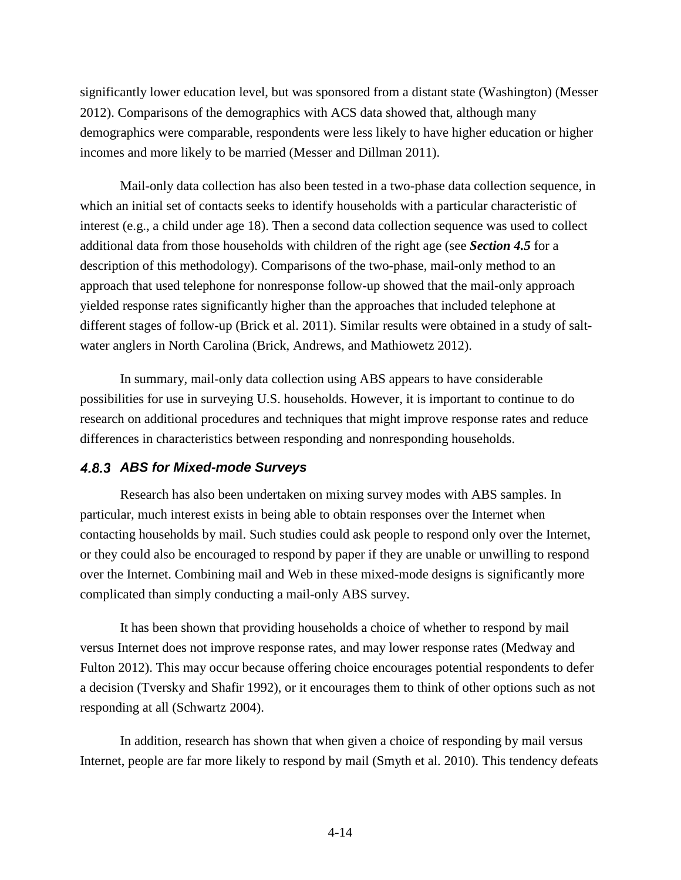significantly lower education level, but was sponsored from a distant state (Washington) (Messer 2012). Comparisons of the demographics with ACS data showed that, although many demographics were comparable, respondents were less likely to have higher education or higher incomes and more likely to be married (Messer and Dillman 2011).

Mail-only data collection has also been tested in a two-phase data collection sequence, in which an initial set of contacts seeks to identify households with a particular characteristic of interest (e.g., a child under age 18). Then a second data collection sequence was used to collect additional data from those households with children of the right age (see *Section 4.5* for a description of this methodology). Comparisons of the two-phase, mail-only method to an approach that used telephone for nonresponse follow-up showed that the mail-only approach yielded response rates significantly higher than the approaches that included telephone at different stages of follow-up (Brick et al. 2011). Similar results were obtained in a study of saltwater anglers in North Carolina (Brick, Andrews, and Mathiowetz 2012).

In summary, mail-only data collection using ABS appears to have considerable possibilities for use in surveying U.S. households. However, it is important to continue to do research on additional procedures and techniques that might improve response rates and reduce differences in characteristics between responding and nonresponding households.

### *ABS for Mixed-mode Surveys*

Research has also been undertaken on mixing survey modes with ABS samples. In particular, much interest exists in being able to obtain responses over the Internet when contacting households by mail. Such studies could ask people to respond only over the Internet, or they could also be encouraged to respond by paper if they are unable or unwilling to respond over the Internet. Combining mail and Web in these mixed-mode designs is significantly more complicated than simply conducting a mail-only ABS survey.

It has been shown that providing households a choice of whether to respond by mail versus Internet does not improve response rates, and may lower response rates (Medway and Fulton 2012). This may occur because offering choice encourages potential respondents to defer a decision (Tversky and Shafir 1992), or it encourages them to think of other options such as not responding at all (Schwartz 2004).

In addition, research has shown that when given a choice of responding by mail versus Internet, people are far more likely to respond by mail (Smyth et al. 2010). This tendency defeats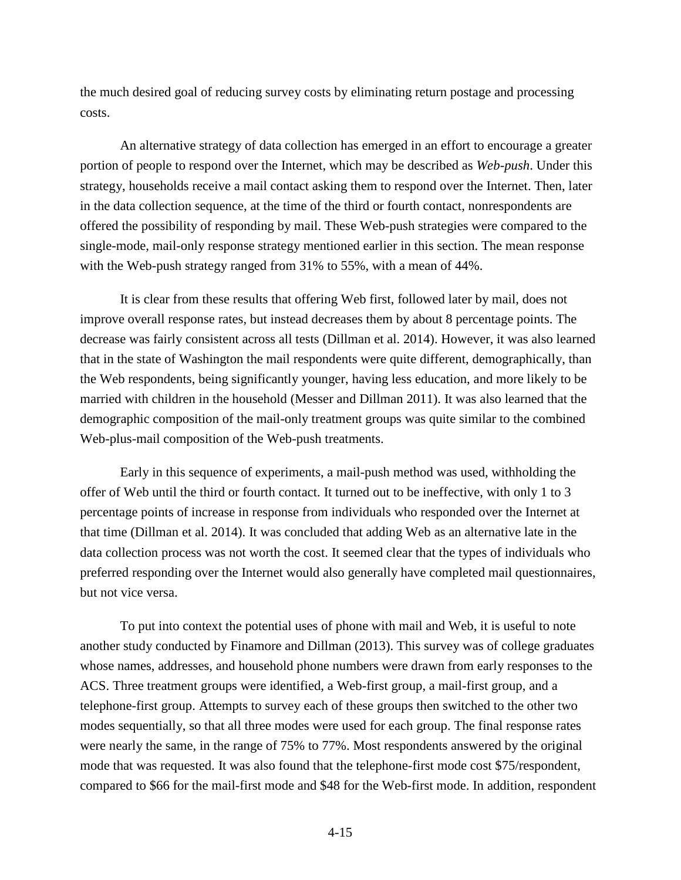the much desired goal of reducing survey costs by eliminating return postage and processing costs.

An alternative strategy of data collection has emerged in an effort to encourage a greater portion of people to respond over the Internet, which may be described as *Web-push*. Under this strategy, households receive a mail contact asking them to respond over the Internet. Then, later in the data collection sequence, at the time of the third or fourth contact, nonrespondents are offered the possibility of responding by mail. These Web-push strategies were compared to the single-mode, mail-only response strategy mentioned earlier in this section. The mean response with the Web-push strategy ranged from 31% to 55%, with a mean of 44%.

It is clear from these results that offering Web first, followed later by mail, does not improve overall response rates, but instead decreases them by about 8 percentage points. The decrease was fairly consistent across all tests (Dillman et al. 2014). However, it was also learned that in the state of Washington the mail respondents were quite different, demographically, than the Web respondents, being significantly younger, having less education, and more likely to be married with children in the household (Messer and Dillman 2011). It was also learned that the demographic composition of the mail-only treatment groups was quite similar to the combined Web-plus-mail composition of the Web-push treatments.

Early in this sequence of experiments, a mail-push method was used, withholding the offer of Web until the third or fourth contact. It turned out to be ineffective, with only 1 to 3 percentage points of increase in response from individuals who responded over the Internet at that time (Dillman et al. 2014). It was concluded that adding Web as an alternative late in the data collection process was not worth the cost. It seemed clear that the types of individuals who preferred responding over the Internet would also generally have completed mail questionnaires, but not vice versa.

To put into context the potential uses of phone with mail and Web, it is useful to note another study conducted by Finamore and Dillman (2013). This survey was of college graduates whose names, addresses, and household phone numbers were drawn from early responses to the ACS. Three treatment groups were identified, a Web-first group, a mail-first group, and a telephone-first group. Attempts to survey each of these groups then switched to the other two modes sequentially, so that all three modes were used for each group. The final response rates were nearly the same, in the range of 75% to 77%. Most respondents answered by the original mode that was requested. It was also found that the telephone-first mode cost \$75/respondent, compared to \$66 for the mail-first mode and \$48 for the Web-first mode. In addition, respondent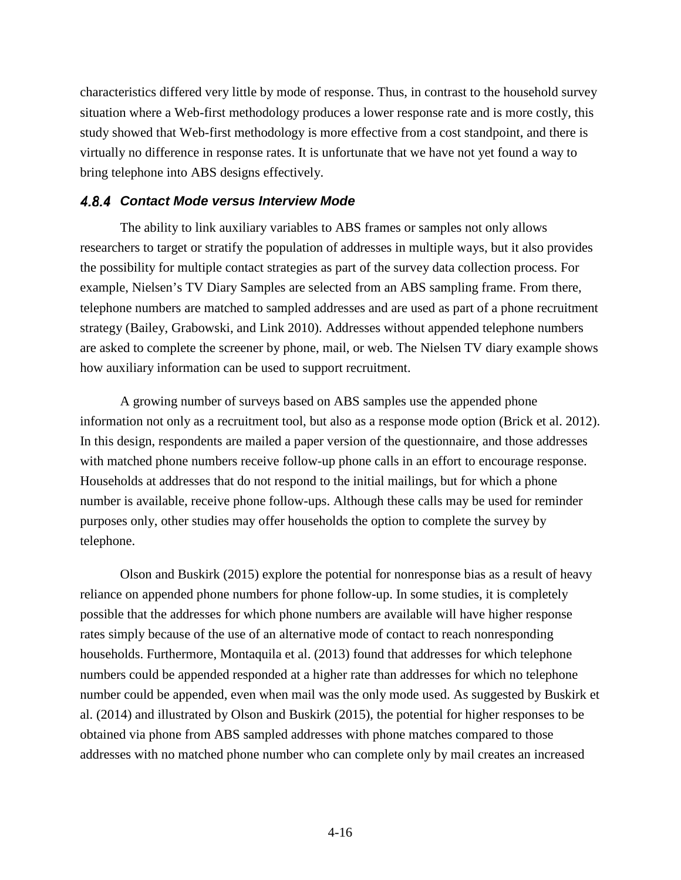characteristics differed very little by mode of response. Thus, in contrast to the household survey situation where a Web-first methodology produces a lower response rate and is more costly, this study showed that Web-first methodology is more effective from a cost standpoint, and there is virtually no difference in response rates. It is unfortunate that we have not yet found a way to bring telephone into ABS designs effectively.

# *Contact Mode versus Interview Mode*

The ability to link auxiliary variables to ABS frames or samples not only allows researchers to target or stratify the population of addresses in multiple ways, but it also provides the possibility for multiple contact strategies as part of the survey data collection process. For example, Nielsen's TV Diary Samples are selected from an ABS sampling frame. From there, telephone numbers are matched to sampled addresses and are used as part of a phone recruitment strategy (Bailey, Grabowski, and Link 2010). Addresses without appended telephone numbers are asked to complete the screener by phone, mail, or web. The Nielsen TV diary example shows how auxiliary information can be used to support recruitment.

A growing number of surveys based on ABS samples use the appended phone information not only as a recruitment tool, but also as a response mode option (Brick et al. 2012). In this design, respondents are mailed a paper version of the questionnaire, and those addresses with matched phone numbers receive follow-up phone calls in an effort to encourage response. Households at addresses that do not respond to the initial mailings, but for which a phone number is available, receive phone follow-ups. Although these calls may be used for reminder purposes only, other studies may offer households the option to complete the survey by telephone.

Olson and Buskirk (2015) explore the potential for nonresponse bias as a result of heavy reliance on appended phone numbers for phone follow-up. In some studies, it is completely possible that the addresses for which phone numbers are available will have higher response rates simply because of the use of an alternative mode of contact to reach nonresponding households. Furthermore, Montaquila et al. (2013) found that addresses for which telephone numbers could be appended responded at a higher rate than addresses for which no telephone number could be appended, even when mail was the only mode used. As suggested by Buskirk et al. (2014) and illustrated by Olson and Buskirk (2015), the potential for higher responses to be obtained via phone from ABS sampled addresses with phone matches compared to those addresses with no matched phone number who can complete only by mail creates an increased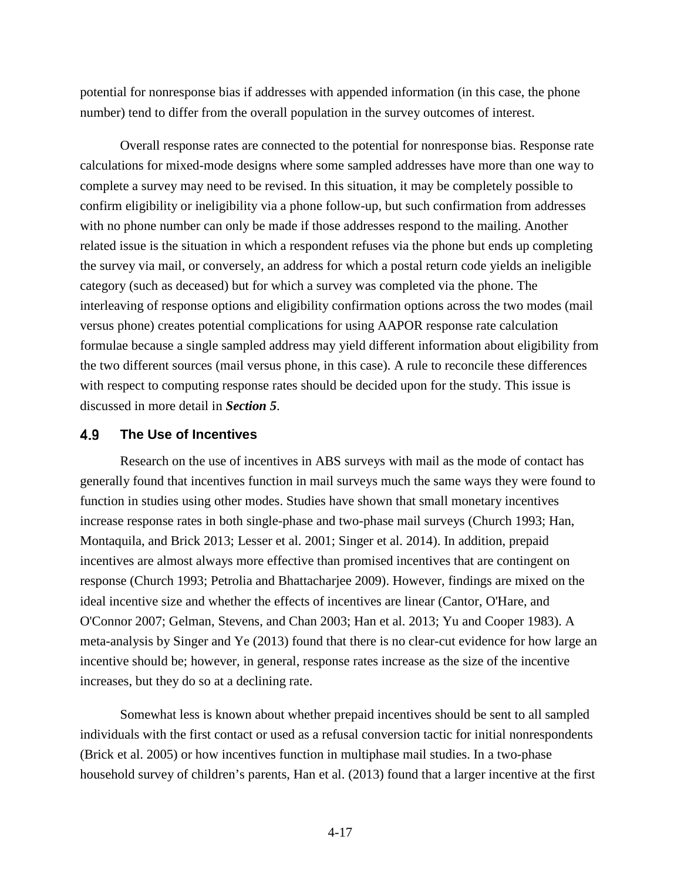potential for nonresponse bias if addresses with appended information (in this case, the phone number) tend to differ from the overall population in the survey outcomes of interest.

Overall response rates are connected to the potential for nonresponse bias. Response rate calculations for mixed-mode designs where some sampled addresses have more than one way to complete a survey may need to be revised. In this situation, it may be completely possible to confirm eligibility or ineligibility via a phone follow-up, but such confirmation from addresses with no phone number can only be made if those addresses respond to the mailing. Another related issue is the situation in which a respondent refuses via the phone but ends up completing the survey via mail, or conversely, an address for which a postal return code yields an ineligible category (such as deceased) but for which a survey was completed via the phone. The interleaving of response options and eligibility confirmation options across the two modes (mail versus phone) creates potential complications for using AAPOR response rate calculation formulae because a single sampled address may yield different information about eligibility from the two different sources (mail versus phone, in this case). A rule to reconcile these differences with respect to computing response rates should be decided upon for the study. This issue is discussed in more detail in *Section 5*.

#### 4.9 **The Use of Incentives**

Research on the use of incentives in ABS surveys with mail as the mode of contact has generally found that incentives function in mail surveys much the same ways they were found to function in studies using other modes. Studies have shown that small monetary incentives increase response rates in both single-phase and two-phase mail surveys (Church 1993; Han, Montaquila, and Brick 2013; Lesser et al. 2001; Singer et al. 2014). In addition, prepaid incentives are almost always more effective than promised incentives that are contingent on response (Church 1993; Petrolia and Bhattacharjee 2009). However, findings are mixed on the ideal incentive size and whether the effects of incentives are linear (Cantor, O'Hare, and O'Connor 2007; Gelman, Stevens, and Chan 2003; Han et al. 2013; Yu and Cooper 1983). A meta-analysis by Singer and Ye (2013) found that there is no clear-cut evidence for how large an incentive should be; however, in general, response rates increase as the size of the incentive increases, but they do so at a declining rate.

Somewhat less is known about whether prepaid incentives should be sent to all sampled individuals with the first contact or used as a refusal conversion tactic for initial nonrespondents (Brick et al. 2005) or how incentives function in multiphase mail studies. In a two-phase household survey of children's parents, Han et al. (2013) found that a larger incentive at the first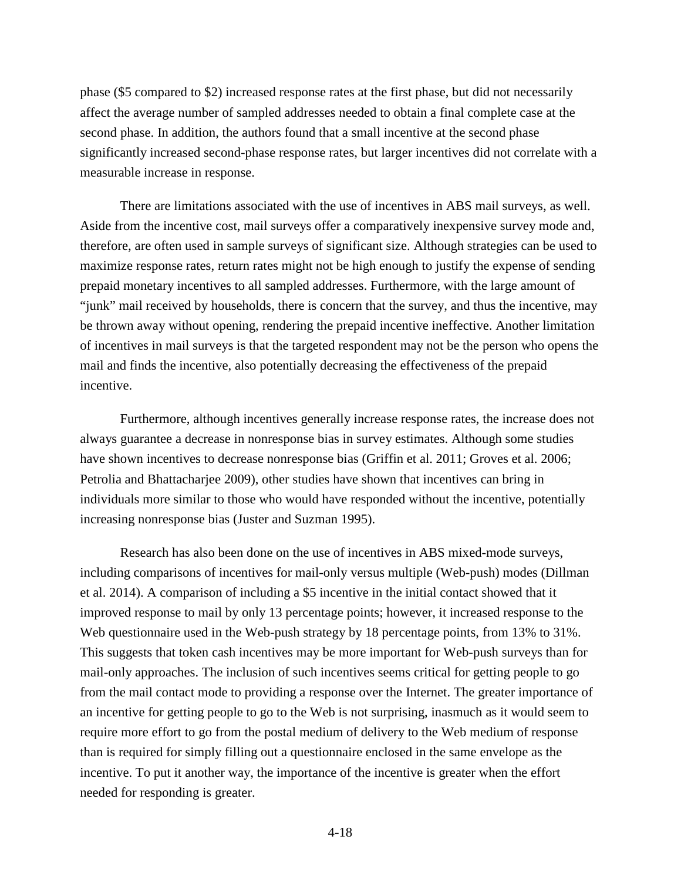phase (\$5 compared to \$2) increased response rates at the first phase, but did not necessarily affect the average number of sampled addresses needed to obtain a final complete case at the second phase. In addition, the authors found that a small incentive at the second phase significantly increased second-phase response rates, but larger incentives did not correlate with a measurable increase in response.

There are limitations associated with the use of incentives in ABS mail surveys, as well. Aside from the incentive cost, mail surveys offer a comparatively inexpensive survey mode and, therefore, are often used in sample surveys of significant size. Although strategies can be used to maximize response rates, return rates might not be high enough to justify the expense of sending prepaid monetary incentives to all sampled addresses. Furthermore, with the large amount of "junk" mail received by households, there is concern that the survey, and thus the incentive, may be thrown away without opening, rendering the prepaid incentive ineffective. Another limitation of incentives in mail surveys is that the targeted respondent may not be the person who opens the mail and finds the incentive, also potentially decreasing the effectiveness of the prepaid incentive.

Furthermore, although incentives generally increase response rates, the increase does not always guarantee a decrease in nonresponse bias in survey estimates. Although some studies have shown incentives to decrease nonresponse bias (Griffin et al. 2011; Groves et al. 2006; Petrolia and Bhattacharjee 2009), other studies have shown that incentives can bring in individuals more similar to those who would have responded without the incentive, potentially increasing nonresponse bias (Juster and Suzman 1995).

Research has also been done on the use of incentives in ABS mixed-mode surveys, including comparisons of incentives for mail-only versus multiple (Web-push) modes (Dillman et al. 2014). A comparison of including a \$5 incentive in the initial contact showed that it improved response to mail by only 13 percentage points; however, it increased response to the Web questionnaire used in the Web-push strategy by 18 percentage points, from 13% to 31%. This suggests that token cash incentives may be more important for Web-push surveys than for mail-only approaches. The inclusion of such incentives seems critical for getting people to go from the mail contact mode to providing a response over the Internet. The greater importance of an incentive for getting people to go to the Web is not surprising, inasmuch as it would seem to require more effort to go from the postal medium of delivery to the Web medium of response than is required for simply filling out a questionnaire enclosed in the same envelope as the incentive. To put it another way, the importance of the incentive is greater when the effort needed for responding is greater.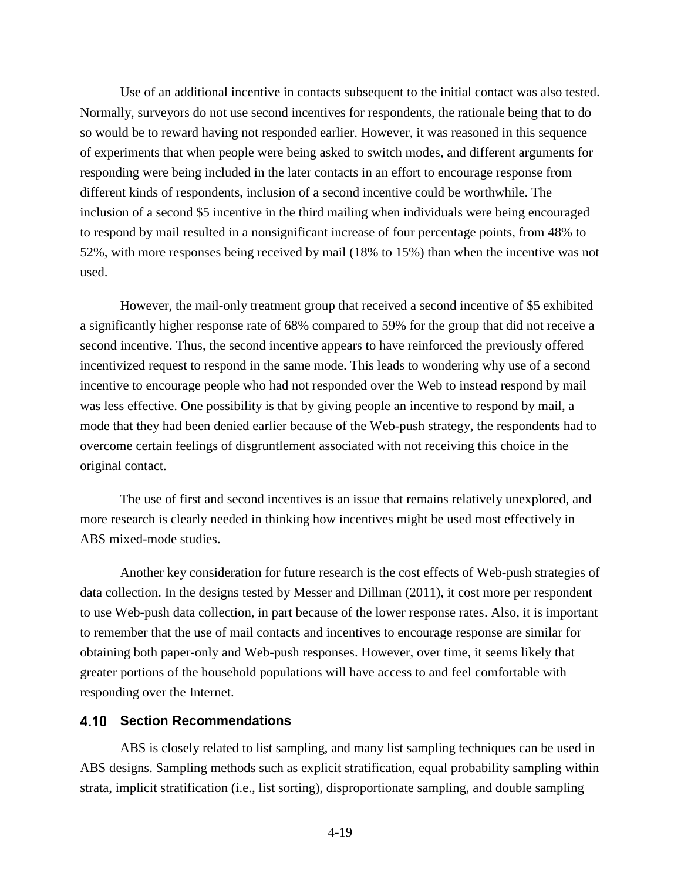Use of an additional incentive in contacts subsequent to the initial contact was also tested. Normally, surveyors do not use second incentives for respondents, the rationale being that to do so would be to reward having not responded earlier. However, it was reasoned in this sequence of experiments that when people were being asked to switch modes, and different arguments for responding were being included in the later contacts in an effort to encourage response from different kinds of respondents, inclusion of a second incentive could be worthwhile. The inclusion of a second \$5 incentive in the third mailing when individuals were being encouraged to respond by mail resulted in a nonsignificant increase of four percentage points, from 48% to 52%, with more responses being received by mail (18% to 15%) than when the incentive was not used.

However, the mail-only treatment group that received a second incentive of \$5 exhibited a significantly higher response rate of 68% compared to 59% for the group that did not receive a second incentive. Thus, the second incentive appears to have reinforced the previously offered incentivized request to respond in the same mode. This leads to wondering why use of a second incentive to encourage people who had not responded over the Web to instead respond by mail was less effective. One possibility is that by giving people an incentive to respond by mail, a mode that they had been denied earlier because of the Web-push strategy, the respondents had to overcome certain feelings of disgruntlement associated with not receiving this choice in the original contact.

The use of first and second incentives is an issue that remains relatively unexplored, and more research is clearly needed in thinking how incentives might be used most effectively in ABS mixed-mode studies.

Another key consideration for future research is the cost effects of Web-push strategies of data collection. In the designs tested by Messer and Dillman (2011), it cost more per respondent to use Web-push data collection, in part because of the lower response rates. Also, it is important to remember that the use of mail contacts and incentives to encourage response are similar for obtaining both paper-only and Web-push responses. However, over time, it seems likely that greater portions of the household populations will have access to and feel comfortable with responding over the Internet.

# **4.10 Section Recommendations**

ABS is closely related to list sampling, and many list sampling techniques can be used in ABS designs. Sampling methods such as explicit stratification, equal probability sampling within strata, implicit stratification (i.e., list sorting), disproportionate sampling, and double sampling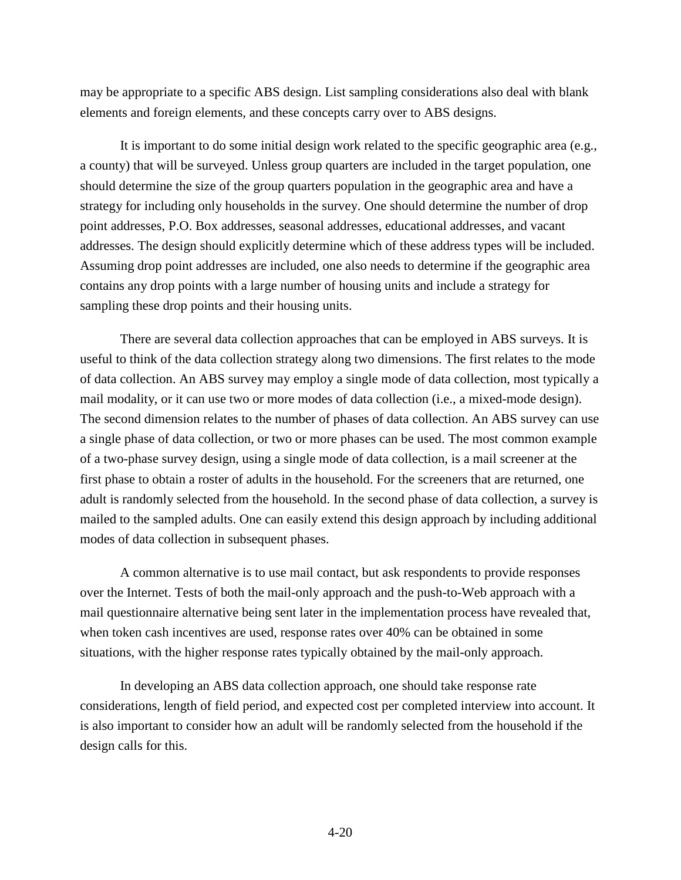may be appropriate to a specific ABS design. List sampling considerations also deal with blank elements and foreign elements, and these concepts carry over to ABS designs.

It is important to do some initial design work related to the specific geographic area (e.g., a county) that will be surveyed. Unless group quarters are included in the target population, one should determine the size of the group quarters population in the geographic area and have a strategy for including only households in the survey. One should determine the number of drop point addresses, P.O. Box addresses, seasonal addresses, educational addresses, and vacant addresses. The design should explicitly determine which of these address types will be included. Assuming drop point addresses are included, one also needs to determine if the geographic area contains any drop points with a large number of housing units and include a strategy for sampling these drop points and their housing units.

There are several data collection approaches that can be employed in ABS surveys. It is useful to think of the data collection strategy along two dimensions. The first relates to the mode of data collection. An ABS survey may employ a single mode of data collection, most typically a mail modality, or it can use two or more modes of data collection (i.e., a mixed-mode design). The second dimension relates to the number of phases of data collection. An ABS survey can use a single phase of data collection, or two or more phases can be used. The most common example of a two-phase survey design, using a single mode of data collection, is a mail screener at the first phase to obtain a roster of adults in the household. For the screeners that are returned, one adult is randomly selected from the household. In the second phase of data collection, a survey is mailed to the sampled adults. One can easily extend this design approach by including additional modes of data collection in subsequent phases.

A common alternative is to use mail contact, but ask respondents to provide responses over the Internet. Tests of both the mail-only approach and the push-to-Web approach with a mail questionnaire alternative being sent later in the implementation process have revealed that, when token cash incentives are used, response rates over 40% can be obtained in some situations, with the higher response rates typically obtained by the mail-only approach.

In developing an ABS data collection approach, one should take response rate considerations, length of field period, and expected cost per completed interview into account. It is also important to consider how an adult will be randomly selected from the household if the design calls for this.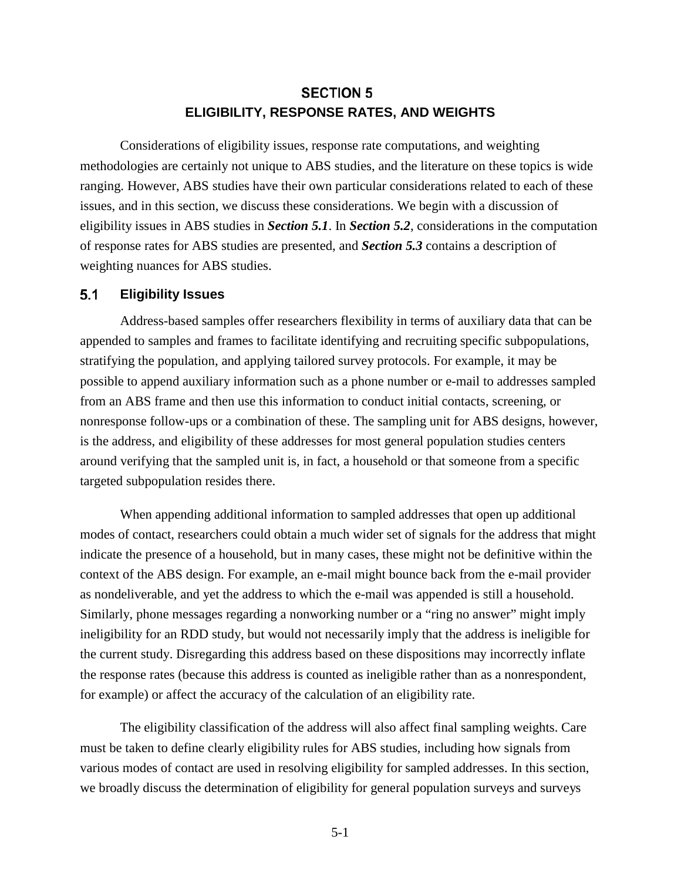# **SECTION 5 ELIGIBILITY, RESPONSE RATES, AND WEIGHTS**

Considerations of eligibility issues, response rate computations, and weighting methodologies are certainly not unique to ABS studies, and the literature on these topics is wide ranging. However, ABS studies have their own particular considerations related to each of these issues, and in this section, we discuss these considerations. We begin with a discussion of eligibility issues in ABS studies in *Section 5.1*. In *Section 5.2*, considerations in the computation of response rates for ABS studies are presented, and *Section 5.3* contains a description of weighting nuances for ABS studies.

#### $5.1$ **Eligibility Issues**

Address-based samples offer researchers flexibility in terms of auxiliary data that can be appended to samples and frames to facilitate identifying and recruiting specific subpopulations, stratifying the population, and applying tailored survey protocols. For example, it may be possible to append auxiliary information such as a phone number or e-mail to addresses sampled from an ABS frame and then use this information to conduct initial contacts, screening, or nonresponse follow-ups or a combination of these. The sampling unit for ABS designs, however, is the address, and eligibility of these addresses for most general population studies centers around verifying that the sampled unit is, in fact, a household or that someone from a specific targeted subpopulation resides there.

When appending additional information to sampled addresses that open up additional modes of contact, researchers could obtain a much wider set of signals for the address that might indicate the presence of a household, but in many cases, these might not be definitive within the context of the ABS design. For example, an e-mail might bounce back from the e-mail provider as nondeliverable, and yet the address to which the e-mail was appended is still a household. Similarly, phone messages regarding a nonworking number or a "ring no answer" might imply ineligibility for an RDD study, but would not necessarily imply that the address is ineligible for the current study. Disregarding this address based on these dispositions may incorrectly inflate the response rates (because this address is counted as ineligible rather than as a nonrespondent, for example) or affect the accuracy of the calculation of an eligibility rate.

The eligibility classification of the address will also affect final sampling weights. Care must be taken to define clearly eligibility rules for ABS studies, including how signals from various modes of contact are used in resolving eligibility for sampled addresses. In this section, we broadly discuss the determination of eligibility for general population surveys and surveys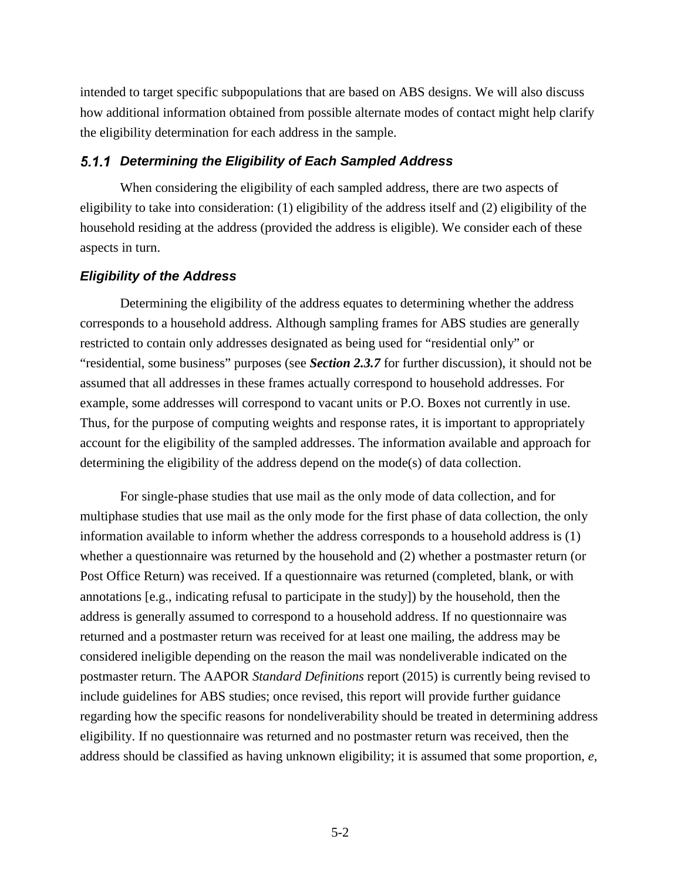intended to target specific subpopulations that are based on ABS designs. We will also discuss how additional information obtained from possible alternate modes of contact might help clarify the eligibility determination for each address in the sample.

# *Determining the Eligibility of Each Sampled Address*

When considering the eligibility of each sampled address, there are two aspects of eligibility to take into consideration: (1) eligibility of the address itself and (2) eligibility of the household residing at the address (provided the address is eligible). We consider each of these aspects in turn.

### *Eligibility of the Address*

Determining the eligibility of the address equates to determining whether the address corresponds to a household address. Although sampling frames for ABS studies are generally restricted to contain only addresses designated as being used for "residential only" or "residential, some business" purposes (see *Section 2.3.7* for further discussion), it should not be assumed that all addresses in these frames actually correspond to household addresses. For example, some addresses will correspond to vacant units or P.O. Boxes not currently in use. Thus, for the purpose of computing weights and response rates, it is important to appropriately account for the eligibility of the sampled addresses. The information available and approach for determining the eligibility of the address depend on the mode(s) of data collection.

For single-phase studies that use mail as the only mode of data collection, and for multiphase studies that use mail as the only mode for the first phase of data collection, the only information available to inform whether the address corresponds to a household address is (1) whether a questionnaire was returned by the household and (2) whether a postmaster return (or Post Office Return) was received. If a questionnaire was returned (completed, blank, or with annotations [e.g., indicating refusal to participate in the study]) by the household, then the address is generally assumed to correspond to a household address. If no questionnaire was returned and a postmaster return was received for at least one mailing, the address may be considered ineligible depending on the reason the mail was nondeliverable indicated on the postmaster return. The AAPOR *Standard Definitions* report (2015) is currently being revised to include guidelines for ABS studies; once revised, this report will provide further guidance regarding how the specific reasons for nondeliverability should be treated in determining address eligibility. If no questionnaire was returned and no postmaster return was received, then the address should be classified as having unknown eligibility; it is assumed that some proportion, *e*,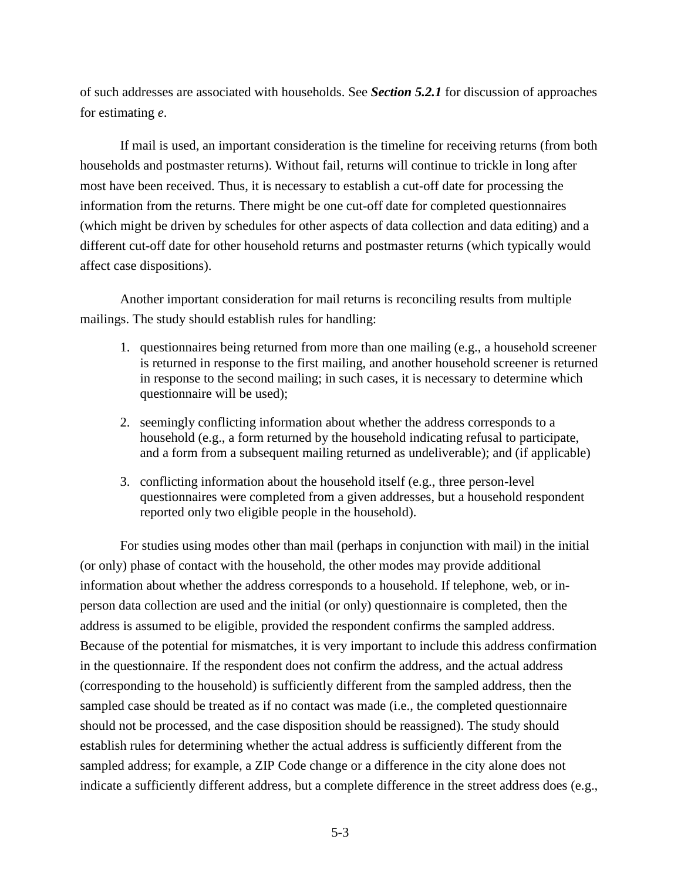of such addresses are associated with households. See *Section 5.2.1* for discussion of approaches for estimating *e*.

If mail is used, an important consideration is the timeline for receiving returns (from both households and postmaster returns). Without fail, returns will continue to trickle in long after most have been received. Thus, it is necessary to establish a cut-off date for processing the information from the returns. There might be one cut-off date for completed questionnaires (which might be driven by schedules for other aspects of data collection and data editing) and a different cut-off date for other household returns and postmaster returns (which typically would affect case dispositions).

Another important consideration for mail returns is reconciling results from multiple mailings. The study should establish rules for handling:

- 1. questionnaires being returned from more than one mailing (e.g., a household screener is returned in response to the first mailing, and another household screener is returned in response to the second mailing; in such cases, it is necessary to determine which questionnaire will be used);
- 2. seemingly conflicting information about whether the address corresponds to a household (e.g., a form returned by the household indicating refusal to participate, and a form from a subsequent mailing returned as undeliverable); and (if applicable)
- 3. conflicting information about the household itself (e.g., three person-level questionnaires were completed from a given addresses, but a household respondent reported only two eligible people in the household).

For studies using modes other than mail (perhaps in conjunction with mail) in the initial (or only) phase of contact with the household, the other modes may provide additional information about whether the address corresponds to a household. If telephone, web, or inperson data collection are used and the initial (or only) questionnaire is completed, then the address is assumed to be eligible, provided the respondent confirms the sampled address. Because of the potential for mismatches, it is very important to include this address confirmation in the questionnaire. If the respondent does not confirm the address, and the actual address (corresponding to the household) is sufficiently different from the sampled address, then the sampled case should be treated as if no contact was made (i.e., the completed questionnaire should not be processed, and the case disposition should be reassigned). The study should establish rules for determining whether the actual address is sufficiently different from the sampled address; for example, a ZIP Code change or a difference in the city alone does not indicate a sufficiently different address, but a complete difference in the street address does (e.g.,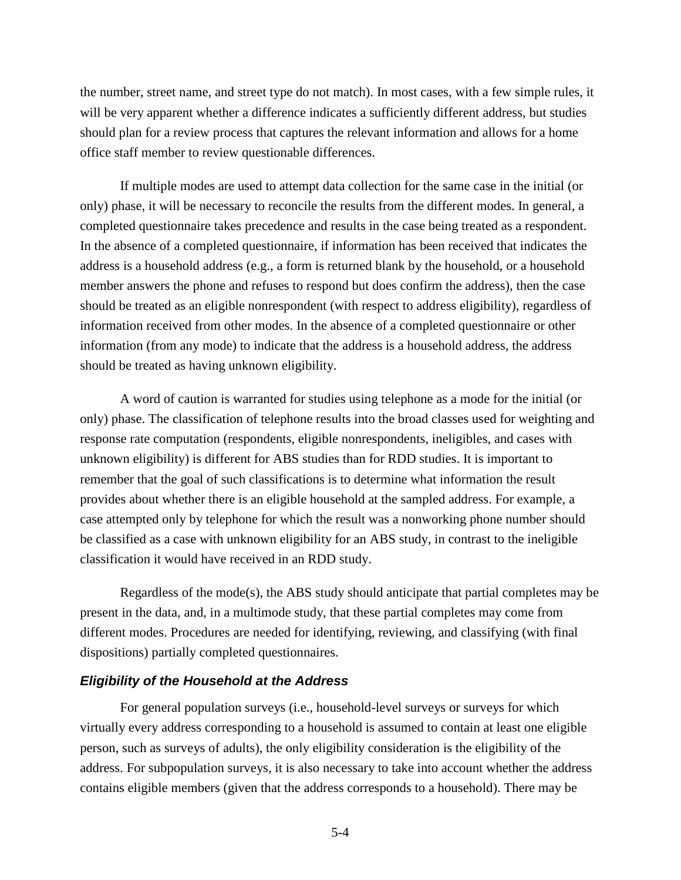the number, street name, and street type do not match). In most cases, with a few simple rules, it will be very apparent whether a difference indicates a sufficiently different address, but studies should plan for a review process that captures the relevant information and allows for a home office staff member to review questionable differences.

If multiple modes are used to attempt data collection for the same case in the initial (or only) phase, it will be necessary to reconcile the results from the different modes. In general, a completed questionnaire takes precedence and results in the case being treated as a respondent. In the absence of a completed questionnaire, if information has been received that indicates the address is a household address (e.g., a form is returned blank by the household, or a household member answers the phone and refuses to respond but does confirm the address), then the case should be treated as an eligible nonrespondent (with respect to address eligibility), regardless of information received from other modes. In the absence of a completed questionnaire or other information (from any mode) to indicate that the address is a household address, the address should be treated as having unknown eligibility.

A word of caution is warranted for studies using telephone as a mode for the initial (or only) phase. The classification of telephone results into the broad classes used for weighting and response rate computation (respondents, eligible nonrespondents, ineligibles, and cases with unknown eligibility) is different for ABS studies than for RDD studies. It is important to remember that the goal of such classifications is to determine what information the result provides about whether there is an eligible household at the sampled address. For example, a case attempted only by telephone for which the result was a nonworking phone number should be classified as a case with unknown eligibility for an ABS study, in contrast to the ineligible classification it would have received in an RDD study.

Regardless of the mode(s), the ABS study should anticipate that partial completes may be present in the data, and, in a multimode study, that these partial completes may come from different modes. Procedures are needed for identifying, reviewing, and classifying (with final dispositions) partially completed questionnaires.

### *Eligibility of the Household at the Address*

For general population surveys (i.e., household-level surveys or surveys for which virtually every address corresponding to a household is assumed to contain at least one eligible person, such as surveys of adults), the only eligibility consideration is the eligibility of the address. For subpopulation surveys, it is also necessary to take into account whether the address contains eligible members (given that the address corresponds to a household). There may be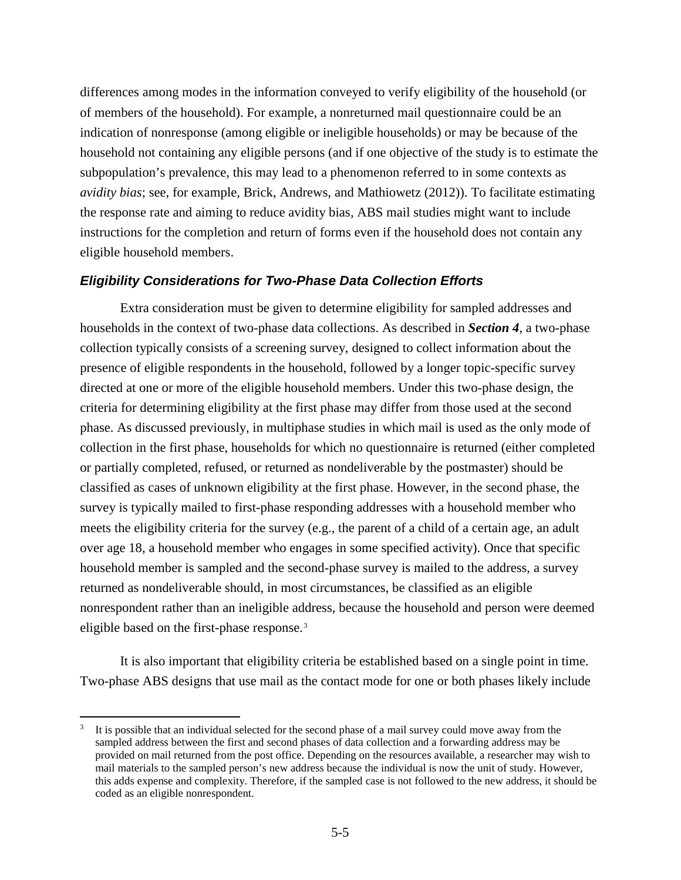differences among modes in the information conveyed to verify eligibility of the household (or of members of the household). For example, a nonreturned mail questionnaire could be an indication of nonresponse (among eligible or ineligible households) or may be because of the household not containing any eligible persons (and if one objective of the study is to estimate the subpopulation's prevalence, this may lead to a phenomenon referred to in some contexts as *avidity bias*; see, for example, Brick, Andrews, and Mathiowetz (2012)). To facilitate estimating the response rate and aiming to reduce avidity bias, ABS mail studies might want to include instructions for the completion and return of forms even if the household does not contain any eligible household members.

# *Eligibility Considerations for Two-Phase Data Collection Efforts*

Extra consideration must be given to determine eligibility for sampled addresses and households in the context of two-phase data collections. As described in *Section 4*, a two-phase collection typically consists of a screening survey, designed to collect information about the presence of eligible respondents in the household, followed by a longer topic-specific survey directed at one or more of the eligible household members. Under this two-phase design, the criteria for determining eligibility at the first phase may differ from those used at the second phase. As discussed previously, in multiphase studies in which mail is used as the only mode of collection in the first phase, households for which no questionnaire is returned (either completed or partially completed, refused, or returned as nondeliverable by the postmaster) should be classified as cases of unknown eligibility at the first phase. However, in the second phase, the survey is typically mailed to first-phase responding addresses with a household member who meets the eligibility criteria for the survey (e.g., the parent of a child of a certain age, an adult over age 18, a household member who engages in some specified activity). Once that specific household member is sampled and the second-phase survey is mailed to the address, a survey returned as nondeliverable should, in most circumstances, be classified as an eligible nonrespondent rather than an ineligible address, because the household and person were deemed eligible based on the first-phase response.[3](#page-69-0)

It is also important that eligibility criteria be established based on a single point in time. Two-phase ABS designs that use mail as the contact mode for one or both phases likely include

<span id="page-69-0"></span>It is possible that an individual selected for the second phase of a mail survey could move away from the sampled address between the first and second phases of data collection and a forwarding address may be provided on mail returned from the post office. Depending on the resources available, a researcher may wish to mail materials to the sampled person's new address because the individual is now the unit of study. However, this adds expense and complexity. Therefore, if the sampled case is not followed to the new address, it should be coded as an eligible nonrespondent.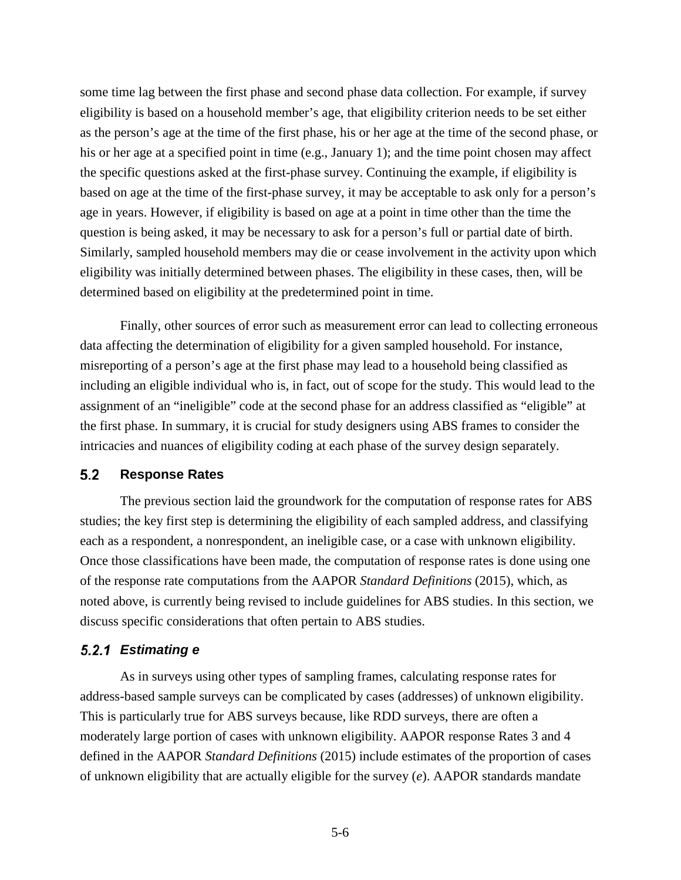some time lag between the first phase and second phase data collection. For example, if survey eligibility is based on a household member's age, that eligibility criterion needs to be set either as the person's age at the time of the first phase, his or her age at the time of the second phase, or his or her age at a specified point in time (e.g., January 1); and the time point chosen may affect the specific questions asked at the first-phase survey. Continuing the example, if eligibility is based on age at the time of the first-phase survey, it may be acceptable to ask only for a person's age in years. However, if eligibility is based on age at a point in time other than the time the question is being asked, it may be necessary to ask for a person's full or partial date of birth. Similarly, sampled household members may die or cease involvement in the activity upon which eligibility was initially determined between phases. The eligibility in these cases, then, will be determined based on eligibility at the predetermined point in time.

Finally, other sources of error such as measurement error can lead to collecting erroneous data affecting the determination of eligibility for a given sampled household. For instance, misreporting of a person's age at the first phase may lead to a household being classified as including an eligible individual who is, in fact, out of scope for the study. This would lead to the assignment of an "ineligible" code at the second phase for an address classified as "eligible" at the first phase. In summary, it is crucial for study designers using ABS frames to consider the intricacies and nuances of eligibility coding at each phase of the survey design separately.

#### $5.2$ **Response Rates**

The previous section laid the groundwork for the computation of response rates for ABS studies; the key first step is determining the eligibility of each sampled address, and classifying each as a respondent, a nonrespondent, an ineligible case, or a case with unknown eligibility. Once those classifications have been made, the computation of response rates is done using one of the response rate computations from the AAPOR *Standard Definitions* (2015), which, as noted above, is currently being revised to include guidelines for ABS studies. In this section, we discuss specific considerations that often pertain to ABS studies.

# *Estimating e*

As in surveys using other types of sampling frames, calculating response rates for address-based sample surveys can be complicated by cases (addresses) of unknown eligibility. This is particularly true for ABS surveys because, like RDD surveys, there are often a moderately large portion of cases with unknown eligibility. AAPOR response Rates 3 and 4 defined in the AAPOR *Standard Definitions* (2015) include estimates of the proportion of cases of unknown eligibility that are actually eligible for the survey (*e*). AAPOR standards mandate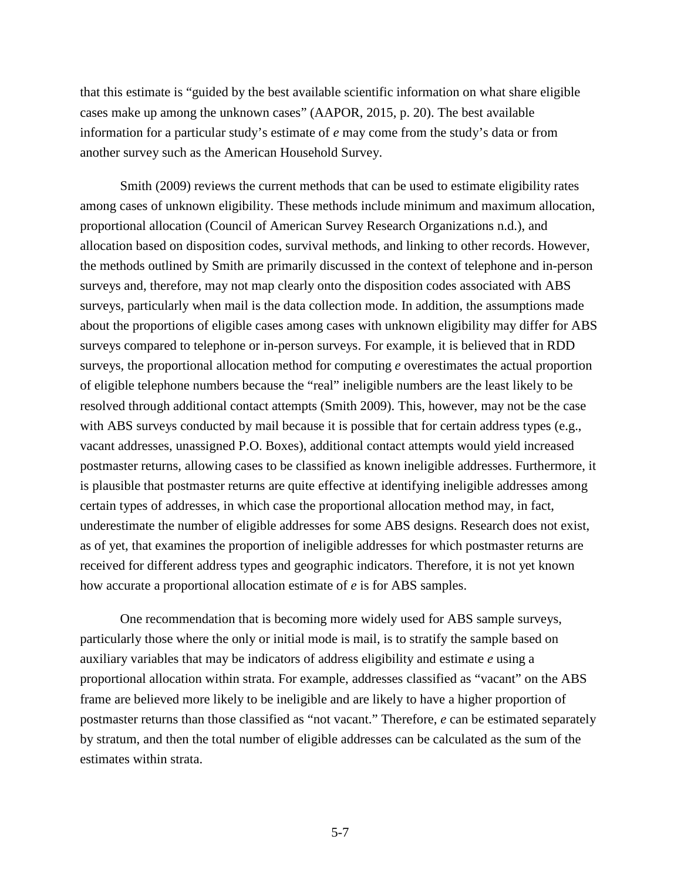that this estimate is "guided by the best available scientific information on what share eligible cases make up among the unknown cases" (AAPOR, 2015, p. 20). The best available information for a particular study's estimate of *e* may come from the study's data or from another survey such as the American Household Survey.

Smith (2009) reviews the current methods that can be used to estimate eligibility rates among cases of unknown eligibility. These methods include minimum and maximum allocation, proportional allocation (Council of American Survey Research Organizations n.d.), and allocation based on disposition codes, survival methods, and linking to other records. However, the methods outlined by Smith are primarily discussed in the context of telephone and in-person surveys and, therefore, may not map clearly onto the disposition codes associated with ABS surveys, particularly when mail is the data collection mode. In addition, the assumptions made about the proportions of eligible cases among cases with unknown eligibility may differ for ABS surveys compared to telephone or in-person surveys. For example, it is believed that in RDD surveys, the proportional allocation method for computing *e* overestimates the actual proportion of eligible telephone numbers because the "real" ineligible numbers are the least likely to be resolved through additional contact attempts (Smith 2009). This, however, may not be the case with ABS surveys conducted by mail because it is possible that for certain address types (e.g., vacant addresses, unassigned P.O. Boxes), additional contact attempts would yield increased postmaster returns, allowing cases to be classified as known ineligible addresses. Furthermore, it is plausible that postmaster returns are quite effective at identifying ineligible addresses among certain types of addresses, in which case the proportional allocation method may, in fact, underestimate the number of eligible addresses for some ABS designs. Research does not exist, as of yet, that examines the proportion of ineligible addresses for which postmaster returns are received for different address types and geographic indicators. Therefore, it is not yet known how accurate a proportional allocation estimate of *e* is for ABS samples.

One recommendation that is becoming more widely used for ABS sample surveys, particularly those where the only or initial mode is mail, is to stratify the sample based on auxiliary variables that may be indicators of address eligibility and estimate *e* using a proportional allocation within strata. For example, addresses classified as "vacant" on the ABS frame are believed more likely to be ineligible and are likely to have a higher proportion of postmaster returns than those classified as "not vacant." Therefore, *e* can be estimated separately by stratum, and then the total number of eligible addresses can be calculated as the sum of the estimates within strata.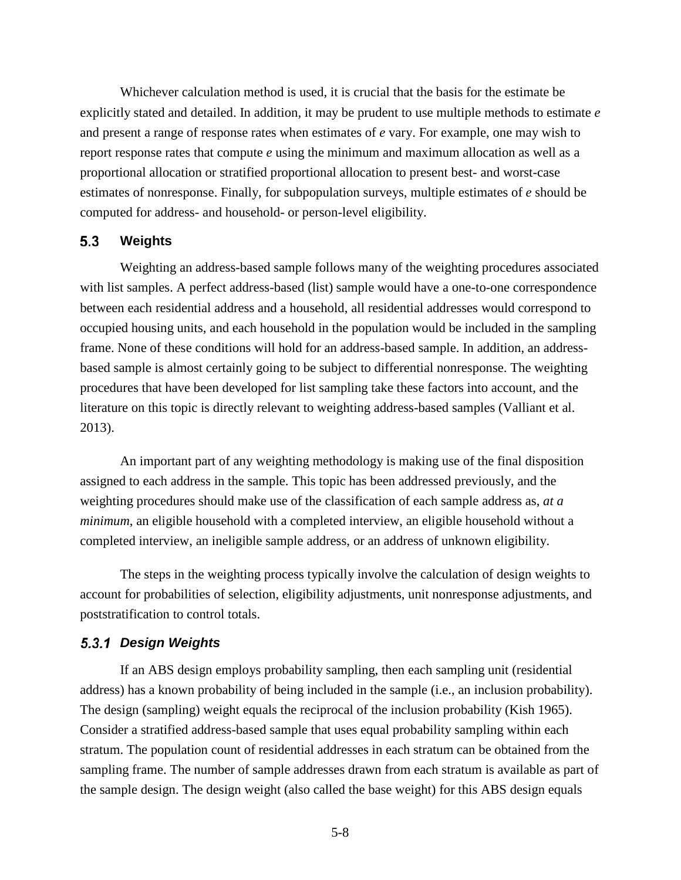Whichever calculation method is used, it is crucial that the basis for the estimate be explicitly stated and detailed. In addition, it may be prudent to use multiple methods to estimate *e*  and present a range of response rates when estimates of *e* vary. For example, one may wish to report response rates that compute *e* using the minimum and maximum allocation as well as a proportional allocation or stratified proportional allocation to present best- and worst-case estimates of nonresponse. Finally, for subpopulation surveys, multiple estimates of *e* should be computed for address- and household- or person-level eligibility.

#### $5.3$ **Weights**

Weighting an address-based sample follows many of the weighting procedures associated with list samples. A perfect address-based (list) sample would have a one-to-one correspondence between each residential address and a household, all residential addresses would correspond to occupied housing units, and each household in the population would be included in the sampling frame. None of these conditions will hold for an address-based sample. In addition, an addressbased sample is almost certainly going to be subject to differential nonresponse. The weighting procedures that have been developed for list sampling take these factors into account, and the literature on this topic is directly relevant to weighting address-based samples (Valliant et al. 2013).

An important part of any weighting methodology is making use of the final disposition assigned to each address in the sample. This topic has been addressed previously, and the weighting procedures should make use of the classification of each sample address as, *at a minimum*, an eligible household with a completed interview, an eligible household without a completed interview, an ineligible sample address, or an address of unknown eligibility.

The steps in the weighting process typically involve the calculation of design weights to account for probabilities of selection, eligibility adjustments, unit nonresponse adjustments, and poststratification to control totals.

### *Design Weights*

If an ABS design employs probability sampling, then each sampling unit (residential address) has a known probability of being included in the sample (i.e., an inclusion probability). The design (sampling) weight equals the reciprocal of the inclusion probability (Kish 1965). Consider a stratified address-based sample that uses equal probability sampling within each stratum. The population count of residential addresses in each stratum can be obtained from the sampling frame. The number of sample addresses drawn from each stratum is available as part of the sample design. The design weight (also called the base weight) for this ABS design equals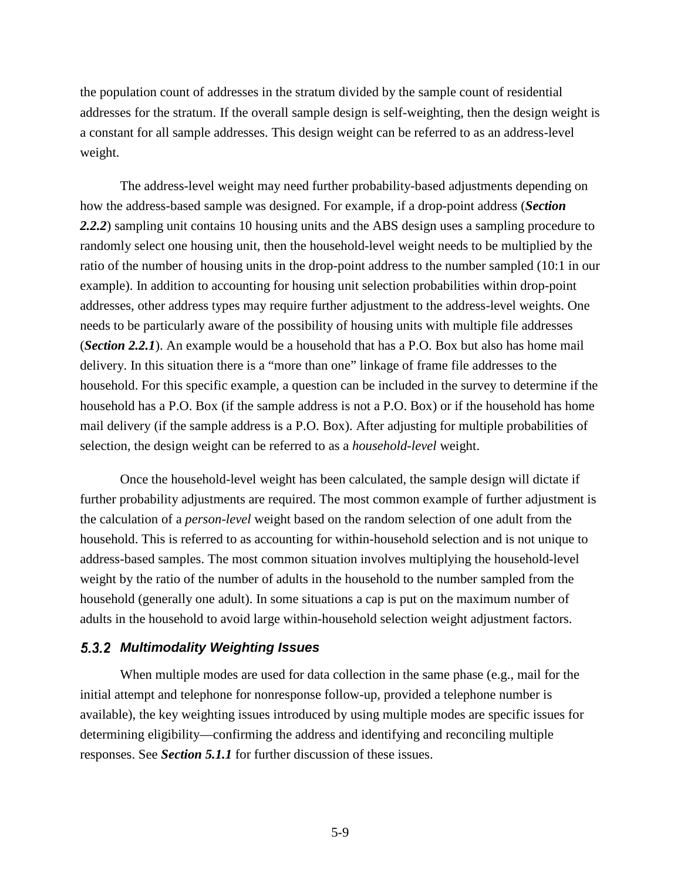the population count of addresses in the stratum divided by the sample count of residential addresses for the stratum. If the overall sample design is self-weighting, then the design weight is a constant for all sample addresses. This design weight can be referred to as an address-level weight.

The address-level weight may need further probability-based adjustments depending on how the address-based sample was designed. For example, if a drop-point address (*Section 2.2.2*) sampling unit contains 10 housing units and the ABS design uses a sampling procedure to randomly select one housing unit, then the household-level weight needs to be multiplied by the ratio of the number of housing units in the drop-point address to the number sampled (10:1 in our example). In addition to accounting for housing unit selection probabilities within drop-point addresses, other address types may require further adjustment to the address-level weights. One needs to be particularly aware of the possibility of housing units with multiple file addresses (*Section 2.2.1*). An example would be a household that has a P.O. Box but also has home mail delivery. In this situation there is a "more than one" linkage of frame file addresses to the household. For this specific example, a question can be included in the survey to determine if the household has a P.O. Box (if the sample address is not a P.O. Box) or if the household has home mail delivery (if the sample address is a P.O. Box). After adjusting for multiple probabilities of selection, the design weight can be referred to as a *household-level* weight.

Once the household-level weight has been calculated, the sample design will dictate if further probability adjustments are required. The most common example of further adjustment is the calculation of a *person-level* weight based on the random selection of one adult from the household. This is referred to as accounting for within-household selection and is not unique to address-based samples. The most common situation involves multiplying the household-level weight by the ratio of the number of adults in the household to the number sampled from the household (generally one adult). In some situations a cap is put on the maximum number of adults in the household to avoid large within-household selection weight adjustment factors.

## *Multimodality Weighting Issues*

When multiple modes are used for data collection in the same phase (e.g., mail for the initial attempt and telephone for nonresponse follow-up, provided a telephone number is available), the key weighting issues introduced by using multiple modes are specific issues for determining eligibility—confirming the address and identifying and reconciling multiple responses. See *Section 5.1.1* for further discussion of these issues.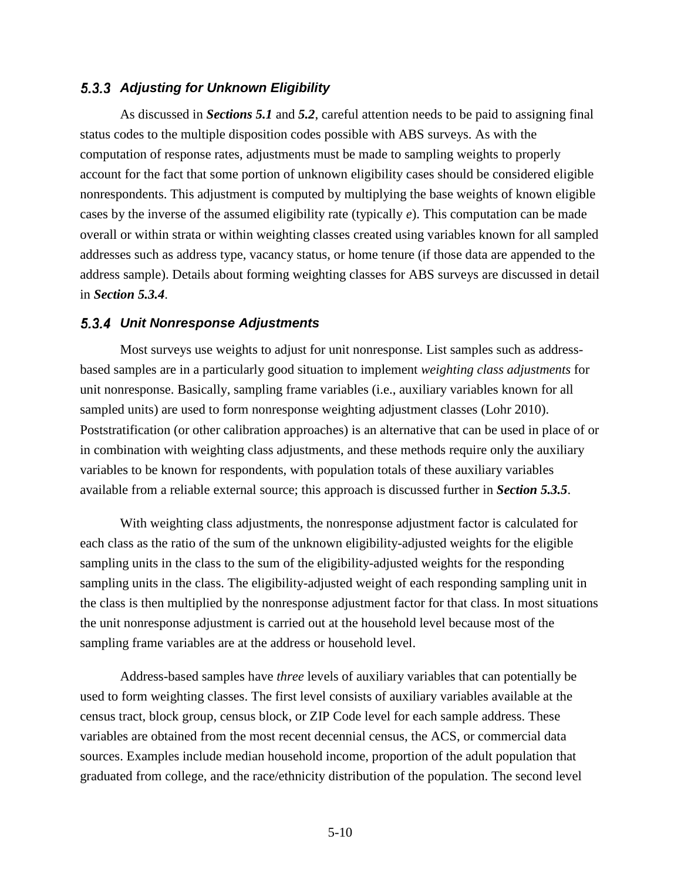### **5.3.3 Adjusting for Unknown Eligibility**

As discussed in *Sections 5.1* and *5.2*, careful attention needs to be paid to assigning final status codes to the multiple disposition codes possible with ABS surveys. As with the computation of response rates, adjustments must be made to sampling weights to properly account for the fact that some portion of unknown eligibility cases should be considered eligible nonrespondents. This adjustment is computed by multiplying the base weights of known eligible cases by the inverse of the assumed eligibility rate (typically *e*). This computation can be made overall or within strata or within weighting classes created using variables known for all sampled addresses such as address type, vacancy status, or home tenure (if those data are appended to the address sample). Details about forming weighting classes for ABS surveys are discussed in detail in *Section 5.3.4*.

### *Unit Nonresponse Adjustments*

Most surveys use weights to adjust for unit nonresponse. List samples such as addressbased samples are in a particularly good situation to implement *weighting class adjustments* for unit nonresponse. Basically, sampling frame variables (i.e., auxiliary variables known for all sampled units) are used to form nonresponse weighting adjustment classes (Lohr 2010). Poststratification (or other calibration approaches) is an alternative that can be used in place of or in combination with weighting class adjustments, and these methods require only the auxiliary variables to be known for respondents, with population totals of these auxiliary variables available from a reliable external source; this approach is discussed further in *Section 5.3.5*.

With weighting class adjustments, the nonresponse adjustment factor is calculated for each class as the ratio of the sum of the unknown eligibility-adjusted weights for the eligible sampling units in the class to the sum of the eligibility-adjusted weights for the responding sampling units in the class. The eligibility-adjusted weight of each responding sampling unit in the class is then multiplied by the nonresponse adjustment factor for that class. In most situations the unit nonresponse adjustment is carried out at the household level because most of the sampling frame variables are at the address or household level.

Address-based samples have *three* levels of auxiliary variables that can potentially be used to form weighting classes. The first level consists of auxiliary variables available at the census tract, block group, census block, or ZIP Code level for each sample address. These variables are obtained from the most recent decennial census, the ACS, or commercial data sources. Examples include median household income, proportion of the adult population that graduated from college, and the race/ethnicity distribution of the population. The second level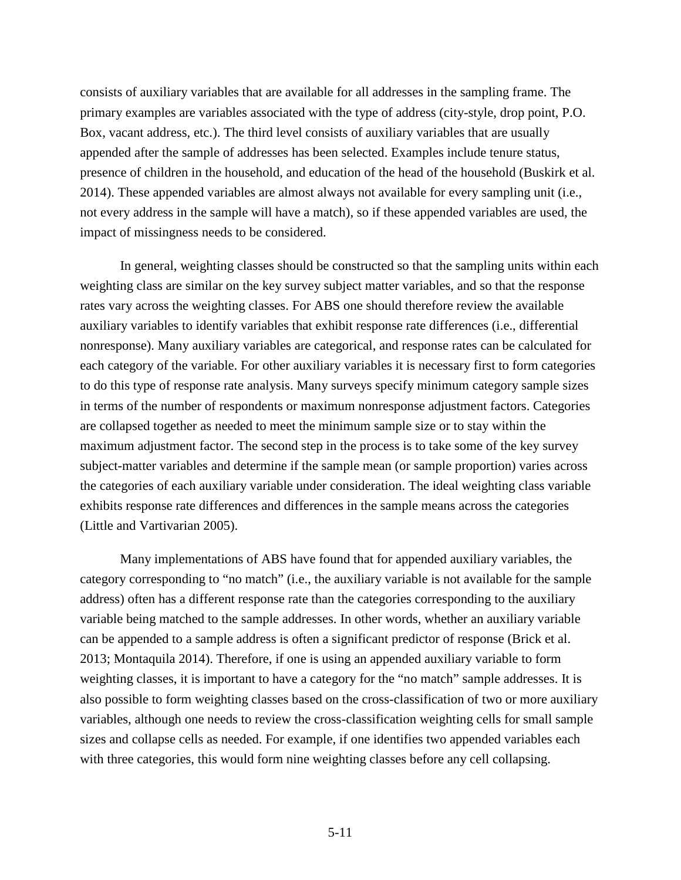consists of auxiliary variables that are available for all addresses in the sampling frame. The primary examples are variables associated with the type of address (city-style, drop point, P.O. Box, vacant address, etc.). The third level consists of auxiliary variables that are usually appended after the sample of addresses has been selected. Examples include tenure status, presence of children in the household, and education of the head of the household (Buskirk et al. 2014). These appended variables are almost always not available for every sampling unit (i.e., not every address in the sample will have a match), so if these appended variables are used, the impact of missingness needs to be considered.

In general, weighting classes should be constructed so that the sampling units within each weighting class are similar on the key survey subject matter variables, and so that the response rates vary across the weighting classes. For ABS one should therefore review the available auxiliary variables to identify variables that exhibit response rate differences (i.e., differential nonresponse). Many auxiliary variables are categorical, and response rates can be calculated for each category of the variable. For other auxiliary variables it is necessary first to form categories to do this type of response rate analysis. Many surveys specify minimum category sample sizes in terms of the number of respondents or maximum nonresponse adjustment factors. Categories are collapsed together as needed to meet the minimum sample size or to stay within the maximum adjustment factor. The second step in the process is to take some of the key survey subject-matter variables and determine if the sample mean (or sample proportion) varies across the categories of each auxiliary variable under consideration. The ideal weighting class variable exhibits response rate differences and differences in the sample means across the categories (Little and Vartivarian 2005).

Many implementations of ABS have found that for appended auxiliary variables, the category corresponding to "no match" (i.e., the auxiliary variable is not available for the sample address) often has a different response rate than the categories corresponding to the auxiliary variable being matched to the sample addresses. In other words, whether an auxiliary variable can be appended to a sample address is often a significant predictor of response (Brick et al. 2013; Montaquila 2014). Therefore, if one is using an appended auxiliary variable to form weighting classes, it is important to have a category for the "no match" sample addresses. It is also possible to form weighting classes based on the cross-classification of two or more auxiliary variables, although one needs to review the cross-classification weighting cells for small sample sizes and collapse cells as needed. For example, if one identifies two appended variables each with three categories, this would form nine weighting classes before any cell collapsing.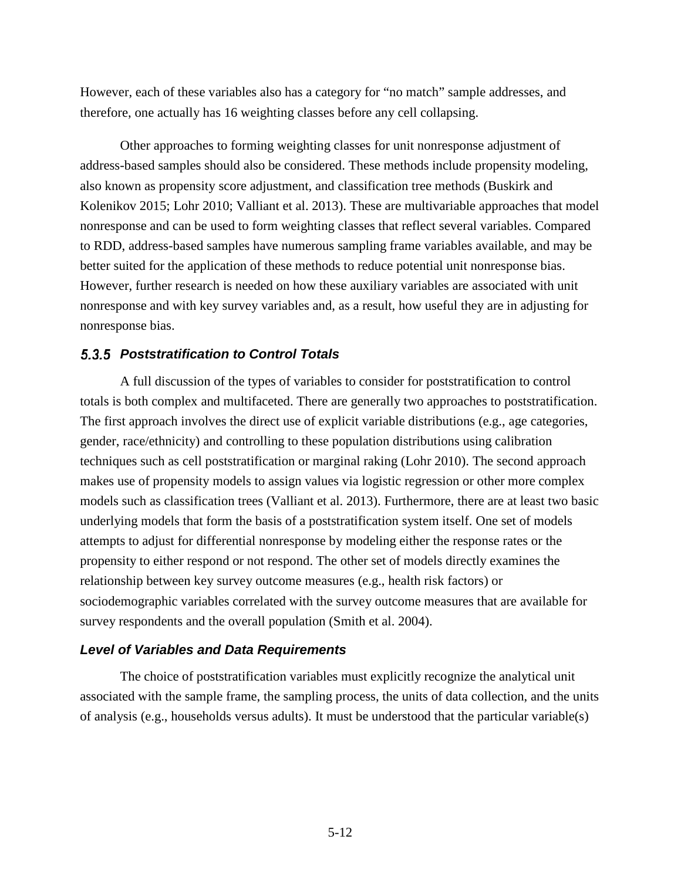However, each of these variables also has a category for "no match" sample addresses, and therefore, one actually has 16 weighting classes before any cell collapsing.

Other approaches to forming weighting classes for unit nonresponse adjustment of address-based samples should also be considered. These methods include propensity modeling, also known as propensity score adjustment, and classification tree methods (Buskirk and Kolenikov 2015; Lohr 2010; Valliant et al. 2013). These are multivariable approaches that model nonresponse and can be used to form weighting classes that reflect several variables. Compared to RDD, address-based samples have numerous sampling frame variables available, and may be better suited for the application of these methods to reduce potential unit nonresponse bias. However, further research is needed on how these auxiliary variables are associated with unit nonresponse and with key survey variables and, as a result, how useful they are in adjusting for nonresponse bias.

### *Poststratification to Control Totals*

A full discussion of the types of variables to consider for poststratification to control totals is both complex and multifaceted. There are generally two approaches to poststratification. The first approach involves the direct use of explicit variable distributions (e.g., age categories, gender, race/ethnicity) and controlling to these population distributions using calibration techniques such as cell poststratification or marginal raking (Lohr 2010). The second approach makes use of propensity models to assign values via logistic regression or other more complex models such as classification trees (Valliant et al. 2013). Furthermore, there are at least two basic underlying models that form the basis of a poststratification system itself. One set of models attempts to adjust for differential nonresponse by modeling either the response rates or the propensity to either respond or not respond. The other set of models directly examines the relationship between key survey outcome measures (e.g., health risk factors) or sociodemographic variables correlated with the survey outcome measures that are available for survey respondents and the overall population (Smith et al. 2004).

### *Level of Variables and Data Requirements*

The choice of poststratification variables must explicitly recognize the analytical unit associated with the sample frame, the sampling process, the units of data collection, and the units of analysis (e.g., households versus adults). It must be understood that the particular variable(s)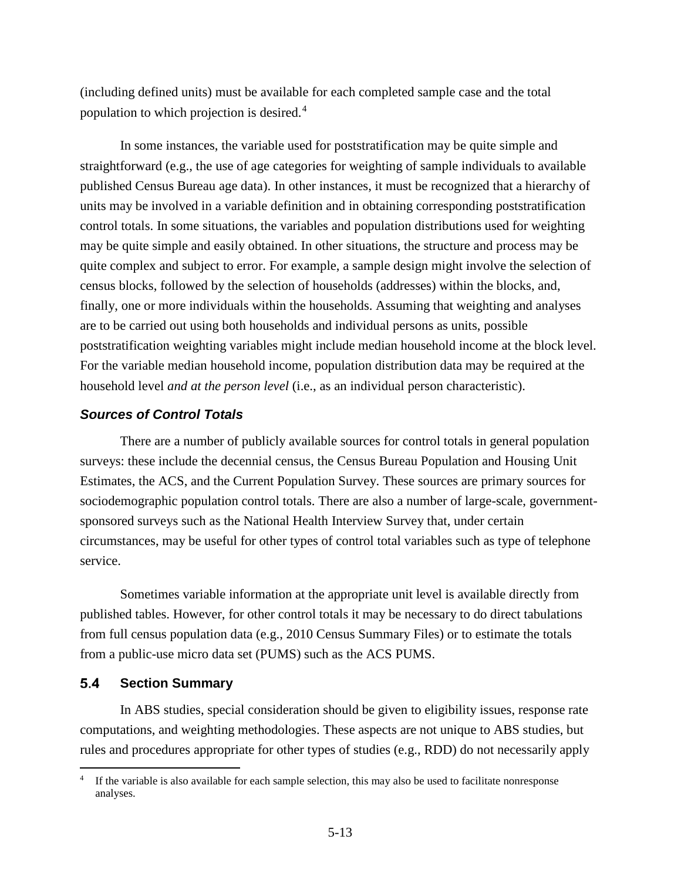(including defined units) must be available for each completed sample case and the total population to which projection is desired.[4](#page-77-0)

In some instances, the variable used for poststratification may be quite simple and straightforward (e.g., the use of age categories for weighting of sample individuals to available published Census Bureau age data). In other instances, it must be recognized that a hierarchy of units may be involved in a variable definition and in obtaining corresponding poststratification control totals. In some situations, the variables and population distributions used for weighting may be quite simple and easily obtained. In other situations, the structure and process may be quite complex and subject to error. For example, a sample design might involve the selection of census blocks, followed by the selection of households (addresses) within the blocks, and, finally, one or more individuals within the households. Assuming that weighting and analyses are to be carried out using both households and individual persons as units, possible poststratification weighting variables might include median household income at the block level. For the variable median household income, population distribution data may be required at the household level *and at the person level* (i.e., as an individual person characteristic).

## *Sources of Control Totals*

There are a number of publicly available sources for control totals in general population surveys: these include the decennial census, the Census Bureau Population and Housing Unit Estimates, the ACS, and the Current Population Survey. These sources are primary sources for sociodemographic population control totals. There are also a number of large-scale, governmentsponsored surveys such as the National Health Interview Survey that, under certain circumstances, may be useful for other types of control total variables such as type of telephone service.

Sometimes variable information at the appropriate unit level is available directly from published tables. However, for other control totals it may be necessary to do direct tabulations from full census population data (e.g., 2010 Census Summary Files) or to estimate the totals from a public-use micro data set (PUMS) such as the ACS PUMS.

#### $5.4$ **Section Summary**

In ABS studies, special consideration should be given to eligibility issues, response rate computations, and weighting methodologies. These aspects are not unique to ABS studies, but rules and procedures appropriate for other types of studies (e.g., RDD) do not necessarily apply

<span id="page-77-0"></span><sup>&</sup>lt;sup>4</sup> If the variable is also available for each sample selection, this may also be used to facilitate nonresponse analyses.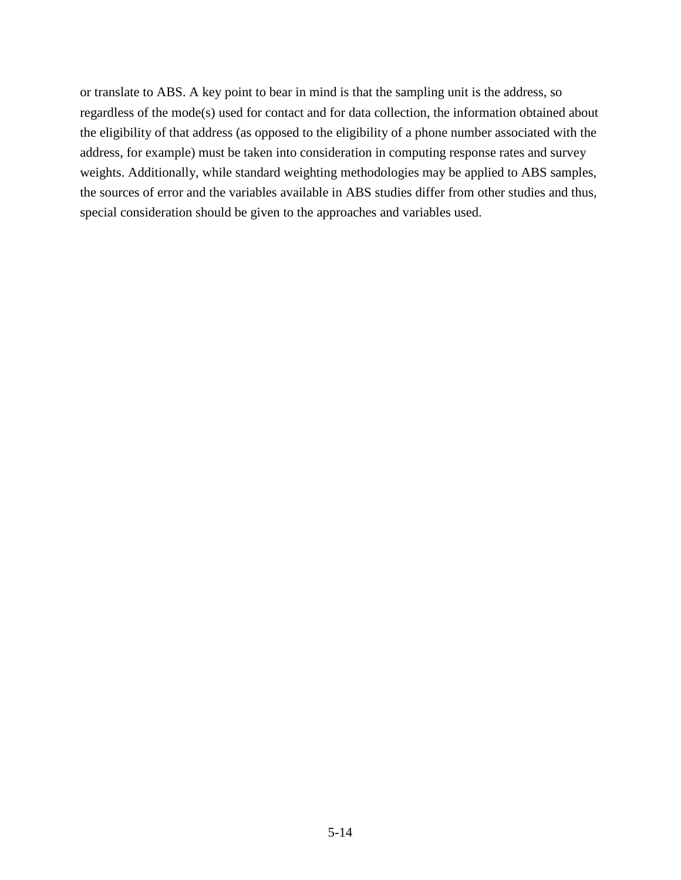or translate to ABS. A key point to bear in mind is that the sampling unit is the address, so regardless of the mode(s) used for contact and for data collection, the information obtained about the eligibility of that address (as opposed to the eligibility of a phone number associated with the address, for example) must be taken into consideration in computing response rates and survey weights. Additionally, while standard weighting methodologies may be applied to ABS samples, the sources of error and the variables available in ABS studies differ from other studies and thus, special consideration should be given to the approaches and variables used.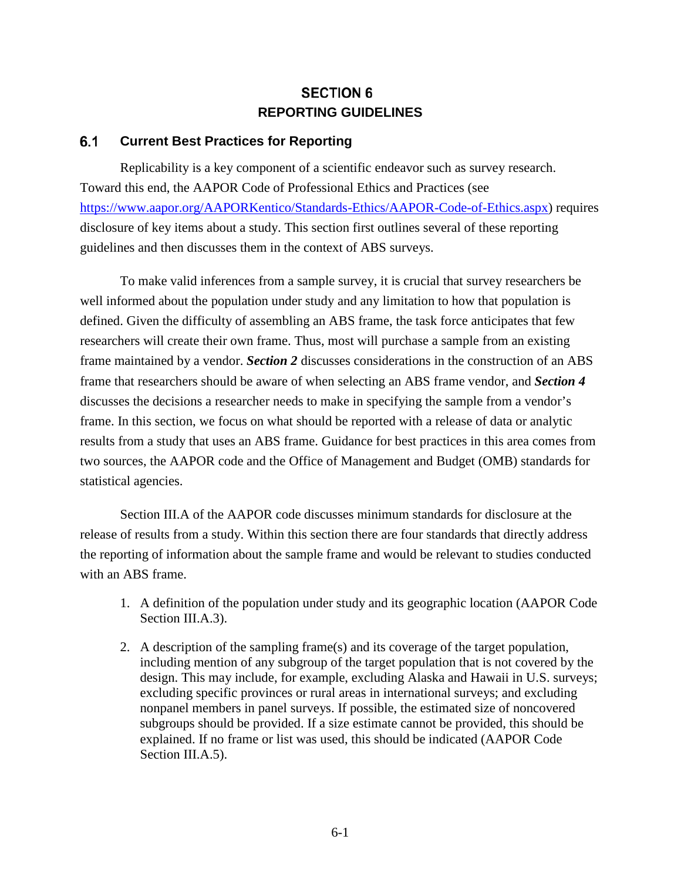# **SECTION 6 REPORTING GUIDELINES**

#### $6.1$ **Current Best Practices for Reporting**

Replicability is a key component of a scientific endeavor such as survey research. Toward this end, the AAPOR Code of Professional Ethics and Practices (see [https://www.aapor.org/AAPORKentico/Standards-Ethics/AAPOR-Code-of-Ethics.aspx\)](https://www.aapor.org/AAPORKentico/Standards-Ethics/AAPOR-Code-of-Ethics.aspx) requires disclosure of key items about a study. This section first outlines several of these reporting guidelines and then discusses them in the context of ABS surveys.

To make valid inferences from a sample survey, it is crucial that survey researchers be well informed about the population under study and any limitation to how that population is defined. Given the difficulty of assembling an ABS frame, the task force anticipates that few researchers will create their own frame. Thus, most will purchase a sample from an existing frame maintained by a vendor. *Section 2* discusses considerations in the construction of an ABS frame that researchers should be aware of when selecting an ABS frame vendor, and *Section 4* discusses the decisions a researcher needs to make in specifying the sample from a vendor's frame. In this section, we focus on what should be reported with a release of data or analytic results from a study that uses an ABS frame. Guidance for best practices in this area comes from two sources, the AAPOR code and the Office of Management and Budget (OMB) standards for statistical agencies.

Section III.A of the AAPOR code discusses minimum standards for disclosure at the release of results from a study. Within this section there are four standards that directly address the reporting of information about the sample frame and would be relevant to studies conducted with an ABS frame.

- 1. A definition of the population under study and its geographic location (AAPOR Code Section III.A.3).
- 2. A description of the sampling frame(s) and its coverage of the target population, including mention of any subgroup of the target population that is not covered by the design. This may include, for example, excluding Alaska and Hawaii in U.S. surveys; excluding specific provinces or rural areas in international surveys; and excluding nonpanel members in panel surveys. If possible, the estimated size of noncovered subgroups should be provided. If a size estimate cannot be provided, this should be explained. If no frame or list was used, this should be indicated (AAPOR Code Section III.A.5).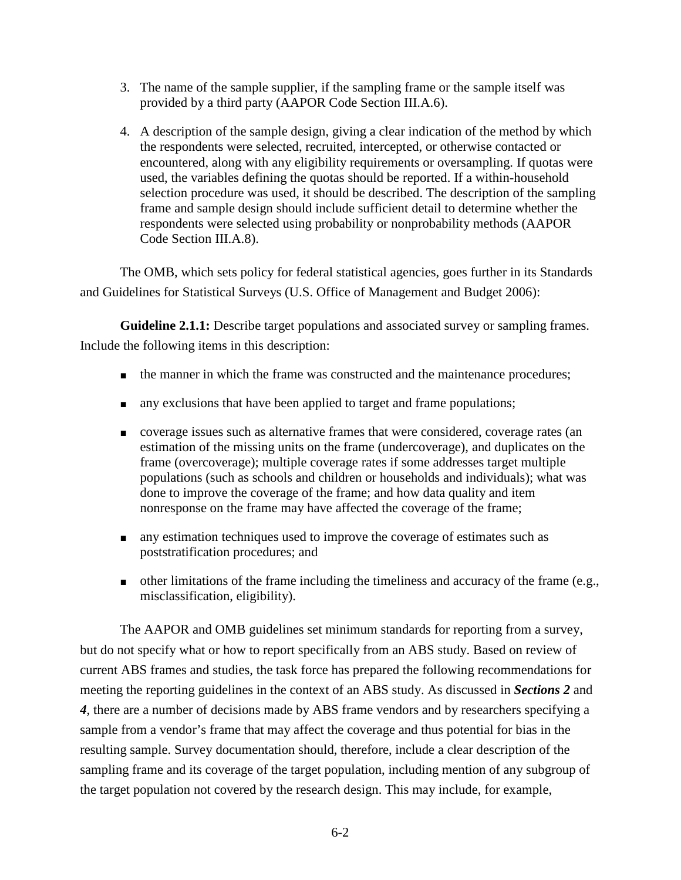- 3. The name of the sample supplier, if the sampling frame or the sample itself was provided by a third party (AAPOR Code Section III.A.6).
- 4. A description of the sample design, giving a clear indication of the method by which the respondents were selected, recruited, intercepted, or otherwise contacted or encountered, along with any eligibility requirements or oversampling. If quotas were used, the variables defining the quotas should be reported. If a within-household selection procedure was used, it should be described. The description of the sampling frame and sample design should include sufficient detail to determine whether the respondents were selected using probability or nonprobability methods (AAPOR Code Section III.A.8).

The OMB, which sets policy for federal statistical agencies, goes further in its Standards and Guidelines for Statistical Surveys (U.S. Office of Management and Budget 2006):

**Guideline 2.1.1:** Describe target populations and associated survey or sampling frames. Include the following items in this description:

- the manner in which the frame was constructed and the maintenance procedures;
- any exclusions that have been applied to target and frame populations;
- coverage issues such as alternative frames that were considered, coverage rates (an estimation of the missing units on the frame (undercoverage), and duplicates on the frame (overcoverage); multiple coverage rates if some addresses target multiple populations (such as schools and children or households and individuals); what was done to improve the coverage of the frame; and how data quality and item nonresponse on the frame may have affected the coverage of the frame;
- any estimation techniques used to improve the coverage of estimates such as poststratification procedures; and
- other limitations of the frame including the timeliness and accuracy of the frame (e.g., misclassification, eligibility).

The AAPOR and OMB guidelines set minimum standards for reporting from a survey, but do not specify what or how to report specifically from an ABS study. Based on review of current ABS frames and studies, the task force has prepared the following recommendations for meeting the reporting guidelines in the context of an ABS study. As discussed in *Sections 2* and *4*, there are a number of decisions made by ABS frame vendors and by researchers specifying a sample from a vendor's frame that may affect the coverage and thus potential for bias in the resulting sample. Survey documentation should, therefore, include a clear description of the sampling frame and its coverage of the target population, including mention of any subgroup of the target population not covered by the research design. This may include, for example,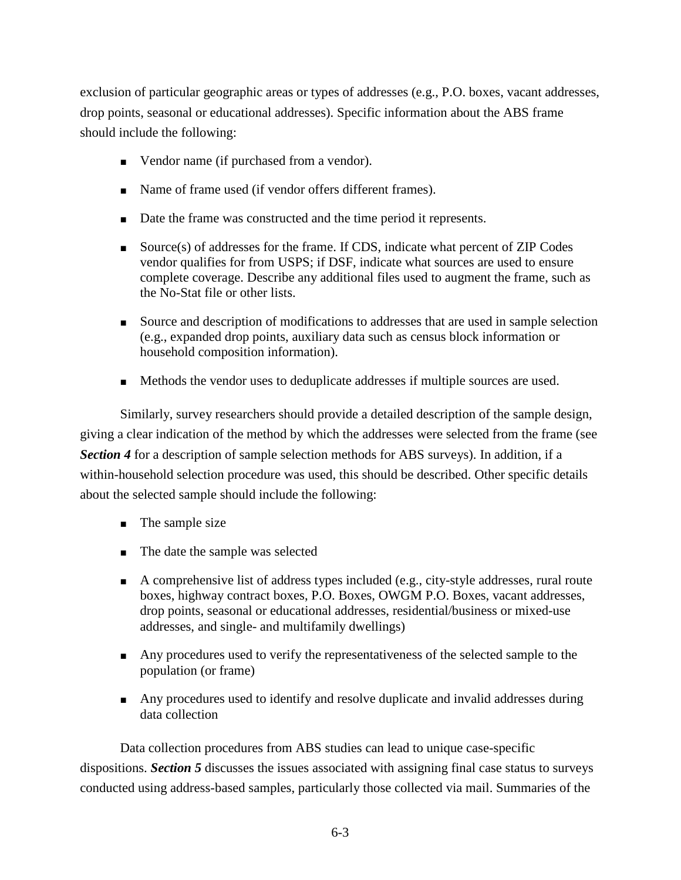exclusion of particular geographic areas or types of addresses (e.g., P.O. boxes, vacant addresses, drop points, seasonal or educational addresses). Specific information about the ABS frame should include the following:

- Vendor name (if purchased from a vendor).
- Name of frame used (if vendor offers different frames).
- Date the frame was constructed and the time period it represents.
- Source(s) of addresses for the frame. If CDS, indicate what percent of ZIP Codes vendor qualifies for from USPS; if DSF, indicate what sources are used to ensure complete coverage. Describe any additional files used to augment the frame, such as the No-Stat file or other lists.
- Source and description of modifications to addresses that are used in sample selection (e.g., expanded drop points, auxiliary data such as census block information or household composition information).
- Methods the vendor uses to deduplicate addresses if multiple sources are used.

Similarly, survey researchers should provide a detailed description of the sample design, giving a clear indication of the method by which the addresses were selected from the frame (see *Section 4* for a description of sample selection methods for ABS surveys). In addition, if a within-household selection procedure was used, this should be described. Other specific details about the selected sample should include the following:

- The sample size
- The date the sample was selected
- A comprehensive list of address types included (e.g., city-style addresses, rural route boxes, highway contract boxes, P.O. Boxes, OWGM P.O. Boxes, vacant addresses, drop points, seasonal or educational addresses, residential/business or mixed-use addresses, and single- and multifamily dwellings)
- Any procedures used to verify the representativeness of the selected sample to the population (or frame)
- Any procedures used to identify and resolve duplicate and invalid addresses during data collection

Data collection procedures from ABS studies can lead to unique case-specific dispositions. *Section 5* discusses the issues associated with assigning final case status to surveys conducted using address-based samples, particularly those collected via mail. Summaries of the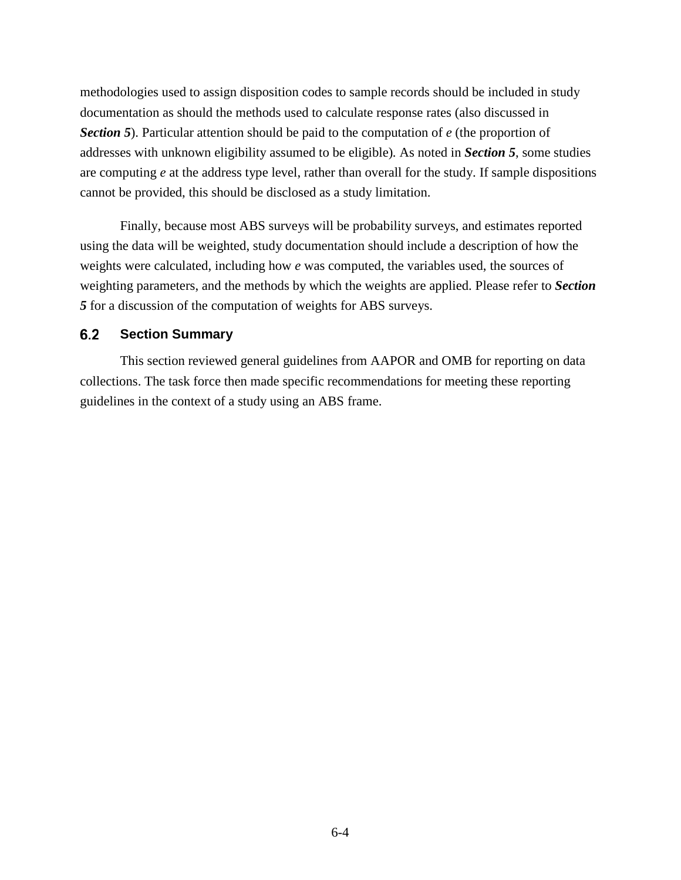methodologies used to assign disposition codes to sample records should be included in study documentation as should the methods used to calculate response rates (also discussed in *Section 5*). Particular attention should be paid to the computation of *e* (the proportion of addresses with unknown eligibility assumed to be eligible)*.* As noted in *Section 5*, some studies are computing *e* at the address type level, rather than overall for the study. If sample dispositions cannot be provided, this should be disclosed as a study limitation.

Finally, because most ABS surveys will be probability surveys, and estimates reported using the data will be weighted, study documentation should include a description of how the weights were calculated, including how *e* was computed, the variables used, the sources of weighting parameters, and the methods by which the weights are applied. Please refer to *Section 5* for a discussion of the computation of weights for ABS surveys.

#### $6.2$ **Section Summary**

This section reviewed general guidelines from AAPOR and OMB for reporting on data collections. The task force then made specific recommendations for meeting these reporting guidelines in the context of a study using an ABS frame.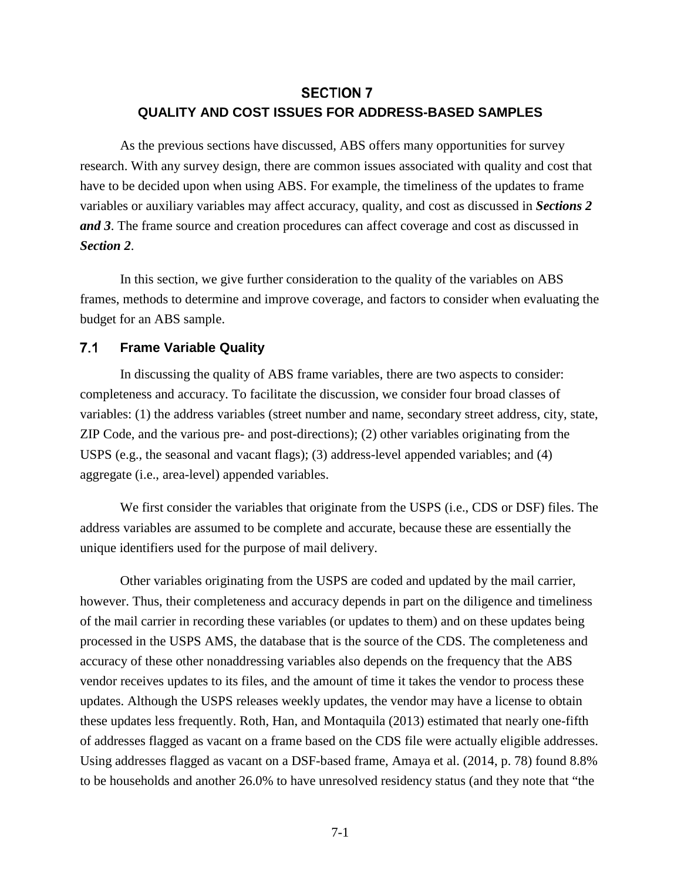# **SECTION 7 QUALITY AND COST ISSUES FOR ADDRESS-BASED SAMPLES**

As the previous sections have discussed, ABS offers many opportunities for survey research. With any survey design, there are common issues associated with quality and cost that have to be decided upon when using ABS. For example, the timeliness of the updates to frame variables or auxiliary variables may affect accuracy, quality, and cost as discussed in *Sections 2 and 3*. The frame source and creation procedures can affect coverage and cost as discussed in *Section 2*.

In this section, we give further consideration to the quality of the variables on ABS frames, methods to determine and improve coverage, and factors to consider when evaluating the budget for an ABS sample.

#### $7.1$ **Frame Variable Quality**

In discussing the quality of ABS frame variables, there are two aspects to consider: completeness and accuracy. To facilitate the discussion, we consider four broad classes of variables: (1) the address variables (street number and name, secondary street address, city, state, ZIP Code, and the various pre- and post-directions); (2) other variables originating from the USPS (e.g., the seasonal and vacant flags); (3) address-level appended variables; and (4) aggregate (i.e., area-level) appended variables.

We first consider the variables that originate from the USPS (i.e., CDS or DSF) files. The address variables are assumed to be complete and accurate, because these are essentially the unique identifiers used for the purpose of mail delivery.

Other variables originating from the USPS are coded and updated by the mail carrier, however. Thus, their completeness and accuracy depends in part on the diligence and timeliness of the mail carrier in recording these variables (or updates to them) and on these updates being processed in the USPS AMS, the database that is the source of the CDS. The completeness and accuracy of these other nonaddressing variables also depends on the frequency that the ABS vendor receives updates to its files, and the amount of time it takes the vendor to process these updates. Although the USPS releases weekly updates, the vendor may have a license to obtain these updates less frequently. Roth, Han, and Montaquila (2013) estimated that nearly one-fifth of addresses flagged as vacant on a frame based on the CDS file were actually eligible addresses. Using addresses flagged as vacant on a DSF-based frame, Amaya et al. (2014, p. 78) found 8.8% to be households and another 26.0% to have unresolved residency status (and they note that "the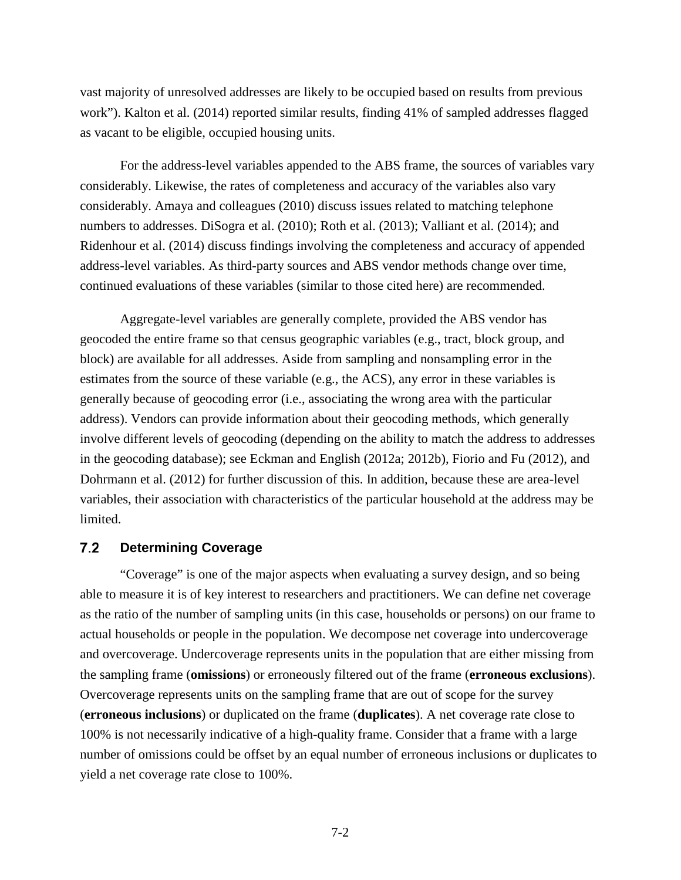vast majority of unresolved addresses are likely to be occupied based on results from previous work"). Kalton et al. (2014) reported similar results, finding 41% of sampled addresses flagged as vacant to be eligible, occupied housing units.

For the address-level variables appended to the ABS frame, the sources of variables vary considerably. Likewise, the rates of completeness and accuracy of the variables also vary considerably. Amaya and colleagues (2010) discuss issues related to matching telephone numbers to addresses. DiSogra et al. (2010); Roth et al. (2013); Valliant et al. (2014); and Ridenhour et al. (2014) discuss findings involving the completeness and accuracy of appended address-level variables. As third-party sources and ABS vendor methods change over time, continued evaluations of these variables (similar to those cited here) are recommended.

Aggregate-level variables are generally complete, provided the ABS vendor has geocoded the entire frame so that census geographic variables (e.g., tract, block group, and block) are available for all addresses. Aside from sampling and nonsampling error in the estimates from the source of these variable (e.g., the ACS), any error in these variables is generally because of geocoding error (i.e., associating the wrong area with the particular address). Vendors can provide information about their geocoding methods, which generally involve different levels of geocoding (depending on the ability to match the address to addresses in the geocoding database); see Eckman and English (2012a; 2012b), Fiorio and Fu (2012), and Dohrmann et al. (2012) for further discussion of this. In addition, because these are area-level variables, their association with characteristics of the particular household at the address may be limited.

#### $7.2$ **Determining Coverage**

"Coverage" is one of the major aspects when evaluating a survey design, and so being able to measure it is of key interest to researchers and practitioners. We can define net coverage as the ratio of the number of sampling units (in this case, households or persons) on our frame to actual households or people in the population. We decompose net coverage into undercoverage and overcoverage. Undercoverage represents units in the population that are either missing from the sampling frame (**omissions**) or erroneously filtered out of the frame (**erroneous exclusions**). Overcoverage represents units on the sampling frame that are out of scope for the survey (**erroneous inclusions**) or duplicated on the frame (**duplicates**). A net coverage rate close to 100% is not necessarily indicative of a high-quality frame. Consider that a frame with a large number of omissions could be offset by an equal number of erroneous inclusions or duplicates to yield a net coverage rate close to 100%.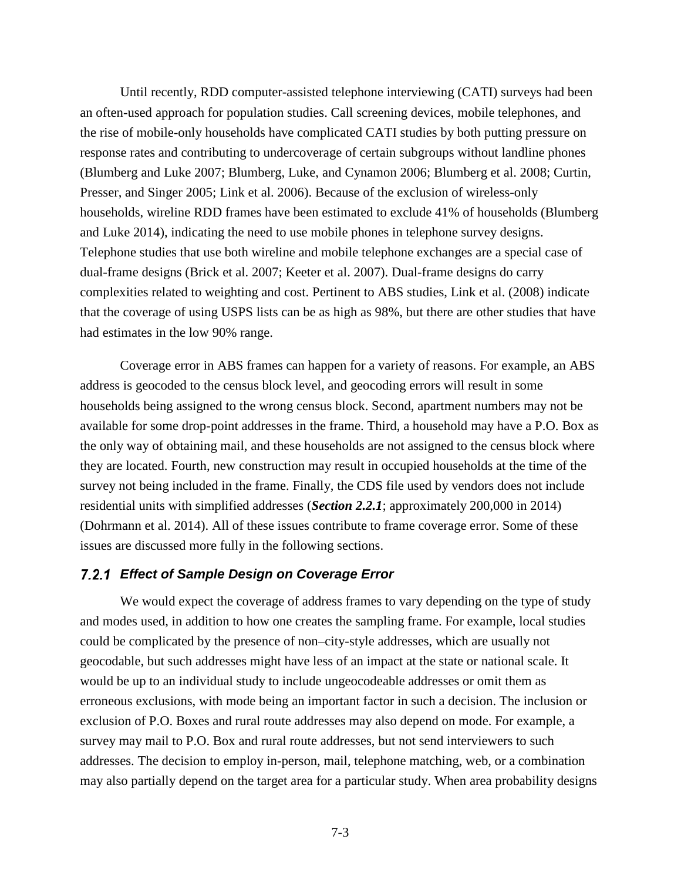Until recently, RDD computer-assisted telephone interviewing (CATI) surveys had been an often-used approach for population studies. Call screening devices, mobile telephones, and the rise of mobile-only households have complicated CATI studies by both putting pressure on response rates and contributing to undercoverage of certain subgroups without landline phones (Blumberg and Luke 2007; Blumberg, Luke, and Cynamon 2006; Blumberg et al. 2008; Curtin, Presser, and Singer 2005; Link et al. 2006). Because of the exclusion of wireless-only households, wireline RDD frames have been estimated to exclude 41% of households (Blumberg and Luke 2014), indicating the need to use mobile phones in telephone survey designs. Telephone studies that use both wireline and mobile telephone exchanges are a special case of dual-frame designs (Brick et al. 2007; Keeter et al. 2007). Dual-frame designs do carry complexities related to weighting and cost. Pertinent to ABS studies, Link et al. (2008) indicate that the coverage of using USPS lists can be as high as 98%, but there are other studies that have had estimates in the low 90% range.

Coverage error in ABS frames can happen for a variety of reasons. For example, an ABS address is geocoded to the census block level, and geocoding errors will result in some households being assigned to the wrong census block. Second, apartment numbers may not be available for some drop-point addresses in the frame. Third, a household may have a P.O. Box as the only way of obtaining mail, and these households are not assigned to the census block where they are located. Fourth, new construction may result in occupied households at the time of the survey not being included in the frame. Finally, the CDS file used by vendors does not include residential units with simplified addresses (*Section 2.2.1*; approximately 200,000 in 2014) (Dohrmann et al. 2014). All of these issues contribute to frame coverage error. Some of these issues are discussed more fully in the following sections.

## *Effect of Sample Design on Coverage Error*

We would expect the coverage of address frames to vary depending on the type of study and modes used, in addition to how one creates the sampling frame. For example, local studies could be complicated by the presence of non–city-style addresses, which are usually not geocodable, but such addresses might have less of an impact at the state or national scale. It would be up to an individual study to include ungeocodeable addresses or omit them as erroneous exclusions, with mode being an important factor in such a decision. The inclusion or exclusion of P.O. Boxes and rural route addresses may also depend on mode. For example, a survey may mail to P.O. Box and rural route addresses, but not send interviewers to such addresses. The decision to employ in-person, mail, telephone matching, web, or a combination may also partially depend on the target area for a particular study. When area probability designs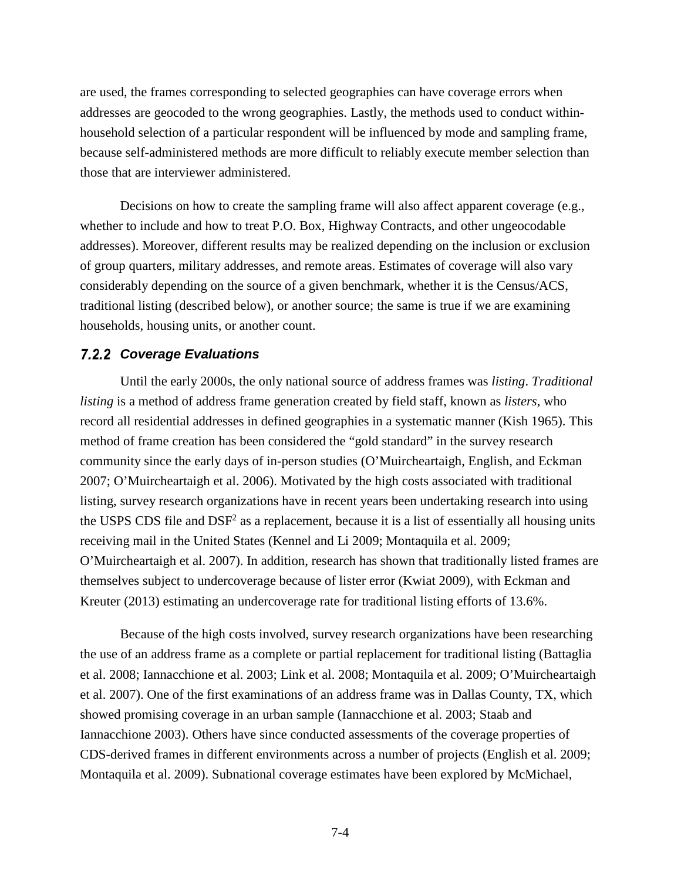are used, the frames corresponding to selected geographies can have coverage errors when addresses are geocoded to the wrong geographies. Lastly, the methods used to conduct withinhousehold selection of a particular respondent will be influenced by mode and sampling frame, because self-administered methods are more difficult to reliably execute member selection than those that are interviewer administered.

Decisions on how to create the sampling frame will also affect apparent coverage (e.g., whether to include and how to treat P.O. Box, Highway Contracts, and other ungeocodable addresses). Moreover, different results may be realized depending on the inclusion or exclusion of group quarters, military addresses, and remote areas. Estimates of coverage will also vary considerably depending on the source of a given benchmark, whether it is the Census/ACS, traditional listing (described below), or another source; the same is true if we are examining households, housing units, or another count.

## *Coverage Evaluations*

Until the early 2000s, the only national source of address frames was *listing*. *Traditional listing* is a method of address frame generation created by field staff, known as *listers*, who record all residential addresses in defined geographies in a systematic manner (Kish 1965). This method of frame creation has been considered the "gold standard" in the survey research community since the early days of in-person studies (O'Muircheartaigh, English, and Eckman 2007; O'Muircheartaigh et al. 2006). Motivated by the high costs associated with traditional listing, survey research organizations have in recent years been undertaking research into using the USPS CDS file and  $DSF<sup>2</sup>$  as a replacement, because it is a list of essentially all housing units receiving mail in the United States (Kennel and Li 2009; Montaquila et al. 2009; O'Muircheartaigh et al. 2007). In addition, research has shown that traditionally listed frames are themselves subject to undercoverage because of lister error (Kwiat 2009), with Eckman and Kreuter (2013) estimating an undercoverage rate for traditional listing efforts of 13.6%.

Because of the high costs involved, survey research organizations have been researching the use of an address frame as a complete or partial replacement for traditional listing (Battaglia et al. 2008; Iannacchione et al. 2003; Link et al. 2008; Montaquila et al. 2009; O'Muircheartaigh et al. 2007). One of the first examinations of an address frame was in Dallas County, TX, which showed promising coverage in an urban sample (Iannacchione et al. 2003; Staab and Iannacchione 2003). Others have since conducted assessments of the coverage properties of CDS-derived frames in different environments across a number of projects (English et al. 2009; Montaquila et al. 2009). Subnational coverage estimates have been explored by McMichael,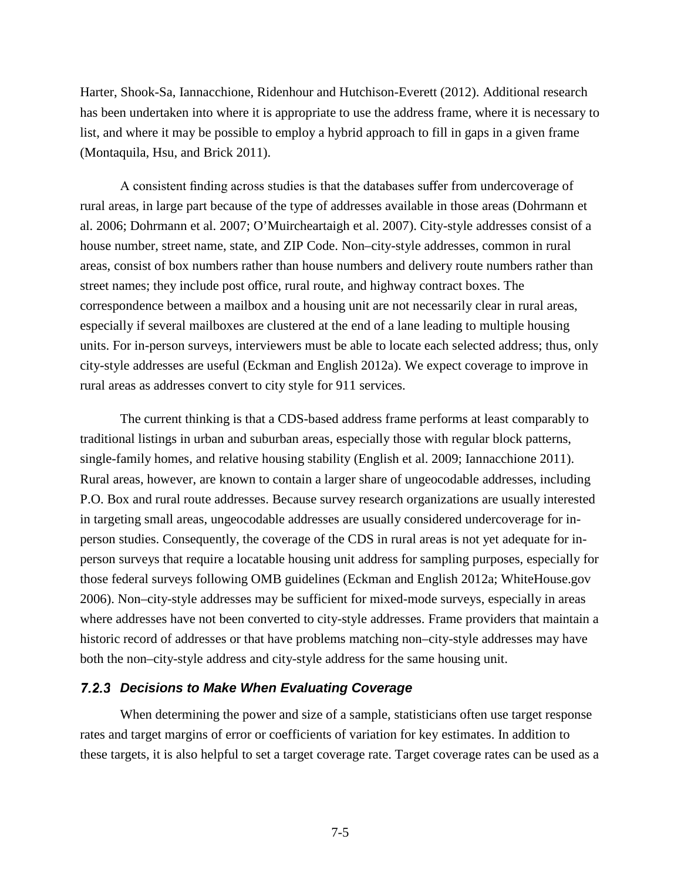Harter, Shook-Sa, Iannacchione, Ridenhour and Hutchison-Everett (2012). Additional research has been undertaken into where it is appropriate to use the address frame, where it is necessary to list, and where it may be possible to employ a hybrid approach to fill in gaps in a given frame (Montaquila, Hsu, and Brick 2011).

A consistent finding across studies is that the databases suffer from undercoverage of rural areas, in large part because of the type of addresses available in those areas (Dohrmann et al. 2006; Dohrmann et al. 2007; O'Muircheartaigh et al. 2007). City-style addresses consist of a house number, street name, state, and ZIP Code. Non–city-style addresses, common in rural areas, consist of box numbers rather than house numbers and delivery route numbers rather than street names; they include post office, rural route, and highway contract boxes. The correspondence between a mailbox and a housing unit are not necessarily clear in rural areas, especially if several mailboxes are clustered at the end of a lane leading to multiple housing units. For in-person surveys, interviewers must be able to locate each selected address; thus, only city-style addresses are useful (Eckman and English 2012a). We expect coverage to improve in rural areas as addresses convert to city style for 911 services.

The current thinking is that a CDS-based address frame performs at least comparably to traditional listings in urban and suburban areas, especially those with regular block patterns, single-family homes, and relative housing stability (English et al. 2009; Iannacchione 2011). Rural areas, however, are known to contain a larger share of ungeocodable addresses, including P.O. Box and rural route addresses. Because survey research organizations are usually interested in targeting small areas, ungeocodable addresses are usually considered undercoverage for inperson studies. Consequently, the coverage of the CDS in rural areas is not yet adequate for inperson surveys that require a locatable housing unit address for sampling purposes, especially for those federal surveys following OMB guidelines (Eckman and English 2012a; WhiteHouse.gov 2006). Non–city-style addresses may be sufficient for mixed-mode surveys, especially in areas where addresses have not been converted to city-style addresses. Frame providers that maintain a historic record of addresses or that have problems matching non–city-style addresses may have both the non–city-style address and city-style address for the same housing unit.

## *Decisions to Make When Evaluating Coverage*

When determining the power and size of a sample, statisticians often use target response rates and target margins of error or coefficients of variation for key estimates. In addition to these targets, it is also helpful to set a target coverage rate. Target coverage rates can be used as a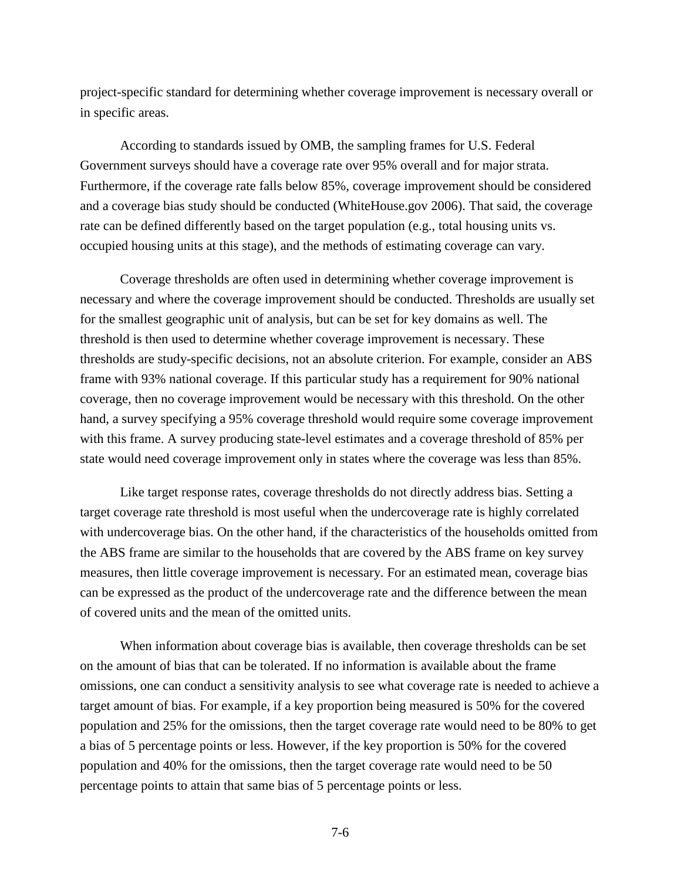project-specific standard for determining whether coverage improvement is necessary overall or in specific areas.

According to standards issued by OMB, the sampling frames for U.S. Federal Government surveys should have a coverage rate over 95% overall and for major strata. Furthermore, if the coverage rate falls below 85%, coverage improvement should be considered and a coverage bias study should be conducted (WhiteHouse.gov 2006). That said, the coverage rate can be defined differently based on the target population (e.g., total housing units vs. occupied housing units at this stage), and the methods of estimating coverage can vary.

Coverage thresholds are often used in determining whether coverage improvement is necessary and where the coverage improvement should be conducted. Thresholds are usually set for the smallest geographic unit of analysis, but can be set for key domains as well. The threshold is then used to determine whether coverage improvement is necessary. These thresholds are study-specific decisions, not an absolute criterion. For example, consider an ABS frame with 93% national coverage. If this particular study has a requirement for 90% national coverage, then no coverage improvement would be necessary with this threshold. On the other hand, a survey specifying a 95% coverage threshold would require some coverage improvement with this frame. A survey producing state-level estimates and a coverage threshold of 85% per state would need coverage improvement only in states where the coverage was less than 85%.

Like target response rates, coverage thresholds do not directly address bias. Setting a target coverage rate threshold is most useful when the undercoverage rate is highly correlated with undercoverage bias. On the other hand, if the characteristics of the households omitted from the ABS frame are similar to the households that are covered by the ABS frame on key survey measures, then little coverage improvement is necessary. For an estimated mean, coverage bias can be expressed as the product of the undercoverage rate and the difference between the mean of covered units and the mean of the omitted units.

When information about coverage bias is available, then coverage thresholds can be set on the amount of bias that can be tolerated. If no information is available about the frame omissions, one can conduct a sensitivity analysis to see what coverage rate is needed to achieve a target amount of bias. For example, if a key proportion being measured is 50% for the covered population and 25% for the omissions, then the target coverage rate would need to be 80% to get a bias of 5 percentage points or less. However, if the key proportion is 50% for the covered population and 40% for the omissions, then the target coverage rate would need to be 50 percentage points to attain that same bias of 5 percentage points or less.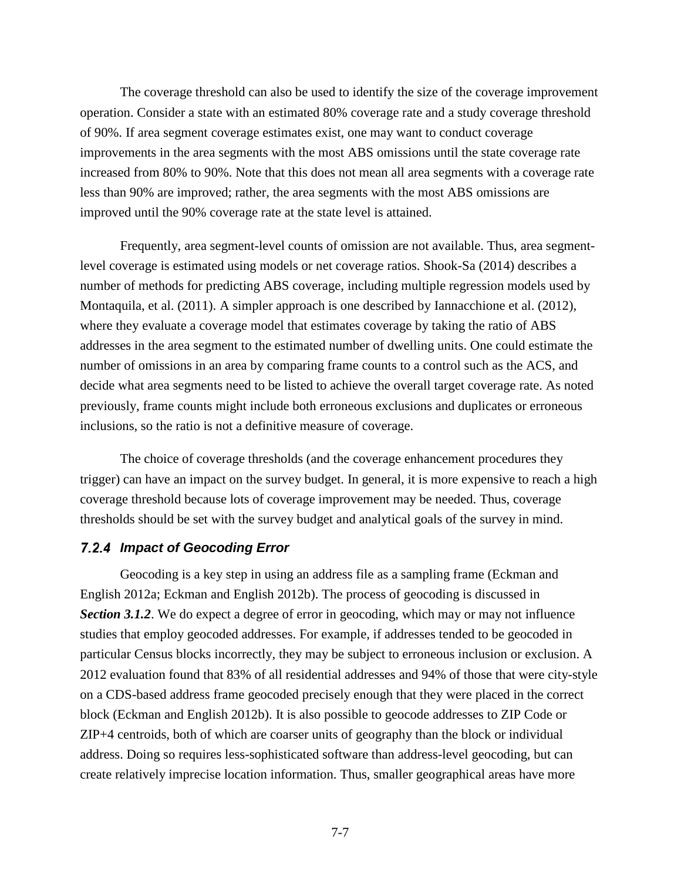The coverage threshold can also be used to identify the size of the coverage improvement operation. Consider a state with an estimated 80% coverage rate and a study coverage threshold of 90%. If area segment coverage estimates exist, one may want to conduct coverage improvements in the area segments with the most ABS omissions until the state coverage rate increased from 80% to 90%. Note that this does not mean all area segments with a coverage rate less than 90% are improved; rather, the area segments with the most ABS omissions are improved until the 90% coverage rate at the state level is attained.

Frequently, area segment-level counts of omission are not available. Thus, area segmentlevel coverage is estimated using models or net coverage ratios. Shook-Sa (2014) describes a number of methods for predicting ABS coverage, including multiple regression models used by Montaquila, et al. (2011). A simpler approach is one described by Iannacchione et al. (2012), where they evaluate a coverage model that estimates coverage by taking the ratio of ABS addresses in the area segment to the estimated number of dwelling units. One could estimate the number of omissions in an area by comparing frame counts to a control such as the ACS, and decide what area segments need to be listed to achieve the overall target coverage rate. As noted previously, frame counts might include both erroneous exclusions and duplicates or erroneous inclusions, so the ratio is not a definitive measure of coverage.

The choice of coverage thresholds (and the coverage enhancement procedures they trigger) can have an impact on the survey budget. In general, it is more expensive to reach a high coverage threshold because lots of coverage improvement may be needed. Thus, coverage thresholds should be set with the survey budget and analytical goals of the survey in mind.

### **7.2.4 Impact of Geocoding Error**

Geocoding is a key step in using an address file as a sampling frame (Eckman and English 2012a; Eckman and English 2012b). The process of geocoding is discussed in *Section 3.1.2*. We do expect a degree of error in geocoding, which may or may not influence studies that employ geocoded addresses. For example, if addresses tended to be geocoded in particular Census blocks incorrectly, they may be subject to erroneous inclusion or exclusion. A 2012 evaluation found that 83% of all residential addresses and 94% of those that were city-style on a CDS-based address frame geocoded precisely enough that they were placed in the correct block (Eckman and English 2012b). It is also possible to geocode addresses to ZIP Code or ZIP+4 centroids, both of which are coarser units of geography than the block or individual address. Doing so requires less-sophisticated software than address-level geocoding, but can create relatively imprecise location information. Thus, smaller geographical areas have more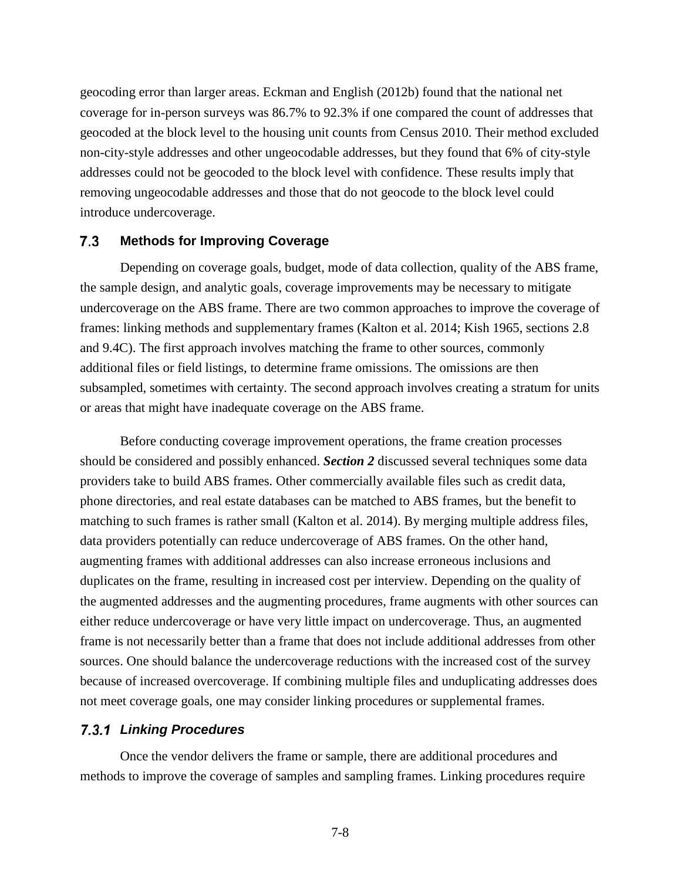geocoding error than larger areas. Eckman and English (2012b) found that the national net coverage for in-person surveys was 86.7% to 92.3% if one compared the count of addresses that geocoded at the block level to the housing unit counts from Census 2010. Their method excluded non-city-style addresses and other ungeocodable addresses, but they found that 6% of city-style addresses could not be geocoded to the block level with confidence. These results imply that removing ungeocodable addresses and those that do not geocode to the block level could introduce undercoverage.

#### $7.3$ **Methods for Improving Coverage**

Depending on coverage goals, budget, mode of data collection, quality of the ABS frame, the sample design, and analytic goals, coverage improvements may be necessary to mitigate undercoverage on the ABS frame. There are two common approaches to improve the coverage of frames: linking methods and supplementary frames (Kalton et al. 2014; Kish 1965, sections 2.8 and 9.4C). The first approach involves matching the frame to other sources, commonly additional files or field listings, to determine frame omissions. The omissions are then subsampled, sometimes with certainty. The second approach involves creating a stratum for units or areas that might have inadequate coverage on the ABS frame.

Before conducting coverage improvement operations, the frame creation processes should be considered and possibly enhanced. *Section 2* discussed several techniques some data providers take to build ABS frames. Other commercially available files such as credit data, phone directories, and real estate databases can be matched to ABS frames, but the benefit to matching to such frames is rather small (Kalton et al. 2014). By merging multiple address files, data providers potentially can reduce undercoverage of ABS frames. On the other hand, augmenting frames with additional addresses can also increase erroneous inclusions and duplicates on the frame, resulting in increased cost per interview. Depending on the quality of the augmented addresses and the augmenting procedures, frame augments with other sources can either reduce undercoverage or have very little impact on undercoverage. Thus, an augmented frame is not necessarily better than a frame that does not include additional addresses from other sources. One should balance the undercoverage reductions with the increased cost of the survey because of increased overcoverage. If combining multiple files and unduplicating addresses does not meet coverage goals, one may consider linking procedures or supplemental frames.

### *Linking Procedures*

Once the vendor delivers the frame or sample, there are additional procedures and methods to improve the coverage of samples and sampling frames. Linking procedures require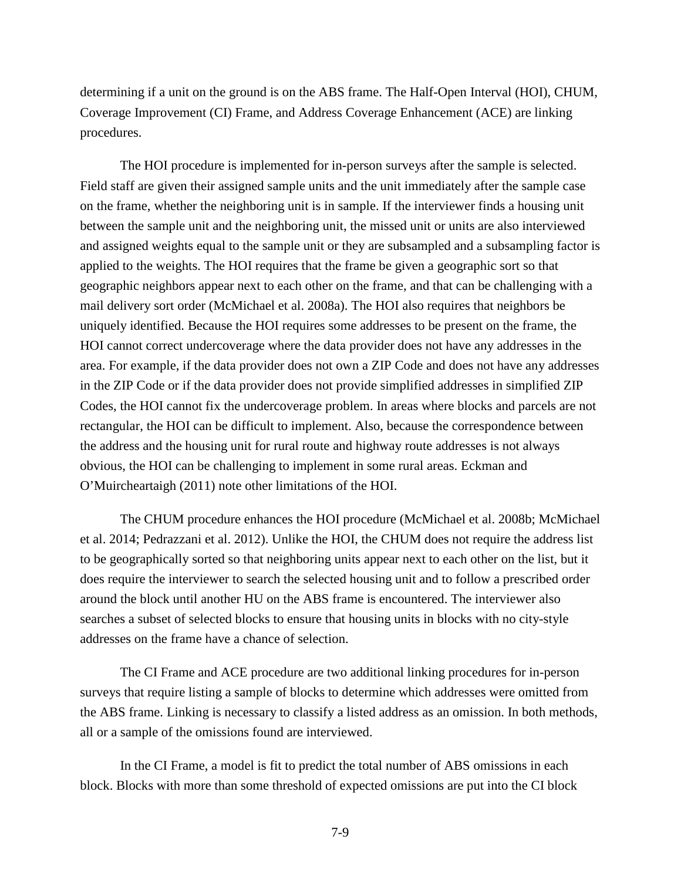determining if a unit on the ground is on the ABS frame. The Half-Open Interval (HOI), CHUM, Coverage Improvement (CI) Frame, and Address Coverage Enhancement (ACE) are linking procedures.

The HOI procedure is implemented for in-person surveys after the sample is selected. Field staff are given their assigned sample units and the unit immediately after the sample case on the frame, whether the neighboring unit is in sample. If the interviewer finds a housing unit between the sample unit and the neighboring unit, the missed unit or units are also interviewed and assigned weights equal to the sample unit or they are subsampled and a subsampling factor is applied to the weights. The HOI requires that the frame be given a geographic sort so that geographic neighbors appear next to each other on the frame, and that can be challenging with a mail delivery sort order (McMichael et al. 2008a). The HOI also requires that neighbors be uniquely identified. Because the HOI requires some addresses to be present on the frame, the HOI cannot correct undercoverage where the data provider does not have any addresses in the area. For example, if the data provider does not own a ZIP Code and does not have any addresses in the ZIP Code or if the data provider does not provide simplified addresses in simplified ZIP Codes, the HOI cannot fix the undercoverage problem. In areas where blocks and parcels are not rectangular, the HOI can be difficult to implement. Also, because the correspondence between the address and the housing unit for rural route and highway route addresses is not always obvious, the HOI can be challenging to implement in some rural areas. Eckman and O'Muircheartaigh (2011) note other limitations of the HOI.

The CHUM procedure enhances the HOI procedure (McMichael et al. 2008b; McMichael et al. 2014; Pedrazzani et al. 2012). Unlike the HOI, the CHUM does not require the address list to be geographically sorted so that neighboring units appear next to each other on the list, but it does require the interviewer to search the selected housing unit and to follow a prescribed order around the block until another HU on the ABS frame is encountered. The interviewer also searches a subset of selected blocks to ensure that housing units in blocks with no city-style addresses on the frame have a chance of selection.

The CI Frame and ACE procedure are two additional linking procedures for in-person surveys that require listing a sample of blocks to determine which addresses were omitted from the ABS frame. Linking is necessary to classify a listed address as an omission. In both methods, all or a sample of the omissions found are interviewed.

In the CI Frame, a model is fit to predict the total number of ABS omissions in each block. Blocks with more than some threshold of expected omissions are put into the CI block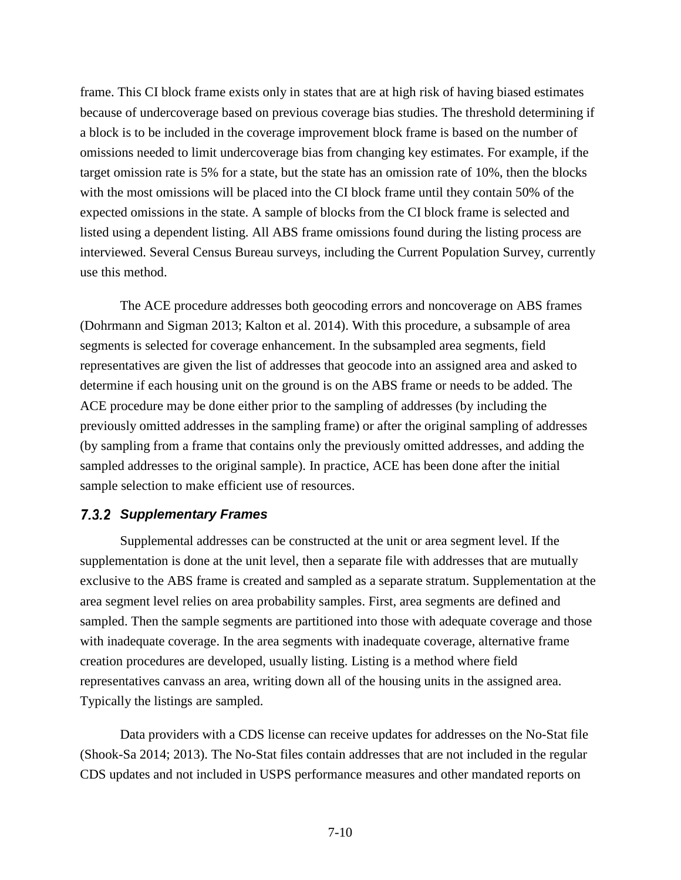frame. This CI block frame exists only in states that are at high risk of having biased estimates because of undercoverage based on previous coverage bias studies. The threshold determining if a block is to be included in the coverage improvement block frame is based on the number of omissions needed to limit undercoverage bias from changing key estimates. For example, if the target omission rate is 5% for a state, but the state has an omission rate of 10%, then the blocks with the most omissions will be placed into the CI block frame until they contain 50% of the expected omissions in the state. A sample of blocks from the CI block frame is selected and listed using a dependent listing. All ABS frame omissions found during the listing process are interviewed. Several Census Bureau surveys, including the Current Population Survey, currently use this method.

The ACE procedure addresses both geocoding errors and noncoverage on ABS frames (Dohrmann and Sigman 2013; Kalton et al. 2014). With this procedure, a subsample of area segments is selected for coverage enhancement. In the subsampled area segments, field representatives are given the list of addresses that geocode into an assigned area and asked to determine if each housing unit on the ground is on the ABS frame or needs to be added. The ACE procedure may be done either prior to the sampling of addresses (by including the previously omitted addresses in the sampling frame) or after the original sampling of addresses (by sampling from a frame that contains only the previously omitted addresses, and adding the sampled addresses to the original sample). In practice, ACE has been done after the initial sample selection to make efficient use of resources.

### *Supplementary Frames*

Supplemental addresses can be constructed at the unit or area segment level. If the supplementation is done at the unit level, then a separate file with addresses that are mutually exclusive to the ABS frame is created and sampled as a separate stratum. Supplementation at the area segment level relies on area probability samples. First, area segments are defined and sampled. Then the sample segments are partitioned into those with adequate coverage and those with inadequate coverage. In the area segments with inadequate coverage, alternative frame creation procedures are developed, usually listing. Listing is a method where field representatives canvass an area, writing down all of the housing units in the assigned area. Typically the listings are sampled.

Data providers with a CDS license can receive updates for addresses on the No-Stat file (Shook-Sa 2014; 2013). The No-Stat files contain addresses that are not included in the regular CDS updates and not included in USPS performance measures and other mandated reports on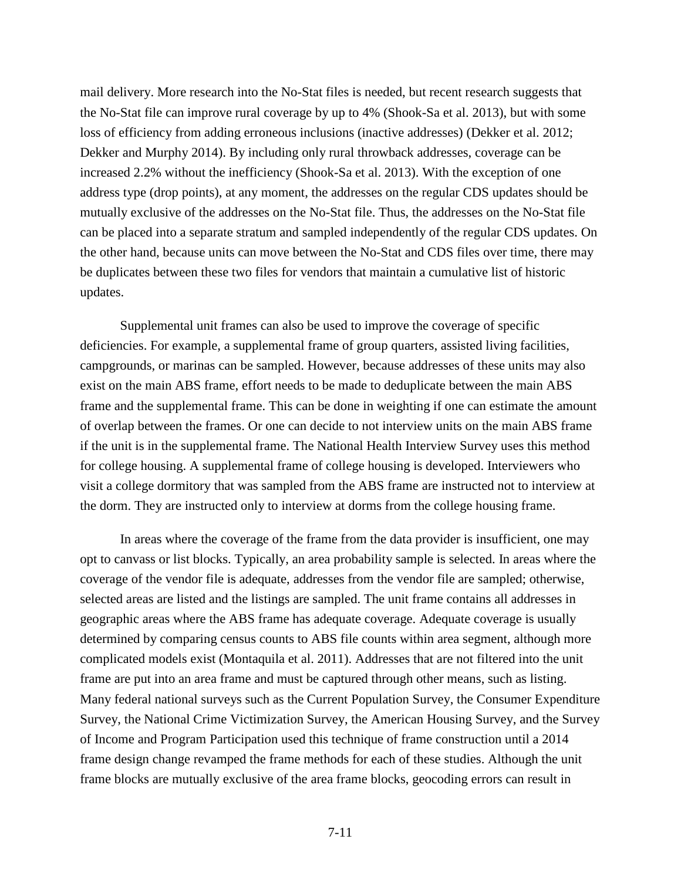mail delivery. More research into the No-Stat files is needed, but recent research suggests that the No-Stat file can improve rural coverage by up to 4% (Shook-Sa et al. 2013), but with some loss of efficiency from adding erroneous inclusions (inactive addresses) (Dekker et al. 2012; Dekker and Murphy 2014). By including only rural throwback addresses, coverage can be increased 2.2% without the inefficiency (Shook-Sa et al. 2013). With the exception of one address type (drop points), at any moment, the addresses on the regular CDS updates should be mutually exclusive of the addresses on the No-Stat file. Thus, the addresses on the No-Stat file can be placed into a separate stratum and sampled independently of the regular CDS updates. On the other hand, because units can move between the No-Stat and CDS files over time, there may be duplicates between these two files for vendors that maintain a cumulative list of historic updates.

Supplemental unit frames can also be used to improve the coverage of specific deficiencies. For example, a supplemental frame of group quarters, assisted living facilities, campgrounds, or marinas can be sampled. However, because addresses of these units may also exist on the main ABS frame, effort needs to be made to deduplicate between the main ABS frame and the supplemental frame. This can be done in weighting if one can estimate the amount of overlap between the frames. Or one can decide to not interview units on the main ABS frame if the unit is in the supplemental frame. The National Health Interview Survey uses this method for college housing. A supplemental frame of college housing is developed. Interviewers who visit a college dormitory that was sampled from the ABS frame are instructed not to interview at the dorm. They are instructed only to interview at dorms from the college housing frame.

In areas where the coverage of the frame from the data provider is insufficient, one may opt to canvass or list blocks. Typically, an area probability sample is selected. In areas where the coverage of the vendor file is adequate, addresses from the vendor file are sampled; otherwise, selected areas are listed and the listings are sampled. The unit frame contains all addresses in geographic areas where the ABS frame has adequate coverage. Adequate coverage is usually determined by comparing census counts to ABS file counts within area segment, although more complicated models exist (Montaquila et al. 2011). Addresses that are not filtered into the unit frame are put into an area frame and must be captured through other means, such as listing. Many federal national surveys such as the Current Population Survey, the Consumer Expenditure Survey, the National Crime Victimization Survey, the American Housing Survey, and the Survey of Income and Program Participation used this technique of frame construction until a 2014 frame design change revamped the frame methods for each of these studies. Although the unit frame blocks are mutually exclusive of the area frame blocks, geocoding errors can result in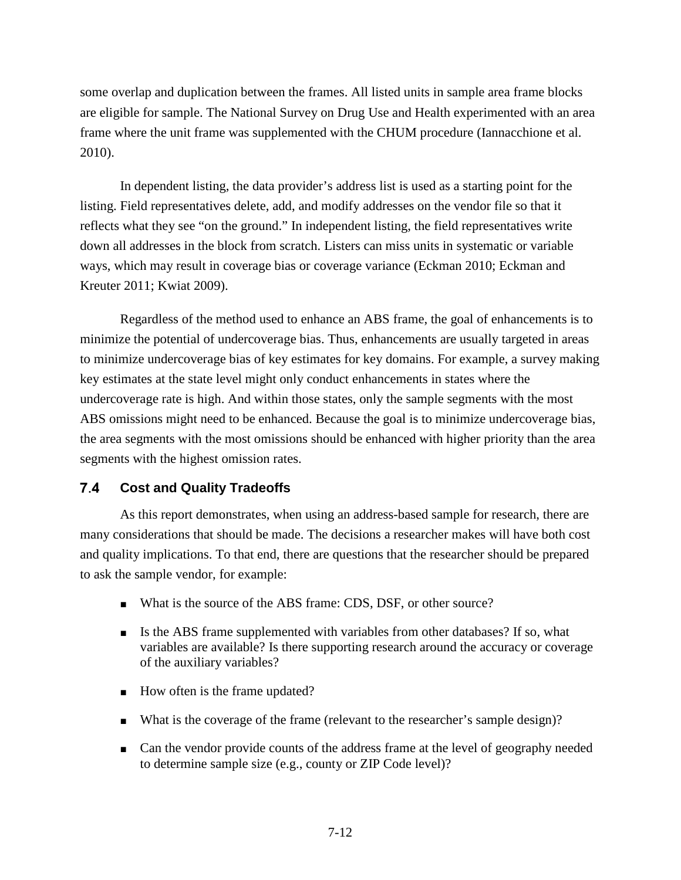some overlap and duplication between the frames. All listed units in sample area frame blocks are eligible for sample. The National Survey on Drug Use and Health experimented with an area frame where the unit frame was supplemented with the CHUM procedure (Iannacchione et al. 2010).

In dependent listing, the data provider's address list is used as a starting point for the listing. Field representatives delete, add, and modify addresses on the vendor file so that it reflects what they see "on the ground." In independent listing, the field representatives write down all addresses in the block from scratch. Listers can miss units in systematic or variable ways, which may result in coverage bias or coverage variance (Eckman 2010; Eckman and Kreuter 2011; Kwiat 2009).

Regardless of the method used to enhance an ABS frame, the goal of enhancements is to minimize the potential of undercoverage bias. Thus, enhancements are usually targeted in areas to minimize undercoverage bias of key estimates for key domains. For example, a survey making key estimates at the state level might only conduct enhancements in states where the undercoverage rate is high. And within those states, only the sample segments with the most ABS omissions might need to be enhanced. Because the goal is to minimize undercoverage bias, the area segments with the most omissions should be enhanced with higher priority than the area segments with the highest omission rates.

#### $7.4$ **Cost and Quality Tradeoffs**

As this report demonstrates, when using an address-based sample for research, there are many considerations that should be made. The decisions a researcher makes will have both cost and quality implications. To that end, there are questions that the researcher should be prepared to ask the sample vendor, for example:

- What is the source of the ABS frame: CDS, DSF, or other source?
- Is the ABS frame supplemented with variables from other databases? If so, what variables are available? Is there supporting research around the accuracy or coverage of the auxiliary variables?
- How often is the frame updated?
- What is the coverage of the frame (relevant to the researcher's sample design)?
- Can the vendor provide counts of the address frame at the level of geography needed to determine sample size (e.g., county or ZIP Code level)?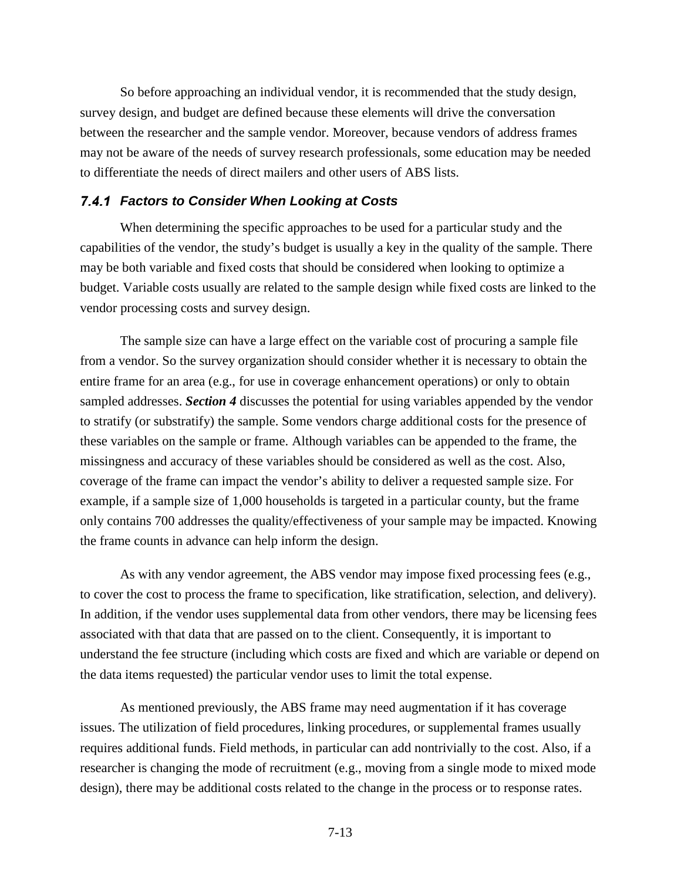So before approaching an individual vendor, it is recommended that the study design, survey design, and budget are defined because these elements will drive the conversation between the researcher and the sample vendor. Moreover, because vendors of address frames may not be aware of the needs of survey research professionals, some education may be needed to differentiate the needs of direct mailers and other users of ABS lists.

### *Factors to Consider When Looking at Costs*

When determining the specific approaches to be used for a particular study and the capabilities of the vendor, the study's budget is usually a key in the quality of the sample. There may be both variable and fixed costs that should be considered when looking to optimize a budget. Variable costs usually are related to the sample design while fixed costs are linked to the vendor processing costs and survey design.

The sample size can have a large effect on the variable cost of procuring a sample file from a vendor. So the survey organization should consider whether it is necessary to obtain the entire frame for an area (e.g., for use in coverage enhancement operations) or only to obtain sampled addresses. *Section 4* discusses the potential for using variables appended by the vendor to stratify (or substratify) the sample. Some vendors charge additional costs for the presence of these variables on the sample or frame. Although variables can be appended to the frame, the missingness and accuracy of these variables should be considered as well as the cost. Also, coverage of the frame can impact the vendor's ability to deliver a requested sample size. For example, if a sample size of 1,000 households is targeted in a particular county, but the frame only contains 700 addresses the quality/effectiveness of your sample may be impacted. Knowing the frame counts in advance can help inform the design.

As with any vendor agreement, the ABS vendor may impose fixed processing fees (e.g., to cover the cost to process the frame to specification, like stratification, selection, and delivery). In addition, if the vendor uses supplemental data from other vendors, there may be licensing fees associated with that data that are passed on to the client. Consequently, it is important to understand the fee structure (including which costs are fixed and which are variable or depend on the data items requested) the particular vendor uses to limit the total expense.

As mentioned previously, the ABS frame may need augmentation if it has coverage issues. The utilization of field procedures, linking procedures, or supplemental frames usually requires additional funds. Field methods, in particular can add nontrivially to the cost. Also, if a researcher is changing the mode of recruitment (e.g., moving from a single mode to mixed mode design), there may be additional costs related to the change in the process or to response rates.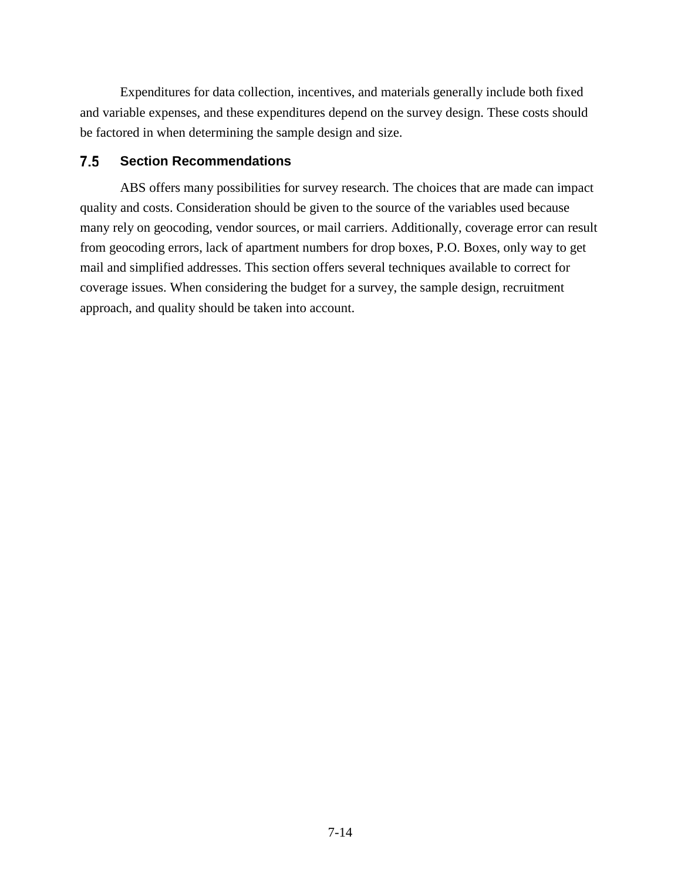Expenditures for data collection, incentives, and materials generally include both fixed and variable expenses, and these expenditures depend on the survey design. These costs should be factored in when determining the sample design and size.

#### $7.5$ **Section Recommendations**

ABS offers many possibilities for survey research. The choices that are made can impact quality and costs. Consideration should be given to the source of the variables used because many rely on geocoding, vendor sources, or mail carriers. Additionally, coverage error can result from geocoding errors, lack of apartment numbers for drop boxes, P.O. Boxes, only way to get mail and simplified addresses. This section offers several techniques available to correct for coverage issues. When considering the budget for a survey, the sample design, recruitment approach, and quality should be taken into account.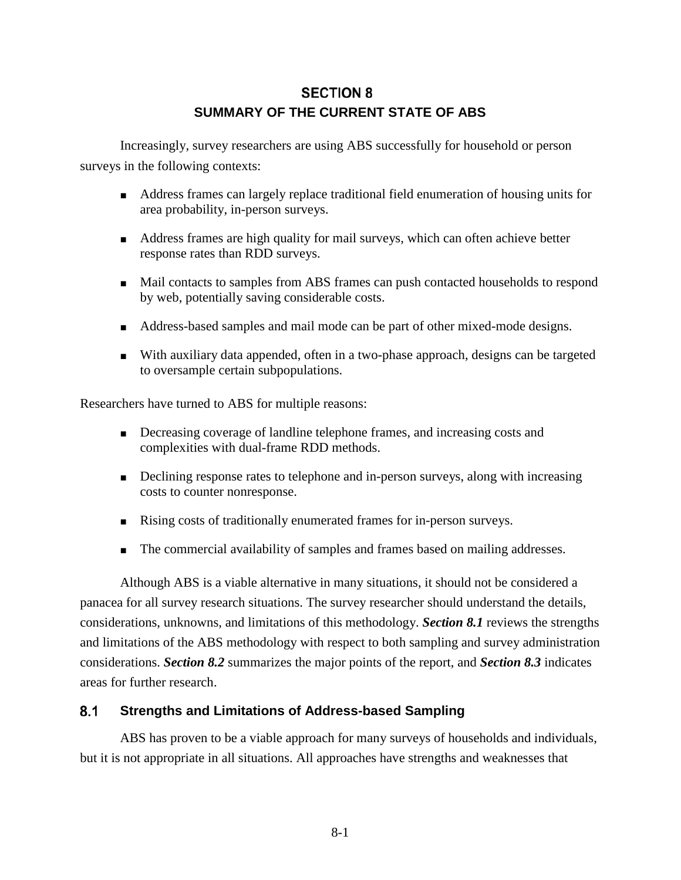# **SECTION 8 SUMMARY OF THE CURRENT STATE OF ABS**

Increasingly, survey researchers are using ABS successfully for household or person surveys in the following contexts:

- Address frames can largely replace traditional field enumeration of housing units for area probability, in-person surveys.
- Address frames are high quality for mail surveys, which can often achieve better response rates than RDD surveys.
- Mail contacts to samples from ABS frames can push contacted households to respond by web, potentially saving considerable costs.
- Address-based samples and mail mode can be part of other mixed-mode designs.
- With auxiliary data appended, often in a two-phase approach, designs can be targeted to oversample certain subpopulations.

Researchers have turned to ABS for multiple reasons:

- Decreasing coverage of landline telephone frames, and increasing costs and complexities with dual-frame RDD methods.
- Declining response rates to telephone and in-person surveys, along with increasing costs to counter nonresponse.
- Rising costs of traditionally enumerated frames for in-person surveys.
- The commercial availability of samples and frames based on mailing addresses.

Although ABS is a viable alternative in many situations, it should not be considered a panacea for all survey research situations. The survey researcher should understand the details, considerations, unknowns, and limitations of this methodology. *Section 8.1* reviews the strengths and limitations of the ABS methodology with respect to both sampling and survey administration considerations. *Section 8.2* summarizes the major points of the report, and *Section 8.3* indicates areas for further research.

#### $8.1$ **Strengths and Limitations of Address-based Sampling**

ABS has proven to be a viable approach for many surveys of households and individuals, but it is not appropriate in all situations. All approaches have strengths and weaknesses that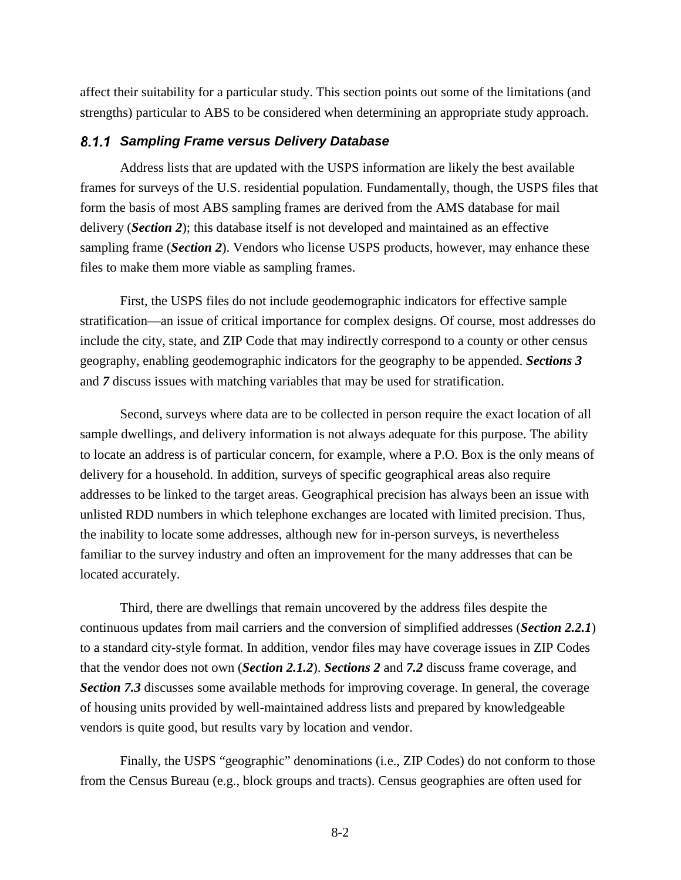affect their suitability for a particular study. This section points out some of the limitations (and strengths) particular to ABS to be considered when determining an appropriate study approach.

### *Sampling Frame versus Delivery Database*

Address lists that are updated with the USPS information are likely the best available frames for surveys of the U.S. residential population. Fundamentally, though, the USPS files that form the basis of most ABS sampling frames are derived from the AMS database for mail delivery (*Section 2*); this database itself is not developed and maintained as an effective sampling frame (*Section 2*). Vendors who license USPS products, however, may enhance these files to make them more viable as sampling frames.

First, the USPS files do not include geodemographic indicators for effective sample stratification—an issue of critical importance for complex designs. Of course, most addresses do include the city, state, and ZIP Code that may indirectly correspond to a county or other census geography, enabling geodemographic indicators for the geography to be appended. *Sections 3* and *7* discuss issues with matching variables that may be used for stratification.

Second, surveys where data are to be collected in person require the exact location of all sample dwellings, and delivery information is not always adequate for this purpose. The ability to locate an address is of particular concern, for example, where a P.O. Box is the only means of delivery for a household. In addition, surveys of specific geographical areas also require addresses to be linked to the target areas. Geographical precision has always been an issue with unlisted RDD numbers in which telephone exchanges are located with limited precision. Thus, the inability to locate some addresses, although new for in-person surveys, is nevertheless familiar to the survey industry and often an improvement for the many addresses that can be located accurately.

Third, there are dwellings that remain uncovered by the address files despite the continuous updates from mail carriers and the conversion of simplified addresses (*Section 2.2.1*) to a standard city-style format. In addition, vendor files may have coverage issues in ZIP Codes that the vendor does not own (*Section 2.1.2*). *Sections 2* and *7.2* discuss frame coverage, and **Section 7.3** discusses some available methods for improving coverage. In general, the coverage of housing units provided by well-maintained address lists and prepared by knowledgeable vendors is quite good, but results vary by location and vendor.

Finally, the USPS "geographic" denominations (i.e., ZIP Codes) do not conform to those from the Census Bureau (e.g., block groups and tracts). Census geographies are often used for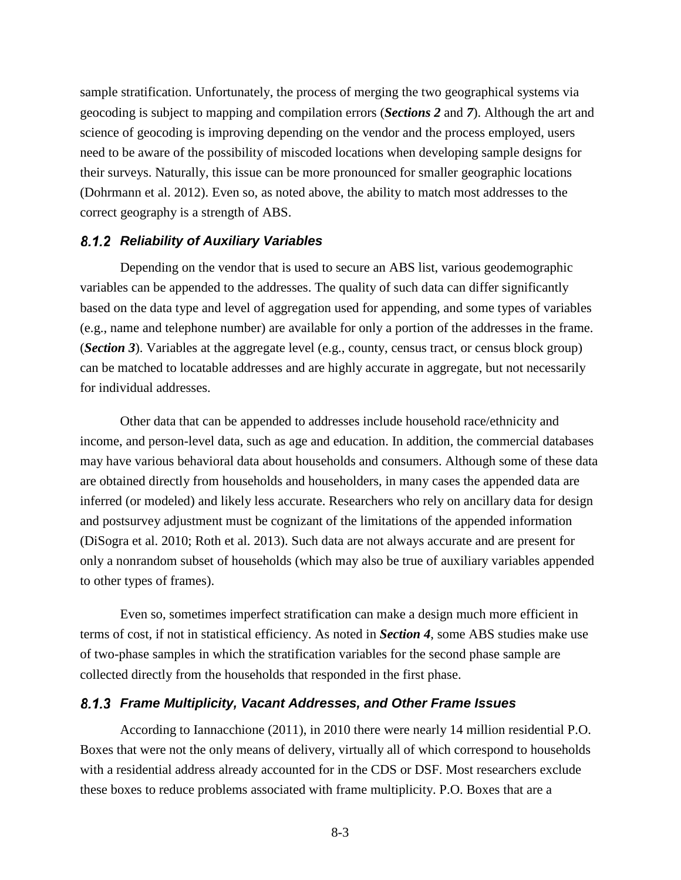sample stratification. Unfortunately, the process of merging the two geographical systems via geocoding is subject to mapping and compilation errors (*Sections 2* and *7*). Although the art and science of geocoding is improving depending on the vendor and the process employed, users need to be aware of the possibility of miscoded locations when developing sample designs for their surveys. Naturally, this issue can be more pronounced for smaller geographic locations (Dohrmann et al. 2012). Even so, as noted above, the ability to match most addresses to the correct geography is a strength of ABS.

### *Reliability of Auxiliary Variables*

Depending on the vendor that is used to secure an ABS list, various geodemographic variables can be appended to the addresses. The quality of such data can differ significantly based on the data type and level of aggregation used for appending, and some types of variables (e.g., name and telephone number) are available for only a portion of the addresses in the frame. (*Section 3*). Variables at the aggregate level (e.g., county, census tract, or census block group) can be matched to locatable addresses and are highly accurate in aggregate, but not necessarily for individual addresses.

Other data that can be appended to addresses include household race/ethnicity and income, and person-level data, such as age and education. In addition, the commercial databases may have various behavioral data about households and consumers. Although some of these data are obtained directly from households and householders, in many cases the appended data are inferred (or modeled) and likely less accurate. Researchers who rely on ancillary data for design and postsurvey adjustment must be cognizant of the limitations of the appended information (DiSogra et al. 2010; Roth et al. 2013). Such data are not always accurate and are present for only a nonrandom subset of households (which may also be true of auxiliary variables appended to other types of frames).

Even so, sometimes imperfect stratification can make a design much more efficient in terms of cost, if not in statistical efficiency. As noted in *Section 4*, some ABS studies make use of two-phase samples in which the stratification variables for the second phase sample are collected directly from the households that responded in the first phase.

### *Frame Multiplicity, Vacant Addresses, and Other Frame Issues*

According to Iannacchione (2011), in 2010 there were nearly 14 million residential P.O. Boxes that were not the only means of delivery, virtually all of which correspond to households with a residential address already accounted for in the CDS or DSF. Most researchers exclude these boxes to reduce problems associated with frame multiplicity. P.O. Boxes that are a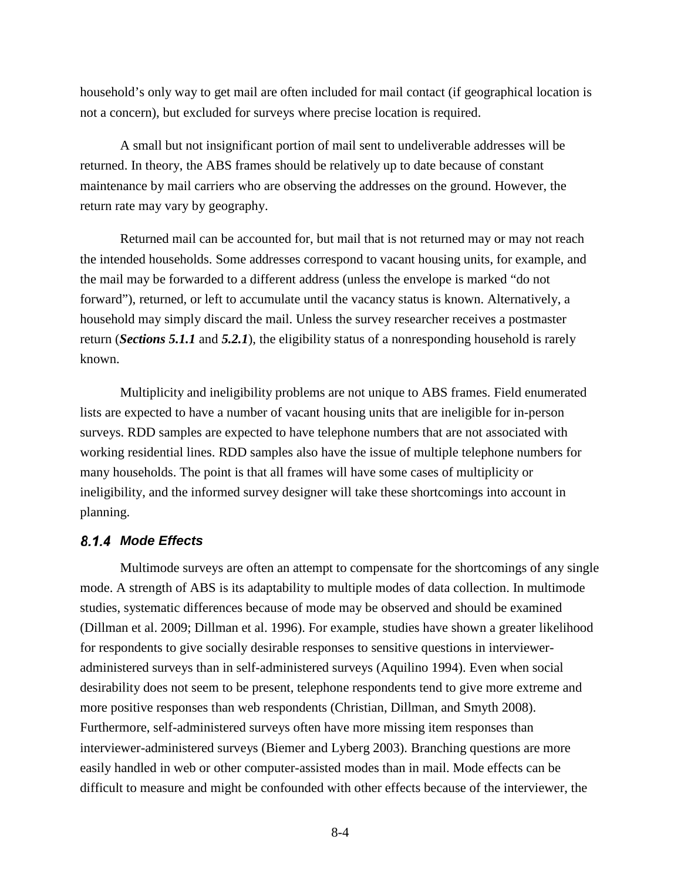household's only way to get mail are often included for mail contact (if geographical location is not a concern), but excluded for surveys where precise location is required.

A small but not insignificant portion of mail sent to undeliverable addresses will be returned. In theory, the ABS frames should be relatively up to date because of constant maintenance by mail carriers who are observing the addresses on the ground. However, the return rate may vary by geography.

Returned mail can be accounted for, but mail that is not returned may or may not reach the intended households. Some addresses correspond to vacant housing units, for example, and the mail may be forwarded to a different address (unless the envelope is marked "do not forward"), returned, or left to accumulate until the vacancy status is known. Alternatively, a household may simply discard the mail. Unless the survey researcher receives a postmaster return (*Sections 5.1.1* and *5.2.1*), the eligibility status of a nonresponding household is rarely known.

Multiplicity and ineligibility problems are not unique to ABS frames. Field enumerated lists are expected to have a number of vacant housing units that are ineligible for in-person surveys. RDD samples are expected to have telephone numbers that are not associated with working residential lines. RDD samples also have the issue of multiple telephone numbers for many households. The point is that all frames will have some cases of multiplicity or ineligibility, and the informed survey designer will take these shortcomings into account in planning.

### *Mode Effects*

Multimode surveys are often an attempt to compensate for the shortcomings of any single mode. A strength of ABS is its adaptability to multiple modes of data collection. In multimode studies, systematic differences because of mode may be observed and should be examined (Dillman et al. 2009; Dillman et al. 1996). For example, studies have shown a greater likelihood for respondents to give socially desirable responses to sensitive questions in intervieweradministered surveys than in self-administered surveys (Aquilino 1994). Even when social desirability does not seem to be present, telephone respondents tend to give more extreme and more positive responses than web respondents (Christian, Dillman, and Smyth 2008). Furthermore, self-administered surveys often have more missing item responses than interviewer-administered surveys (Biemer and Lyberg 2003). Branching questions are more easily handled in web or other computer-assisted modes than in mail. Mode effects can be difficult to measure and might be confounded with other effects because of the interviewer, the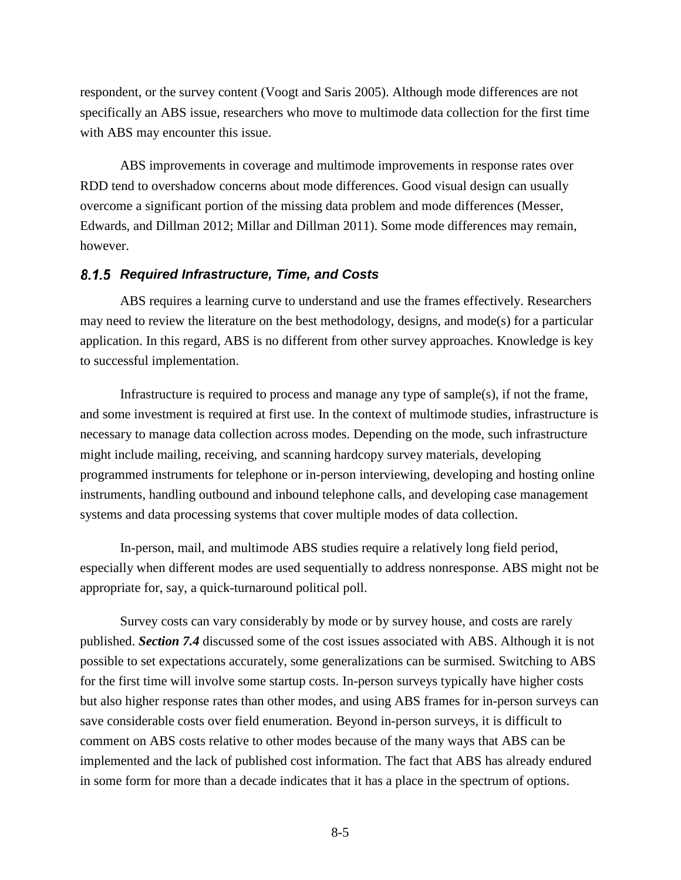respondent, or the survey content (Voogt and Saris 2005). Although mode differences are not specifically an ABS issue, researchers who move to multimode data collection for the first time with ABS may encounter this issue.

ABS improvements in coverage and multimode improvements in response rates over RDD tend to overshadow concerns about mode differences. Good visual design can usually overcome a significant portion of the missing data problem and mode differences (Messer, Edwards, and Dillman 2012; Millar and Dillman 2011). Some mode differences may remain, however.

### *Required Infrastructure, Time, and Costs*

ABS requires a learning curve to understand and use the frames effectively. Researchers may need to review the literature on the best methodology, designs, and mode(s) for a particular application. In this regard, ABS is no different from other survey approaches. Knowledge is key to successful implementation.

Infrastructure is required to process and manage any type of sample(s), if not the frame, and some investment is required at first use. In the context of multimode studies, infrastructure is necessary to manage data collection across modes. Depending on the mode, such infrastructure might include mailing, receiving, and scanning hardcopy survey materials, developing programmed instruments for telephone or in-person interviewing, developing and hosting online instruments, handling outbound and inbound telephone calls, and developing case management systems and data processing systems that cover multiple modes of data collection.

In-person, mail, and multimode ABS studies require a relatively long field period, especially when different modes are used sequentially to address nonresponse. ABS might not be appropriate for, say, a quick-turnaround political poll.

Survey costs can vary considerably by mode or by survey house, and costs are rarely published. *Section 7.4* discussed some of the cost issues associated with ABS. Although it is not possible to set expectations accurately, some generalizations can be surmised. Switching to ABS for the first time will involve some startup costs. In-person surveys typically have higher costs but also higher response rates than other modes, and using ABS frames for in-person surveys can save considerable costs over field enumeration. Beyond in-person surveys, it is difficult to comment on ABS costs relative to other modes because of the many ways that ABS can be implemented and the lack of published cost information. The fact that ABS has already endured in some form for more than a decade indicates that it has a place in the spectrum of options.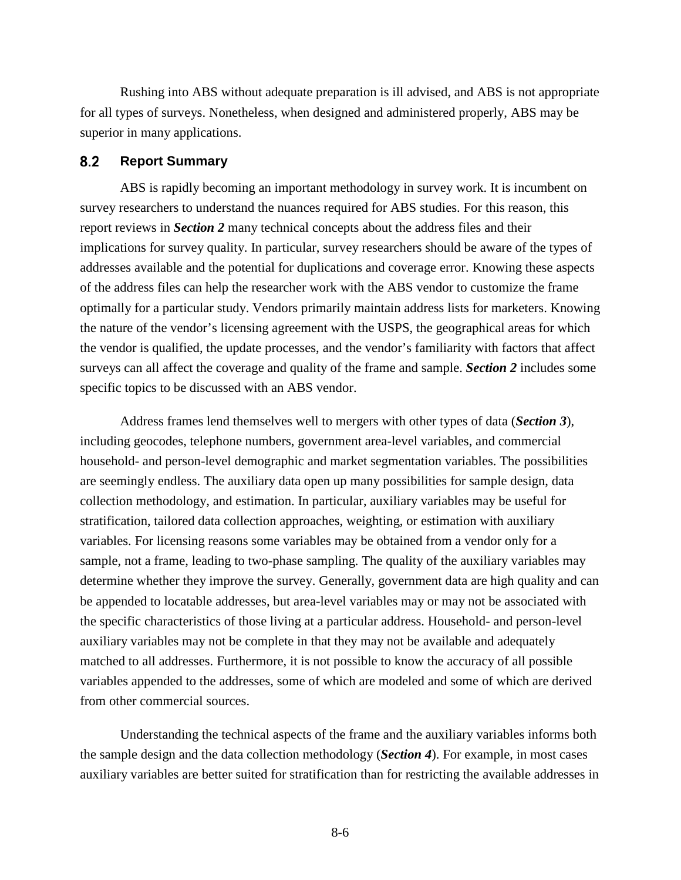Rushing into ABS without adequate preparation is ill advised, and ABS is not appropriate for all types of surveys. Nonetheless, when designed and administered properly, ABS may be superior in many applications.

#### $8.2$ **Report Summary**

ABS is rapidly becoming an important methodology in survey work. It is incumbent on survey researchers to understand the nuances required for ABS studies. For this reason, this report reviews in *Section 2* many technical concepts about the address files and their implications for survey quality. In particular, survey researchers should be aware of the types of addresses available and the potential for duplications and coverage error. Knowing these aspects of the address files can help the researcher work with the ABS vendor to customize the frame optimally for a particular study. Vendors primarily maintain address lists for marketers. Knowing the nature of the vendor's licensing agreement with the USPS, the geographical areas for which the vendor is qualified, the update processes, and the vendor's familiarity with factors that affect surveys can all affect the coverage and quality of the frame and sample. *Section 2* includes some specific topics to be discussed with an ABS vendor.

Address frames lend themselves well to mergers with other types of data (*Section 3*), including geocodes, telephone numbers, government area-level variables, and commercial household- and person-level demographic and market segmentation variables. The possibilities are seemingly endless. The auxiliary data open up many possibilities for sample design, data collection methodology, and estimation. In particular, auxiliary variables may be useful for stratification, tailored data collection approaches, weighting, or estimation with auxiliary variables. For licensing reasons some variables may be obtained from a vendor only for a sample, not a frame, leading to two-phase sampling. The quality of the auxiliary variables may determine whether they improve the survey. Generally, government data are high quality and can be appended to locatable addresses, but area-level variables may or may not be associated with the specific characteristics of those living at a particular address. Household- and person-level auxiliary variables may not be complete in that they may not be available and adequately matched to all addresses. Furthermore, it is not possible to know the accuracy of all possible variables appended to the addresses, some of which are modeled and some of which are derived from other commercial sources.

Understanding the technical aspects of the frame and the auxiliary variables informs both the sample design and the data collection methodology (*Section 4*). For example, in most cases auxiliary variables are better suited for stratification than for restricting the available addresses in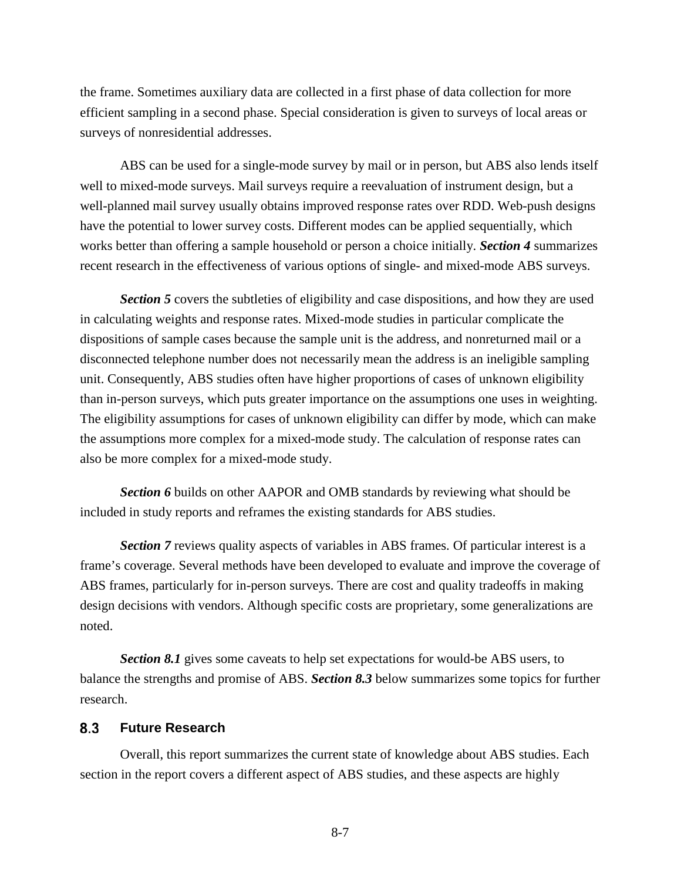the frame. Sometimes auxiliary data are collected in a first phase of data collection for more efficient sampling in a second phase. Special consideration is given to surveys of local areas or surveys of nonresidential addresses.

ABS can be used for a single-mode survey by mail or in person, but ABS also lends itself well to mixed-mode surveys. Mail surveys require a reevaluation of instrument design, but a well-planned mail survey usually obtains improved response rates over RDD. Web-push designs have the potential to lower survey costs. Different modes can be applied sequentially, which works better than offering a sample household or person a choice initially. *Section 4* summarizes recent research in the effectiveness of various options of single- and mixed-mode ABS surveys.

**Section 5** covers the subtleties of eligibility and case dispositions, and how they are used in calculating weights and response rates. Mixed-mode studies in particular complicate the dispositions of sample cases because the sample unit is the address, and nonreturned mail or a disconnected telephone number does not necessarily mean the address is an ineligible sampling unit. Consequently, ABS studies often have higher proportions of cases of unknown eligibility than in-person surveys, which puts greater importance on the assumptions one uses in weighting. The eligibility assumptions for cases of unknown eligibility can differ by mode, which can make the assumptions more complex for a mixed-mode study. The calculation of response rates can also be more complex for a mixed-mode study.

*Section 6* builds on other AAPOR and OMB standards by reviewing what should be included in study reports and reframes the existing standards for ABS studies.

*Section 7* reviews quality aspects of variables in ABS frames. Of particular interest is a frame's coverage. Several methods have been developed to evaluate and improve the coverage of ABS frames, particularly for in-person surveys. There are cost and quality tradeoffs in making design decisions with vendors. Although specific costs are proprietary, some generalizations are noted.

*Section 8.1* gives some caveats to help set expectations for would-be ABS users, to balance the strengths and promise of ABS. *Section 8.3* below summarizes some topics for further research.

#### $8.3$ **Future Research**

Overall, this report summarizes the current state of knowledge about ABS studies. Each section in the report covers a different aspect of ABS studies, and these aspects are highly

8-7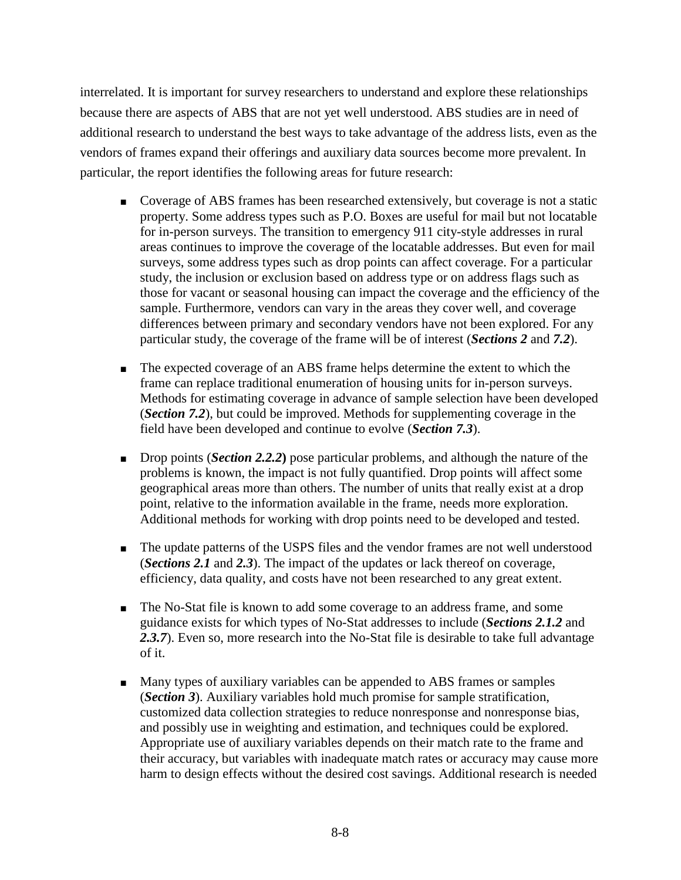interrelated. It is important for survey researchers to understand and explore these relationships because there are aspects of ABS that are not yet well understood. ABS studies are in need of additional research to understand the best ways to take advantage of the address lists, even as the vendors of frames expand their offerings and auxiliary data sources become more prevalent. In particular, the report identifies the following areas for future research:

- Coverage of ABS frames has been researched extensively, but coverage is not a static property. Some address types such as P.O. Boxes are useful for mail but not locatable for in-person surveys. The transition to emergency 911 city-style addresses in rural areas continues to improve the coverage of the locatable addresses. But even for mail surveys, some address types such as drop points can affect coverage. For a particular study, the inclusion or exclusion based on address type or on address flags such as those for vacant or seasonal housing can impact the coverage and the efficiency of the sample. Furthermore, vendors can vary in the areas they cover well, and coverage differences between primary and secondary vendors have not been explored. For any particular study, the coverage of the frame will be of interest (*Sections 2* and *7.2*).
- The expected coverage of an ABS frame helps determine the extent to which the frame can replace traditional enumeration of housing units for in-person surveys. Methods for estimating coverage in advance of sample selection have been developed (*Section 7.2*), but could be improved. Methods for supplementing coverage in the field have been developed and continue to evolve (*Section 7.3*).
- Drop points (*Section 2.2.2*) pose particular problems, and although the nature of the problems is known, the impact is not fully quantified. Drop points will affect some geographical areas more than others. The number of units that really exist at a drop point, relative to the information available in the frame, needs more exploration. Additional methods for working with drop points need to be developed and tested.
- The update patterns of the USPS files and the vendor frames are not well understood (*Sections 2.1* and *2.3*). The impact of the updates or lack thereof on coverage, efficiency, data quality, and costs have not been researched to any great extent.
- The No-Stat file is known to add some coverage to an address frame, and some guidance exists for which types of No-Stat addresses to include (*Sections 2.1.2* and *2.3.7*). Even so, more research into the No-Stat file is desirable to take full advantage of it.
- Many types of auxiliary variables can be appended to ABS frames or samples (*Section 3*). Auxiliary variables hold much promise for sample stratification, customized data collection strategies to reduce nonresponse and nonresponse bias, and possibly use in weighting and estimation, and techniques could be explored. Appropriate use of auxiliary variables depends on their match rate to the frame and their accuracy, but variables with inadequate match rates or accuracy may cause more harm to design effects without the desired cost savings. Additional research is needed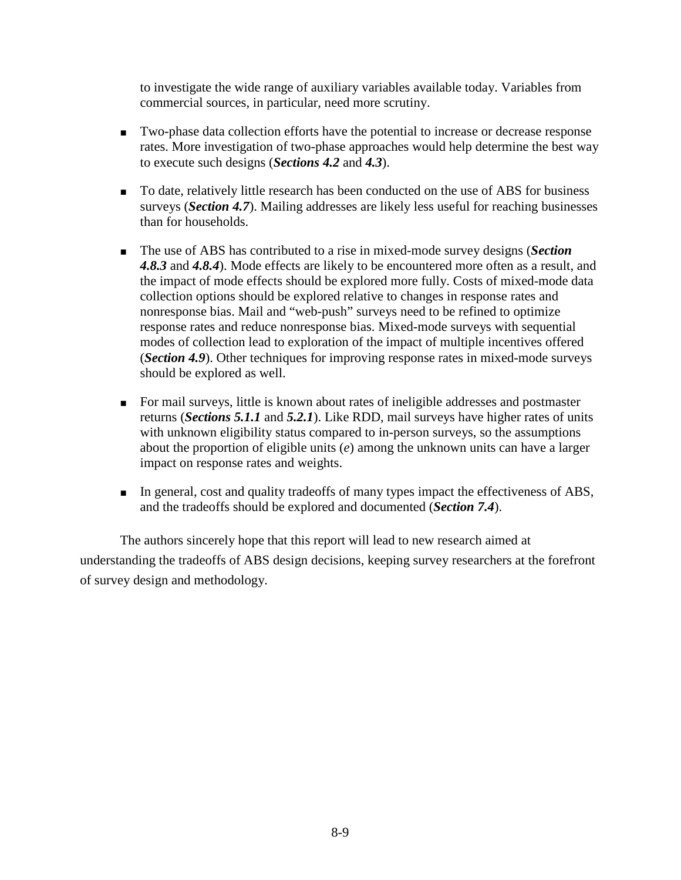to investigate the wide range of auxiliary variables available today. Variables from commercial sources, in particular, need more scrutiny.

- Two-phase data collection efforts have the potential to increase or decrease response rates. More investigation of two-phase approaches would help determine the best way to execute such designs (*Sections 4.2* and *4.3*).
- To date, relatively little research has been conducted on the use of ABS for business surveys (*Section 4.7*). Mailing addresses are likely less useful for reaching businesses than for households.
- The use of ABS has contributed to a rise in mixed-mode survey designs (*Section 4.8.3* and *4.8.4*). Mode effects are likely to be encountered more often as a result, and the impact of mode effects should be explored more fully. Costs of mixed-mode data collection options should be explored relative to changes in response rates and nonresponse bias. Mail and "web-push" surveys need to be refined to optimize response rates and reduce nonresponse bias. Mixed-mode surveys with sequential modes of collection lead to exploration of the impact of multiple incentives offered (*Section 4.9*). Other techniques for improving response rates in mixed-mode surveys should be explored as well.
- For mail surveys, little is known about rates of ineligible addresses and postmaster returns (*Sections 5.1.1* and *5.2.1*). Like RDD, mail surveys have higher rates of units with unknown eligibility status compared to in-person surveys, so the assumptions about the proportion of eligible units (*e*) among the unknown units can have a larger impact on response rates and weights.
- In general, cost and quality tradeoffs of many types impact the effectiveness of ABS, and the tradeoffs should be explored and documented (*Section 7.4*).

The authors sincerely hope that this report will lead to new research aimed at understanding the tradeoffs of ABS design decisions, keeping survey researchers at the forefront of survey design and methodology.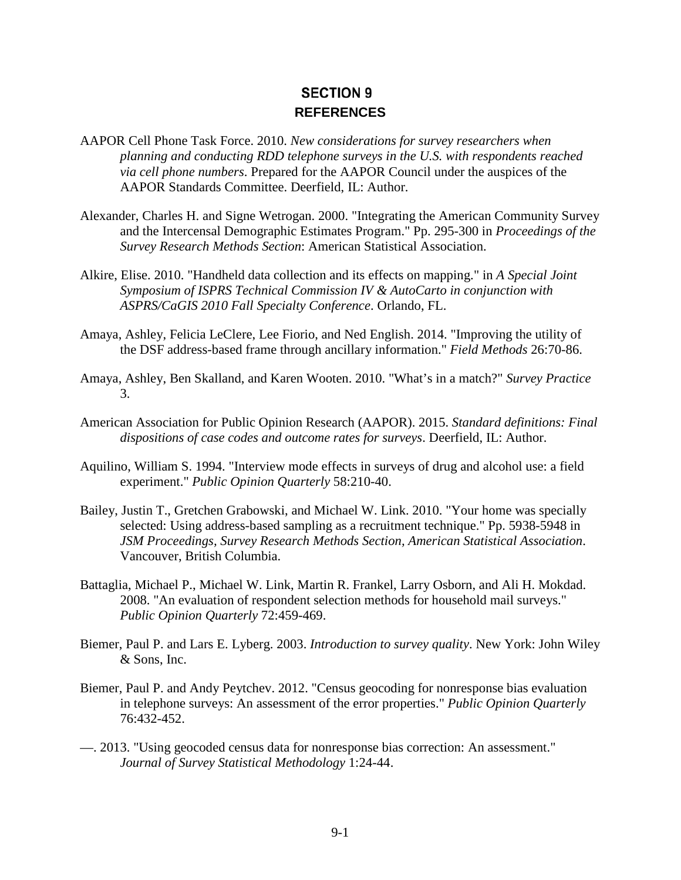# **SECTION 9 REFERENCES**

- AAPOR Cell Phone Task Force. 2010. *New considerations for survey researchers when planning and conducting RDD telephone surveys in the U.S. with respondents reached via cell phone numbers*. Prepared for the AAPOR Council under the auspices of the AAPOR Standards Committee. Deerfield, IL: Author.
- Alexander, Charles H. and Signe Wetrogan. 2000. "Integrating the American Community Survey and the Intercensal Demographic Estimates Program." Pp. 295-300 in *Proceedings of the Survey Research Methods Section*: American Statistical Association.
- Alkire, Elise. 2010. "Handheld data collection and its effects on mapping." in *A Special Joint Symposium of ISPRS Technical Commission IV & AutoCarto in conjunction with ASPRS/CaGIS 2010 Fall Specialty Conference*. Orlando, FL.
- Amaya, Ashley, Felicia LeClere, Lee Fiorio, and Ned English. 2014. "Improving the utility of the DSF address-based frame through ancillary information." *Field Methods* 26:70-86.
- Amaya, Ashley, Ben Skalland, and Karen Wooten. 2010. "What's in a match?" *Survey Practice* 3.
- American Association for Public Opinion Research (AAPOR). 2015. *Standard definitions: Final dispositions of case codes and outcome rates for surveys*. Deerfield, IL: Author.
- Aquilino, William S. 1994. "Interview mode effects in surveys of drug and alcohol use: a field experiment." *Public Opinion Quarterly* 58:210-40.
- Bailey, Justin T., Gretchen Grabowski, and Michael W. Link. 2010. "Your home was specially selected: Using address-based sampling as a recruitment technique." Pp. 5938-5948 in *JSM Proceedings, Survey Research Methods Section, American Statistical Association*. Vancouver, British Columbia.
- Battaglia, Michael P., Michael W. Link, Martin R. Frankel, Larry Osborn, and Ali H. Mokdad. 2008. "An evaluation of respondent selection methods for household mail surveys." *Public Opinion Quarterly* 72:459-469.
- Biemer, Paul P. and Lars E. Lyberg. 2003. *Introduction to survey quality*. New York: John Wiley & Sons, Inc.
- Biemer, Paul P. and Andy Peytchev. 2012. "Census geocoding for nonresponse bias evaluation in telephone surveys: An assessment of the error properties." *Public Opinion Quarterly* 76:432-452.
- —. 2013. "Using geocoded census data for nonresponse bias correction: An assessment." *Journal of Survey Statistical Methodology* 1:24-44.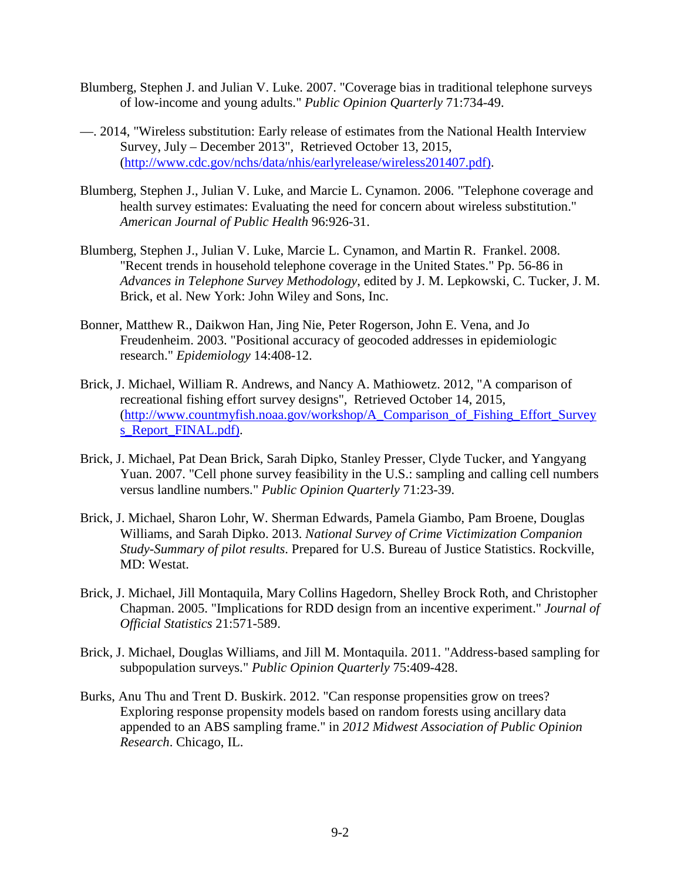- Blumberg, Stephen J. and Julian V. Luke. 2007. "Coverage bias in traditional telephone surveys of low-income and young adults." *Public Opinion Quarterly* 71:734-49.
- —. 2014, "Wireless substitution: Early release of estimates from the National Health Interview Survey, July – December 2013"*,* Retrieved October 13, 2015, [\(http://www.cdc.gov/nchs/data/nhis/earlyrelease/wireless201407.pdf\).](http://www.cdc.gov/nchs/data/nhis/earlyrelease/wireless201407.pdf))
- Blumberg, Stephen J., Julian V. Luke, and Marcie L. Cynamon. 2006. "Telephone coverage and health survey estimates: Evaluating the need for concern about wireless substitution." *American Journal of Public Health* 96:926-31.
- Blumberg, Stephen J., Julian V. Luke, Marcie L. Cynamon, and Martin R. Frankel. 2008. "Recent trends in household telephone coverage in the United States." Pp. 56-86 in *Advances in Telephone Survey Methodology*, edited by J. M. Lepkowski, C. Tucker, J. M. Brick, et al. New York: John Wiley and Sons, Inc.
- Bonner, Matthew R., Daikwon Han, Jing Nie, Peter Rogerson, John E. Vena, and Jo Freudenheim. 2003. "Positional accuracy of geocoded addresses in epidemiologic research." *Epidemiology* 14:408-12.
- Brick, J. Michael, William R. Andrews, and Nancy A. Mathiowetz. 2012, "A comparison of recreational fishing effort survey designs"*,* Retrieved October 14, 2015, [\(http://www.countmyfish.noaa.gov/workshop/A\\_Comparison\\_of\\_Fishing\\_Effort\\_Survey](http://www.countmyfish.noaa.gov/workshop/A_Comparison_of_Fishing_Effort_Surveys_Report_FINAL.pdf)) [s\\_Report\\_FINAL.pdf\).](http://www.countmyfish.noaa.gov/workshop/A_Comparison_of_Fishing_Effort_Surveys_Report_FINAL.pdf))
- Brick, J. Michael, Pat Dean Brick, Sarah Dipko, Stanley Presser, Clyde Tucker, and Yangyang Yuan. 2007. "Cell phone survey feasibility in the U.S.: sampling and calling cell numbers versus landline numbers." *Public Opinion Quarterly* 71:23-39.
- Brick, J. Michael, Sharon Lohr, W. Sherman Edwards, Pamela Giambo, Pam Broene, Douglas Williams, and Sarah Dipko. 2013. *National Survey of Crime Victimization Companion Study-Summary of pilot results*. Prepared for U.S. Bureau of Justice Statistics. Rockville, MD: Westat.
- Brick, J. Michael, Jill Montaquila, Mary Collins Hagedorn, Shelley Brock Roth, and Christopher Chapman. 2005. "Implications for RDD design from an incentive experiment." *Journal of Official Statistics* 21:571-589.
- Brick, J. Michael, Douglas Williams, and Jill M. Montaquila. 2011. "Address-based sampling for subpopulation surveys." *Public Opinion Quarterly* 75:409-428.
- Burks, Anu Thu and Trent D. Buskirk. 2012. "Can response propensities grow on trees? Exploring response propensity models based on random forests using ancillary data appended to an ABS sampling frame." in *2012 Midwest Association of Public Opinion Research*. Chicago, IL.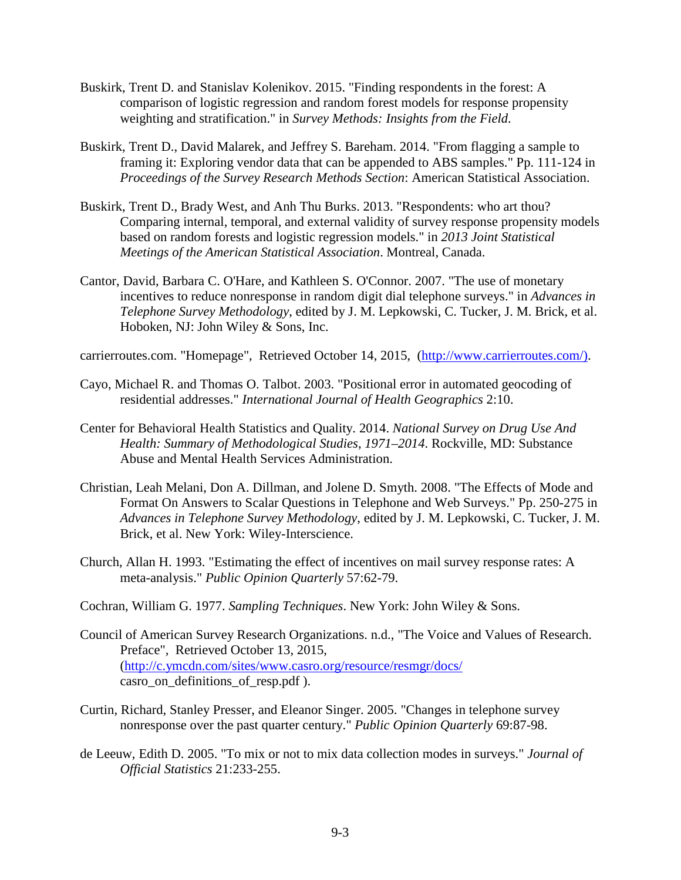- Buskirk, Trent D. and Stanislav Kolenikov. 2015. "Finding respondents in the forest: A comparison of logistic regression and random forest models for response propensity weighting and stratification." in *Survey Methods: Insights from the Field*.
- Buskirk, Trent D., David Malarek, and Jeffrey S. Bareham. 2014. "From flagging a sample to framing it: Exploring vendor data that can be appended to ABS samples." Pp. 111-124 in *Proceedings of the Survey Research Methods Section*: American Statistical Association.
- Buskirk, Trent D., Brady West, and Anh Thu Burks. 2013. "Respondents: who art thou? Comparing internal, temporal, and external validity of survey response propensity models based on random forests and logistic regression models." in *2013 Joint Statistical Meetings of the American Statistical Association*. Montreal, Canada.
- Cantor, David, Barbara C. O'Hare, and Kathleen S. O'Connor. 2007. "The use of monetary incentives to reduce nonresponse in random digit dial telephone surveys." in *Advances in Telephone Survey Methodology*, edited by J. M. Lepkowski, C. Tucker, J. M. Brick, et al. Hoboken, NJ: John Wiley & Sons, Inc.

carrierroutes.com. "Homepage"*,* Retrieved October 14, 2015, [\(http://www.carrierroutes.com/\).](http://www.carrierroutes.com/))

- Cayo, Michael R. and Thomas O. Talbot. 2003. "Positional error in automated geocoding of residential addresses." *International Journal of Health Geographics* 2:10.
- Center for Behavioral Health Statistics and Quality. 2014. *National Survey on Drug Use And Health: Summary of Methodological Studies, 1971–2014*. Rockville, MD: Substance Abuse and Mental Health Services Administration.
- Christian, Leah Melani, Don A. Dillman, and Jolene D. Smyth. 2008. "The Effects of Mode and Format On Answers to Scalar Questions in Telephone and Web Surveys." Pp. 250-275 in *Advances in Telephone Survey Methodology*, edited by J. M. Lepkowski, C. Tucker, J. M. Brick, et al. New York: Wiley-Interscience.
- Church, Allan H. 1993. "Estimating the effect of incentives on mail survey response rates: A meta-analysis." *Public Opinion Quarterly* 57:62-79.
- Cochran, William G. 1977. *Sampling Techniques*. New York: John Wiley & Sons.
- Council of American Survey Research Organizations. n.d., "The Voice and Values of Research. Preface"*,* Retrieved October 13, 2015, [\(http://c.ymcdn.com/sites/www.casro.org/resource/resmgr/docs/](http://c.ymcdn.com/sites/www.casro.org/resource/resmgr/docs/) casro\_on\_definitions\_of\_resp.pdf ).
- Curtin, Richard, Stanley Presser, and Eleanor Singer. 2005. "Changes in telephone survey nonresponse over the past quarter century." *Public Opinion Quarterly* 69:87-98.
- de Leeuw, Edith D. 2005. "To mix or not to mix data collection modes in surveys." *Journal of Official Statistics* 21:233-255.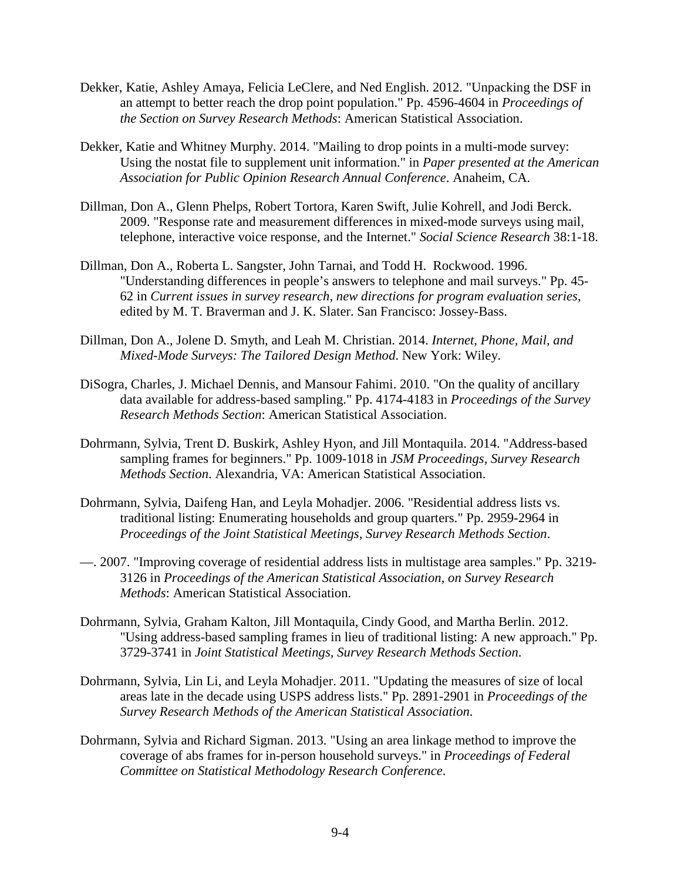- Dekker, Katie, Ashley Amaya, Felicia LeClere, and Ned English. 2012. "Unpacking the DSF in an attempt to better reach the drop point population." Pp. 4596-4604 in *Proceedings of the Section on Survey Research Methods*: American Statistical Association.
- Dekker, Katie and Whitney Murphy. 2014. "Mailing to drop points in a multi-mode survey: Using the nostat file to supplement unit information." in *Paper presented at the American Association for Public Opinion Research Annual Conference*. Anaheim, CA.
- Dillman, Don A., Glenn Phelps, Robert Tortora, Karen Swift, Julie Kohrell, and Jodi Berck. 2009. "Response rate and measurement differences in mixed-mode surveys using mail, telephone, interactive voice response, and the Internet." *Social Science Research* 38:1-18.
- Dillman, Don A., Roberta L. Sangster, John Tarnai, and Todd H. Rockwood. 1996. "Understanding differences in people's answers to telephone and mail surveys." Pp. 45- 62 in *Current issues in survey research, new directions for program evaluation series*, edited by M. T. Braverman and J. K. Slater. San Francisco: Jossey-Bass.
- Dillman, Don A., Jolene D. Smyth, and Leah M. Christian. 2014. *Internet, Phone, Mail, and Mixed-Mode Surveys: The Tailored Design Method*. New York: Wiley.
- DiSogra, Charles, J. Michael Dennis, and Mansour Fahimi. 2010. "On the quality of ancillary data available for address-based sampling." Pp. 4174-4183 in *Proceedings of the Survey Research Methods Section*: American Statistical Association.
- Dohrmann, Sylvia, Trent D. Buskirk, Ashley Hyon, and Jill Montaquila. 2014. "Address-based sampling frames for beginners." Pp. 1009-1018 in *JSM Proceedings, Survey Research Methods Section*. Alexandria, VA: American Statistical Association.
- Dohrmann, Sylvia, Daifeng Han, and Leyla Mohadjer. 2006. "Residential address lists vs. traditional listing: Enumerating households and group quarters." Pp. 2959-2964 in *Proceedings of the Joint Statistical Meetings, Survey Research Methods Section*.
- —. 2007. "Improving coverage of residential address lists in multistage area samples." Pp. 3219- 3126 in *Proceedings of the American Statistical Association, on Survey Research Methods*: American Statistical Association.
- Dohrmann, Sylvia, Graham Kalton, Jill Montaquila, Cindy Good, and Martha Berlin. 2012. "Using address-based sampling frames in lieu of traditional listing: A new approach." Pp. 3729-3741 in *Joint Statistical Meetings, Survey Research Methods Section*.
- Dohrmann, Sylvia, Lin Li, and Leyla Mohadjer. 2011. "Updating the measures of size of local areas late in the decade using USPS address lists." Pp. 2891-2901 in *Proceedings of the Survey Research Methods of the American Statistical Association*.
- Dohrmann, Sylvia and Richard Sigman. 2013. "Using an area linkage method to improve the coverage of abs frames for in-person household surveys." in *Proceedings of Federal Committee on Statistical Methodology Research Conference*.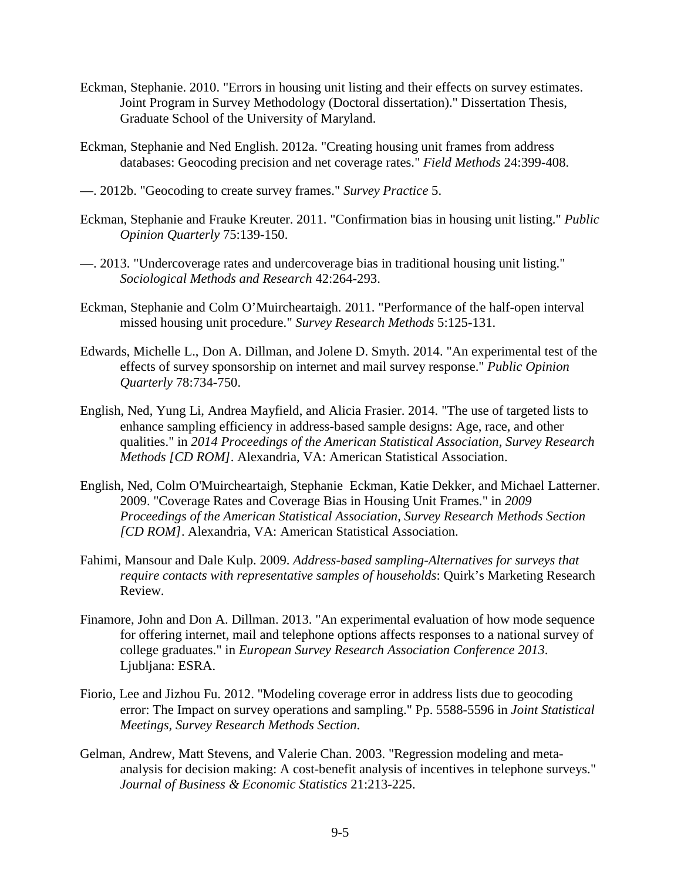- Eckman, Stephanie. 2010. "Errors in housing unit listing and their effects on survey estimates. Joint Program in Survey Methodology (Doctoral dissertation)." Dissertation Thesis, Graduate School of the University of Maryland.
- Eckman, Stephanie and Ned English. 2012a. "Creating housing unit frames from address databases: Geocoding precision and net coverage rates." *Field Methods* 24:399-408.
- —. 2012b. "Geocoding to create survey frames." *Survey Practice* 5.
- Eckman, Stephanie and Frauke Kreuter. 2011. "Confirmation bias in housing unit listing." *Public Opinion Quarterly* 75:139-150.
- —. 2013. "Undercoverage rates and undercoverage bias in traditional housing unit listing." *Sociological Methods and Research* 42:264-293.
- Eckman, Stephanie and Colm O'Muircheartaigh. 2011. "Performance of the half-open interval missed housing unit procedure." *Survey Research Methods* 5:125-131.
- Edwards, Michelle L., Don A. Dillman, and Jolene D. Smyth. 2014. "An experimental test of the effects of survey sponsorship on internet and mail survey response." *Public Opinion Quarterly* 78:734-750.
- English, Ned, Yung Li, Andrea Mayfield, and Alicia Frasier. 2014. "The use of targeted lists to enhance sampling efficiency in address-based sample designs: Age, race, and other qualities." in *2014 Proceedings of the American Statistical Association, Survey Research Methods [CD ROM]*. Alexandria, VA: American Statistical Association.
- English, Ned, Colm O'Muircheartaigh, Stephanie Eckman, Katie Dekker, and Michael Latterner. 2009. "Coverage Rates and Coverage Bias in Housing Unit Frames." in *2009 Proceedings of the American Statistical Association, Survey Research Methods Section [CD ROM]*. Alexandria, VA: American Statistical Association.
- Fahimi, Mansour and Dale Kulp. 2009. *Address-based sampling-Alternatives for surveys that require contacts with representative samples of households*: Quirk's Marketing Research Review.
- Finamore, John and Don A. Dillman. 2013. "An experimental evaluation of how mode sequence for offering internet, mail and telephone options affects responses to a national survey of college graduates." in *European Survey Research Association Conference 2013*. Ljubljana: ESRA.
- Fiorio, Lee and Jizhou Fu. 2012. "Modeling coverage error in address lists due to geocoding error: The Impact on survey operations and sampling." Pp. 5588-5596 in *Joint Statistical Meetings, Survey Research Methods Section*.
- Gelman, Andrew, Matt Stevens, and Valerie Chan. 2003. "Regression modeling and metaanalysis for decision making: A cost-benefit analysis of incentives in telephone surveys." *Journal of Business & Economic Statistics* 21:213-225.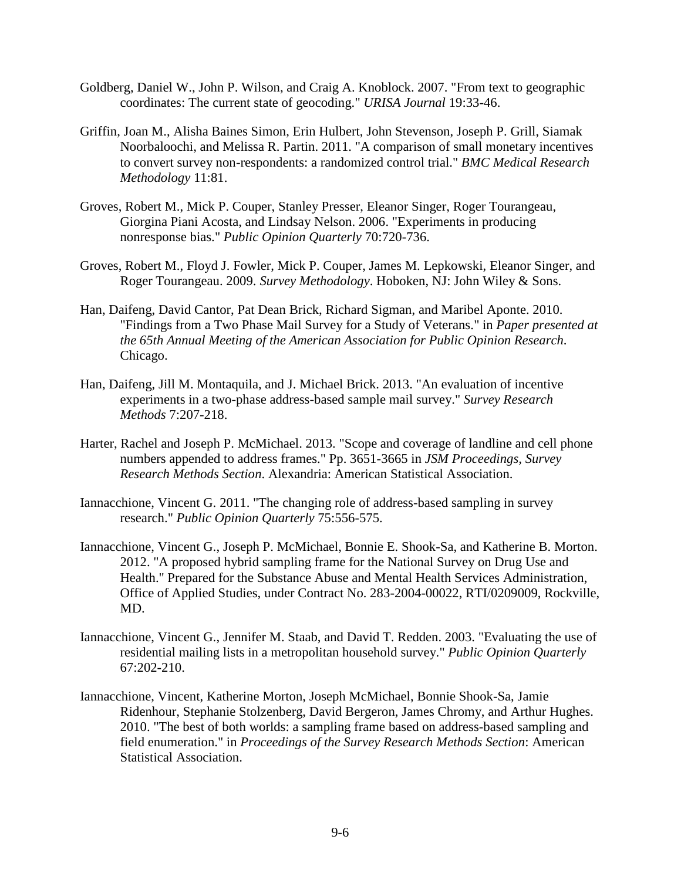- Goldberg, Daniel W., John P. Wilson, and Craig A. Knoblock. 2007. "From text to geographic coordinates: The current state of geocoding." *URISA Journal* 19:33-46.
- Griffin, Joan M., Alisha Baines Simon, Erin Hulbert, John Stevenson, Joseph P. Grill, Siamak Noorbaloochi, and Melissa R. Partin. 2011. "A comparison of small monetary incentives to convert survey non-respondents: a randomized control trial." *BMC Medical Research Methodology* 11:81.
- Groves, Robert M., Mick P. Couper, Stanley Presser, Eleanor Singer, Roger Tourangeau, Giorgina Piani Acosta, and Lindsay Nelson. 2006. "Experiments in producing nonresponse bias." *Public Opinion Quarterly* 70:720-736.
- Groves, Robert M., Floyd J. Fowler, Mick P. Couper, James M. Lepkowski, Eleanor Singer, and Roger Tourangeau. 2009. *Survey Methodology*. Hoboken, NJ: John Wiley & Sons.
- Han, Daifeng, David Cantor, Pat Dean Brick, Richard Sigman, and Maribel Aponte. 2010. "Findings from a Two Phase Mail Survey for a Study of Veterans." in *Paper presented at the 65th Annual Meeting of the American Association for Public Opinion Research*. Chicago.
- Han, Daifeng, Jill M. Montaquila, and J. Michael Brick. 2013. "An evaluation of incentive experiments in a two-phase address-based sample mail survey." *Survey Research Methods* 7:207-218.
- Harter, Rachel and Joseph P. McMichael. 2013. "Scope and coverage of landline and cell phone numbers appended to address frames." Pp. 3651-3665 in *JSM Proceedings, Survey Research Methods Section*. Alexandria: American Statistical Association.
- Iannacchione, Vincent G. 2011. "The changing role of address-based sampling in survey research." *Public Opinion Quarterly* 75:556-575.
- Iannacchione, Vincent G., Joseph P. McMichael, Bonnie E. Shook-Sa, and Katherine B. Morton. 2012. "A proposed hybrid sampling frame for the National Survey on Drug Use and Health." Prepared for the Substance Abuse and Mental Health Services Administration, Office of Applied Studies, under Contract No. 283-2004-00022, RTI/0209009, Rockville, MD.
- Iannacchione, Vincent G., Jennifer M. Staab, and David T. Redden. 2003. "Evaluating the use of residential mailing lists in a metropolitan household survey." *Public Opinion Quarterly* 67:202-210.
- Iannacchione, Vincent, Katherine Morton, Joseph McMichael, Bonnie Shook-Sa, Jamie Ridenhour, Stephanie Stolzenberg, David Bergeron, James Chromy, and Arthur Hughes. 2010. "The best of both worlds: a sampling frame based on address-based sampling and field enumeration." in *Proceedings of the Survey Research Methods Section*: American Statistical Association.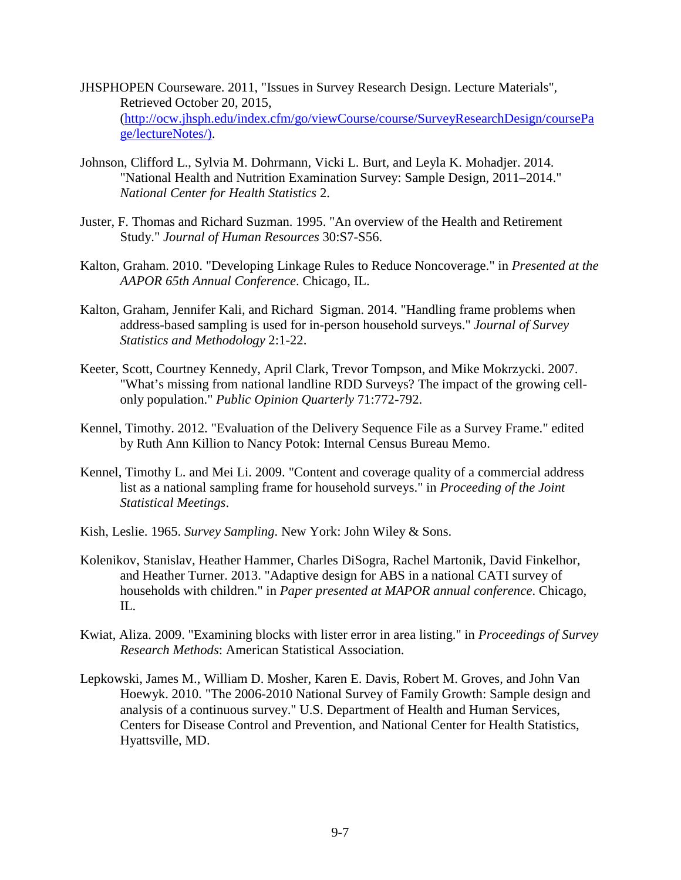- JHSPHOPEN Courseware. 2011, "Issues in Survey Research Design. Lecture Materials"*,* Retrieved October 20, 2015, [\(http://ocw.jhsph.edu/index.cfm/go/viewCourse/course/SurveyResearchDesign/coursePa](http://ocw.jhsph.edu/index.cfm/go/viewCourse/course/SurveyResearchDesign/coursePage/lectureNotes/)) [ge/lectureNotes/\).](http://ocw.jhsph.edu/index.cfm/go/viewCourse/course/SurveyResearchDesign/coursePage/lectureNotes/))
- Johnson, Clifford L., Sylvia M. Dohrmann, Vicki L. Burt, and Leyla K. Mohadjer. 2014. "National Health and Nutrition Examination Survey: Sample Design, 2011–2014." *National Center for Health Statistics* 2.
- Juster, F. Thomas and Richard Suzman. 1995. "An overview of the Health and Retirement Study." *Journal of Human Resources* 30:S7-S56.
- Kalton, Graham. 2010. "Developing Linkage Rules to Reduce Noncoverage." in *Presented at the AAPOR 65th Annual Conference*. Chicago, IL.
- Kalton, Graham, Jennifer Kali, and Richard Sigman. 2014. "Handling frame problems when address-based sampling is used for in-person household surveys." *Journal of Survey Statistics and Methodology* 2:1-22.
- Keeter, Scott, Courtney Kennedy, April Clark, Trevor Tompson, and Mike Mokrzycki. 2007. "What's missing from national landline RDD Surveys? The impact of the growing cellonly population." *Public Opinion Quarterly* 71:772-792.
- Kennel, Timothy. 2012. "Evaluation of the Delivery Sequence File as a Survey Frame." edited by Ruth Ann Killion to Nancy Potok: Internal Census Bureau Memo.
- Kennel, Timothy L. and Mei Li. 2009. "Content and coverage quality of a commercial address list as a national sampling frame for household surveys." in *Proceeding of the Joint Statistical Meetings*.
- Kish, Leslie. 1965. *Survey Sampling*. New York: John Wiley & Sons.
- Kolenikov, Stanislav, Heather Hammer, Charles DiSogra, Rachel Martonik, David Finkelhor, and Heather Turner. 2013. "Adaptive design for ABS in a national CATI survey of households with children." in *Paper presented at MAPOR annual conference*. Chicago, IL.
- Kwiat, Aliza. 2009. "Examining blocks with lister error in area listing." in *Proceedings of Survey Research Methods*: American Statistical Association.
- Lepkowski, James M., William D. Mosher, Karen E. Davis, Robert M. Groves, and John Van Hoewyk. 2010. "The 2006-2010 National Survey of Family Growth: Sample design and analysis of a continuous survey." U.S. Department of Health and Human Services, Centers for Disease Control and Prevention, and National Center for Health Statistics, Hyattsville, MD.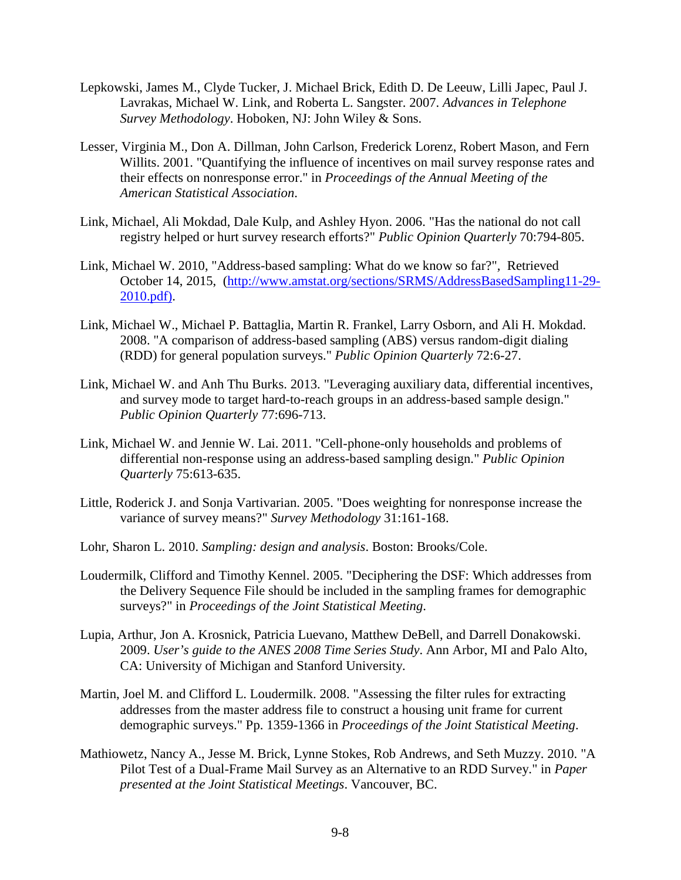- Lepkowski, James M., Clyde Tucker, J. Michael Brick, Edith D. De Leeuw, Lilli Japec, Paul J. Lavrakas, Michael W. Link, and Roberta L. Sangster. 2007. *Advances in Telephone Survey Methodology*. Hoboken, NJ: John Wiley & Sons.
- Lesser, Virginia M., Don A. Dillman, John Carlson, Frederick Lorenz, Robert Mason, and Fern Willits. 2001. "Quantifying the influence of incentives on mail survey response rates and their effects on nonresponse error." in *Proceedings of the Annual Meeting of the American Statistical Association*.
- Link, Michael, Ali Mokdad, Dale Kulp, and Ashley Hyon. 2006. "Has the national do not call registry helped or hurt survey research efforts?" *Public Opinion Quarterly* 70:794-805.
- Link, Michael W. 2010, "Address-based sampling: What do we know so far?"*,* Retrieved October 14, 2015, [\(http://www.amstat.org/sections/SRMS/AddressBasedSampling11-29-](http://www.amstat.org/sections/SRMS/AddressBasedSampling11-29-2010.pdf)) [2010.pdf\).](http://www.amstat.org/sections/SRMS/AddressBasedSampling11-29-2010.pdf))
- Link, Michael W., Michael P. Battaglia, Martin R. Frankel, Larry Osborn, and Ali H. Mokdad. 2008. "A comparison of address-based sampling (ABS) versus random-digit dialing (RDD) for general population surveys." *Public Opinion Quarterly* 72:6-27.
- Link, Michael W. and Anh Thu Burks. 2013. "Leveraging auxiliary data, differential incentives, and survey mode to target hard-to-reach groups in an address-based sample design." *Public Opinion Quarterly* 77:696-713.
- Link, Michael W. and Jennie W. Lai. 2011. "Cell-phone-only households and problems of differential non-response using an address-based sampling design." *Public Opinion Quarterly* 75:613-635.
- Little, Roderick J. and Sonja Vartivarian. 2005. "Does weighting for nonresponse increase the variance of survey means?" *Survey Methodology* 31:161-168.
- Lohr, Sharon L. 2010. *Sampling: design and analysis*. Boston: Brooks/Cole.
- Loudermilk, Clifford and Timothy Kennel. 2005. "Deciphering the DSF: Which addresses from the Delivery Sequence File should be included in the sampling frames for demographic surveys?" in *Proceedings of the Joint Statistical Meeting*.
- Lupia, Arthur, Jon A. Krosnick, Patricia Luevano, Matthew DeBell, and Darrell Donakowski. 2009. *User's guide to the ANES 2008 Time Series Study*. Ann Arbor, MI and Palo Alto, CA: University of Michigan and Stanford University.
- Martin, Joel M. and Clifford L. Loudermilk. 2008. "Assessing the filter rules for extracting addresses from the master address file to construct a housing unit frame for current demographic surveys." Pp. 1359-1366 in *Proceedings of the Joint Statistical Meeting*.
- Mathiowetz, Nancy A., Jesse M. Brick, Lynne Stokes, Rob Andrews, and Seth Muzzy. 2010. "A Pilot Test of a Dual-Frame Mail Survey as an Alternative to an RDD Survey." in *Paper presented at the Joint Statistical Meetings*. Vancouver, BC.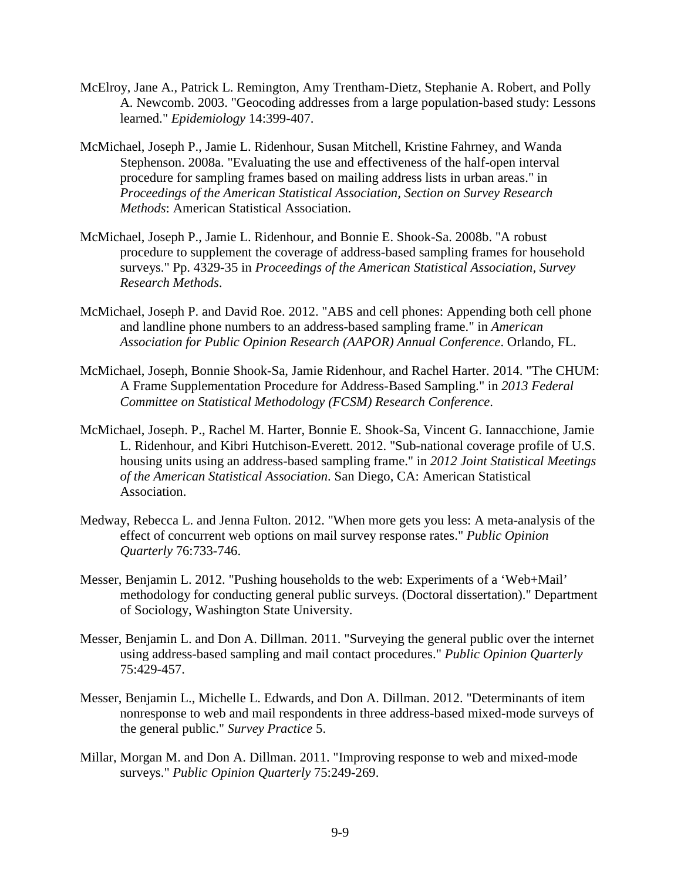- McElroy, Jane A., Patrick L. Remington, Amy Trentham-Dietz, Stephanie A. Robert, and Polly A. Newcomb. 2003. "Geocoding addresses from a large population-based study: Lessons learned." *Epidemiology* 14:399-407.
- McMichael, Joseph P., Jamie L. Ridenhour, Susan Mitchell, Kristine Fahrney, and Wanda Stephenson. 2008a. "Evaluating the use and effectiveness of the half-open interval procedure for sampling frames based on mailing address lists in urban areas." in *Proceedings of the American Statistical Association, Section on Survey Research Methods*: American Statistical Association.
- McMichael, Joseph P., Jamie L. Ridenhour, and Bonnie E. Shook-Sa. 2008b. "A robust procedure to supplement the coverage of address-based sampling frames for household surveys." Pp. 4329-35 in *Proceedings of the American Statistical Association, Survey Research Methods*.
- McMichael, Joseph P. and David Roe. 2012. "ABS and cell phones: Appending both cell phone and landline phone numbers to an address-based sampling frame." in *American Association for Public Opinion Research (AAPOR) Annual Conference*. Orlando, FL.
- McMichael, Joseph, Bonnie Shook-Sa, Jamie Ridenhour, and Rachel Harter. 2014. "The CHUM: A Frame Supplementation Procedure for Address-Based Sampling." in *2013 Federal Committee on Statistical Methodology (FCSM) Research Conference*.
- McMichael, Joseph. P., Rachel M. Harter, Bonnie E. Shook-Sa, Vincent G. Iannacchione, Jamie L. Ridenhour, and Kibri Hutchison-Everett. 2012. "Sub-national coverage profile of U.S. housing units using an address-based sampling frame." in *2012 Joint Statistical Meetings of the American Statistical Association*. San Diego, CA: American Statistical Association.
- Medway, Rebecca L. and Jenna Fulton. 2012. "When more gets you less: A meta-analysis of the effect of concurrent web options on mail survey response rates." *Public Opinion Quarterly* 76:733-746.
- Messer, Benjamin L. 2012. "Pushing households to the web: Experiments of a 'Web+Mail' methodology for conducting general public surveys. (Doctoral dissertation)." Department of Sociology, Washington State University.
- Messer, Benjamin L. and Don A. Dillman. 2011. "Surveying the general public over the internet using address-based sampling and mail contact procedures." *Public Opinion Quarterly* 75:429-457.
- Messer, Benjamin L., Michelle L. Edwards, and Don A. Dillman. 2012. "Determinants of item nonresponse to web and mail respondents in three address-based mixed-mode surveys of the general public." *Survey Practice* 5.
- Millar, Morgan M. and Don A. Dillman. 2011. "Improving response to web and mixed-mode surveys." *Public Opinion Quarterly* 75:249-269.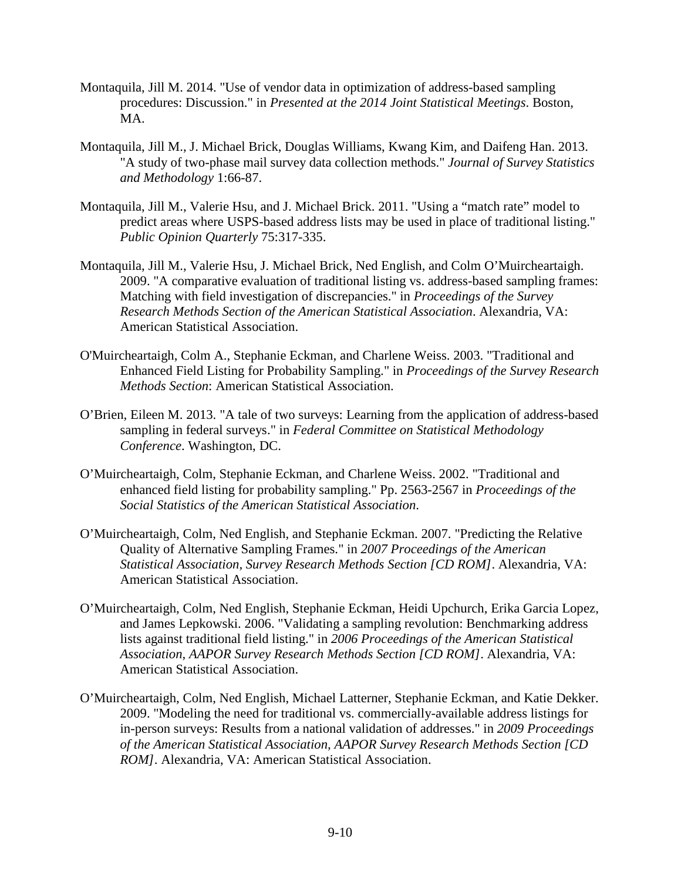- Montaquila, Jill M. 2014. "Use of vendor data in optimization of address-based sampling procedures: Discussion." in *Presented at the 2014 Joint Statistical Meetings*. Boston, MA.
- Montaquila, Jill M., J. Michael Brick, Douglas Williams, Kwang Kim, and Daifeng Han. 2013. "A study of two-phase mail survey data collection methods." *Journal of Survey Statistics and Methodology* 1:66-87.
- Montaquila, Jill M., Valerie Hsu, and J. Michael Brick. 2011. "Using a "match rate" model to predict areas where USPS-based address lists may be used in place of traditional listing." *Public Opinion Quarterly* 75:317-335.
- Montaquila, Jill M., Valerie Hsu, J. Michael Brick, Ned English, and Colm O'Muircheartaigh. 2009. "A comparative evaluation of traditional listing vs. address-based sampling frames: Matching with field investigation of discrepancies." in *Proceedings of the Survey Research Methods Section of the American Statistical Association*. Alexandria, VA: American Statistical Association.
- O'Muircheartaigh, Colm A., Stephanie Eckman, and Charlene Weiss. 2003. "Traditional and Enhanced Field Listing for Probability Sampling." in *Proceedings of the Survey Research Methods Section*: American Statistical Association.
- O'Brien, Eileen M. 2013. "A tale of two surveys: Learning from the application of address-based sampling in federal surveys." in *Federal Committee on Statistical Methodology Conference*. Washington, DC.
- O'Muircheartaigh, Colm, Stephanie Eckman, and Charlene Weiss. 2002. "Traditional and enhanced field listing for probability sampling." Pp. 2563-2567 in *Proceedings of the Social Statistics of the American Statistical Association*.
- O'Muircheartaigh, Colm, Ned English, and Stephanie Eckman. 2007. "Predicting the Relative Quality of Alternative Sampling Frames." in *2007 Proceedings of the American Statistical Association, Survey Research Methods Section [CD ROM]*. Alexandria, VA: American Statistical Association.
- O'Muircheartaigh, Colm, Ned English, Stephanie Eckman, Heidi Upchurch, Erika Garcia Lopez, and James Lepkowski. 2006. "Validating a sampling revolution: Benchmarking address lists against traditional field listing." in *2006 Proceedings of the American Statistical Association, AAPOR Survey Research Methods Section [CD ROM]*. Alexandria, VA: American Statistical Association.
- O'Muircheartaigh, Colm, Ned English, Michael Latterner, Stephanie Eckman, and Katie Dekker. 2009. "Modeling the need for traditional vs. commercially-available address listings for in-person surveys: Results from a national validation of addresses." in *2009 Proceedings of the American Statistical Association, AAPOR Survey Research Methods Section [CD ROM]*. Alexandria, VA: American Statistical Association.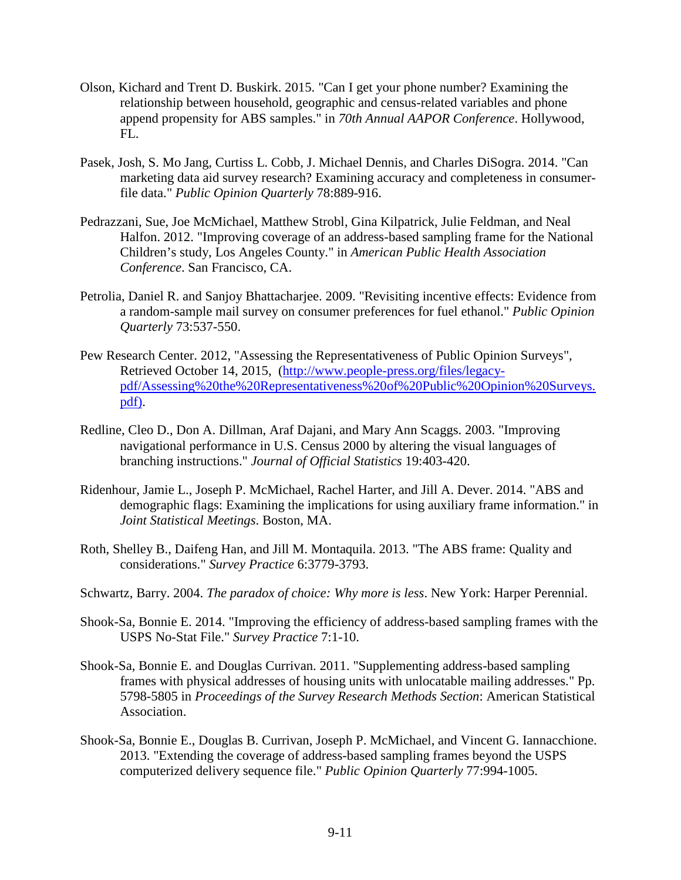- Olson, Kichard and Trent D. Buskirk. 2015. "Can I get your phone number? Examining the relationship between household, geographic and census-related variables and phone append propensity for ABS samples." in *70th Annual AAPOR Conference*. Hollywood, FL.
- Pasek, Josh, S. Mo Jang, Curtiss L. Cobb, J. Michael Dennis, and Charles DiSogra. 2014. "Can marketing data aid survey research? Examining accuracy and completeness in consumerfile data." *Public Opinion Quarterly* 78:889-916.
- Pedrazzani, Sue, Joe McMichael, Matthew Strobl, Gina Kilpatrick, Julie Feldman, and Neal Halfon. 2012. "Improving coverage of an address-based sampling frame for the National Children's study, Los Angeles County." in *American Public Health Association Conference*. San Francisco, CA.
- Petrolia, Daniel R. and Sanjoy Bhattacharjee. 2009. "Revisiting incentive effects: Evidence from a random-sample mail survey on consumer preferences for fuel ethanol." *Public Opinion Quarterly* 73:537-550.
- Pew Research Center. 2012, "Assessing the Representativeness of Public Opinion Surveys"*,* Retrieved October 14, 2015, [\(http://www.people-press.org/files/legacy](http://www.people-press.org/files/legacy-pdf/Assessing%20the%20Representativeness%20of%20Public%20Opinion%20Surveys.pdf))[pdf/Assessing%20the%20Representativeness%20of%20Public%20Opinion%20Surveys.](http://www.people-press.org/files/legacy-pdf/Assessing%20the%20Representativeness%20of%20Public%20Opinion%20Surveys.pdf)) [pdf\).](http://www.people-press.org/files/legacy-pdf/Assessing%20the%20Representativeness%20of%20Public%20Opinion%20Surveys.pdf))
- Redline, Cleo D., Don A. Dillman, Araf Dajani, and Mary Ann Scaggs. 2003. "Improving navigational performance in U.S. Census 2000 by altering the visual languages of branching instructions." *Journal of Official Statistics* 19:403-420.
- Ridenhour, Jamie L., Joseph P. McMichael, Rachel Harter, and Jill A. Dever. 2014. "ABS and demographic flags: Examining the implications for using auxiliary frame information." in *Joint Statistical Meetings*. Boston, MA.
- Roth, Shelley B., Daifeng Han, and Jill M. Montaquila. 2013. "The ABS frame: Quality and considerations." *Survey Practice* 6:3779-3793.
- Schwartz, Barry. 2004. *The paradox of choice: Why more is less*. New York: Harper Perennial.
- Shook-Sa, Bonnie E. 2014. "Improving the efficiency of address-based sampling frames with the USPS No-Stat File." *Survey Practice* 7:1-10.
- Shook-Sa, Bonnie E. and Douglas Currivan. 2011. "Supplementing address-based sampling frames with physical addresses of housing units with unlocatable mailing addresses." Pp. 5798-5805 in *Proceedings of the Survey Research Methods Section*: American Statistical Association.
- Shook-Sa, Bonnie E., Douglas B. Currivan, Joseph P. McMichael, and Vincent G. Iannacchione. 2013. "Extending the coverage of address-based sampling frames beyond the USPS computerized delivery sequence file." *Public Opinion Quarterly* 77:994-1005.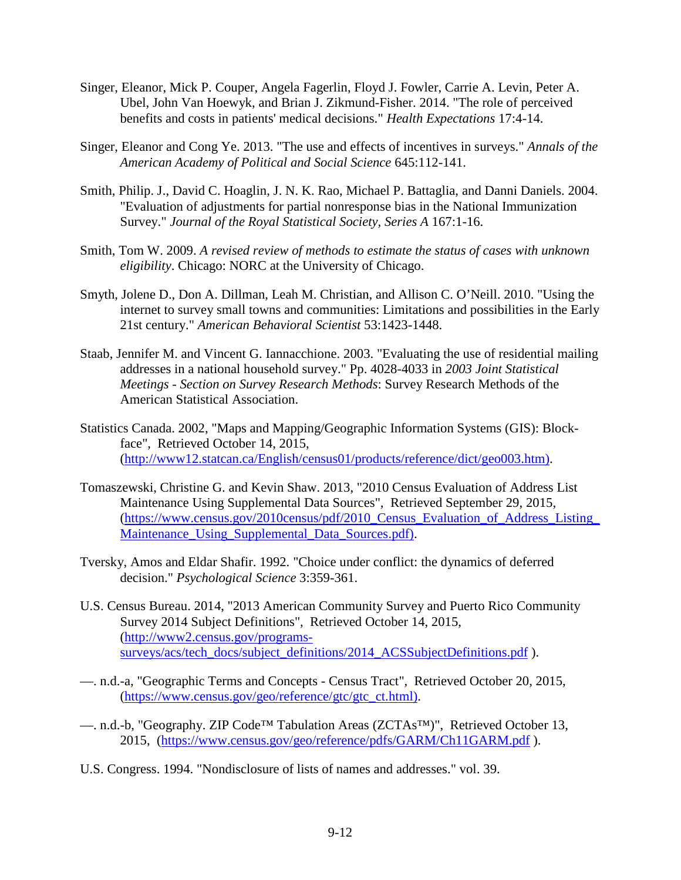- Singer, Eleanor, Mick P. Couper, Angela Fagerlin, Floyd J. Fowler, Carrie A. Levin, Peter A. Ubel, John Van Hoewyk, and Brian J. Zikmund-Fisher. 2014. "The role of perceived benefits and costs in patients' medical decisions." *Health Expectations* 17:4-14.
- Singer, Eleanor and Cong Ye. 2013. "The use and effects of incentives in surveys." *Annals of the American Academy of Political and Social Science* 645:112-141.
- Smith, Philip. J., David C. Hoaglin, J. N. K. Rao, Michael P. Battaglia, and Danni Daniels. 2004. "Evaluation of adjustments for partial nonresponse bias in the National Immunization Survey." *Journal of the Royal Statistical Society, Series A* 167:1-16.
- Smith, Tom W. 2009. *A revised review of methods to estimate the status of cases with unknown eligibility*. Chicago: NORC at the University of Chicago.
- Smyth, Jolene D., Don A. Dillman, Leah M. Christian, and Allison C. O'Neill. 2010. "Using the internet to survey small towns and communities: Limitations and possibilities in the Early 21st century." *American Behavioral Scientist* 53:1423-1448.
- Staab, Jennifer M. and Vincent G. Iannacchione. 2003. "Evaluating the use of residential mailing addresses in a national household survey." Pp. 4028-4033 in *2003 Joint Statistical Meetings - Section on Survey Research Methods*: Survey Research Methods of the American Statistical Association.
- Statistics Canada. 2002, "Maps and Mapping/Geographic Information Systems (GIS): Blockface"*,* Retrieved October 14, 2015, [\(http://www12.statcan.ca/English/census01/products/reference/dict/geo003.htm\).](http://www12.statcan.ca/English/census01/products/reference/dict/geo003.htm))
- Tomaszewski, Christine G. and Kevin Shaw. 2013, "2010 Census Evaluation of Address List Maintenance Using Supplemental Data Sources"*,* Retrieved September 29, 2015, (https://www.census.gov/2010census/pdf/2010 Census Evaluation of Address Listing [Maintenance\\_Using\\_Supplemental\\_Data\\_Sources.pdf\).](https://www.census.gov/2010census/pdf/2010_Census_Evaluation_of_Address_Listing_Maintenance_Using_Supplemental_Data_Sources.pdf))
- Tversky, Amos and Eldar Shafir. 1992. "Choice under conflict: the dynamics of deferred decision." *Psychological Science* 3:359-361.
- U.S. Census Bureau. 2014, "2013 American Community Survey and Puerto Rico Community Survey 2014 Subject Definitions"*,* Retrieved October 14, 2015, [\(http://www2.census.gov/programs](http://www2.census.gov/programs-surveys/acs/tech_docs/subject_definitions/2014_ACSSubjectDefinitions.pdf)[surveys/acs/tech\\_docs/subject\\_definitions/2014\\_ACSSubjectDefinitions.pdf](http://www2.census.gov/programs-surveys/acs/tech_docs/subject_definitions/2014_ACSSubjectDefinitions.pdf) ).
- —. n.d.-a, "Geographic Terms and Concepts Census Tract"*,* Retrieved October 20, 2015, [\(https://www.census.gov/geo/reference/gtc/gtc\\_ct.html\).](https://www.census.gov/geo/reference/gtc/gtc_ct.html))
- —. n.d.-b, "Geography. ZIP Code™ Tabulation Areas (ZCTAs™)"*,* Retrieved October 13, 2015, [\(https://www.census.gov/geo/reference/pdfs/GARM/Ch11GARM.pdf](https://www.census.gov/geo/reference/pdfs/GARM/Ch11GARM.pdf) ).
- U.S. Congress. 1994. "Nondisclosure of lists of names and addresses." vol. 39.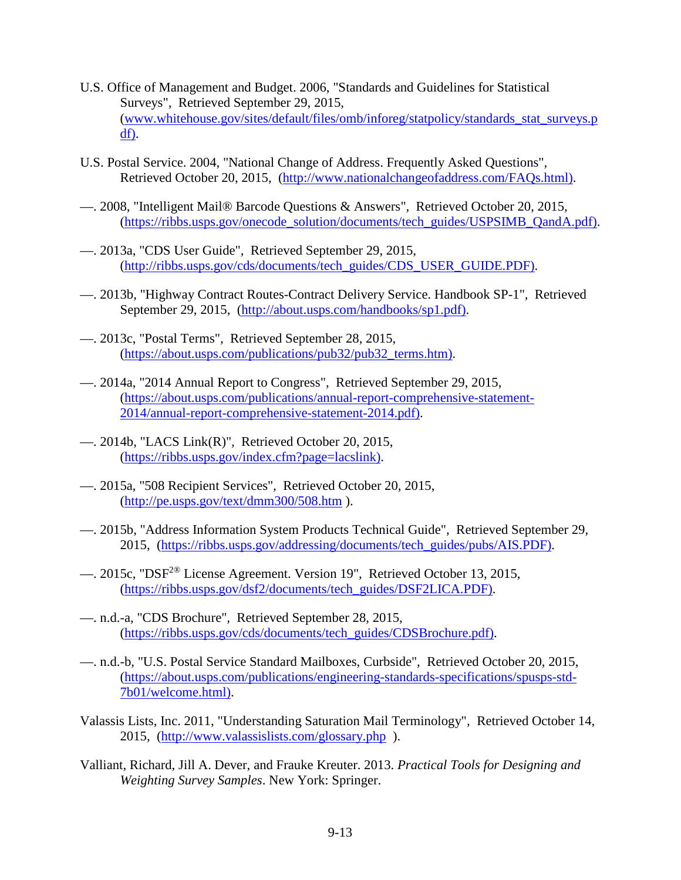- U.S. Office of Management and Budget. 2006, "Standards and Guidelines for Statistical Surveys"*,* Retrieved September 29, 2015, [\(www.whitehouse.gov/sites/default/files/omb/inforeg/statpolicy/standards\\_stat\\_surveys.p](http://www.whitehouse.gov/sites/default/files/omb/inforeg/statpolicy/standards_stat_surveys.pdf)) [df\).](http://www.whitehouse.gov/sites/default/files/omb/inforeg/statpolicy/standards_stat_surveys.pdf))
- U.S. Postal Service. 2004, "National Change of Address. Frequently Asked Questions"*,* Retrieved October 20, 2015, [\(http://www.nationalchangeofaddress.com/FAQs.html\).](http://www.nationalchangeofaddress.com/FAQs.html))
- —. 2008, "Intelligent Mail® Barcode Questions & Answers"*,* Retrieved October 20, 2015, [\(https://ribbs.usps.gov/onecode\\_solution/documents/tech\\_guides/USPSIMB\\_QandA.pdf\).](https://ribbs.usps.gov/onecode_solution/documents/tech_guides/USPSIMB_QandA.pdf))
- —. 2013a, "CDS User Guide"*,* Retrieved September 29, 2015, [\(http://ribbs.usps.gov/cds/documents/tech\\_guides/CDS\\_USER\\_GUIDE.PDF\).](http://ribbs.usps.gov/cds/documents/tech_guides/CDS_USER_GUIDE.PDF))
- —. 2013b, "Highway Contract Routes-Contract Delivery Service. Handbook SP-1"*,* Retrieved September 29, 2015, [\(http://about.usps.com/handbooks/sp1.pdf\).](http://about.usps.com/handbooks/sp1.pdf))
- —. 2013c, "Postal Terms"*,* Retrieved September 28, 2015, [\(https://about.usps.com/publications/pub32/pub32\\_terms.htm\).](https://about.usps.com/publications/pub32/pub32_terms.htm))
- —. 2014a, "2014 Annual Report to Congress"*,* Retrieved September 29, 2015, [\(https://about.usps.com/publications/annual-report-comprehensive-statement-](https://about.usps.com/publications/annual-report-comprehensive-statement-2014/annual-report-comprehensive-statement-2014.pdf))[2014/annual-report-comprehensive-statement-2014.pdf\).](https://about.usps.com/publications/annual-report-comprehensive-statement-2014/annual-report-comprehensive-statement-2014.pdf))
- —. 2014b, "LACS Link(R)"*,* Retrieved October 20, 2015, [\(https://ribbs.usps.gov/index.cfm?page=lacslink\).](https://ribbs.usps.gov/index.cfm?page=lacslink))
- —. 2015a, "508 Recipient Services"*,* Retrieved October 20, 2015, [\(http://pe.usps.gov/text/dmm300/508.htm](http://pe.usps.gov/text/dmm300/508.htm) ).
- —. 2015b, "Address Information System Products Technical Guide"*,* Retrieved September 29, 2015, [\(https://ribbs.usps.gov/addressing/documents/tech\\_guides/pubs/AIS.PDF\).](https://ribbs.usps.gov/addressing/documents/tech_guides/pubs/AIS.PDF))
- —. 2015c, "DSF2® License Agreement. Version 19"*,* Retrieved October 13, 2015, [\(https://ribbs.usps.gov/dsf2/documents/tech\\_guides/DSF2LICA.PDF\).](https://ribbs.usps.gov/dsf2/documents/tech_guides/DSF2LICA.PDF))
- —. n.d.-a, "CDS Brochure"*,* Retrieved September 28, 2015, [\(https://ribbs.usps.gov/cds/documents/tech\\_guides/CDSBrochure.pdf\).](https://ribbs.usps.gov/cds/documents/tech_guides/CDSBrochure.pdf))
- —. n.d.-b, "U.S. Postal Service Standard Mailboxes, Curbside"*,* Retrieved October 20, 2015, [\(https://about.usps.com/publications/engineering-standards-specifications/spusps-std-](https://about.usps.com/publications/engineering-standards-specifications/spusps-std-7b01/welcome.html))[7b01/welcome.html\).](https://about.usps.com/publications/engineering-standards-specifications/spusps-std-7b01/welcome.html))
- Valassis Lists, Inc. 2011, "Understanding Saturation Mail Terminology"*,* Retrieved October 14, 2015, [\(http://www.valassislists.com/glossary.php](http://www.valassislists.com/glossary.php) ).
- Valliant, Richard, Jill A. Dever, and Frauke Kreuter. 2013. *Practical Tools for Designing and Weighting Survey Samples*. New York: Springer.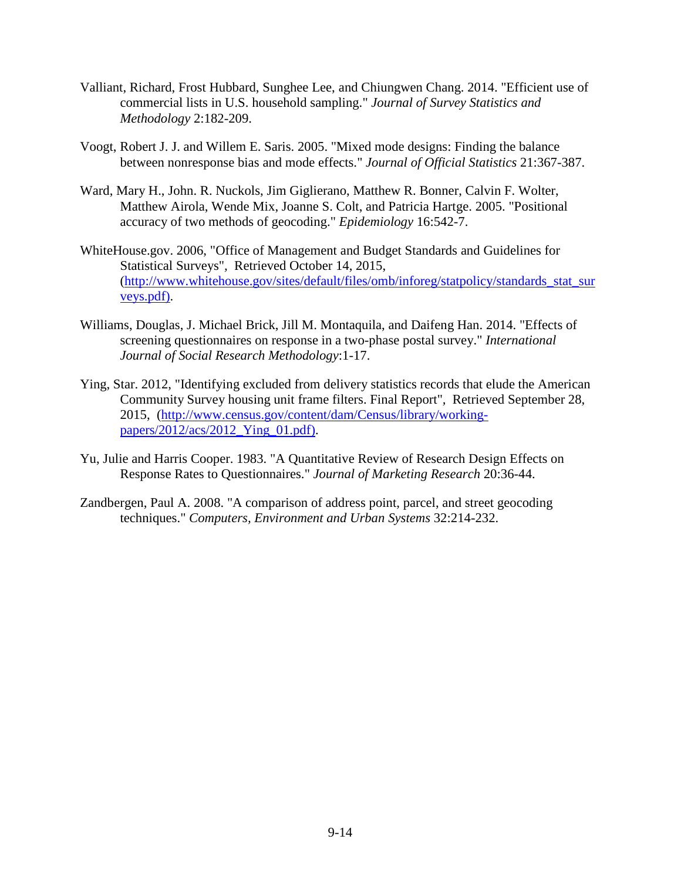- Valliant, Richard, Frost Hubbard, Sunghee Lee, and Chiungwen Chang. 2014. "Efficient use of commercial lists in U.S. household sampling." *Journal of Survey Statistics and Methodology* 2:182-209.
- Voogt, Robert J. J. and Willem E. Saris. 2005. "Mixed mode designs: Finding the balance between nonresponse bias and mode effects." *Journal of Official Statistics* 21:367-387.
- Ward, Mary H., John. R. Nuckols, Jim Giglierano, Matthew R. Bonner, Calvin F. Wolter, Matthew Airola, Wende Mix, Joanne S. Colt, and Patricia Hartge. 2005. "Positional accuracy of two methods of geocoding." *Epidemiology* 16:542-7.
- WhiteHouse.gov. 2006, "Office of Management and Budget Standards and Guidelines for Statistical Surveys"*,* Retrieved October 14, 2015, [\(http://www.whitehouse.gov/sites/default/files/omb/inforeg/statpolicy/standards\\_stat\\_sur](http://www.whitehouse.gov/sites/default/files/omb/inforeg/statpolicy/standards_stat_surveys.pdf)) [veys.pdf\).](http://www.whitehouse.gov/sites/default/files/omb/inforeg/statpolicy/standards_stat_surveys.pdf))
- Williams, Douglas, J. Michael Brick, Jill M. Montaquila, and Daifeng Han. 2014. "Effects of screening questionnaires on response in a two-phase postal survey." *International Journal of Social Research Methodology*:1-17.
- Ying, Star. 2012, "Identifying excluded from delivery statistics records that elude the American Community Survey housing unit frame filters. Final Report"*,* Retrieved September 28, 2015, [\(http://www.census.gov/content/dam/Census/library/working](http://www.census.gov/content/dam/Census/library/working-papers/2012/acs/2012_Ying_01.pdf))[papers/2012/acs/2012\\_Ying\\_01.pdf\).](http://www.census.gov/content/dam/Census/library/working-papers/2012/acs/2012_Ying_01.pdf))
- Yu, Julie and Harris Cooper. 1983. "A Quantitative Review of Research Design Effects on Response Rates to Questionnaires." *Journal of Marketing Research* 20:36-44.
- Zandbergen, Paul A. 2008. "A comparison of address point, parcel, and street geocoding techniques." *Computers, Environment and Urban Systems* 32:214-232.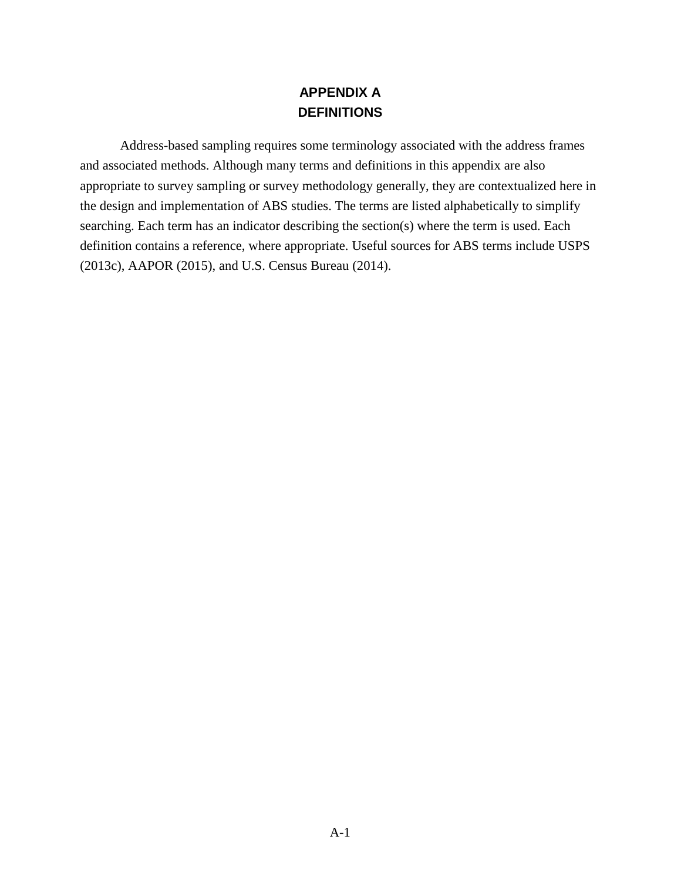#### **APPENDIX A DEFINITIONS**

Address-based sampling requires some terminology associated with the address frames and associated methods. Although many terms and definitions in this appendix are also appropriate to survey sampling or survey methodology generally, they are contextualized here in the design and implementation of ABS studies. The terms are listed alphabetically to simplify searching. Each term has an indicator describing the section(s) where the term is used. Each definition contains a reference, where appropriate. Useful sources for ABS terms include USPS (2013c), AAPOR (2015), and U.S. Census Bureau (2014).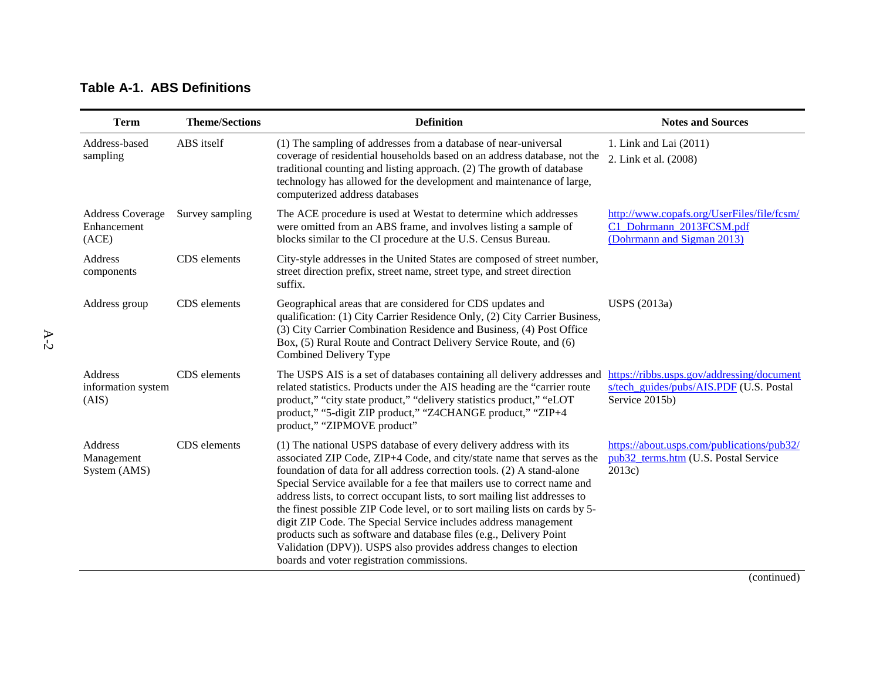#### **Table A-1. ABS Definitions**

A-2

| <b>Term</b>                                     | <b>Theme/Sections</b> | <b>Definition</b>                                                                                                                                                                                                                                                                                                                                                                                                                                                                                                                                                                                                                                                                                                            | <b>Notes and Sources</b>                                                                                |
|-------------------------------------------------|-----------------------|------------------------------------------------------------------------------------------------------------------------------------------------------------------------------------------------------------------------------------------------------------------------------------------------------------------------------------------------------------------------------------------------------------------------------------------------------------------------------------------------------------------------------------------------------------------------------------------------------------------------------------------------------------------------------------------------------------------------------|---------------------------------------------------------------------------------------------------------|
| Address-based<br>sampling                       | ABS itself            | (1) The sampling of addresses from a database of near-universal<br>coverage of residential households based on an address database, not the<br>traditional counting and listing approach. (2) The growth of database<br>technology has allowed for the development and maintenance of large,<br>computerized address databases                                                                                                                                                                                                                                                                                                                                                                                               | 1. Link and Lai (2011)<br>2. Link et al. (2008)                                                         |
| <b>Address Coverage</b><br>Enhancement<br>(ACE) | Survey sampling       | The ACE procedure is used at Westat to determine which addresses<br>were omitted from an ABS frame, and involves listing a sample of<br>blocks similar to the CI procedure at the U.S. Census Bureau.                                                                                                                                                                                                                                                                                                                                                                                                                                                                                                                        | http://www.copafs.org/UserFiles/file/fcsm/<br>C1_Dohrmann_2013FCSM.pdf<br>(Dohrmann and Sigman 2013)    |
| Address<br>components                           | CDS elements          | City-style addresses in the United States are composed of street number,<br>street direction prefix, street name, street type, and street direction<br>suffix.                                                                                                                                                                                                                                                                                                                                                                                                                                                                                                                                                               |                                                                                                         |
| Address group                                   | CDS elements          | Geographical areas that are considered for CDS updates and<br>qualification: (1) City Carrier Residence Only, (2) City Carrier Business,<br>(3) City Carrier Combination Residence and Business, (4) Post Office<br>Box, (5) Rural Route and Contract Delivery Service Route, and (6)<br>Combined Delivery Type                                                                                                                                                                                                                                                                                                                                                                                                              | <b>USPS</b> (2013a)                                                                                     |
| Address<br>information system<br>(AIS)          | CDS elements          | The USPS AIS is a set of databases containing all delivery addresses and<br>related statistics. Products under the AIS heading are the "carrier route<br>product," "city state product," "delivery statistics product," "eLOT<br>product," "5-digit ZIP product," "Z4CHANGE product," "ZIP+4<br>product," "ZIPMOVE product"                                                                                                                                                                                                                                                                                                                                                                                                  | https://ribbs.usps.gov/addressing/document<br>s/tech_guides/pubs/AIS.PDF (U.S. Postal<br>Service 2015b) |
| Address<br>Management<br>System (AMS)           | CDS elements          | (1) The national USPS database of every delivery address with its<br>associated ZIP Code, ZIP+4 Code, and city/state name that serves as the<br>foundation of data for all address correction tools. (2) A stand-alone<br>Special Service available for a fee that mailers use to correct name and<br>address lists, to correct occupant lists, to sort mailing list addresses to<br>the finest possible ZIP Code level, or to sort mailing lists on cards by 5-<br>digit ZIP Code. The Special Service includes address management<br>products such as software and database files (e.g., Delivery Point<br>Validation (DPV)). USPS also provides address changes to election<br>boards and voter registration commissions. | https://about.usps.com/publications/pub32/<br>pub32 terms.htm (U.S. Postal Service<br>2013c             |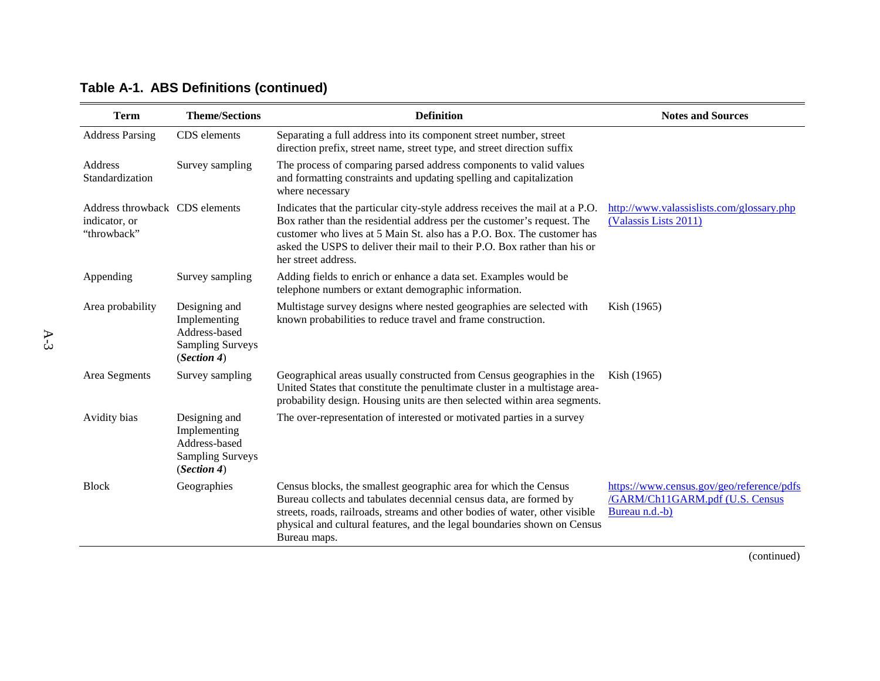|  |  |  | Table A-1. ABS Definitions (continued) |
|--|--|--|----------------------------------------|
|--|--|--|----------------------------------------|

| <b>Term</b>                                                    | <b>Theme/Sections</b>                                                                    | <b>Definition</b>                                                                                                                                                                                                                                                                                                                     | <b>Notes and Sources</b>                                                                       |
|----------------------------------------------------------------|------------------------------------------------------------------------------------------|---------------------------------------------------------------------------------------------------------------------------------------------------------------------------------------------------------------------------------------------------------------------------------------------------------------------------------------|------------------------------------------------------------------------------------------------|
| <b>Address Parsing</b>                                         | CDS elements                                                                             | Separating a full address into its component street number, street<br>direction prefix, street name, street type, and street direction suffix                                                                                                                                                                                         |                                                                                                |
| Address<br>Standardization                                     | Survey sampling                                                                          | The process of comparing parsed address components to valid values<br>and formatting constraints and updating spelling and capitalization<br>where necessary                                                                                                                                                                          |                                                                                                |
| Address throwback CDS elements<br>indicator, or<br>"throwback" |                                                                                          | Indicates that the particular city-style address receives the mail at a P.O.<br>Box rather than the residential address per the customer's request. The<br>customer who lives at 5 Main St. also has a P.O. Box. The customer has<br>asked the USPS to deliver their mail to their P.O. Box rather than his or<br>her street address. | http://www.valassislists.com/glossary.php<br>(Valassis Lists 2011)                             |
| Appending                                                      | Survey sampling                                                                          | Adding fields to enrich or enhance a data set. Examples would be<br>telephone numbers or extant demographic information.                                                                                                                                                                                                              |                                                                                                |
| Area probability                                               | Designing and<br>Implementing<br>Address-based<br><b>Sampling Surveys</b><br>(Section 4) | Multistage survey designs where nested geographies are selected with<br>known probabilities to reduce travel and frame construction.                                                                                                                                                                                                  | Kish (1965)                                                                                    |
| Area Segments                                                  | Survey sampling                                                                          | Geographical areas usually constructed from Census geographies in the<br>United States that constitute the penultimate cluster in a multistage area-<br>probability design. Housing units are then selected within area segments.                                                                                                     | Kish (1965)                                                                                    |
| Avidity bias                                                   | Designing and<br>Implementing<br>Address-based<br><b>Sampling Surveys</b><br>(Section 4) | The over-representation of interested or motivated parties in a survey                                                                                                                                                                                                                                                                |                                                                                                |
| <b>Block</b>                                                   | Geographies                                                                              | Census blocks, the smallest geographic area for which the Census<br>Bureau collects and tabulates decennial census data, are formed by<br>streets, roads, railroads, streams and other bodies of water, other visible<br>physical and cultural features, and the legal boundaries shown on Census<br>Bureau maps.                     | https://www.census.gov/geo/reference/pdfs<br>/GARM/Ch11GARM.pdf (U.S. Census<br>Bureau n.d.-b) |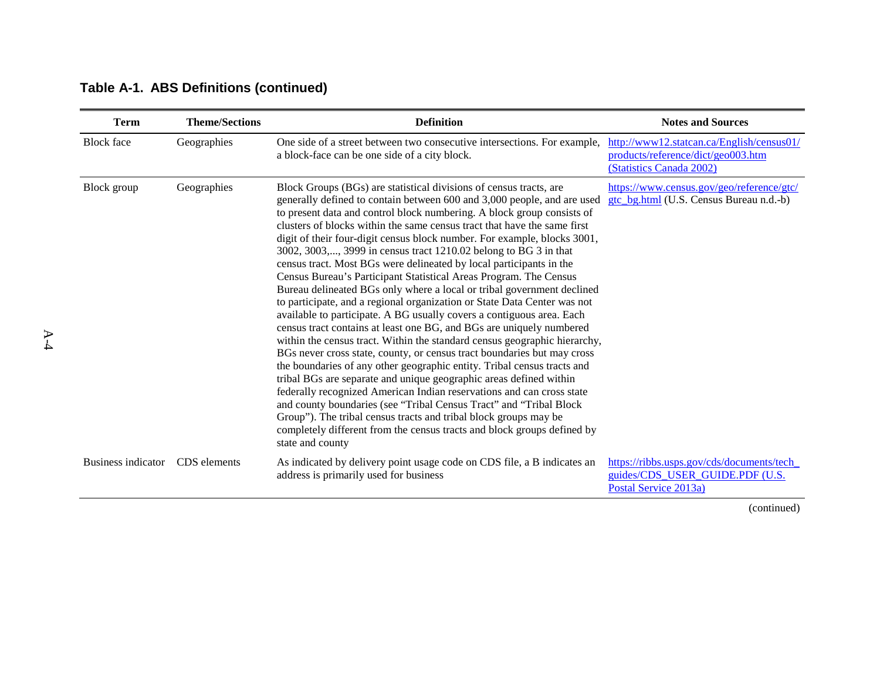| <b>Term</b>        | <b>Theme/Sections</b> | <b>Definition</b>                                                                                                                                                                                                                                                                                                                                                                                                                                                                                                                                                                                                                                                                                                                                                                                                                                                                                                                                                                                                                                                                                                                                                                                                                                                                                                                                                                                                                                                                                                                 | <b>Notes and Sources</b>                                                                                    |
|--------------------|-----------------------|-----------------------------------------------------------------------------------------------------------------------------------------------------------------------------------------------------------------------------------------------------------------------------------------------------------------------------------------------------------------------------------------------------------------------------------------------------------------------------------------------------------------------------------------------------------------------------------------------------------------------------------------------------------------------------------------------------------------------------------------------------------------------------------------------------------------------------------------------------------------------------------------------------------------------------------------------------------------------------------------------------------------------------------------------------------------------------------------------------------------------------------------------------------------------------------------------------------------------------------------------------------------------------------------------------------------------------------------------------------------------------------------------------------------------------------------------------------------------------------------------------------------------------------|-------------------------------------------------------------------------------------------------------------|
| <b>Block</b> face  | Geographies           | One side of a street between two consecutive intersections. For example,<br>a block-face can be one side of a city block.                                                                                                                                                                                                                                                                                                                                                                                                                                                                                                                                                                                                                                                                                                                                                                                                                                                                                                                                                                                                                                                                                                                                                                                                                                                                                                                                                                                                         | http://www12.statcan.ca/English/census01/<br>products/reference/dict/geo003.htm<br>(Statistics Canada 2002) |
| Block group        | Geographies           | Block Groups (BGs) are statistical divisions of census tracts, are<br>generally defined to contain between 600 and 3,000 people, and are used<br>to present data and control block numbering. A block group consists of<br>clusters of blocks within the same census tract that have the same first<br>digit of their four-digit census block number. For example, blocks 3001,<br>3002, 3003,, 3999 in census tract 1210.02 belong to BG 3 in that<br>census tract. Most BGs were delineated by local participants in the<br>Census Bureau's Participant Statistical Areas Program. The Census<br>Bureau delineated BGs only where a local or tribal government declined<br>to participate, and a regional organization or State Data Center was not<br>available to participate. A BG usually covers a contiguous area. Each<br>census tract contains at least one BG, and BGs are uniquely numbered<br>within the census tract. Within the standard census geographic hierarchy,<br>BGs never cross state, county, or census tract boundaries but may cross<br>the boundaries of any other geographic entity. Tribal census tracts and<br>tribal BGs are separate and unique geographic areas defined within<br>federally recognized American Indian reservations and can cross state<br>and county boundaries (see "Tribal Census Tract" and "Tribal Block<br>Group"). The tribal census tracts and tribal block groups may be<br>completely different from the census tracts and block groups defined by<br>state and county | https://www.census.gov/geo/reference/gtc/<br>gtc_bg.html (U.S. Census Bureau n.d.-b)                        |
| Business indicator | CDS elements          | As indicated by delivery point usage code on CDS file, a B indicates an<br>address is primarily used for business                                                                                                                                                                                                                                                                                                                                                                                                                                                                                                                                                                                                                                                                                                                                                                                                                                                                                                                                                                                                                                                                                                                                                                                                                                                                                                                                                                                                                 | https://ribbs.usps.gov/cds/documents/tech_<br>guides/CDS_USER_GUIDE.PDF (U.S.<br>Postal Service 2013a)      |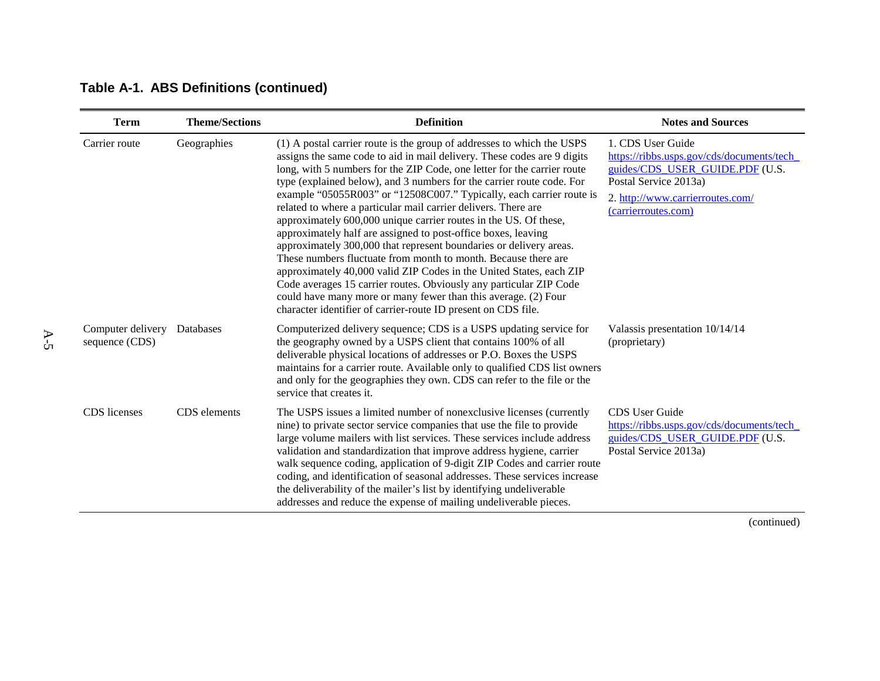| <b>Term</b>                         | <b>Theme/Sections</b> | <b>Definition</b>                                                                                                                                                                                                                                                                                                                                                                                                                                                                                                                                                                                                                                                                                                                                                                                                                                                                                                                                                                                            | <b>Notes and Sources</b>                                                                                                                                                               |
|-------------------------------------|-----------------------|--------------------------------------------------------------------------------------------------------------------------------------------------------------------------------------------------------------------------------------------------------------------------------------------------------------------------------------------------------------------------------------------------------------------------------------------------------------------------------------------------------------------------------------------------------------------------------------------------------------------------------------------------------------------------------------------------------------------------------------------------------------------------------------------------------------------------------------------------------------------------------------------------------------------------------------------------------------------------------------------------------------|----------------------------------------------------------------------------------------------------------------------------------------------------------------------------------------|
| Carrier route                       | Geographies           | (1) A postal carrier route is the group of addresses to which the USPS<br>assigns the same code to aid in mail delivery. These codes are 9 digits<br>long, with 5 numbers for the ZIP Code, one letter for the carrier route<br>type (explained below), and 3 numbers for the carrier route code. For<br>example "05055R003" or "12508C007." Typically, each carrier route is<br>related to where a particular mail carrier delivers. There are<br>approximately 600,000 unique carrier routes in the US. Of these,<br>approximately half are assigned to post-office boxes, leaving<br>approximately 300,000 that represent boundaries or delivery areas.<br>These numbers fluctuate from month to month. Because there are<br>approximately 40,000 valid ZIP Codes in the United States, each ZIP<br>Code averages 15 carrier routes. Obviously any particular ZIP Code<br>could have many more or many fewer than this average. (2) Four<br>character identifier of carrier-route ID present on CDS file. | 1. CDS User Guide<br>https://ribbs.usps.gov/cds/documents/tech_<br>guides/CDS_USER_GUIDE.PDF (U.S.<br>Postal Service 2013a)<br>2. http://www.carrierroutes.com/<br>(carrierroutes.com) |
| Computer delivery<br>sequence (CDS) | Databases             | Computerized delivery sequence; CDS is a USPS updating service for<br>the geography owned by a USPS client that contains 100% of all<br>deliverable physical locations of addresses or P.O. Boxes the USPS<br>maintains for a carrier route. Available only to qualified CDS list owners<br>and only for the geographies they own. CDS can refer to the file or the<br>service that creates it.                                                                                                                                                                                                                                                                                                                                                                                                                                                                                                                                                                                                              | Valassis presentation 10/14/14<br>(proprietary)                                                                                                                                        |
| CDS licenses                        | CDS elements          | The USPS issues a limited number of nonexclusive licenses (currently<br>nine) to private sector service companies that use the file to provide<br>large volume mailers with list services. These services include address<br>validation and standardization that improve address hygiene, carrier<br>walk sequence coding, application of 9-digit ZIP Codes and carrier route<br>coding, and identification of seasonal addresses. These services increase<br>the deliverability of the mailer's list by identifying undeliverable<br>addresses and reduce the expense of mailing undeliverable pieces.                                                                                                                                                                                                                                                                                                                                                                                                      | CDS User Guide<br>https://ribbs.usps.gov/cds/documents/tech<br>guides/CDS USER GUIDE.PDF (U.S.<br>Postal Service 2013a)                                                                |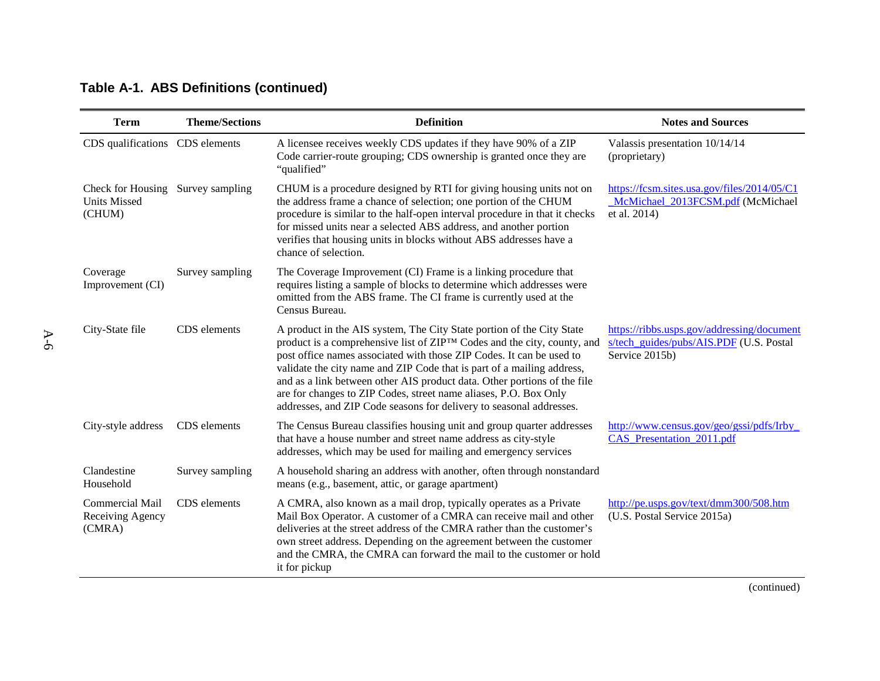| <b>Term</b>                                                        | <b>Theme/Sections</b> | <b>Definition</b>                                                                                                                                                                                                                                                                                                                                                                                                                                                                                                          | <b>Notes and Sources</b>                                                                                |
|--------------------------------------------------------------------|-----------------------|----------------------------------------------------------------------------------------------------------------------------------------------------------------------------------------------------------------------------------------------------------------------------------------------------------------------------------------------------------------------------------------------------------------------------------------------------------------------------------------------------------------------------|---------------------------------------------------------------------------------------------------------|
| CDS qualifications CDS elements                                    |                       | A licensee receives weekly CDS updates if they have 90% of a ZIP<br>Code carrier-route grouping; CDS ownership is granted once they are<br>"qualified"                                                                                                                                                                                                                                                                                                                                                                     | Valassis presentation 10/14/14<br>(proprietary)                                                         |
| Check for Housing Survey sampling<br><b>Units Missed</b><br>(CHUM) |                       | CHUM is a procedure designed by RTI for giving housing units not on<br>the address frame a chance of selection; one portion of the CHUM<br>procedure is similar to the half-open interval procedure in that it checks<br>for missed units near a selected ABS address, and another portion<br>verifies that housing units in blocks without ABS addresses have a<br>chance of selection.                                                                                                                                   | https://fcsm.sites.usa.gov/files/2014/05/C1<br>McMichael 2013FCSM.pdf (McMichael<br>et al. 2014)        |
| Coverage<br>Improvement (CI)                                       | Survey sampling       | The Coverage Improvement (CI) Frame is a linking procedure that<br>requires listing a sample of blocks to determine which addresses were<br>omitted from the ABS frame. The CI frame is currently used at the<br>Census Bureau.                                                                                                                                                                                                                                                                                            |                                                                                                         |
| City-State file                                                    | CDS elements          | A product in the AIS system, The City State portion of the City State<br>product is a comprehensive list of ZIPTM Codes and the city, county, and<br>post office names associated with those ZIP Codes. It can be used to<br>validate the city name and ZIP Code that is part of a mailing address,<br>and as a link between other AIS product data. Other portions of the file<br>are for changes to ZIP Codes, street name aliases, P.O. Box Only<br>addresses, and ZIP Code seasons for delivery to seasonal addresses. | https://ribbs.usps.gov/addressing/document<br>s/tech_guides/pubs/AIS.PDF (U.S. Postal<br>Service 2015b) |
| City-style address                                                 | CDS elements          | The Census Bureau classifies housing unit and group quarter addresses<br>that have a house number and street name address as city-style<br>addresses, which may be used for mailing and emergency services                                                                                                                                                                                                                                                                                                                 | http://www.census.gov/geo/gssi/pdfs/Irby_<br><b>CAS</b> Presentation 2011.pdf                           |
| Clandestine<br>Household                                           | Survey sampling       | A household sharing an address with another, often through nonstandard<br>means (e.g., basement, attic, or garage apartment)                                                                                                                                                                                                                                                                                                                                                                                               |                                                                                                         |
| Commercial Mail<br>Receiving Agency<br>(CMRA)                      | CDS elements          | A CMRA, also known as a mail drop, typically operates as a Private<br>Mail Box Operator. A customer of a CMRA can receive mail and other<br>deliveries at the street address of the CMRA rather than the customer's<br>own street address. Depending on the agreement between the customer<br>and the CMRA, the CMRA can forward the mail to the customer or hold<br>it for pickup                                                                                                                                         | http://pe.usps.gov/text/dmm300/508.htm<br>(U.S. Postal Service 2015a)                                   |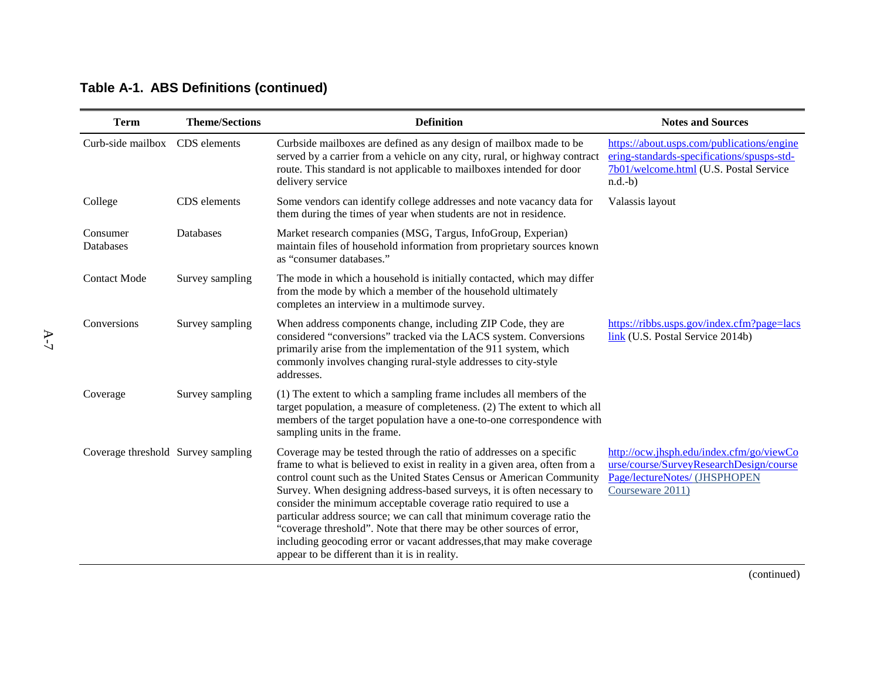| <b>Term</b>                        | <b>Theme/Sections</b> | <b>Definition</b>                                                                                                                                                                                                                                                                                                                                                                                                                                                                                                                                                                                                                                    | <b>Notes and Sources</b>                                                                                                                        |
|------------------------------------|-----------------------|------------------------------------------------------------------------------------------------------------------------------------------------------------------------------------------------------------------------------------------------------------------------------------------------------------------------------------------------------------------------------------------------------------------------------------------------------------------------------------------------------------------------------------------------------------------------------------------------------------------------------------------------------|-------------------------------------------------------------------------------------------------------------------------------------------------|
| Curb-side mailbox CDS elements     |                       | Curbside mailboxes are defined as any design of mailbox made to be<br>served by a carrier from a vehicle on any city, rural, or highway contract<br>route. This standard is not applicable to mailboxes intended for door<br>delivery service                                                                                                                                                                                                                                                                                                                                                                                                        | https://about.usps.com/publications/engine<br>ering-standards-specifications/spusps-std-<br>7b01/welcome.html (U.S. Postal Service<br>$n.d.-b)$ |
| College                            | CDS elements          | Some vendors can identify college addresses and note vacancy data for<br>them during the times of year when students are not in residence.                                                                                                                                                                                                                                                                                                                                                                                                                                                                                                           | Valassis layout                                                                                                                                 |
| Consumer<br>Databases              | Databases             | Market research companies (MSG, Targus, InfoGroup, Experian)<br>maintain files of household information from proprietary sources known<br>as "consumer databases."                                                                                                                                                                                                                                                                                                                                                                                                                                                                                   |                                                                                                                                                 |
| <b>Contact Mode</b>                | Survey sampling       | The mode in which a household is initially contacted, which may differ<br>from the mode by which a member of the household ultimately<br>completes an interview in a multimode survey.                                                                                                                                                                                                                                                                                                                                                                                                                                                               |                                                                                                                                                 |
| Conversions                        | Survey sampling       | When address components change, including ZIP Code, they are<br>considered "conversions" tracked via the LACS system. Conversions<br>primarily arise from the implementation of the 911 system, which<br>commonly involves changing rural-style addresses to city-style<br>addresses.                                                                                                                                                                                                                                                                                                                                                                | https://ribbs.usps.gov/index.cfm?page=lacs<br>link (U.S. Postal Service 2014b)                                                                  |
| Coverage                           | Survey sampling       | (1) The extent to which a sampling frame includes all members of the<br>target population, a measure of completeness. (2) The extent to which all<br>members of the target population have a one-to-one correspondence with<br>sampling units in the frame.                                                                                                                                                                                                                                                                                                                                                                                          |                                                                                                                                                 |
| Coverage threshold Survey sampling |                       | Coverage may be tested through the ratio of addresses on a specific<br>frame to what is believed to exist in reality in a given area, often from a<br>control count such as the United States Census or American Community<br>Survey. When designing address-based surveys, it is often necessary to<br>consider the minimum acceptable coverage ratio required to use a<br>particular address source; we can call that minimum coverage ratio the<br>"coverage threshold". Note that there may be other sources of error,<br>including geocoding error or vacant addresses, that may make coverage<br>appear to be different than it is in reality. | http://ocw.jhsph.edu/index.cfm/go/viewCo<br>urse/course/SurveyResearchDesign/course<br>Page/lectureNotes/ (JHSPHOPEN<br>Courseware 2011)        |

A-7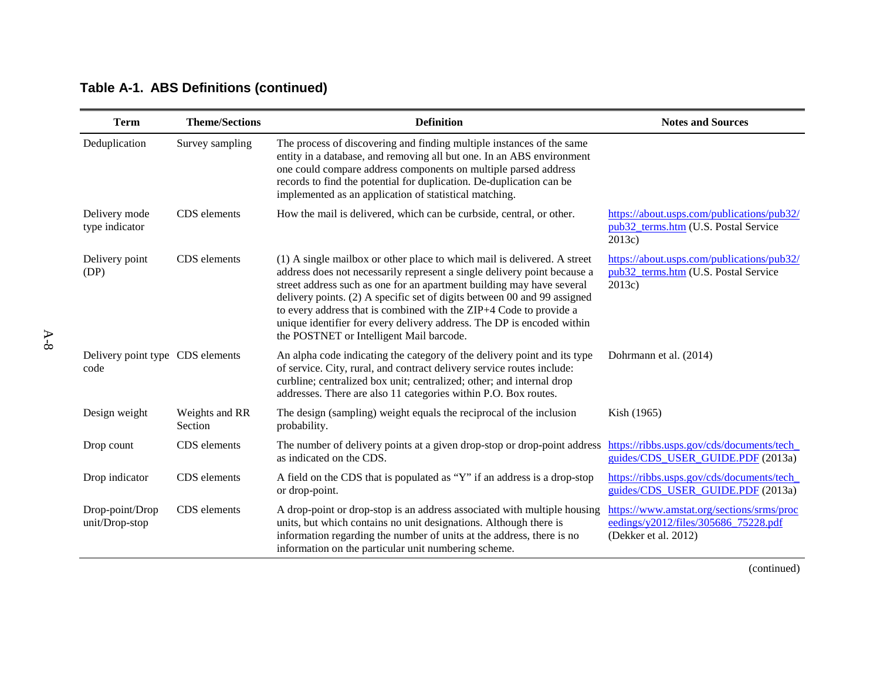| <b>Term</b>                              | <b>Theme/Sections</b>     | <b>Definition</b>                                                                                                                                                                                                                                                                                                                                                                                                                                                                                     | <b>Notes and Sources</b>                                                                                  |
|------------------------------------------|---------------------------|-------------------------------------------------------------------------------------------------------------------------------------------------------------------------------------------------------------------------------------------------------------------------------------------------------------------------------------------------------------------------------------------------------------------------------------------------------------------------------------------------------|-----------------------------------------------------------------------------------------------------------|
| Deduplication                            | Survey sampling           | The process of discovering and finding multiple instances of the same<br>entity in a database, and removing all but one. In an ABS environment<br>one could compare address components on multiple parsed address<br>records to find the potential for duplication. De-duplication can be<br>implemented as an application of statistical matching.                                                                                                                                                   |                                                                                                           |
| Delivery mode<br>type indicator          | CDS elements              | How the mail is delivered, which can be curbside, central, or other.                                                                                                                                                                                                                                                                                                                                                                                                                                  | https://about.usps.com/publications/pub32/<br>pub32 terms.htm (U.S. Postal Service<br>2013c               |
| Delivery point<br>(DP)                   | CDS elements              | (1) A single mailbox or other place to which mail is delivered. A street<br>address does not necessarily represent a single delivery point because a<br>street address such as one for an apartment building may have several<br>delivery points. (2) A specific set of digits between 00 and 99 assigned<br>to every address that is combined with the ZIP+4 Code to provide a<br>unique identifier for every delivery address. The DP is encoded within<br>the POSTNET or Intelligent Mail barcode. | https://about.usps.com/publications/pub32/<br>pub32 terms.htm (U.S. Postal Service<br>2013c               |
| Delivery point type CDS elements<br>code |                           | An alpha code indicating the category of the delivery point and its type<br>of service. City, rural, and contract delivery service routes include:<br>curbline; centralized box unit; centralized; other; and internal drop<br>addresses. There are also 11 categories within P.O. Box routes.                                                                                                                                                                                                        | Dohrmann et al. (2014)                                                                                    |
| Design weight                            | Weights and RR<br>Section | The design (sampling) weight equals the reciprocal of the inclusion<br>probability.                                                                                                                                                                                                                                                                                                                                                                                                                   | Kish (1965)                                                                                               |
| Drop count                               | CDS elements              | The number of delivery points at a given drop-stop or drop-point address<br>as indicated on the CDS.                                                                                                                                                                                                                                                                                                                                                                                                  | https://ribbs.usps.gov/cds/documents/tech<br>guides/CDS USER GUIDE.PDF (2013a)                            |
| Drop indicator                           | CDS elements              | A field on the CDS that is populated as "Y" if an address is a drop-stop<br>or drop-point.                                                                                                                                                                                                                                                                                                                                                                                                            | https://ribbs.usps.gov/cds/documents/tech<br>guides/CDS USER GUIDE.PDF (2013a)                            |
| Drop-point/Drop<br>unit/Drop-stop        | CDS elements              | A drop-point or drop-stop is an address associated with multiple housing<br>units, but which contains no unit designations. Although there is<br>information regarding the number of units at the address, there is no<br>information on the particular unit numbering scheme.                                                                                                                                                                                                                        | https://www.amstat.org/sections/srms/proc<br>eedings/y2012/files/305686_75228.pdf<br>(Dekker et al. 2012) |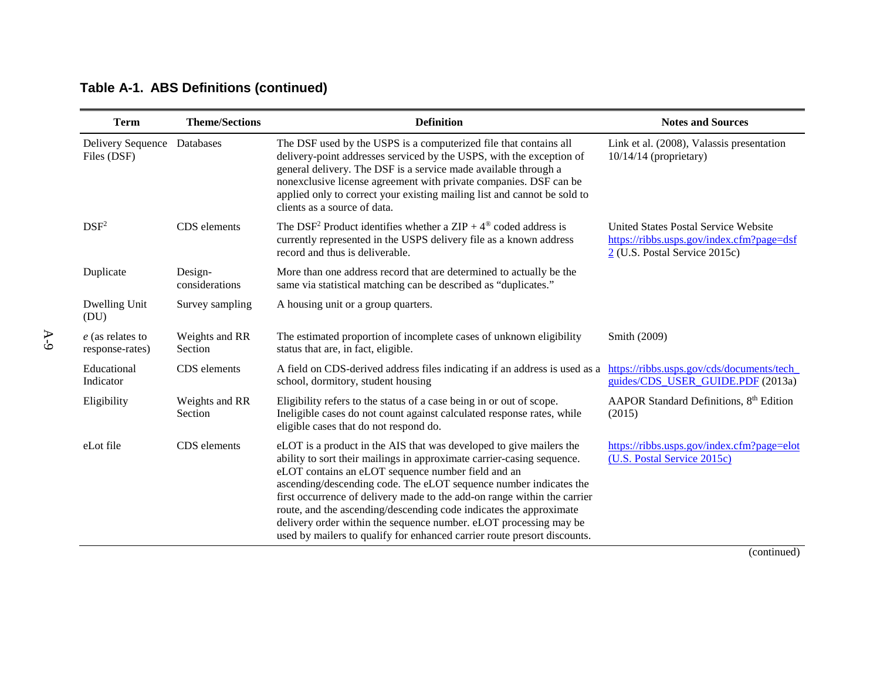| Term                                       | <b>Theme/Sections</b>     | <b>Definition</b>                                                                                                                                                                                                                                                                                                                                                                                                                                                                                                                                                           | <b>Notes and Sources</b>                                                                                             |
|--------------------------------------------|---------------------------|-----------------------------------------------------------------------------------------------------------------------------------------------------------------------------------------------------------------------------------------------------------------------------------------------------------------------------------------------------------------------------------------------------------------------------------------------------------------------------------------------------------------------------------------------------------------------------|----------------------------------------------------------------------------------------------------------------------|
| Delivery Sequence Databases<br>Files (DSF) |                           | The DSF used by the USPS is a computerized file that contains all<br>delivery-point addresses serviced by the USPS, with the exception of<br>general delivery. The DSF is a service made available through a<br>nonexclusive license agreement with private companies. DSF can be<br>applied only to correct your existing mailing list and cannot be sold to<br>clients as a source of data.                                                                                                                                                                               | Link et al. (2008), Valassis presentation<br>$10/14/14$ (proprietary)                                                |
| DSF <sup>2</sup>                           | CDS elements              | The DSF <sup>2</sup> Product identifies whether a ZIP + $4^{\circ}$ coded address is<br>currently represented in the USPS delivery file as a known address<br>record and thus is deliverable.                                                                                                                                                                                                                                                                                                                                                                               | United States Postal Service Website<br>https://ribbs.usps.gov/index.cfm?page=dsf<br>$2$ (U.S. Postal Service 2015c) |
| Duplicate                                  | Design-<br>considerations | More than one address record that are determined to actually be the<br>same via statistical matching can be described as "duplicates."                                                                                                                                                                                                                                                                                                                                                                                                                                      |                                                                                                                      |
| Dwelling Unit<br>(DU)                      | Survey sampling           | A housing unit or a group quarters.                                                                                                                                                                                                                                                                                                                                                                                                                                                                                                                                         |                                                                                                                      |
| $e$ (as relates to<br>response-rates)      | Weights and RR<br>Section | The estimated proportion of incomplete cases of unknown eligibility<br>status that are, in fact, eligible.                                                                                                                                                                                                                                                                                                                                                                                                                                                                  | Smith (2009)                                                                                                         |
| Educational<br>Indicator                   | CDS elements              | A field on CDS-derived address files indicating if an address is used as a<br>school, dormitory, student housing                                                                                                                                                                                                                                                                                                                                                                                                                                                            | https://ribbs.usps.gov/cds/documents/tech<br>guides/CDS USER GUIDE.PDF (2013a)                                       |
| Eligibility                                | Weights and RR<br>Section | Eligibility refers to the status of a case being in or out of scope.<br>Ineligible cases do not count against calculated response rates, while<br>eligible cases that do not respond do.                                                                                                                                                                                                                                                                                                                                                                                    | AAPOR Standard Definitions, 8th Edition<br>(2015)                                                                    |
| eLot file                                  | CDS elements              | eLOT is a product in the AIS that was developed to give mailers the<br>ability to sort their mailings in approximate carrier-casing sequence.<br>eLOT contains an eLOT sequence number field and an<br>ascending/descending code. The eLOT sequence number indicates the<br>first occurrence of delivery made to the add-on range within the carrier<br>route, and the ascending/descending code indicates the approximate<br>delivery order within the sequence number. eLOT processing may be<br>used by mailers to qualify for enhanced carrier route presort discounts. | https://ribbs.usps.gov/index.cfm?page=elot<br>(U.S. Postal Service 2015c)                                            |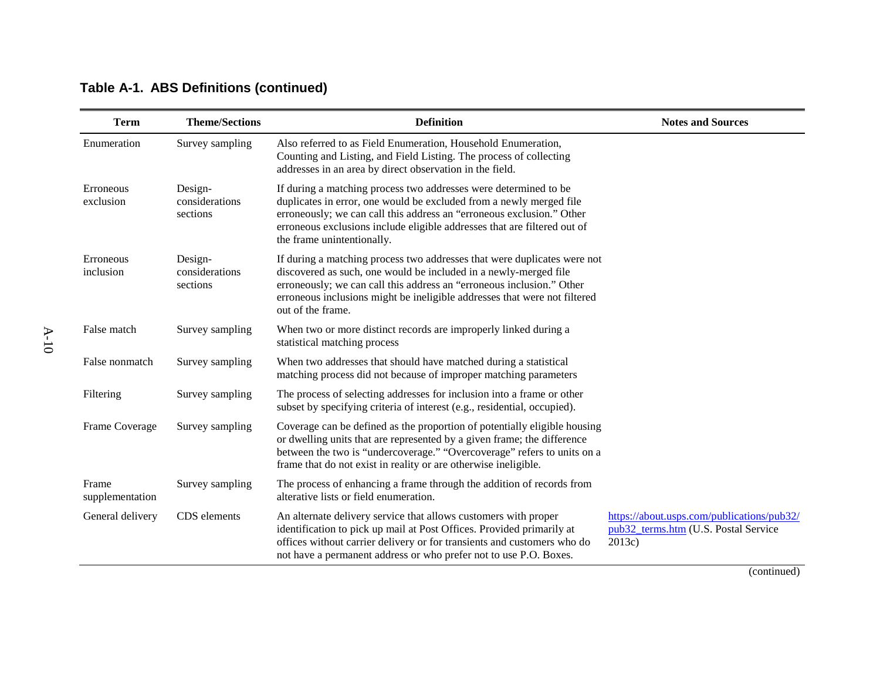| <b>Term</b>              | <b>Theme/Sections</b>                 | <b>Definition</b>                                                                                                                                                                                                                                                                                                          | <b>Notes and Sources</b>                                                                    |
|--------------------------|---------------------------------------|----------------------------------------------------------------------------------------------------------------------------------------------------------------------------------------------------------------------------------------------------------------------------------------------------------------------------|---------------------------------------------------------------------------------------------|
| Enumeration              | Survey sampling                       | Also referred to as Field Enumeration, Household Enumeration,<br>Counting and Listing, and Field Listing. The process of collecting<br>addresses in an area by direct observation in the field.                                                                                                                            |                                                                                             |
| Erroneous<br>exclusion   | Design-<br>considerations<br>sections | If during a matching process two addresses were determined to be<br>duplicates in error, one would be excluded from a newly merged file<br>erroneously; we can call this address an "erroneous exclusion." Other<br>erroneous exclusions include eligible addresses that are filtered out of<br>the frame unintentionally. |                                                                                             |
| Erroneous<br>inclusion   | Design-<br>considerations<br>sections | If during a matching process two addresses that were duplicates were not<br>discovered as such, one would be included in a newly-merged file<br>erroneously; we can call this address an "erroneous inclusion." Other<br>erroneous inclusions might be ineligible addresses that were not filtered<br>out of the frame.    |                                                                                             |
| False match              | Survey sampling                       | When two or more distinct records are improperly linked during a<br>statistical matching process                                                                                                                                                                                                                           |                                                                                             |
| False nonmatch           | Survey sampling                       | When two addresses that should have matched during a statistical<br>matching process did not because of improper matching parameters                                                                                                                                                                                       |                                                                                             |
| Filtering                | Survey sampling                       | The process of selecting addresses for inclusion into a frame or other<br>subset by specifying criteria of interest (e.g., residential, occupied).                                                                                                                                                                         |                                                                                             |
| Frame Coverage           | Survey sampling                       | Coverage can be defined as the proportion of potentially eligible housing<br>or dwelling units that are represented by a given frame; the difference<br>between the two is "undercoverage." "Overcoverage" refers to units on a<br>frame that do not exist in reality or are otherwise ineligible.                         |                                                                                             |
| Frame<br>supplementation | Survey sampling                       | The process of enhancing a frame through the addition of records from<br>alterative lists or field enumeration.                                                                                                                                                                                                            |                                                                                             |
| General delivery         | CDS elements                          | An alternate delivery service that allows customers with proper<br>identification to pick up mail at Post Offices. Provided primarily at<br>offices without carrier delivery or for transients and customers who do<br>not have a permanent address or who prefer not to use P.O. Boxes.                                   | https://about.usps.com/publications/pub32/<br>pub32_terms.htm (U.S. Postal Service<br>2013c |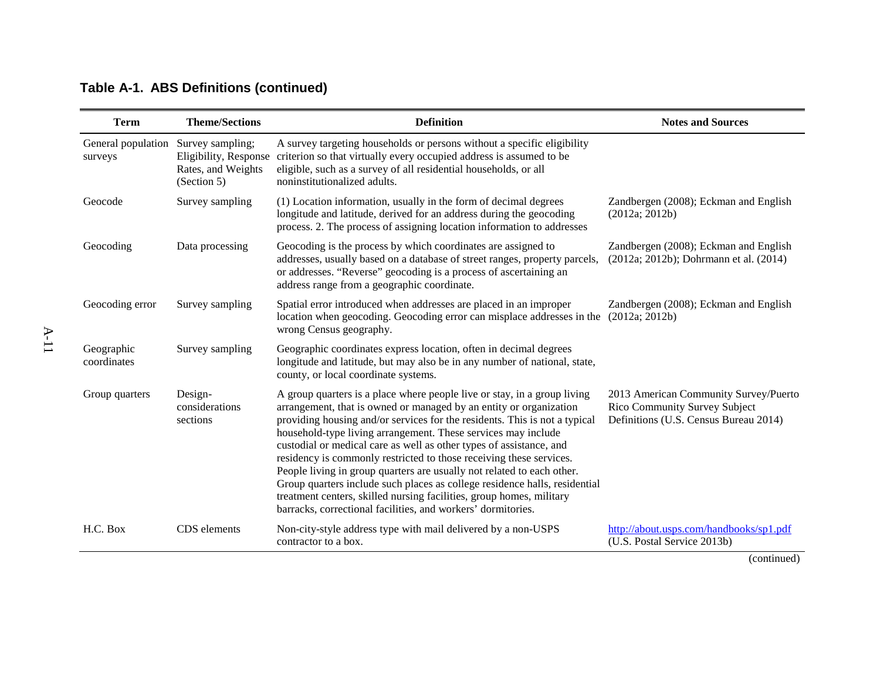| <b>Term</b>                                    | <b>Theme/Sections</b>                                      | <b>Definition</b>                                                                                                                                                                                                                                                                                                                                                                                                                                                                                                                                                                                                                                                                                                                           | <b>Notes and Sources</b>                                                                                        |
|------------------------------------------------|------------------------------------------------------------|---------------------------------------------------------------------------------------------------------------------------------------------------------------------------------------------------------------------------------------------------------------------------------------------------------------------------------------------------------------------------------------------------------------------------------------------------------------------------------------------------------------------------------------------------------------------------------------------------------------------------------------------------------------------------------------------------------------------------------------------|-----------------------------------------------------------------------------------------------------------------|
| General population Survey sampling;<br>surveys | Eligibility, Response<br>Rates, and Weights<br>(Section 5) | A survey targeting households or persons without a specific eligibility<br>criterion so that virtually every occupied address is assumed to be<br>eligible, such as a survey of all residential households, or all<br>noninstitutionalized adults.                                                                                                                                                                                                                                                                                                                                                                                                                                                                                          |                                                                                                                 |
| Geocode                                        | Survey sampling                                            | (1) Location information, usually in the form of decimal degrees<br>longitude and latitude, derived for an address during the geocoding<br>process. 2. The process of assigning location information to addresses                                                                                                                                                                                                                                                                                                                                                                                                                                                                                                                           | Zandbergen (2008); Eckman and English<br>(2012a; 2012b)                                                         |
| Geocoding                                      | Data processing                                            | Geocoding is the process by which coordinates are assigned to<br>addresses, usually based on a database of street ranges, property parcels,<br>or addresses. "Reverse" geocoding is a process of ascertaining an<br>address range from a geographic coordinate.                                                                                                                                                                                                                                                                                                                                                                                                                                                                             | Zandbergen (2008); Eckman and English<br>(2012a; 2012b); Dohrmann et al. (2014)                                 |
| Geocoding error                                | Survey sampling                                            | Spatial error introduced when addresses are placed in an improper<br>location when geocoding. Geocoding error can misplace addresses in the<br>wrong Census geography.                                                                                                                                                                                                                                                                                                                                                                                                                                                                                                                                                                      | Zandbergen (2008); Eckman and English<br>(2012a; 2012b)                                                         |
| Geographic<br>coordinates                      | Survey sampling                                            | Geographic coordinates express location, often in decimal degrees<br>longitude and latitude, but may also be in any number of national, state,<br>county, or local coordinate systems.                                                                                                                                                                                                                                                                                                                                                                                                                                                                                                                                                      |                                                                                                                 |
| Group quarters                                 | Design-<br>considerations<br>sections                      | A group quarters is a place where people live or stay, in a group living<br>arrangement, that is owned or managed by an entity or organization<br>providing housing and/or services for the residents. This is not a typical<br>household-type living arrangement. These services may include<br>custodial or medical care as well as other types of assistance, and<br>residency is commonly restricted to those receiving these services.<br>People living in group quarters are usually not related to each other.<br>Group quarters include such places as college residence halls, residential<br>treatment centers, skilled nursing facilities, group homes, military<br>barracks, correctional facilities, and workers' dormitories. | 2013 American Community Survey/Puerto<br>Rico Community Survey Subject<br>Definitions (U.S. Census Bureau 2014) |
| H.C. Box                                       | CDS elements                                               | Non-city-style address type with mail delivered by a non-USPS<br>contractor to a box.                                                                                                                                                                                                                                                                                                                                                                                                                                                                                                                                                                                                                                                       | http://about.usps.com/handbooks/sp1.pdf<br>(U.S. Postal Service 2013b)                                          |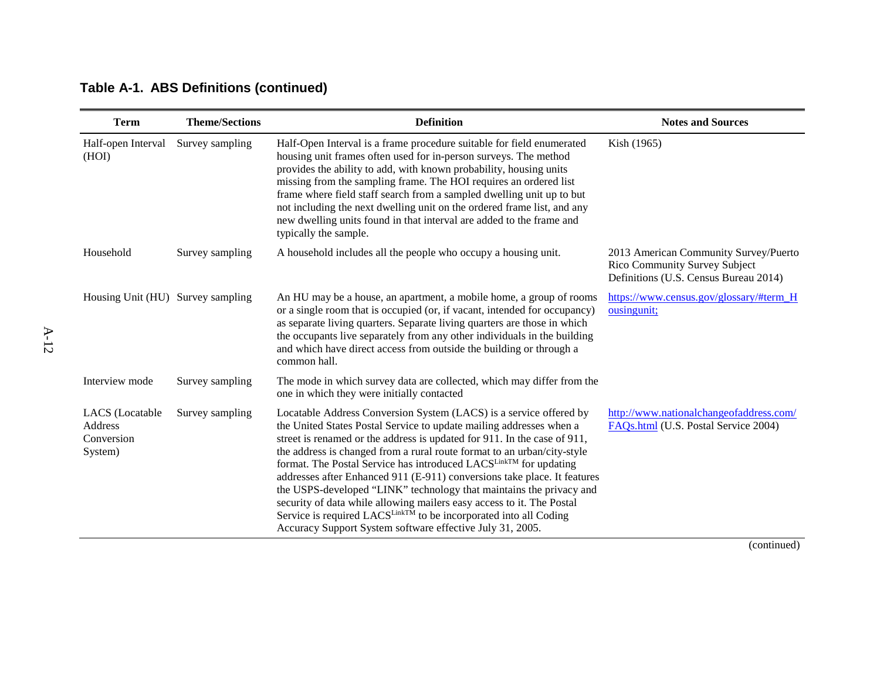| <b>Term</b>                                                | <b>Theme/Sections</b> | <b>Definition</b>                                                                                                                                                                                                                                                                                                                                                                                                                                                                                                                                                                                                                                                                                                                   | <b>Notes and Sources</b>                                                                                        |
|------------------------------------------------------------|-----------------------|-------------------------------------------------------------------------------------------------------------------------------------------------------------------------------------------------------------------------------------------------------------------------------------------------------------------------------------------------------------------------------------------------------------------------------------------------------------------------------------------------------------------------------------------------------------------------------------------------------------------------------------------------------------------------------------------------------------------------------------|-----------------------------------------------------------------------------------------------------------------|
| Half-open Interval<br>(HOI)                                | Survey sampling       | Half-Open Interval is a frame procedure suitable for field enumerated<br>housing unit frames often used for in-person surveys. The method<br>provides the ability to add, with known probability, housing units<br>missing from the sampling frame. The HOI requires an ordered list<br>frame where field staff search from a sampled dwelling unit up to but<br>not including the next dwelling unit on the ordered frame list, and any<br>new dwelling units found in that interval are added to the frame and<br>typically the sample.                                                                                                                                                                                           | Kish (1965)                                                                                                     |
| Household                                                  | Survey sampling       | A household includes all the people who occupy a housing unit.                                                                                                                                                                                                                                                                                                                                                                                                                                                                                                                                                                                                                                                                      | 2013 American Community Survey/Puerto<br>Rico Community Survey Subject<br>Definitions (U.S. Census Bureau 2014) |
| Housing Unit (HU) Survey sampling                          |                       | An HU may be a house, an apartment, a mobile home, a group of rooms<br>or a single room that is occupied (or, if vacant, intended for occupancy)<br>as separate living quarters. Separate living quarters are those in which<br>the occupants live separately from any other individuals in the building<br>and which have direct access from outside the building or through a<br>common hall.                                                                                                                                                                                                                                                                                                                                     | https://www.census.gov/glossary/#term_H<br>ousingunit;                                                          |
| Interview mode                                             | Survey sampling       | The mode in which survey data are collected, which may differ from the<br>one in which they were initially contacted                                                                                                                                                                                                                                                                                                                                                                                                                                                                                                                                                                                                                |                                                                                                                 |
| <b>LACS</b> (Locatable<br>Address<br>Conversion<br>System) | Survey sampling       | Locatable Address Conversion System (LACS) is a service offered by<br>the United States Postal Service to update mailing addresses when a<br>street is renamed or the address is updated for 911. In the case of 911,<br>the address is changed from a rural route format to an urban/city-style<br>format. The Postal Service has introduced LACSLinkTM for updating<br>addresses after Enhanced 911 (E-911) conversions take place. It features<br>the USPS-developed "LINK" technology that maintains the privacy and<br>security of data while allowing mailers easy access to it. The Postal<br>Service is required LACSLinkTM to be incorporated into all Coding<br>Accuracy Support System software effective July 31, 2005. | http://www.nationalchangeofaddress.com/<br>FAQs.html (U.S. Postal Service 2004)                                 |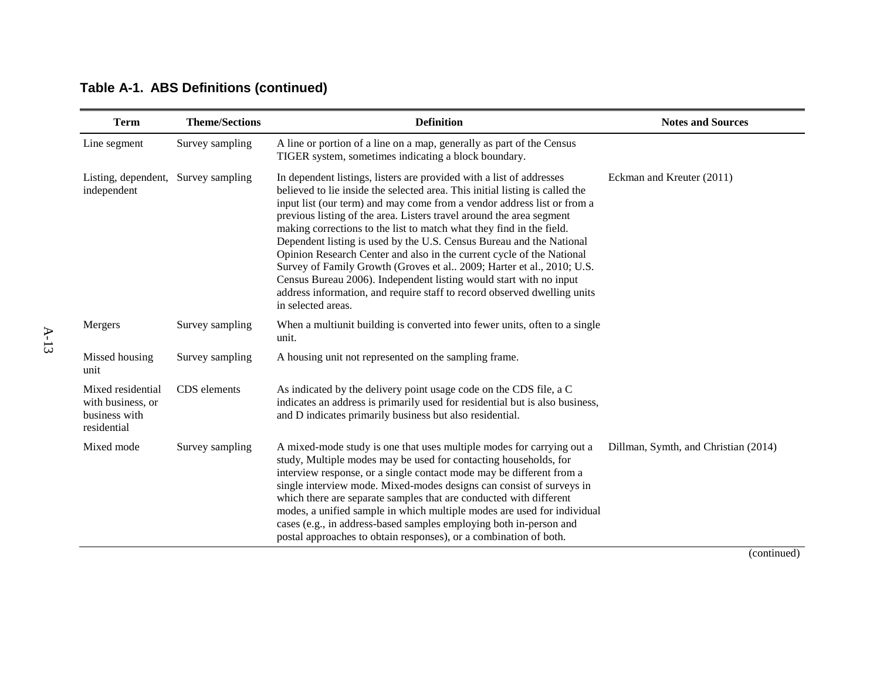| Table A-1. ABS Definitions (continued) |  |
|----------------------------------------|--|
|----------------------------------------|--|

| <b>Term</b>                                                            | <b>Theme/Sections</b> | <b>Definition</b>                                                                                                                                                                                                                                                                                                                                                                                                                                                                                                                                                                                                                                                                                                                                                                   | <b>Notes and Sources</b>             |
|------------------------------------------------------------------------|-----------------------|-------------------------------------------------------------------------------------------------------------------------------------------------------------------------------------------------------------------------------------------------------------------------------------------------------------------------------------------------------------------------------------------------------------------------------------------------------------------------------------------------------------------------------------------------------------------------------------------------------------------------------------------------------------------------------------------------------------------------------------------------------------------------------------|--------------------------------------|
| Line segment                                                           | Survey sampling       | A line or portion of a line on a map, generally as part of the Census<br>TIGER system, sometimes indicating a block boundary.                                                                                                                                                                                                                                                                                                                                                                                                                                                                                                                                                                                                                                                       |                                      |
| Listing, dependent, Survey sampling<br>independent                     |                       | In dependent listings, listers are provided with a list of addresses<br>believed to lie inside the selected area. This initial listing is called the<br>input list (our term) and may come from a vendor address list or from a<br>previous listing of the area. Listers travel around the area segment<br>making corrections to the list to match what they find in the field.<br>Dependent listing is used by the U.S. Census Bureau and the National<br>Opinion Research Center and also in the current cycle of the National<br>Survey of Family Growth (Groves et al., 2009; Harter et al., 2010; U.S.<br>Census Bureau 2006). Independent listing would start with no input<br>address information, and require staff to record observed dwelling units<br>in selected areas. | Eckman and Kreuter (2011)            |
| Mergers                                                                | Survey sampling       | When a multiunit building is converted into fewer units, often to a single<br>unit.                                                                                                                                                                                                                                                                                                                                                                                                                                                                                                                                                                                                                                                                                                 |                                      |
| Missed housing<br>unit                                                 | Survey sampling       | A housing unit not represented on the sampling frame.                                                                                                                                                                                                                                                                                                                                                                                                                                                                                                                                                                                                                                                                                                                               |                                      |
| Mixed residential<br>with business, or<br>business with<br>residential | CDS elements          | As indicated by the delivery point usage code on the CDS file, a C<br>indicates an address is primarily used for residential but is also business,<br>and D indicates primarily business but also residential.                                                                                                                                                                                                                                                                                                                                                                                                                                                                                                                                                                      |                                      |
| Mixed mode                                                             | Survey sampling       | A mixed-mode study is one that uses multiple modes for carrying out a<br>study, Multiple modes may be used for contacting households, for<br>interview response, or a single contact mode may be different from a<br>single interview mode. Mixed-modes designs can consist of surveys in<br>which there are separate samples that are conducted with different<br>modes, a unified sample in which multiple modes are used for individual<br>cases (e.g., in address-based samples employing both in-person and<br>postal approaches to obtain responses), or a combination of both.                                                                                                                                                                                               | Dillman, Symth, and Christian (2014) |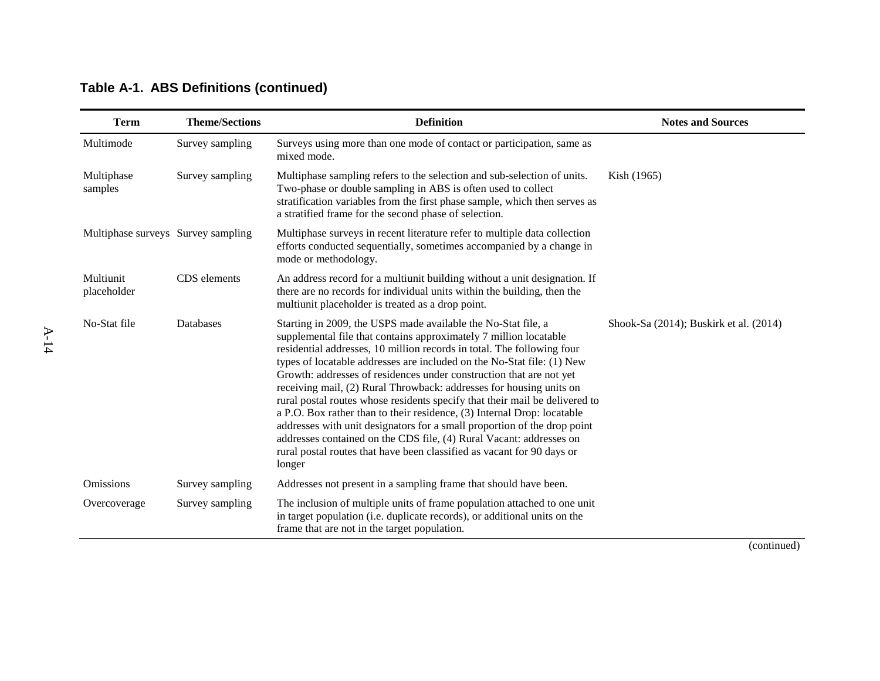| <b>Term</b>                        | <b>Theme/Sections</b> | <b>Definition</b>                                                                                                                                                                                                                                                                                                                                                                                                                                                                                                                                                                                                                                                                                                                                                                                                                     | <b>Notes and Sources</b>               |
|------------------------------------|-----------------------|---------------------------------------------------------------------------------------------------------------------------------------------------------------------------------------------------------------------------------------------------------------------------------------------------------------------------------------------------------------------------------------------------------------------------------------------------------------------------------------------------------------------------------------------------------------------------------------------------------------------------------------------------------------------------------------------------------------------------------------------------------------------------------------------------------------------------------------|----------------------------------------|
| Multimode                          | Survey sampling       | Surveys using more than one mode of contact or participation, same as<br>mixed mode.                                                                                                                                                                                                                                                                                                                                                                                                                                                                                                                                                                                                                                                                                                                                                  |                                        |
| Multiphase<br>samples              | Survey sampling       | Multiphase sampling refers to the selection and sub-selection of units.<br>Two-phase or double sampling in ABS is often used to collect<br>stratification variables from the first phase sample, which then serves as<br>a stratified frame for the second phase of selection.                                                                                                                                                                                                                                                                                                                                                                                                                                                                                                                                                        | Kish (1965)                            |
| Multiphase surveys Survey sampling |                       | Multiphase surveys in recent literature refer to multiple data collection<br>efforts conducted sequentially, sometimes accompanied by a change in<br>mode or methodology.                                                                                                                                                                                                                                                                                                                                                                                                                                                                                                                                                                                                                                                             |                                        |
| Multiunit<br>placeholder           | CDS elements          | An address record for a multiunit building without a unit designation. If<br>there are no records for individual units within the building, then the<br>multiunit placeholder is treated as a drop point.                                                                                                                                                                                                                                                                                                                                                                                                                                                                                                                                                                                                                             |                                        |
| No-Stat file                       | Databases             | Starting in 2009, the USPS made available the No-Stat file, a<br>supplemental file that contains approximately 7 million locatable<br>residential addresses, 10 million records in total. The following four<br>types of locatable addresses are included on the No-Stat file: (1) New<br>Growth: addresses of residences under construction that are not yet<br>receiving mail, (2) Rural Throwback: addresses for housing units on<br>rural postal routes whose residents specify that their mail be delivered to<br>a P.O. Box rather than to their residence, (3) Internal Drop: locatable<br>addresses with unit designators for a small proportion of the drop point<br>addresses contained on the CDS file, (4) Rural Vacant: addresses on<br>rural postal routes that have been classified as vacant for 90 days or<br>longer | Shook-Sa (2014); Buskirk et al. (2014) |
| <b>Omissions</b>                   | Survey sampling       | Addresses not present in a sampling frame that should have been.                                                                                                                                                                                                                                                                                                                                                                                                                                                                                                                                                                                                                                                                                                                                                                      |                                        |
| Overcoverage                       | Survey sampling       | The inclusion of multiple units of frame population attached to one unit<br>in target population (i.e. duplicate records), or additional units on the<br>frame that are not in the target population.                                                                                                                                                                                                                                                                                                                                                                                                                                                                                                                                                                                                                                 |                                        |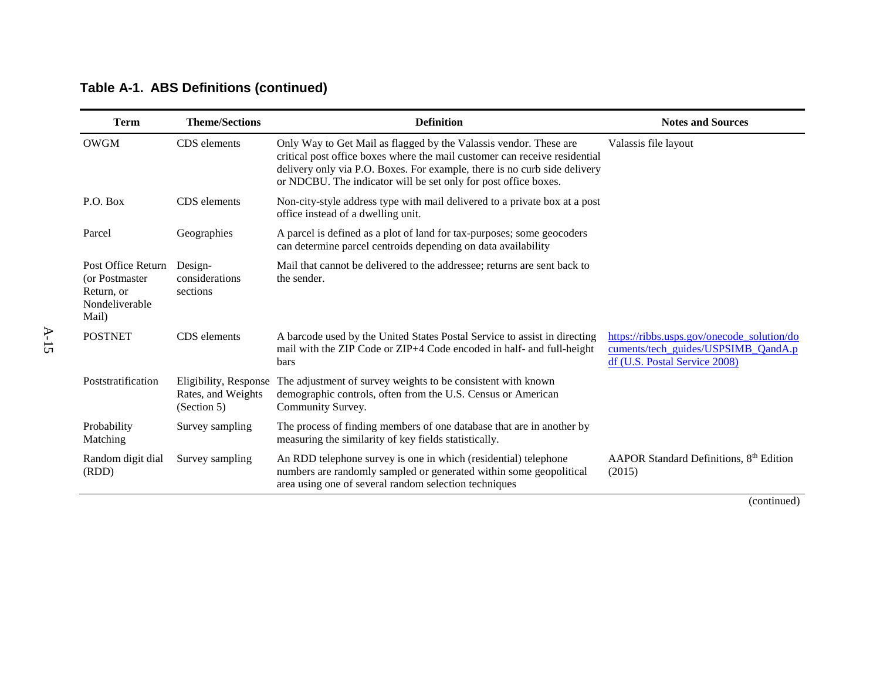| <b>Term</b>                                                                   | <b>Theme/Sections</b>                                      | <b>Definition</b>                                                                                                                                                                                                                                                                               | <b>Notes and Sources</b>                                                                                           |
|-------------------------------------------------------------------------------|------------------------------------------------------------|-------------------------------------------------------------------------------------------------------------------------------------------------------------------------------------------------------------------------------------------------------------------------------------------------|--------------------------------------------------------------------------------------------------------------------|
| <b>OWGM</b>                                                                   | CDS elements                                               | Only Way to Get Mail as flagged by the Valassis vendor. These are<br>critical post office boxes where the mail customer can receive residential<br>delivery only via P.O. Boxes. For example, there is no curb side delivery<br>or NDCBU. The indicator will be set only for post office boxes. | Valassis file layout                                                                                               |
| P.O. Box                                                                      | CDS elements                                               | Non-city-style address type with mail delivered to a private box at a post<br>office instead of a dwelling unit.                                                                                                                                                                                |                                                                                                                    |
| Parcel                                                                        | Geographies                                                | A parcel is defined as a plot of land for tax-purposes; some geocoders<br>can determine parcel centroids depending on data availability                                                                                                                                                         |                                                                                                                    |
| Post Office Return<br>(or Postmaster<br>Return, or<br>Nondeliverable<br>Mail) | Design-<br>considerations<br>sections                      | Mail that cannot be delivered to the addressee; returns are sent back to<br>the sender.                                                                                                                                                                                                         |                                                                                                                    |
| <b>POSTNET</b>                                                                | CDS elements                                               | A barcode used by the United States Postal Service to assist in directing<br>mail with the ZIP Code or ZIP+4 Code encoded in half- and full-height<br>bars                                                                                                                                      | https://ribbs.usps.gov/onecode_solution/do<br>cuments/tech_guides/USPSIMB_QandA.p<br>df (U.S. Postal Service 2008) |
| Poststratification                                                            | Eligibility, Response<br>Rates, and Weights<br>(Section 5) | The adjustment of survey weights to be consistent with known<br>demographic controls, often from the U.S. Census or American<br>Community Survey.                                                                                                                                               |                                                                                                                    |
| Probability<br>Matching                                                       | Survey sampling                                            | The process of finding members of one database that are in another by<br>measuring the similarity of key fields statistically.                                                                                                                                                                  |                                                                                                                    |
| Random digit dial<br>(RDD)                                                    | Survey sampling                                            | An RDD telephone survey is one in which (residential) telephone<br>numbers are randomly sampled or generated within some geopolitical<br>area using one of several random selection techniques                                                                                                  | AAPOR Standard Definitions, 8 <sup>th</sup> Edition<br>(2015)                                                      |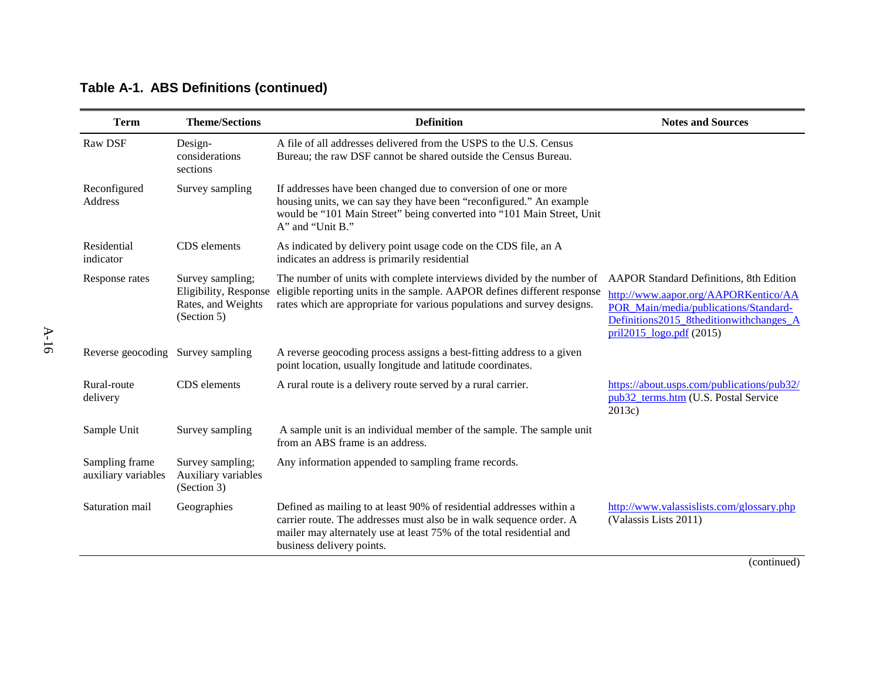| <b>Term</b>                           | <b>Theme/Sections</b>                                                                                                                  | <b>Definition</b>                                                                                                                                                                                                                                | <b>Notes and Sources</b>                                                                                                                                          |
|---------------------------------------|----------------------------------------------------------------------------------------------------------------------------------------|--------------------------------------------------------------------------------------------------------------------------------------------------------------------------------------------------------------------------------------------------|-------------------------------------------------------------------------------------------------------------------------------------------------------------------|
| <b>Raw DSF</b>                        | Design-<br>considerations<br>sections                                                                                                  | A file of all addresses delivered from the USPS to the U.S. Census<br>Bureau; the raw DSF cannot be shared outside the Census Bureau.                                                                                                            |                                                                                                                                                                   |
| Reconfigured<br>Address               | Survey sampling                                                                                                                        | If addresses have been changed due to conversion of one or more<br>housing units, we can say they have been "reconfigured." An example<br>would be "101 Main Street" being converted into "101 Main Street, Unit<br>A" and "Unit B."             |                                                                                                                                                                   |
| Residential<br>indicator              | CDS elements                                                                                                                           | As indicated by delivery point usage code on the CDS file, an A<br>indicates an address is primarily residential                                                                                                                                 |                                                                                                                                                                   |
| Response rates                        | Survey sampling;                                                                                                                       | The number of units with complete interviews divided by the number of                                                                                                                                                                            | <b>AAPOR Standard Definitions, 8th Edition</b>                                                                                                                    |
|                                       | Eligibility, Response<br>eligible reporting units in the sample. AAPOR defines different response<br>Rates, and Weights<br>(Section 5) | rates which are appropriate for various populations and survey designs.                                                                                                                                                                          | http://www.aapor.org/AAPORKentico/AA<br>POR Main/media/publications/Standard-<br>Definitions 2015 8the ditionwith changes A<br>$pri12015\_\text{logo.pdf}$ (2015) |
| Reverse geocoding Survey sampling     |                                                                                                                                        | A reverse geocoding process assigns a best-fitting address to a given<br>point location, usually longitude and latitude coordinates.                                                                                                             |                                                                                                                                                                   |
| Rural-route<br>delivery               | CDS elements                                                                                                                           | A rural route is a delivery route served by a rural carrier.                                                                                                                                                                                     | https://about.usps.com/publications/pub32/<br>pub32_terms.htm (U.S. Postal Service<br>2013c                                                                       |
| Sample Unit                           | Survey sampling                                                                                                                        | A sample unit is an individual member of the sample. The sample unit<br>from an ABS frame is an address.                                                                                                                                         |                                                                                                                                                                   |
| Sampling frame<br>auxiliary variables | Survey sampling;<br>Auxiliary variables<br>(Section 3)                                                                                 | Any information appended to sampling frame records.                                                                                                                                                                                              |                                                                                                                                                                   |
| Saturation mail                       | Geographies                                                                                                                            | Defined as mailing to at least 90% of residential addresses within a<br>carrier route. The addresses must also be in walk sequence order. A<br>mailer may alternately use at least 75% of the total residential and<br>business delivery points. | http://www.valassislists.com/glossary.php<br>(Valassis Lists 2011)                                                                                                |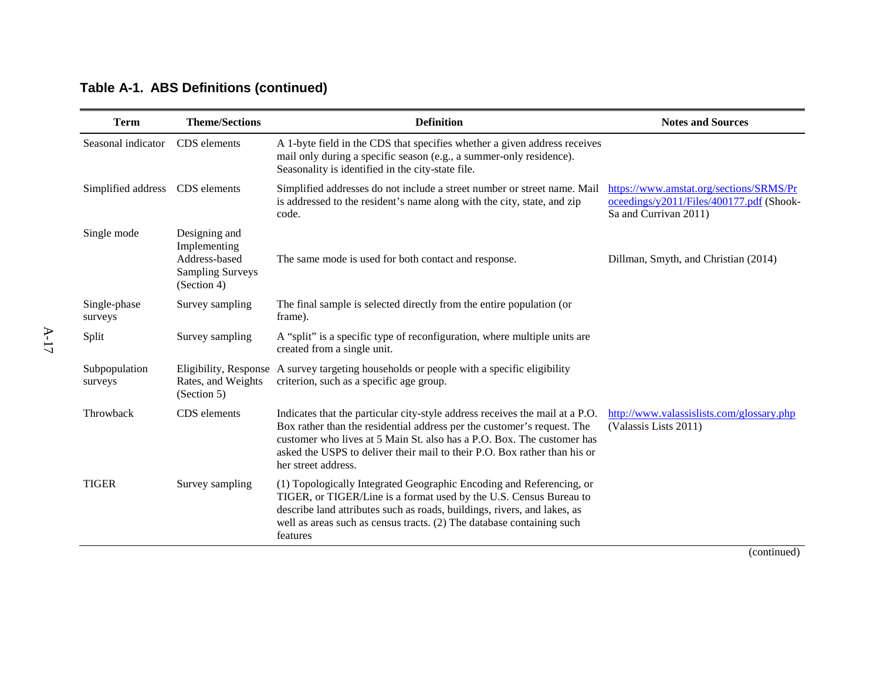| <b>Term</b>                     | <b>Theme/Sections</b>                                                                    | <b>Definition</b>                                                                                                                                                                                                                                                                                                                     | <b>Notes and Sources</b>                                                                                     |
|---------------------------------|------------------------------------------------------------------------------------------|---------------------------------------------------------------------------------------------------------------------------------------------------------------------------------------------------------------------------------------------------------------------------------------------------------------------------------------|--------------------------------------------------------------------------------------------------------------|
| Seasonal indicator              | CDS elements                                                                             | A 1-byte field in the CDS that specifies whether a given address receives<br>mail only during a specific season (e.g., a summer-only residence).<br>Seasonality is identified in the city-state file.                                                                                                                                 |                                                                                                              |
| Simplified address CDS elements |                                                                                          | Simplified addresses do not include a street number or street name. Mail<br>is addressed to the resident's name along with the city, state, and zip<br>code.                                                                                                                                                                          | https://www.amstat.org/sections/SRMS/Pr<br>oceedings/y2011/Files/400177.pdf (Shook-<br>Sa and Currivan 2011) |
| Single mode                     | Designing and<br>Implementing<br>Address-based<br><b>Sampling Surveys</b><br>(Section 4) | The same mode is used for both contact and response.                                                                                                                                                                                                                                                                                  | Dillman, Smyth, and Christian (2014)                                                                         |
| Single-phase<br>surveys         | Survey sampling                                                                          | The final sample is selected directly from the entire population (or<br>frame).                                                                                                                                                                                                                                                       |                                                                                                              |
| Split                           | Survey sampling                                                                          | A "split" is a specific type of reconfiguration, where multiple units are<br>created from a single unit.                                                                                                                                                                                                                              |                                                                                                              |
| Subpopulation<br>surveys        | Rates, and Weights<br>(Section 5)                                                        | Eligibility, Response A survey targeting households or people with a specific eligibility<br>criterion, such as a specific age group.                                                                                                                                                                                                 |                                                                                                              |
| Throwback                       | CDS elements                                                                             | Indicates that the particular city-style address receives the mail at a P.O.<br>Box rather than the residential address per the customer's request. The<br>customer who lives at 5 Main St. also has a P.O. Box. The customer has<br>asked the USPS to deliver their mail to their P.O. Box rather than his or<br>her street address. | http://www.valassislists.com/glossary.php<br>(Valassis Lists 2011)                                           |
| <b>TIGER</b>                    | Survey sampling                                                                          | (1) Topologically Integrated Geographic Encoding and Referencing, or<br>TIGER, or TIGER/Line is a format used by the U.S. Census Bureau to<br>describe land attributes such as roads, buildings, rivers, and lakes, as<br>well as areas such as census tracts. (2) The database containing such<br>features                           |                                                                                                              |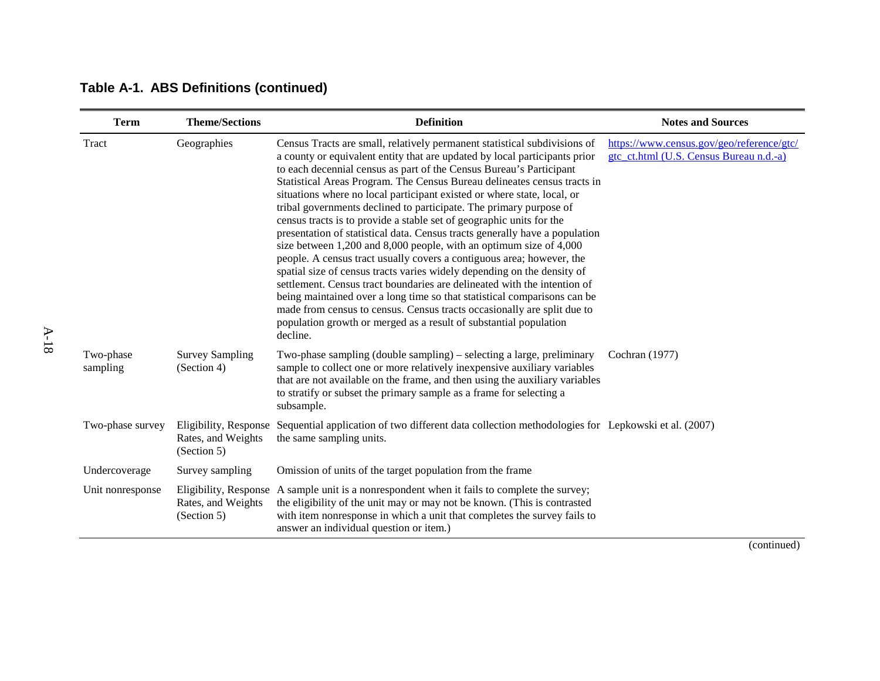| Table A-1. ABS Definitions (continued) |  |
|----------------------------------------|--|
|                                        |  |

| <b>Term</b>           | <b>Theme/Sections</b>                                      | <b>Definition</b>                                                                                                                                                                                                                                                                                                                                                                                                                                                                                                                                                                                                                                                                                                                                                                                                                                                                                                                                                                                                                                                                                                                                                | <b>Notes and Sources</b>                                                             |
|-----------------------|------------------------------------------------------------|------------------------------------------------------------------------------------------------------------------------------------------------------------------------------------------------------------------------------------------------------------------------------------------------------------------------------------------------------------------------------------------------------------------------------------------------------------------------------------------------------------------------------------------------------------------------------------------------------------------------------------------------------------------------------------------------------------------------------------------------------------------------------------------------------------------------------------------------------------------------------------------------------------------------------------------------------------------------------------------------------------------------------------------------------------------------------------------------------------------------------------------------------------------|--------------------------------------------------------------------------------------|
| Tract                 | Geographies                                                | Census Tracts are small, relatively permanent statistical subdivisions of<br>a county or equivalent entity that are updated by local participants prior<br>to each decennial census as part of the Census Bureau's Participant<br>Statistical Areas Program. The Census Bureau delineates census tracts in<br>situations where no local participant existed or where state, local, or<br>tribal governments declined to participate. The primary purpose of<br>census tracts is to provide a stable set of geographic units for the<br>presentation of statistical data. Census tracts generally have a population<br>size between 1,200 and 8,000 people, with an optimum size of 4,000<br>people. A census tract usually covers a contiguous area; however, the<br>spatial size of census tracts varies widely depending on the density of<br>settlement. Census tract boundaries are delineated with the intention of<br>being maintained over a long time so that statistical comparisons can be<br>made from census to census. Census tracts occasionally are split due to<br>population growth or merged as a result of substantial population<br>decline. | https://www.census.gov/geo/reference/gtc/<br>gtc_ct.html (U.S. Census Bureau n.d.-a) |
| Two-phase<br>sampling | <b>Survey Sampling</b><br>(Section 4)                      | Two-phase sampling (double sampling) – selecting a large, preliminary<br>sample to collect one or more relatively inexpensive auxiliary variables<br>that are not available on the frame, and then using the auxiliary variables<br>to stratify or subset the primary sample as a frame for selecting a<br>subsample.                                                                                                                                                                                                                                                                                                                                                                                                                                                                                                                                                                                                                                                                                                                                                                                                                                            | Cochran (1977)                                                                       |
| Two-phase survey      | Eligibility, Response<br>Rates, and Weights<br>(Section 5) | Sequential application of two different data collection methodologies for Lepkowski et al. (2007)<br>the same sampling units.                                                                                                                                                                                                                                                                                                                                                                                                                                                                                                                                                                                                                                                                                                                                                                                                                                                                                                                                                                                                                                    |                                                                                      |
| Undercoverage         | Survey sampling                                            | Omission of units of the target population from the frame                                                                                                                                                                                                                                                                                                                                                                                                                                                                                                                                                                                                                                                                                                                                                                                                                                                                                                                                                                                                                                                                                                        |                                                                                      |
| Unit nonresponse      | Eligibility, Response<br>Rates, and Weights<br>(Section 5) | A sample unit is a nonrespondent when it fails to complete the survey;<br>the eligibility of the unit may or may not be known. (This is contrasted<br>with item nonresponse in which a unit that completes the survey fails to<br>answer an individual question or item.)                                                                                                                                                                                                                                                                                                                                                                                                                                                                                                                                                                                                                                                                                                                                                                                                                                                                                        |                                                                                      |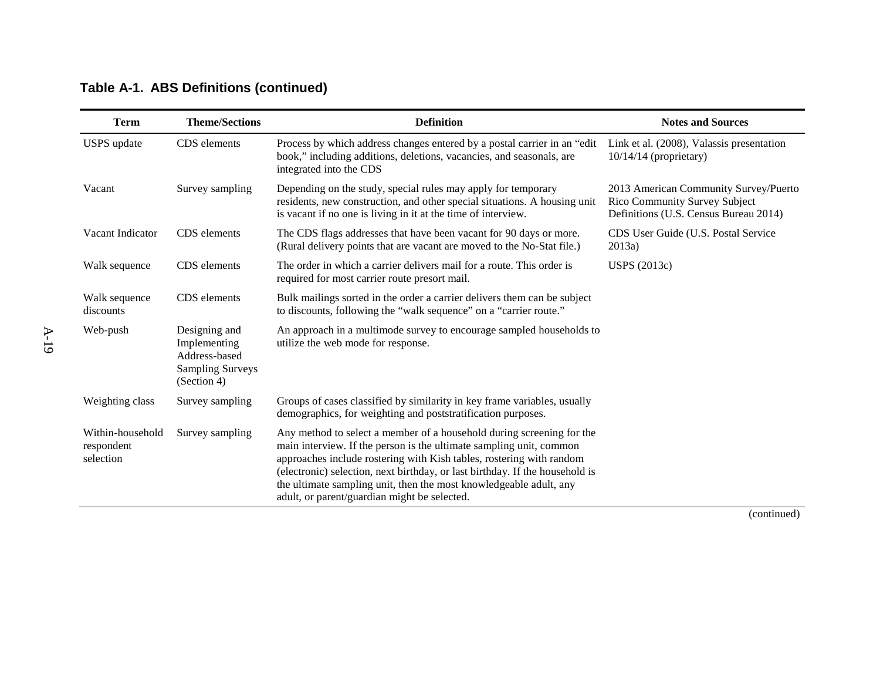|  |  | Table A-1. ABS Definitions (continued) |  |
|--|--|----------------------------------------|--|
|--|--|----------------------------------------|--|

| <b>Term</b>                                 | <b>Theme/Sections</b>                                                                    | <b>Definition</b>                                                                                                                                                                                                                                                                                                                                                                                                          | <b>Notes and Sources</b>                                                                                        |
|---------------------------------------------|------------------------------------------------------------------------------------------|----------------------------------------------------------------------------------------------------------------------------------------------------------------------------------------------------------------------------------------------------------------------------------------------------------------------------------------------------------------------------------------------------------------------------|-----------------------------------------------------------------------------------------------------------------|
| <b>USPS</b> update                          | CDS elements                                                                             | Process by which address changes entered by a postal carrier in an "edit"<br>book," including additions, deletions, vacancies, and seasonals, are<br>integrated into the CDS                                                                                                                                                                                                                                               | Link et al. (2008), Valassis presentation<br>$10/14/14$ (proprietary)                                           |
| Vacant                                      | Survey sampling                                                                          | Depending on the study, special rules may apply for temporary<br>residents, new construction, and other special situations. A housing unit<br>is vacant if no one is living in it at the time of interview.                                                                                                                                                                                                                | 2013 American Community Survey/Puerto<br>Rico Community Survey Subject<br>Definitions (U.S. Census Bureau 2014) |
| Vacant Indicator                            | CDS elements                                                                             | The CDS flags addresses that have been vacant for 90 days or more.<br>(Rural delivery points that are vacant are moved to the No-Stat file.)                                                                                                                                                                                                                                                                               | CDS User Guide (U.S. Postal Service<br>2013a)                                                                   |
| Walk sequence                               | CDS elements                                                                             | The order in which a carrier delivers mail for a route. This order is<br>required for most carrier route presort mail.                                                                                                                                                                                                                                                                                                     | <b>USPS</b> (2013c)                                                                                             |
| Walk sequence<br>discounts                  | CDS elements                                                                             | Bulk mailings sorted in the order a carrier delivers them can be subject<br>to discounts, following the "walk sequence" on a "carrier route."                                                                                                                                                                                                                                                                              |                                                                                                                 |
| Web-push                                    | Designing and<br>Implementing<br>Address-based<br><b>Sampling Surveys</b><br>(Section 4) | An approach in a multimode survey to encourage sampled households to<br>utilize the web mode for response.                                                                                                                                                                                                                                                                                                                 |                                                                                                                 |
| Weighting class                             | Survey sampling                                                                          | Groups of cases classified by similarity in key frame variables, usually<br>demographics, for weighting and poststratification purposes.                                                                                                                                                                                                                                                                                   |                                                                                                                 |
| Within-household<br>respondent<br>selection | Survey sampling                                                                          | Any method to select a member of a household during screening for the<br>main interview. If the person is the ultimate sampling unit, common<br>approaches include rostering with Kish tables, rostering with random<br>(electronic) selection, next birthday, or last birthday. If the household is<br>the ultimate sampling unit, then the most knowledgeable adult, any<br>adult, or parent/guardian might be selected. |                                                                                                                 |